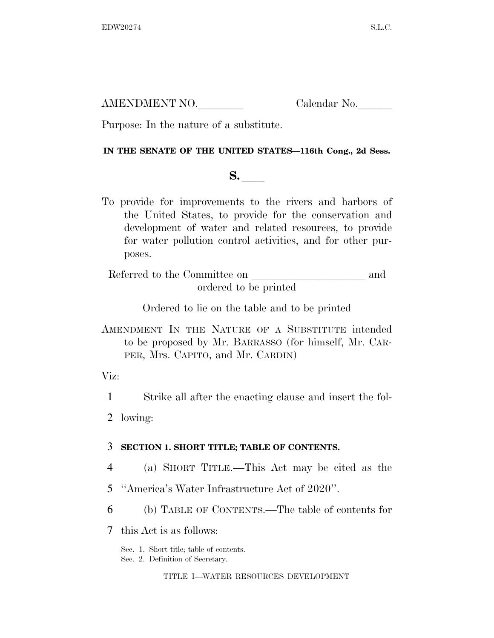AMENDMENT NO. Calendar No.

Purpose: In the nature of a substitute.

### **IN THE SENATE OF THE UNITED STATES—116th Cong., 2d Sess.**

## **S.**  $\blacksquare$

To provide for improvements to the rivers and harbors of the United States, to provide for the conservation and development of water and related resources, to provide for water pollution control activities, and for other purposes.

Referred to the Committee on and ordered to be printed

Ordered to lie on the table and to be printed

AMENDMENT IN THE NATURE OF A SUBSTITUTE intended to be proposed by Mr. BARRASSO (for himself, Mr. CAR-PER, Mrs. CAPITO, and Mr. CARDIN)

Viz:

1 Strike all after the enacting clause and insert the fol-

2 lowing:

### 3 **SECTION 1. SHORT TITLE; TABLE OF CONTENTS.**

- 4 (a) SHORT TITLE.—This Act may be cited as the
- 5 ''America's Water Infrastructure Act of 2020''.
- 6 (b) TABLE OF CONTENTS.—The table of contents for
- 7 this Act is as follows:

Sec. 1. Short title; table of contents.

Sec. 2. Definition of Secretary.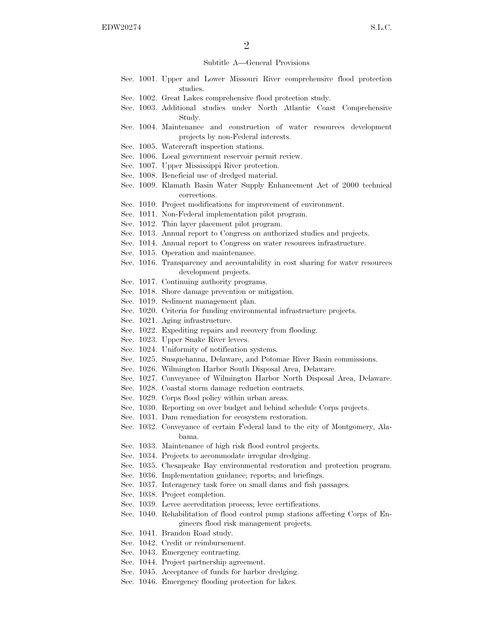#### Subtitle A—General Provisions

- Sec. 1001. Upper and Lower Missouri River comprehensive flood protection studies.
- Sec. 1002. Great Lakes comprehensive flood protection study.
- Sec. 1003. Additional studies under North Atlantic Coast Comprehensive Study.
- Sec. 1004. Maintenance and construction of water resources development projects by non-Federal interests.
- Sec. 1005. Watercraft inspection stations.
- Sec. 1006. Local government reservoir permit review.
- Sec. 1007. Upper Mississippi River protection.
- Sec. 1008. Beneficial use of dredged material.
- Sec. 1009. Klamath Basin Water Supply Enhancement Act of 2000 technical corrections.
- Sec. 1010. Project modifications for improvement of environment.
- Sec. 1011. Non-Federal implementation pilot program.
- Sec. 1012. Thin layer placement pilot program.
- Sec. 1013. Annual report to Congress on authorized studies and projects.
- Sec. 1014. Annual report to Congress on water resources infrastructure.
- Sec. 1015. Operation and maintenance.
- Sec. 1016. Transparency and accountability in cost sharing for water resources development projects.
- Sec. 1017. Continuing authority programs.
- Sec. 1018. Shore damage prevention or mitigation.
- Sec. 1019. Sediment management plan.
- Sec. 1020. Criteria for funding environmental infrastructure projects.
- Sec. 1021. Aging infrastructure.
- Sec. 1022. Expediting repairs and recovery from flooding.
- Sec. 1023. Upper Snake River levees.
- Sec. 1024. Uniformity of notification systems.
- Sec. 1025. Susquehanna, Delaware, and Potomac River Basin commissions.
- Sec. 1026. Wilmington Harbor South Disposal Area, Delaware.
- Sec. 1027. Conveyance of Wilmington Harbor North Disposal Area, Delaware.
- Sec. 1028. Coastal storm damage reduction contracts.
- Sec. 1029. Corps flood policy within urban areas.
- Sec. 1030. Reporting on over budget and behind schedule Corps projects.
- Sec. 1031. Dam remediation for ecosystem restoration.
- Sec. 1032. Conveyance of certain Federal land to the city of Montgomery, Alabama.
- Sec. 1033. Maintenance of high risk flood control projects.
- Sec. 1034. Projects to accommodate irregular dredging.
- Sec. 1035. Chesapeake Bay environmental restoration and protection program.
- Sec. 1036. Implementation guidance; reports; and briefings.
- Sec. 1037. Interagency task force on small dams and fish passages.
- Sec. 1038. Project completion.
- Sec. 1039. Levee accreditation process; levee certifications.
- Sec. 1040. Rehabilitation of flood control pump stations affecting Corps of Engineers flood risk management projects.
- Sec. 1041. Brandon Road study.
- Sec. 1042. Credit or reimbursement.
- Sec. 1043. Emergency contracting.
- Sec. 1044. Project partnership agreement.
- Sec. 1045. Acceptance of funds for harbor dredging.
- Sec. 1046. Emergency flooding protection for lakes.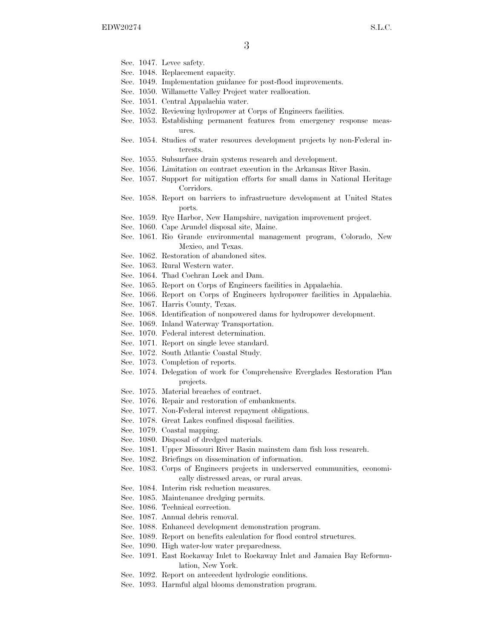- Sec. 1047. Levee safety.
- Sec. 1048. Replacement capacity.
- Sec. 1049. Implementation guidance for post-flood improvements.
- Sec. 1050. Willamette Valley Project water reallocation.
- Sec. 1051. Central Appalachia water.
- Sec. 1052. Reviewing hydropower at Corps of Engineers facilities.
- Sec. 1053. Establishing permanent features from emergency response measures.
- Sec. 1054. Studies of water resources development projects by non-Federal interests.
- Sec. 1055. Subsurface drain systems research and development.
- Sec. 1056. Limitation on contract execution in the Arkansas River Basin.
- Sec. 1057. Support for mitigation efforts for small dams in National Heritage Corridors.
- Sec. 1058. Report on barriers to infrastructure development at United States ports.
- Sec. 1059. Rye Harbor, New Hampshire, navigation improvement project.
- Sec. 1060. Cape Arundel disposal site, Maine.
- Sec. 1061. Rio Grande environmental management program, Colorado, New Mexico, and Texas.
- Sec. 1062. Restoration of abandoned sites.
- Sec. 1063. Rural Western water.
- Sec. 1064. Thad Cochran Lock and Dam.
- Sec. 1065. Report on Corps of Engineers facilities in Appalachia.
- Sec. 1066. Report on Corps of Engineers hydropower facilities in Appalachia.
- Sec. 1067. Harris County, Texas.
- Sec. 1068. Identification of nonpowered dams for hydropower development.
- Sec. 1069. Inland Waterway Transportation.
- Sec. 1070. Federal interest determination.
- Sec. 1071. Report on single levee standard.
- Sec. 1072. South Atlantic Coastal Study.
- Sec. 1073. Completion of reports.
- Sec. 1074. Delegation of work for Comprehensive Everglades Restoration Plan projects.
- Sec. 1075. Material breaches of contract.
- Sec. 1076. Repair and restoration of embankments.
- Sec. 1077. Non-Federal interest repayment obligations.
- Sec. 1078. Great Lakes confined disposal facilities.
- Sec. 1079. Coastal mapping.
- Sec. 1080. Disposal of dredged materials.
- Sec. 1081. Upper Missouri River Basin mainstem dam fish loss research.
- Sec. 1082. Briefings on dissemination of information.
- Sec. 1083. Corps of Engineers projects in underserved communities, economically distressed areas, or rural areas.
- Sec. 1084. Interim risk reduction measures.
- Sec. 1085. Maintenance dredging permits.
- Sec. 1086. Technical correction.
- Sec. 1087. Annual debris removal.
- Sec. 1088. Enhanced development demonstration program.
- Sec. 1089. Report on benefits calculation for flood control structures.
- Sec. 1090. High water-low water preparedness.
- Sec. 1091. East Rockaway Inlet to Rockaway Inlet and Jamaica Bay Reformulation, New York.
- Sec. 1092. Report on antecedent hydrologic conditions.
- Sec. 1093. Harmful algal blooms demonstration program.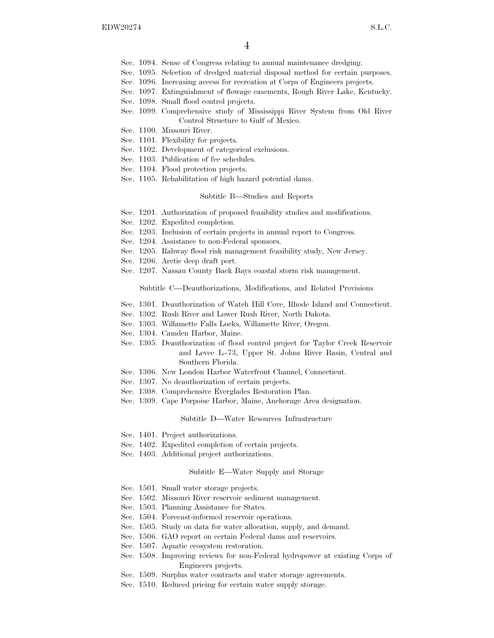- Sec. 1094. Sense of Congress relating to annual maintenance dredging.
- Sec. 1095. Selection of dredged material disposal method for certain purposes.
- Sec. 1096. Increasing access for recreation at Corps of Engineers projects.
- Sec. 1097. Extinguishment of flowage easements, Rough River Lake, Kentucky.
- Sec. 1098. Small flood control projects.
- Sec. 1099. Comprehensive study of Mississippi River System from Old River Control Structure to Gulf of Mexico.
- Sec. 1100. Missouri River.
- Sec. 1101. Flexibility for projects.
- Sec. 1102. Development of categorical exclusions.
- Sec. 1103. Publication of fee schedules.
- Sec. 1104. Flood protection projects.
- Sec. 1105. Rehabilitation of high hazard potential dams.

#### Subtitle B—Studies and Reports

- Sec. 1201. Authorization of proposed feasibility studies and modifications.
- Sec. 1202. Expedited completion.
- Sec. 1203. Inclusion of certain projects in annual report to Congress.
- Sec. 1204. Assistance to non-Federal sponsors.
- Sec. 1205. Rahway flood risk management feasibility study, New Jersey.
- Sec. 1206. Arctic deep draft port.
- Sec. 1207. Nassau County Back Bays coastal storm risk management.

#### Subtitle C—Deauthorizations, Modifications, and Related Provisions

- Sec. 1301. Deauthorization of Watch Hill Cove, Rhode Island and Connecticut.
- Sec. 1302. Rush River and Lower Rush River, North Dakota.
- Sec. 1303. Willamette Falls Locks, Willamette River, Oregon.
- Sec. 1304. Camden Harbor, Maine.
- Sec. 1305. Deauthorization of flood control project for Taylor Creek Reservoir and Levee L–73, Upper St. Johns River Basin, Central and Southern Florida.
- Sec. 1306. New London Harbor Waterfront Channel, Connecticut.
- Sec. 1307. No deauthorization of certain projects.
- Sec. 1308. Comprehensive Everglades Restoration Plan.
- Sec. 1309. Cape Porpoise Harbor, Maine, Anchorage Area designation.

#### Subtitle D—Water Resources Infrastructure

- Sec. 1401. Project authorizations.
- Sec. 1402. Expedited completion of certain projects.
- Sec. 1403. Additional project authorizations.

#### Subtitle E—Water Supply and Storage

- Sec. 1501. Small water storage projects.
- Sec. 1502. Missouri River reservoir sediment management.
- Sec. 1503. Planning Assistance for States.
- Sec. 1504. Forecast-informed reservoir operations.
- Sec. 1505. Study on data for water allocation, supply, and demand.
- Sec. 1506. GAO report on certain Federal dams and reservoirs.
- Sec. 1507. Aquatic ecosystem restoration.
- Sec. 1508. Improving reviews for non-Federal hydropower at existing Corps of Engineers projects.
- Sec. 1509. Surplus water contracts and water storage agreements.
- Sec. 1510. Reduced pricing for certain water supply storage.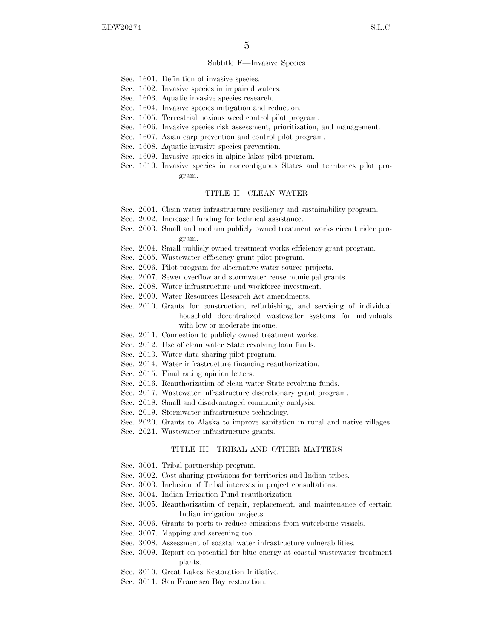#### Subtitle F—Invasive Species

- Sec. 1601. Definition of invasive species.
- Sec. 1602. Invasive species in impaired waters.
- Sec. 1603. Aquatic invasive species research.
- Sec. 1604. Invasive species mitigation and reduction.
- Sec. 1605. Terrestrial noxious weed control pilot program.
- Sec. 1606. Invasive species risk assessment, prioritization, and management.
- Sec. 1607. Asian carp prevention and control pilot program.
- Sec. 1608. Aquatic invasive species prevention.
- Sec. 1609. Invasive species in alpine lakes pilot program.
- Sec. 1610. Invasive species in noncontiguous States and territories pilot program.

#### TITLE II—CLEAN WATER

- Sec. 2001. Clean water infrastructure resiliency and sustainability program.
- Sec. 2002. Increased funding for technical assistance.
- Sec. 2003. Small and medium publicly owned treatment works circuit rider program.
- Sec. 2004. Small publicly owned treatment works efficiency grant program.
- Sec. 2005. Wastewater efficiency grant pilot program.
- Sec. 2006. Pilot program for alternative water source projects.
- Sec. 2007. Sewer overflow and stormwater reuse municipal grants.
- Sec. 2008. Water infrastructure and workforce investment.
- Sec. 2009. Water Resources Research Act amendments.
- Sec. 2010. Grants for construction, refurbishing, and servicing of individual household decentralized wastewater systems for individuals with low or moderate income.
- Sec. 2011. Connection to publicly owned treatment works.
- Sec. 2012. Use of clean water State revolving loan funds.
- Sec. 2013. Water data sharing pilot program.
- Sec. 2014. Water infrastructure financing reauthorization.
- Sec. 2015. Final rating opinion letters.
- Sec. 2016. Reauthorization of clean water State revolving funds.
- Sec. 2017. Wastewater infrastructure discretionary grant program.
- Sec. 2018. Small and disadvantaged community analysis.
- Sec. 2019. Stormwater infrastructure technology.
- Sec. 2020. Grants to Alaska to improve sanitation in rural and native villages.
- Sec. 2021. Wastewater infrastructure grants.

#### TITLE III—TRIBAL AND OTHER MATTERS

- Sec. 3001. Tribal partnership program.
- Sec. 3002. Cost sharing provisions for territories and Indian tribes.
- Sec. 3003. Inclusion of Tribal interests in project consultations.
- Sec. 3004. Indian Irrigation Fund reauthorization.
- Sec. 3005. Reauthorization of repair, replacement, and maintenance of certain Indian irrigation projects.
- Sec. 3006. Grants to ports to reduce emissions from waterborne vessels.
- Sec. 3007. Mapping and screening tool.
- Sec. 3008. Assessment of coastal water infrastructure vulnerabilities.
- Sec. 3009. Report on potential for blue energy at coastal wastewater treatment plants.
- Sec. 3010. Great Lakes Restoration Initiative.
- Sec. 3011. San Francisco Bay restoration.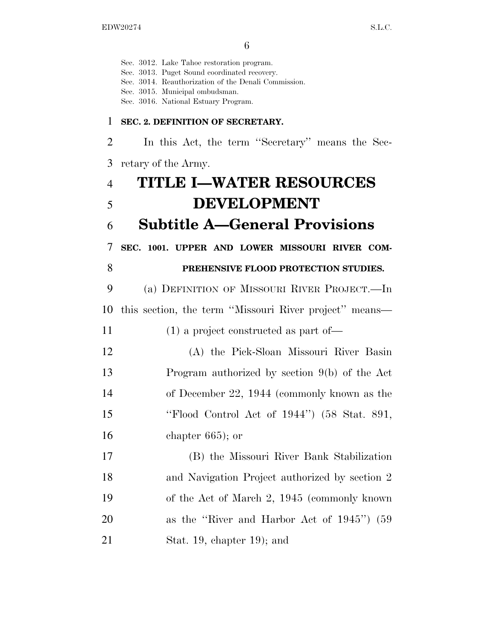Sec. 3012. Lake Tahoe restoration program. Sec. 3013. Puget Sound coordinated recovery. Sec. 3014. Reauthorization of the Denali Commission. Sec. 3015. Municipal ombudsman. Sec. 3016. National Estuary Program. **SEC. 2. DEFINITION OF SECRETARY.**  In this Act, the term ''Secretary'' means the Sec- retary of the Army. **TITLE I—WATER RESOURCES DEVELOPMENT Subtitle A—General Provisions SEC. 1001. UPPER AND LOWER MISSOURI RIVER COM- PREHENSIVE FLOOD PROTECTION STUDIES.**  (a) DEFINITION OF MISSOURI RIVER PROJECT.—In this section, the term ''Missouri River project'' means— (1) a project constructed as part of— (A) the Pick-Sloan Missouri River Basin Program authorized by section 9(b) of the Act of December 22, 1944 (commonly known as the ''Flood Control Act of 1944'') (58 Stat. 891, chapter 665); or (B) the Missouri River Bank Stabilization and Navigation Project authorized by section 2 of the Act of March 2, 1945 (commonly known as the ''River and Harbor Act of 1945'') (59 Stat. 19, chapter 19); and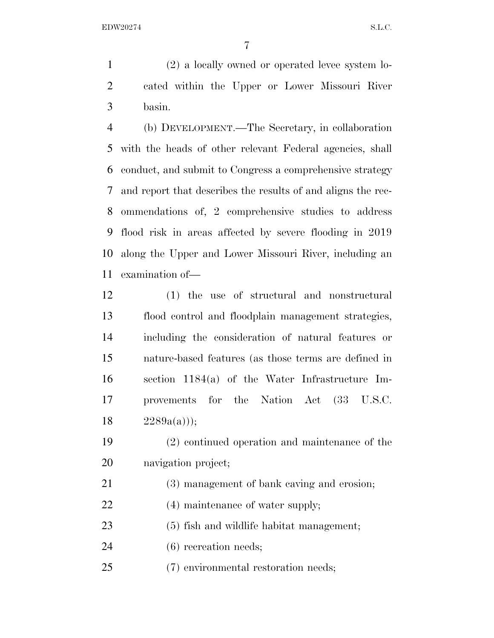(2) a locally owned or operated levee system lo- cated within the Upper or Lower Missouri River basin.

 (b) DEVELOPMENT.—The Secretary, in collaboration with the heads of other relevant Federal agencies, shall conduct, and submit to Congress a comprehensive strategy and report that describes the results of and aligns the rec- ommendations of, 2 comprehensive studies to address flood risk in areas affected by severe flooding in 2019 along the Upper and Lower Missouri River, including an examination of—

 (1) the use of structural and nonstructural flood control and floodplain management strategies, including the consideration of natural features or nature-based features (as those terms are defined in section 1184(a) of the Water Infrastructure Im- provements for the Nation Act (33 U.S.C.  $2289a(a))$ ;

 (2) continued operation and maintenance of the navigation project;

- (3) management of bank caving and erosion;
- 22 (4) maintenance of water supply;

(5) fish and wildlife habitat management;

(6) recreation needs;

(7) environmental restoration needs;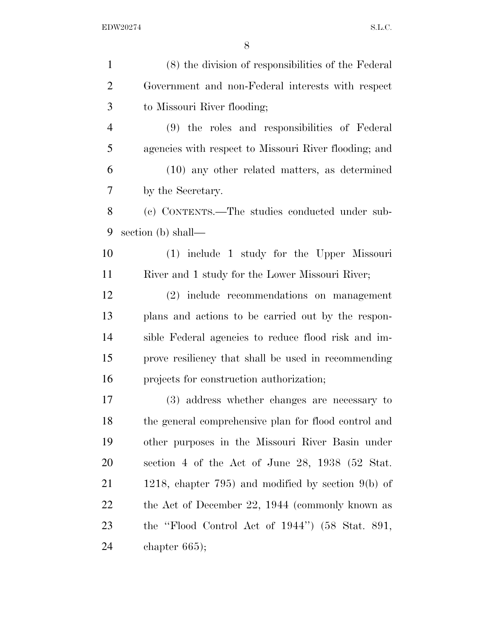| $\mathbf{1}$   | (8) the division of responsibilities of the Federal   |
|----------------|-------------------------------------------------------|
| $\overline{2}$ | Government and non-Federal interests with respect     |
| 3              | to Missouri River flooding;                           |
| $\overline{4}$ | (9) the roles and responsibilities of Federal         |
| 5              | agencies with respect to Missouri River flooding; and |
| 6              | $(10)$ any other related matters, as determined       |
| 7              | by the Secretary.                                     |
| 8              | (c) CONTENTS.—The studies conducted under sub-        |
| 9              | section (b) shall—                                    |
| 10             | (1) include 1 study for the Upper Missouri            |
| 11             | River and 1 study for the Lower Missouri River;       |
| 12             | (2) include recommendations on management             |
| 13             | plans and actions to be carried out by the respon-    |
| 14             | sible Federal agencies to reduce flood risk and im-   |
| 15             | prove resiliency that shall be used in recommending   |
| 16             | projects for construction authorization;              |
| 17             | (3) address whether changes are necessary to          |
| 18             | the general comprehensive plan for flood control and  |
| 19             | other purposes in the Missouri River Basin under      |
| 20             | section 4 of the Act of June 28, 1938 (52 Stat.       |
| 21             | 1218, chapter 795) and modified by section $9(b)$ of  |
| 22             | the Act of December 22, 1944 (commonly known as       |
| 23             | the "Flood Control Act of $1944$ ") (58 Stat. 891,    |
| 24             | chapter $665$ ;                                       |
|                |                                                       |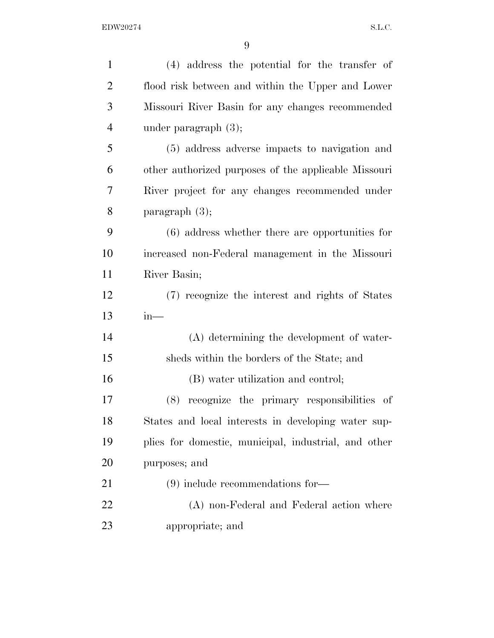| $\mathbf{1}$   | (4) address the potential for the transfer of        |
|----------------|------------------------------------------------------|
| $\overline{2}$ | flood risk between and within the Upper and Lower    |
| 3              | Missouri River Basin for any changes recommended     |
| $\overline{4}$ | under paragraph $(3)$ ;                              |
| 5              | (5) address adverse impacts to navigation and        |
| 6              | other authorized purposes of the applicable Missouri |
| $\tau$         | River project for any changes recommended under      |
| 8              | paragraph $(3)$ ;                                    |
| 9              | $(6)$ address whether there are opportunities for    |
| 10             | increased non-Federal management in the Missouri     |
| 11             | River Basin;                                         |
| 12             | (7) recognize the interest and rights of States      |
| 13             | $in-$                                                |
| 14             | (A) determining the development of water-            |
| 15             | sheds within the borders of the State; and           |
| 16             | (B) water utilization and control;                   |
| 17             | recognize the primary responsibilities of<br>(8)     |
| 18             | States and local interests in developing water sup-  |
| 19             | plies for domestic, municipal, industrial, and other |
| 20             | purposes; and                                        |
| 21             | $(9)$ include recommendations for —                  |
| 22             | (A) non-Federal and Federal action where             |
| 23             | appropriate; and                                     |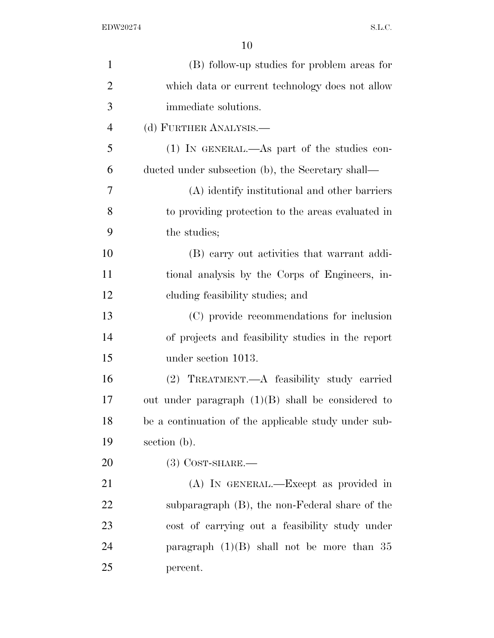| $\mathbf{1}$   | (B) follow-up studies for problem areas for          |
|----------------|------------------------------------------------------|
| $\overline{2}$ | which data or current technology does not allow      |
| 3              | immediate solutions.                                 |
| $\overline{4}$ | (d) FURTHER ANALYSIS.—                               |
| 5              | $(1)$ IN GENERAL.—As part of the studies con-        |
| 6              | ducted under subsection (b), the Secretary shall—    |
| 7              | (A) identify institutional and other barriers        |
| 8              | to providing protection to the areas evaluated in    |
| 9              | the studies;                                         |
| 10             | (B) carry out activities that warrant addi-          |
| 11             | tional analysis by the Corps of Engineers, in-       |
| 12             | eluding feasibility studies; and                     |
| 13             | (C) provide recommendations for inclusion            |
| 14             | of projects and feasibility studies in the report    |
| 15             | under section 1013.                                  |
| 16             | (2) TREATMENT.—A feasibility study carried           |
| 17             | out under paragraph $(1)(B)$ shall be considered to  |
| 18             | be a continuation of the applicable study under sub- |
| 19             | section (b).                                         |
| 20             | $(3)$ COST-SHARE.—                                   |
| 21             | (A) IN GENERAL.—Except as provided in                |
| 22             | subparagraph (B), the non-Federal share of the       |
| 23             | cost of carrying out a feasibility study under       |
| 24             | paragraph $(1)(B)$ shall not be more than 35         |
| 25             | percent.                                             |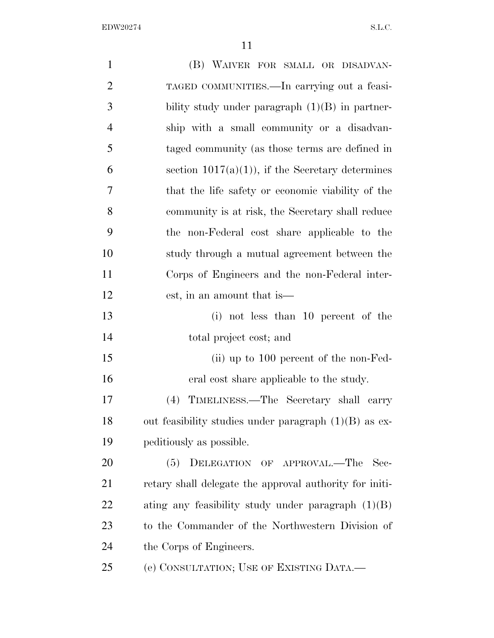$\rm EDW20274 \qquad \qquad S.L.C.$ 

| $\mathbf{1}$   | (B) WAIVER FOR SMALL OR DISADVAN-                       |
|----------------|---------------------------------------------------------|
| $\overline{2}$ | TAGED COMMUNITIES.—In carrying out a feasi-             |
| 3              | bility study under paragraph $(1)(B)$ in partner-       |
| $\overline{4}$ | ship with a small community or a disadvan-              |
| 5              | taged community (as those terms are defined in          |
| 6              | section $1017(a)(1)$ , if the Secretary determines      |
| 7              | that the life safety or economic viability of the       |
| 8              | community is at risk, the Secretary shall reduce        |
| 9              | the non-Federal cost share applicable to the            |
| 10             | study through a mutual agreement between the            |
| 11             | Corps of Engineers and the non-Federal inter-           |
| 12             | est, in an amount that is—                              |
| 13             | (i) not less than 10 percent of the                     |
| 14             | total project cost; and                                 |
| 15             | (ii) up to $100$ percent of the non-Fed-                |
| 16             | eral cost share applicable to the study.                |
| 17             | TIMELINESS.—The Secretary shall carry<br>(4)            |
| 18             | out feasibility studies under paragraph $(1)(B)$ as ex- |
| 19             | peditiously as possible.                                |
| 20             | DELEGATION OF APPROVAL.—The<br>(5)<br>Sec-              |
| 21             | retary shall delegate the approval authority for initi- |
| 22             | ating any feasibility study under paragraph $(1)(B)$    |
| 23             | to the Commander of the Northwestern Division of        |
| 24             | the Corps of Engineers.                                 |
| 25             | (e) CONSULTATION; USE OF EXISTING DATA.—                |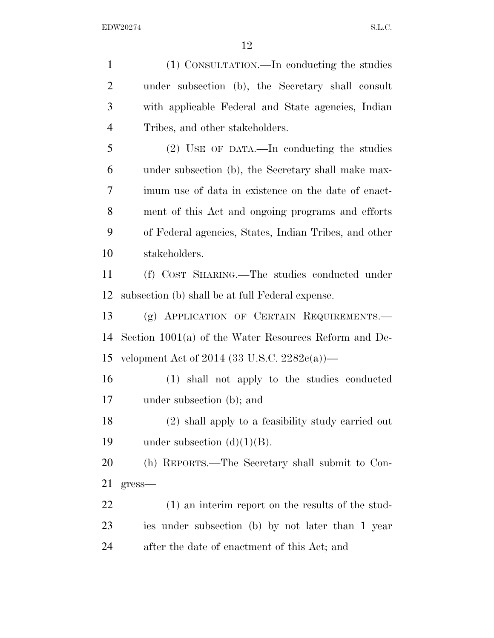(1) CONSULTATION.—In conducting the studies under subsection (b), the Secretary shall consult with applicable Federal and State agencies, Indian Tribes, and other stakeholders. (2) USE OF DATA.—In conducting the studies under subsection (b), the Secretary shall make max- imum use of data in existence on the date of enact- ment of this Act and ongoing programs and efforts of Federal agencies, States, Indian Tribes, and other stakeholders. (f) COST SHARING.—The studies conducted under subsection (b) shall be at full Federal expense. (g) APPLICATION OF CERTAIN REQUIREMENTS.— Section 1001(a) of the Water Resources Reform and De- velopment Act of 2014 (33 U.S.C. 2282c(a))— (1) shall not apply to the studies conducted under subsection (b); and (2) shall apply to a feasibility study carried out 19 under subsection  $(d)(1)(B)$ . (h) REPORTS.—The Secretary shall submit to Con- gress— (1) an interim report on the results of the stud- ies under subsection (b) by not later than 1 year after the date of enactment of this Act; and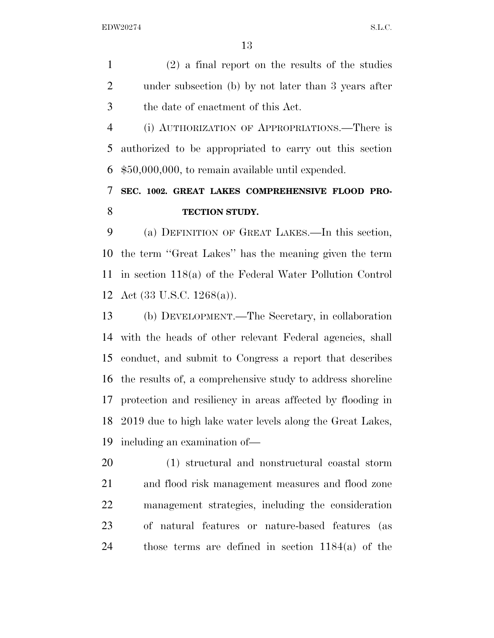(2) a final report on the results of the studies under subsection (b) by not later than 3 years after the date of enactment of this Act.

 (i) AUTHORIZATION OF APPROPRIATIONS.—There is authorized to be appropriated to carry out this section \$50,000,000, to remain available until expended.

## **SEC. 1002. GREAT LAKES COMPREHENSIVE FLOOD PRO-TECTION STUDY.**

 (a) DEFINITION OF GREAT LAKES.—In this section, the term ''Great Lakes'' has the meaning given the term in section 118(a) of the Federal Water Pollution Control Act (33 U.S.C. 1268(a)).

 (b) DEVELOPMENT.—The Secretary, in collaboration with the heads of other relevant Federal agencies, shall conduct, and submit to Congress a report that describes the results of, a comprehensive study to address shoreline protection and resiliency in areas affected by flooding in 2019 due to high lake water levels along the Great Lakes, including an examination of—

 (1) structural and nonstructural coastal storm and flood risk management measures and flood zone management strategies, including the consideration of natural features or nature-based features (as those terms are defined in section 1184(a) of the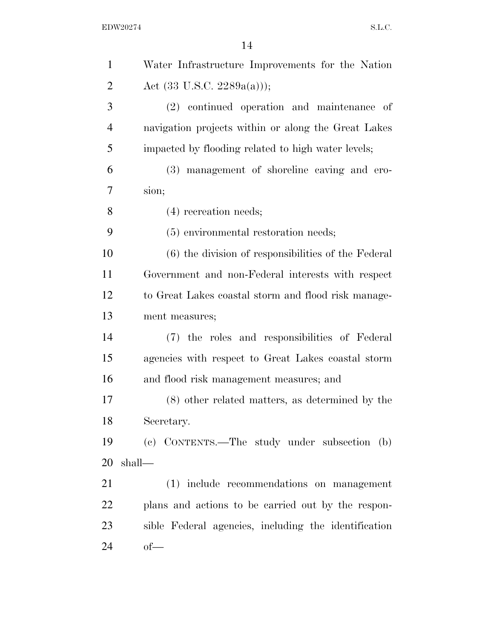| $\mathbf{1}$   | Water Infrastructure Improvements for the Nation     |
|----------------|------------------------------------------------------|
| $\overline{2}$ | Act $(33 \text{ U.S.C. } 2289a(a))$ ;                |
| 3              | (2) continued operation and maintenance of           |
| $\overline{4}$ | navigation projects within or along the Great Lakes  |
| 5              | impacted by flooding related to high water levels;   |
| 6              | (3) management of shoreline caving and ero-          |
| 7              | sion;                                                |
| 8              | $(4)$ recreation needs;                              |
| 9              | (5) environmental restoration needs;                 |
| 10             | (6) the division of responsibilities of the Federal  |
| 11             | Government and non-Federal interests with respect    |
| 12             | to Great Lakes coastal storm and flood risk manage-  |
| 13             | ment measures;                                       |
| 14             | (7) the roles and responsibilities of Federal        |
| 15             | agencies with respect to Great Lakes coastal storm   |
| 16             | and flood risk management measures; and              |
| 17             | $(8)$ other related matters, as determined by the    |
| 18             | Secretary.                                           |
| 19             | (c) CONTENTS.—The study under subsection (b)         |
| 20             | $shall$ —                                            |
| 21             | (1) include recommendations on management            |
| 22             | plans and actions to be carried out by the respon-   |
| 23             | sible Federal agencies, including the identification |
| 24             | $of$ —                                               |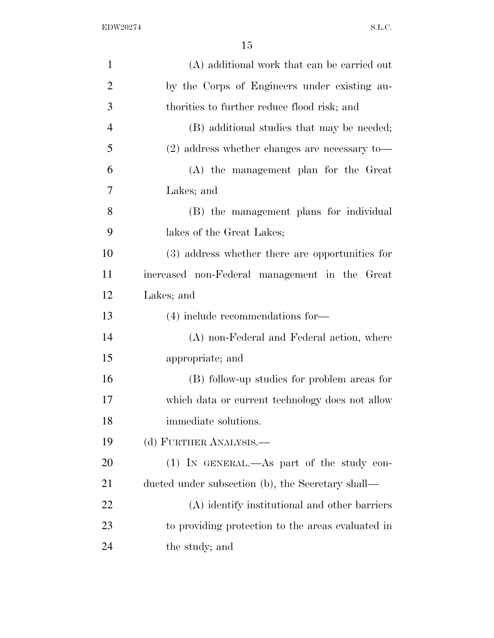| $\mathbf{1}$   | (A) additional work that can be carried out       |
|----------------|---------------------------------------------------|
| $\overline{2}$ | by the Corps of Engineers under existing au-      |
| 3              | thorities to further reduce flood risk; and       |
| $\overline{4}$ | (B) additional studies that may be needed;        |
| 5              | $(2)$ address whether changes are necessary to-   |
| 6              | (A) the management plan for the Great             |
| 7              | Lakes; and                                        |
| 8              | (B) the management plans for individual           |
| 9              | lakes of the Great Lakes;                         |
| 10             | (3) address whether there are opportunities for   |
| 11             | increased non-Federal management in the Great     |
| 12             | Lakes; and                                        |
| 13             | $(4)$ include recommendations for-                |
| 14             | (A) non-Federal and Federal action, where         |
| 15             | appropriate; and                                  |
| 16             | (B) follow-up studies for problem areas for       |
| 17             | which data or current technology does not allow   |
| 18             | immediate solutions.                              |
| 19             | (d) FURTHER ANALYSIS.—                            |
| 20             | (1) IN GENERAL.—As part of the study con-         |
| 21             | ducted under subsection (b), the Secretary shall— |
| 22             | (A) identify institutional and other barriers     |
| 23             | to providing protection to the areas evaluated in |
| 24             | the study; and                                    |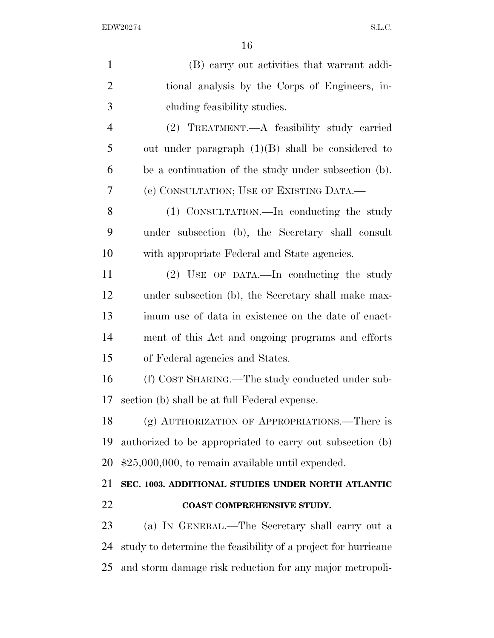| $\mathbf{1}$   | (B) carry out activities that warrant addi-                   |
|----------------|---------------------------------------------------------------|
| $\overline{2}$ | tional analysis by the Corps of Engineers, in-                |
| 3              | eluding feasibility studies.                                  |
| $\overline{4}$ | (2) TREATMENT.—A feasibility study carried                    |
| 5              | out under paragraph $(1)(B)$ shall be considered to           |
| 6              | be a continuation of the study under subsection (b).          |
| 7              | (e) CONSULTATION; USE OF EXISTING DATA.—                      |
| 8              | (1) CONSULTATION.—In conducting the study                     |
| 9              | under subsection (b), the Secretary shall consult             |
| 10             | with appropriate Federal and State agencies.                  |
| 11             | (2) USE OF DATA.—In conducting the study                      |
| 12             | under subsection (b), the Secretary shall make max-           |
| 13             | imum use of data in existence on the date of enact-           |
| 14             | ment of this Act and ongoing programs and efforts             |
| 15             | of Federal agencies and States.                               |
| 16             | (f) COST SHARING.—The study conducted under sub-              |
| 17             | section (b) shall be at full Federal expense.                 |
| 18             | (g) AUTHORIZATION OF APPROPRIATIONS.—There is                 |
| 19             | authorized to be appropriated to carry out subsection (b)     |
| 20             | $$25,000,000$ , to remain available until expended.           |
| 21             | SEC. 1003. ADDITIONAL STUDIES UNDER NORTH ATLANTIC            |
| 22             | COAST COMPREHENSIVE STUDY.                                    |
| 23             | (a) IN GENERAL.—The Secretary shall carry out a               |
| 24             | study to determine the feasibility of a project for hurricane |
| 25             | and storm damage risk reduction for any major metropoli-      |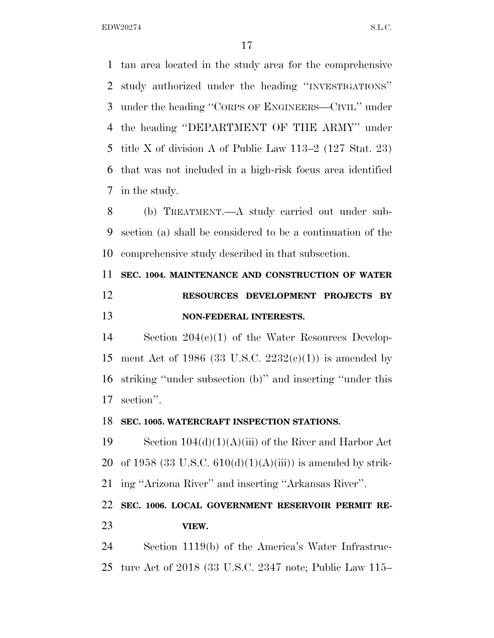tan area located in the study area for the comprehensive study authorized under the heading ''INVESTIGATIONS'' under the heading ''CORPS OF ENGINEERS—CIVIL'' under the heading ''DEPARTMENT OF THE ARMY'' under title X of division A of Public Law 113–2 (127 Stat. 23) that was not included in a high-risk focus area identified in the study.

 (b) TREATMENT.—A study carried out under sub- section (a) shall be considered to be a continuation of the comprehensive study described in that subsection.

# **SEC. 1004. MAINTENANCE AND CONSTRUCTION OF WATER RESOURCES DEVELOPMENT PROJECTS BY NON-FEDERAL INTERESTS.**

 Section 204(c)(1) of the Water Resources Develop-15 ment Act of 1986 (33 U.S.C.  $2232(e)(1)$ ) is amended by striking ''under subsection (b)'' and inserting ''under this section''.

### **SEC. 1005. WATERCRAFT INSPECTION STATIONS.**

19 Section  $104(d)(1)(A)(iii)$  of the River and Harbor Act 20 of 1958 (33 U.S.C.  $610(d)(1)(A(iii))$  is amended by strik-ing ''Arizona River'' and inserting ''Arkansas River''.

## **SEC. 1006. LOCAL GOVERNMENT RESERVOIR PERMIT RE-VIEW.**

 Section 1119(b) of the America's Water Infrastruc-ture Act of 2018 (33 U.S.C. 2347 note; Public Law 115–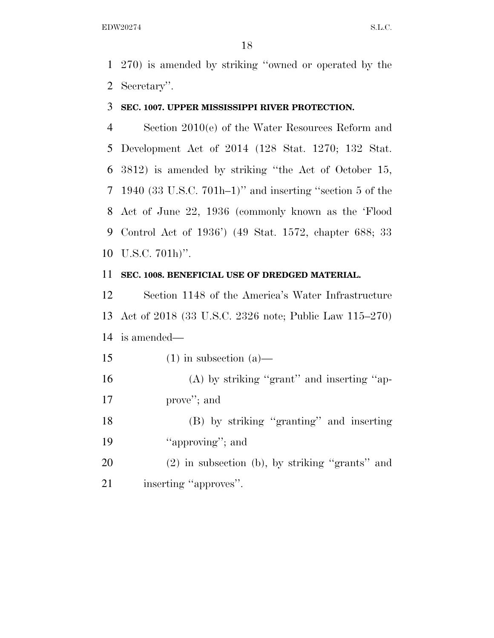270) is amended by striking ''owned or operated by the Secretary''.

### **SEC. 1007. UPPER MISSISSIPPI RIVER PROTECTION.**

 Section 2010(e) of the Water Resources Reform and Development Act of 2014 (128 Stat. 1270; 132 Stat. 3812) is amended by striking ''the Act of October 15, 1940 (33 U.S.C. 701h–1)'' and inserting ''section 5 of the Act of June 22, 1936 (commonly known as the 'Flood Control Act of 1936') (49 Stat. 1572, chapter 688; 33 U.S.C. 701h)''.

### **SEC. 1008. BENEFICIAL USE OF DREDGED MATERIAL.**

 Section 1148 of the America's Water Infrastructure Act of 2018 (33 U.S.C. 2326 note; Public Law 115–270) is amended—

15 (1) in subsection (a)—

16 (A) by striking "grant" and inserting "ap-prove''; and

 (B) by striking ''granting'' and inserting 19 "approving"; and

 (2) in subsection (b), by striking ''grants'' and 21 inserting "approves".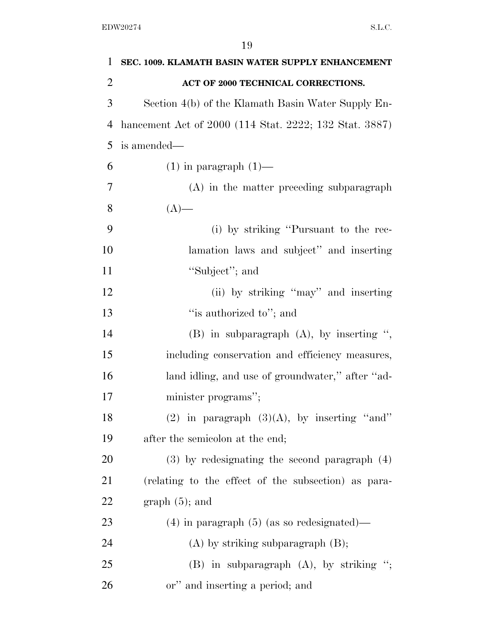| 1              | SEC. 1009. KLAMATH BASIN WATER SUPPLY ENHANCEMENT      |
|----------------|--------------------------------------------------------|
| $\overline{2}$ | ACT OF 2000 TECHNICAL CORRECTIONS.                     |
| 3              | Section 4(b) of the Klamath Basin Water Supply En-     |
| 4              | hancement Act of 2000 (114 Stat. 2222; 132 Stat. 3887) |
| 5              | is amended—                                            |
| 6              | $(1)$ in paragraph $(1)$ —                             |
| 7              | (A) in the matter preceding subparagraph               |
| 8              | $(A)$ —                                                |
| 9              | (i) by striking "Pursuant to the rec-                  |
| 10             | lamation laws and subject" and inserting               |
| 11             | "Subject"; and                                         |
| 12             | (ii) by striking "may" and inserting                   |
| 13             | "is authorized to"; and                                |
| 14             | $(B)$ in subparagraph $(A)$ , by inserting ",          |
| 15             | including conservation and efficiency measures,        |
| 16             | land idling, and use of groundwater," after "ad-       |
| 17             | minister programs";                                    |
| 18             | (2) in paragraph $(3)(A)$ , by inserting "and"         |
| 19             | after the semicolon at the end;                        |
| 20             | $(3)$ by redesignating the second paragraph $(4)$      |
| 21             | (relating to the effect of the subsection) as para-    |
| 22             | $graph(5)$ ; and                                       |
| 23             | $(4)$ in paragraph $(5)$ (as so redesignated)—         |
| 24             | $(A)$ by striking subparagraph $(B)$ ;                 |
| 25             | (B) in subparagraph $(A)$ , by striking ";             |
| 26             | or" and inserting a period; and                        |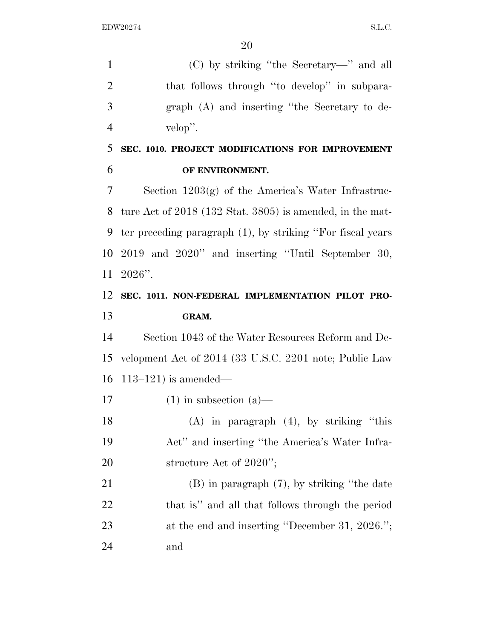(C) by striking ''the Secretary—'' and all 2 that follows through "to develop" in subpara- graph (A) and inserting ''the Secretary to de-velop''.

 **SEC. 1010. PROJECT MODIFICATIONS FOR IMPROVEMENT OF ENVIRONMENT.** 

 Section 1203(g) of the America's Water Infrastruc- ture Act of 2018 (132 Stat. 3805) is amended, in the mat- ter preceding paragraph (1), by striking ''For fiscal years 2019 and 2020'' and inserting ''Until September 30, 2026''.

## **SEC. 1011. NON-FEDERAL IMPLEMENTATION PILOT PRO-GRAM.**

 Section 1043 of the Water Resources Reform and De- velopment Act of 2014 (33 U.S.C. 2201 note; Public Law 113–121) is amended—

17 (1) in subsection  $(a)$ —

 (A) in paragraph (4), by striking ''this Act'' and inserting ''the America's Water Infra-20 structure Act of 2020'';

 (B) in paragraph (7), by striking ''the date that is'' and all that follows through the period 23 at the end and inserting "December 31, 2026."; and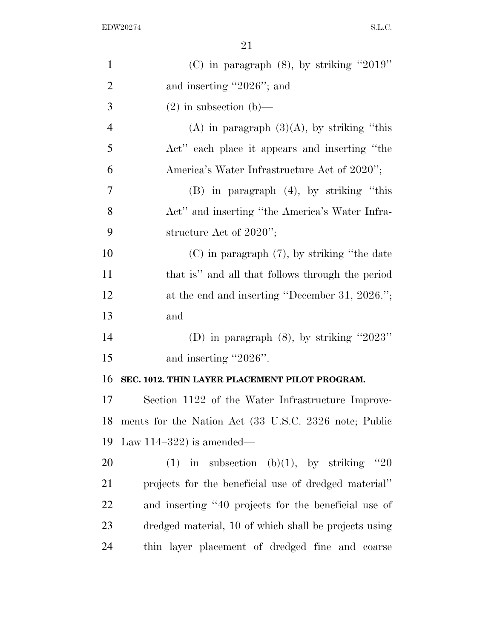| $\mathbf{1}$   | (C) in paragraph $(8)$ , by striking "2019"           |
|----------------|-------------------------------------------------------|
| $\overline{2}$ | and inserting "2026"; and                             |
| 3              | $(2)$ in subsection $(b)$ —                           |
| $\overline{4}$ | (A) in paragraph $(3)(A)$ , by striking "this         |
| 5              | Act" each place it appears and inserting "the         |
| 6              | America's Water Infrastructure Act of 2020";          |
| 7              | $(B)$ in paragraph $(4)$ , by striking "this          |
| 8              | Act" and inserting "the America's Water Infra-        |
| 9              | structure Act of $2020$ ";                            |
| 10             | $(C)$ in paragraph $(7)$ , by striking "the date      |
| 11             | that is" and all that follows through the period      |
| 12             | at the end and inserting "December 31, 2026.";        |
| 13             | and                                                   |
| 14             | (D) in paragraph $(8)$ , by striking "2023"           |
| 15             | and inserting "2026".                                 |
| 16             | SEC. 1012. THIN LAYER PLACEMENT PILOT PROGRAM.        |
| 17             | Section 1122 of the Water Infrastructure Improve-     |
| 18             | ments for the Nation Act (33 U.S.C. 2326 note; Public |
| 19             | Law 114-322) is amended—                              |
| 20             | (1) in subsection (b)(1), by striking "20             |
| 21             | projects for the beneficial use of dredged material"  |
| 22             | and inserting "40 projects for the beneficial use of  |
| 23             | dredged material, 10 of which shall be projects using |
| 24             | thin layer placement of dredged fine and coarse       |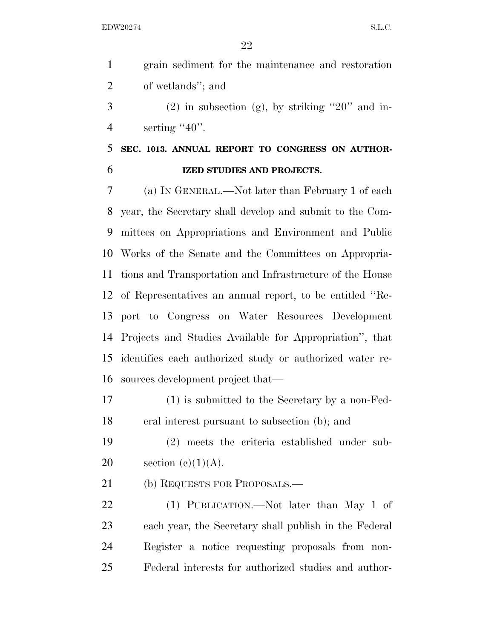|    | grain sediment for the maintenance and restoration |
|----|----------------------------------------------------|
| 2  | of wetlands"; and                                  |
| -3 | (2) in subsection (g), by striking "20" and in-    |

4 serting "40".

## **SEC. 1013. ANNUAL REPORT TO CONGRESS ON AUTHOR-IZED STUDIES AND PROJECTS.**

 (a) IN GENERAL.—Not later than February 1 of each year, the Secretary shall develop and submit to the Com- mittees on Appropriations and Environment and Public Works of the Senate and the Committees on Appropria- tions and Transportation and Infrastructure of the House of Representatives an annual report, to be entitled ''Re- port to Congress on Water Resources Development Projects and Studies Available for Appropriation'', that identifies each authorized study or authorized water re-sources development project that—

 (1) is submitted to the Secretary by a non-Fed-eral interest pursuant to subsection (b); and

 (2) meets the criteria established under sub-20 section  $(e)(1)(A)$ .

21 (b) REQUESTS FOR PROPOSALS.—

 (1) PUBLICATION.—Not later than May 1 of each year, the Secretary shall publish in the Federal Register a notice requesting proposals from non-Federal interests for authorized studies and author-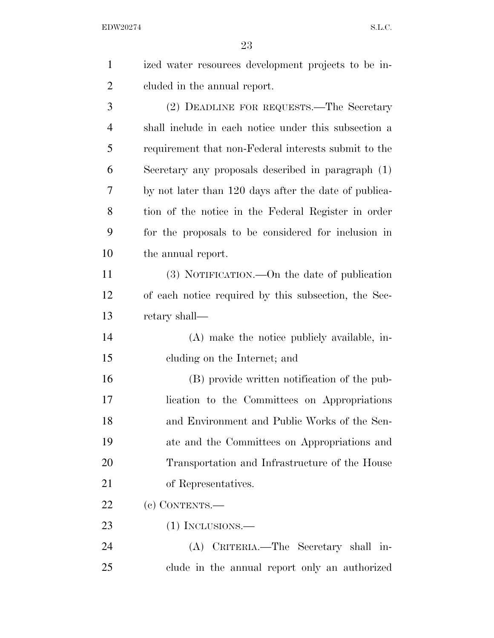| $\mathbf{1}$   | ized water resources development projects to be in-   |
|----------------|-------------------------------------------------------|
| $\overline{2}$ | cluded in the annual report.                          |
| 3              | (2) DEADLINE FOR REQUESTS.—The Secretary              |
| $\overline{4}$ | shall include in each notice under this subsection a  |
| 5              | requirement that non-Federal interests submit to the  |
| 6              | Secretary any proposals described in paragraph (1)    |
| 7              | by not later than 120 days after the date of publica- |
| 8              | tion of the notice in the Federal Register in order   |
| 9              | for the proposals to be considered for inclusion in   |
| 10             | the annual report.                                    |
| 11             | $(3)$ NOTIFICATION.—On the date of publication        |
| 12             | of each notice required by this subsection, the Sec-  |
| 13             | retary shall—                                         |
| 14             | (A) make the notice publicly available, in-           |
| 15             | eluding on the Internet; and                          |
| 16             | (B) provide written notification of the pub-          |
| 17             | lication to the Committees on Appropriations          |
| 18             | and Environment and Public Works of the Sen-          |
| 19             | ate and the Committees on Appropriations and          |
| 20             | Transportation and Infrastructure of the House        |
| 21             | of Representatives.                                   |
| 22             | (c) CONTENTS.-                                        |
| 23             | $(1)$ INCLUSIONS.—                                    |
| 24             | (A) CRITERIA.—The Secretary shall in-                 |
| 25             | clude in the annual report only an authorized         |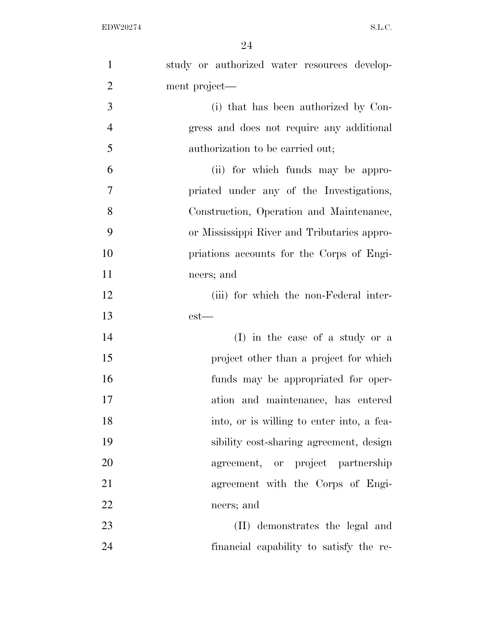| $\mathbf{1}$   | study or authorized water resources develop- |
|----------------|----------------------------------------------|
| $\overline{2}$ | ment project—                                |
| 3              | (i) that has been authorized by Con-         |
| $\overline{4}$ | gress and does not require any additional    |
| 5              | authorization to be carried out;             |
| 6              | (ii) for which funds may be appro-           |
| $\tau$         | priated under any of the Investigations,     |
| 8              | Construction, Operation and Maintenance,     |
| 9              | or Mississippi River and Tributaries appro-  |
| 10             | priations accounts for the Corps of Engi-    |
| 11             | neers; and                                   |
| 12             | (iii) for which the non-Federal inter-       |
| 13             | $est-$                                       |
| 14             | (I) in the case of a study or a              |
| 15             | project other than a project for which       |
| 16             | funds may be appropriated for oper-          |
| 17             | ation and maintenance, has entered           |
| 18             | into, or is willing to enter into, a fea-    |
| 19             | sibility cost-sharing agreement, design      |
| 20             | agreement, or project partnership            |
| 21             | agreement with the Corps of Engi-            |
| 22             | neers; and                                   |
| 23             | (II) demonstrates the legal and              |
| 24             | financial capability to satisfy the re-      |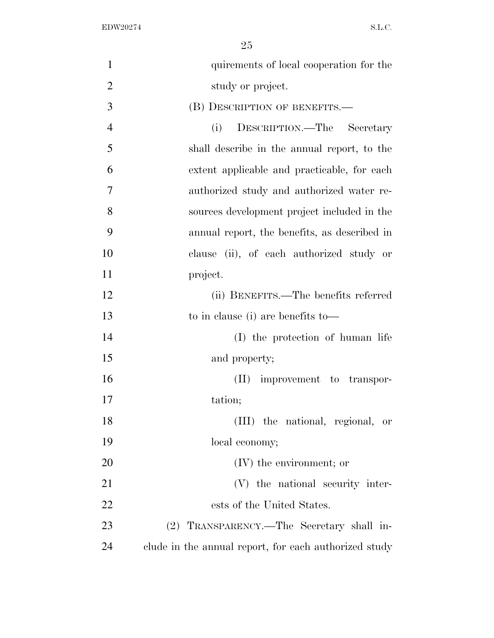| $\mathbf{1}$   | quirements of local cooperation for the               |
|----------------|-------------------------------------------------------|
| $\overline{2}$ | study or project.                                     |
| 3              | (B) DESCRIPTION OF BENEFITS.—                         |
| $\overline{4}$ | DESCRIPTION.—The Secretary<br>(i)                     |
| 5              | shall describe in the annual report, to the           |
| 6              | extent applicable and practicable, for each           |
| 7              | authorized study and authorized water re-             |
| 8              | sources development project included in the           |
| 9              | annual report, the benefits, as described in          |
| 10             | clause (ii), of each authorized study or              |
| 11             | project.                                              |
| 12             | (ii) BENEFITS.—The benefits referred                  |
| 13             | to in clause (i) are benefits to-                     |
| 14             | (I) the protection of human life                      |
| 15             | and property;                                         |
| 16             | (II) improvement to transpor-                         |
| 17             | tation;                                               |
| 18             | (III) the national, regional, or                      |
| 19             | local economy;                                        |
| 20             | $(IV)$ the environment; or                            |
| 21             | (V) the national security inter-                      |
| 22             | ests of the United States.                            |
| 23             | (2) TRANSPARENCY.—The Secretary shall in-             |
| 24             | clude in the annual report, for each authorized study |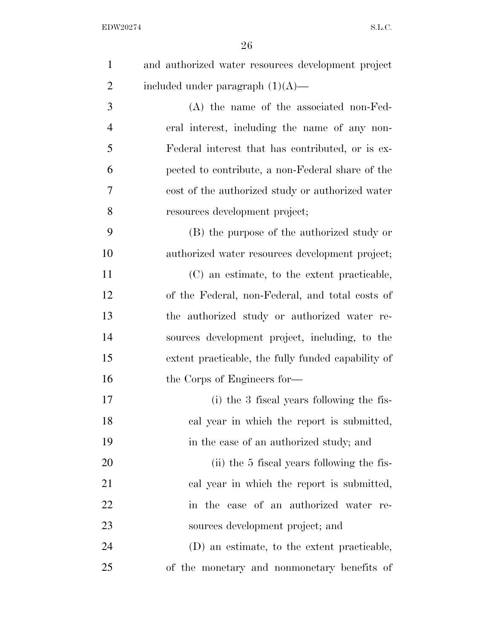| $\mathbf{1}$   | and authorized water resources development project |
|----------------|----------------------------------------------------|
| $\overline{2}$ | included under paragraph $(1)(A)$ —                |
| 3              | $(A)$ the name of the associated non-Fed-          |
| $\overline{4}$ | eral interest, including the name of any non-      |
| 5              | Federal interest that has contributed, or is ex-   |
| 6              | pected to contribute, a non-Federal share of the   |
| 7              | cost of the authorized study or authorized water   |
| 8              | resources development project;                     |
| 9              | (B) the purpose of the authorized study or         |
| 10             | authorized water resources development project;    |
| 11             | (C) an estimate, to the extent practicable,        |
| 12             | of the Federal, non-Federal, and total costs of    |
| 13             | the authorized study or authorized water re-       |
| 14             | sources development project, including, to the     |
| 15             | extent practicable, the fully funded capability of |
| 16             | the Corps of Engineers for—                        |
| 17             | (i) the 3 fiscal years following the fis-          |
| 18             | cal year in which the report is submitted,         |
| 19             | in the case of an authorized study; and            |
| 20             | (ii) the 5 fiscal years following the fis-         |
| 21             | cal year in which the report is submitted,         |
| 22             | in the case of an authorized water re-             |
| 23             | sources development project; and                   |
| 24             | (D) an estimate, to the extent practicable,        |
| 25             | of the monetary and nonmonetary benefits of        |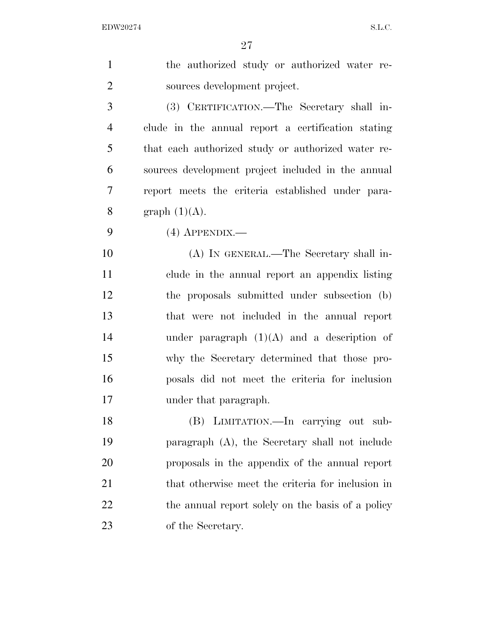| $\mathbf{1}$   | the authorized study or authorized water re-       |
|----------------|----------------------------------------------------|
| $\overline{2}$ | sources development project.                       |
| 3              | (3) CERTIFICATION.—The Secretary shall in-         |
| $\overline{4}$ | clude in the annual report a certification stating |
| 5              | that each authorized study or authorized water re- |
| 6              | sources development project included in the annual |
| 7              | report meets the criteria established under para-  |
| 8              | graph $(1)(A)$ .                                   |
| 9              | $(4)$ APPENDIX.—                                   |
| 10             | (A) IN GENERAL.—The Secretary shall in-            |
| 11             | clude in the annual report an appendix listing     |
| 12             | the proposals submitted under subsection (b)       |
| 13             | that were not included in the annual report        |
| 14             | under paragraph $(1)(A)$ and a description of      |
| 15             | why the Secretary determined that those pro-       |
| 16             | posals did not meet the criteria for inclusion     |
| 17             | under that paragraph.                              |
| 18             | (B) LIMITATION.—In carrying out sub-               |
| 19             | paragraph (A), the Secretary shall not include     |
| 20             | proposals in the appendix of the annual report     |
| 21             | that otherwise meet the criteria for inclusion in  |
| 22             | the annual report solely on the basis of a policy  |
| 23             | of the Secretary.                                  |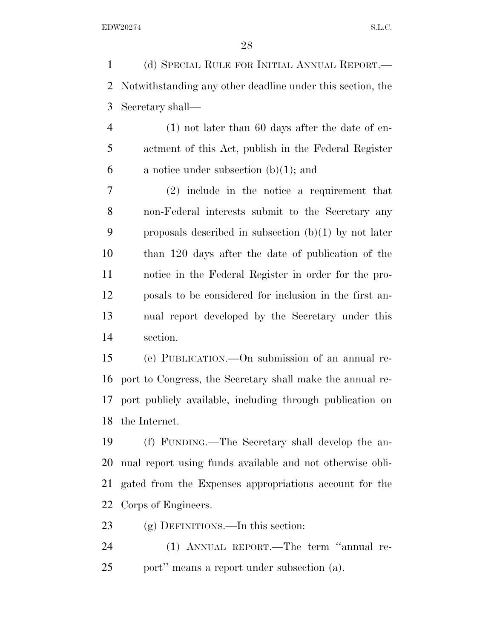(d) SPECIAL RULE FOR INITIAL ANNUAL REPORT.— Notwithstanding any other deadline under this section, the Secretary shall—

 (1) not later than 60 days after the date of en- actment of this Act, publish in the Federal Register 6 a notice under subsection  $(b)(1)$ ; and

 (2) include in the notice a requirement that non-Federal interests submit to the Secretary any 9 proposals described in subsection  $(b)(1)$  by not later than 120 days after the date of publication of the notice in the Federal Register in order for the pro- posals to be considered for inclusion in the first an- nual report developed by the Secretary under this section.

 (e) PUBLICATION.—On submission of an annual re- port to Congress, the Secretary shall make the annual re- port publicly available, including through publication on the Internet.

 (f) FUNDING.—The Secretary shall develop the an- nual report using funds available and not otherwise obli- gated from the Expenses appropriations account for the Corps of Engineers.

(g) DEFINITIONS.—In this section:

 (1) ANNUAL REPORT.—The term ''annual re-port'' means a report under subsection (a).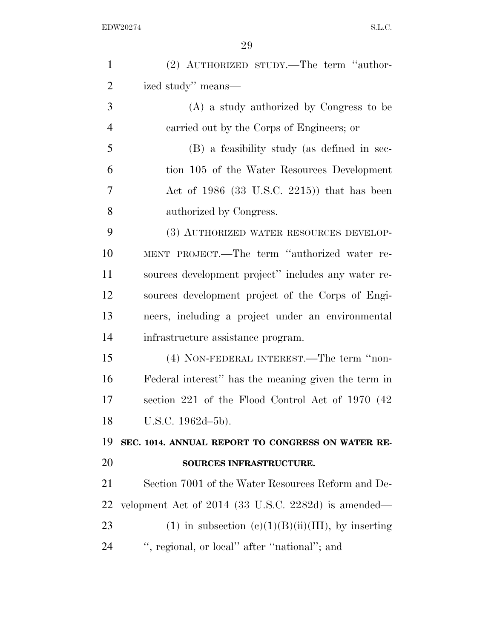| $\mathbf{1}$   | (2) AUTHORIZED STUDY.—The term "author-               |
|----------------|-------------------------------------------------------|
| $\overline{2}$ | ized study" means—                                    |
| 3              | (A) a study authorized by Congress to be              |
| $\overline{4}$ | carried out by the Corps of Engineers; or             |
| 5              | (B) a feasibility study (as defined in sec-           |
| 6              | tion 105 of the Water Resources Development           |
| 7              | Act of $1986$ (33 U.S.C. 2215)) that has been         |
| 8              | authorized by Congress.                               |
| 9              | (3) AUTHORIZED WATER RESOURCES DEVELOP-               |
| 10             | MENT PROJECT.—The term "authorized water re-          |
| 11             | sources development project" includes any water re-   |
| 12             | sources development project of the Corps of Engi-     |
| 13             | neers, including a project under an environmental     |
| 14             | infrastructure assistance program.                    |
| 15             | (4) NON-FEDERAL INTEREST.—The term "non-              |
| 16             | Federal interest" has the meaning given the term in   |
| 17             | section 221 of the Flood Control Act of 1970 (42)     |
| 18             | U.S.C. 1962d-5b).                                     |
| 19             | SEC. 1014. ANNUAL REPORT TO CONGRESS ON WATER RE-     |
| 20             | SOURCES INFRASTRUCTURE.                               |
| 21             | Section 7001 of the Water Resources Reform and De-    |
| 22             | velopment Act of 2014 (33 U.S.C. 2282d) is amended—   |
| 23             | (1) in subsection $(c)(1)(B)(ii)(III)$ , by inserting |
| 24             | ", regional, or local" after "national"; and          |
|                |                                                       |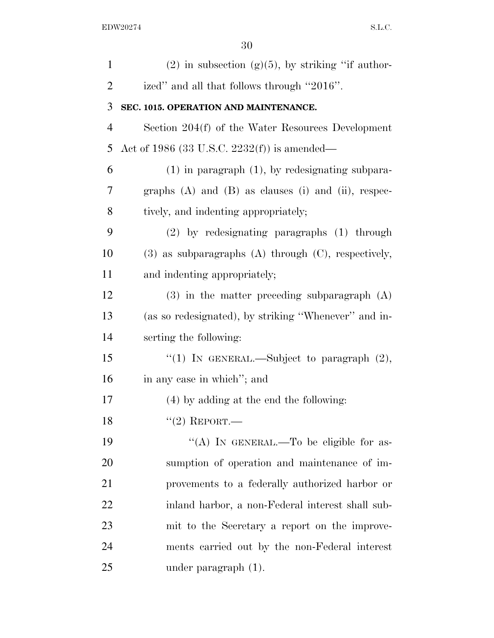| $\mathbf{1}$   | $(2)$ in subsection $(g)(5)$ , by striking "if author-       |
|----------------|--------------------------------------------------------------|
| $\overline{2}$ | ized" and all that follows through "2016".                   |
| 3              | SEC. 1015. OPERATION AND MAINTENANCE.                        |
| $\overline{4}$ | Section 204(f) of the Water Resources Development            |
| 5              | Act of 1986 (33 U.S.C. 2232(f)) is amended—                  |
| 6              | $(1)$ in paragraph $(1)$ , by redesignating subpara-         |
| 7              | graphs $(A)$ and $(B)$ as clauses $(i)$ and $(ii)$ , respec- |
| 8              | tively, and indenting appropriately;                         |
| 9              | $(2)$ by redesignating paragraphs $(1)$ through              |
| 10             | $(3)$ as subparagraphs $(A)$ through $(C)$ , respectively,   |
| 11             | and indenting appropriately;                                 |
| 12             | $(3)$ in the matter preceding subparagraph $(A)$             |
| 13             | (as so redesignated), by striking "Whenever" and in-         |
| 14             | serting the following:                                       |
| 15             | "(1) IN GENERAL.—Subject to paragraph $(2)$ ,                |
| 16             | in any case in which"; and                                   |
| 17             | $(4)$ by adding at the end the following:                    |
| 18             | $``(2)$ REPORT.—                                             |
| 19             | "(A) IN GENERAL.—To be eligible for as-                      |
| 20             | sumption of operation and maintenance of im-                 |
| 21             | provements to a federally authorized harbor or               |
| 22             | inland harbor, a non-Federal interest shall sub-             |
| 23             | mit to the Secretary a report on the improve-                |
| 24             | ments carried out by the non-Federal interest                |
| 25             | under paragraph $(1)$ .                                      |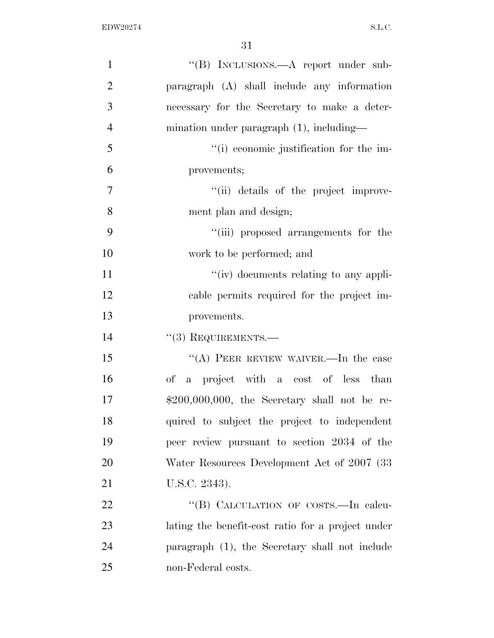| $\mathbf{1}$   | "(B) INCLUSIONS.—A report under sub-              |
|----------------|---------------------------------------------------|
| $\overline{2}$ | paragraph (A) shall include any information       |
| 3              | necessary for the Secretary to make a deter-      |
| $\overline{4}$ | mination under paragraph $(1)$ , including—       |
| 5              | "(i) economic justification for the im-           |
| 6              | provements;                                       |
| 7              | "(ii) details of the project improve-             |
| 8              | ment plan and design;                             |
| 9              | "(iii) proposed arrangements for the              |
| 10             | work to be performed; and                         |
| 11             | "(iv) documents relating to any appli-            |
| 12             | cable permits required for the project im-        |
| 13             | provements.                                       |
| 14             | $``(3)$ REQUIREMENTS.—                            |
| 15             | "(A) PEER REVIEW WAIVER.—In the case              |
| 16             | a project with a cost of less than<br>of          |
| 17             | $$200,000,000$ , the Secretary shall not be re-   |
| 18             | quired to subject the project to independent      |
| 19             | peer review pursuant to section 2034 of the       |
| 20             | Water Resources Development Act of 2007 (33)      |
| 21             | U.S.C. 2343).                                     |
| 22             | "(B) CALCULATION OF COSTS.—In calcu-              |
| 23             | lating the benefit-cost ratio for a project under |
| 24             | paragraph (1), the Secretary shall not include    |
| 25             | non-Federal costs.                                |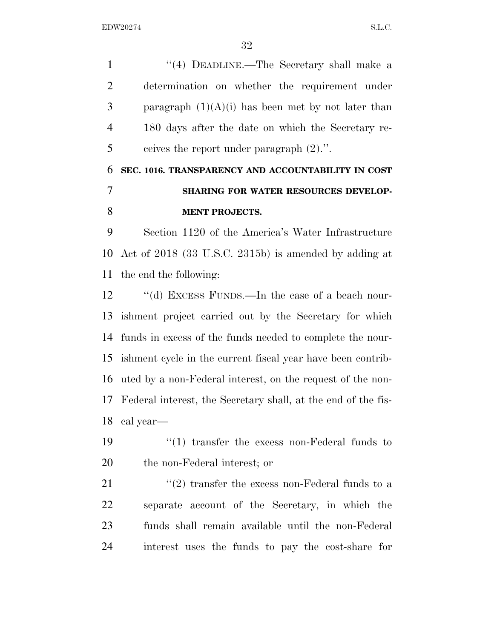1 ''(4) DEADLINE.—The Secretary shall make a determination on whether the requirement under 3 paragraph  $(1)(A)(i)$  has been met by not later than 180 days after the date on which the Secretary re-ceives the report under paragraph (2).''.

# **SEC. 1016. TRANSPARENCY AND ACCOUNTABILITY IN COST SHARING FOR WATER RESOURCES DEVELOP-MENT PROJECTS.**

 Section 1120 of the America's Water Infrastructure Act of 2018 (33 U.S.C. 2315b) is amended by adding at the end the following:

12 "(d) EXCESS FUNDS.—In the case of a beach nour- ishment project carried out by the Secretary for which funds in excess of the funds needed to complete the nour- ishment cycle in the current fiscal year have been contrib- uted by a non-Federal interest, on the request of the non- Federal interest, the Secretary shall, at the end of the fis-cal year—

19 ''(1) transfer the excess non-Federal funds to the non-Federal interest; or

 $(2)$  transfer the excess non-Federal funds to a separate account of the Secretary, in which the funds shall remain available until the non-Federal interest uses the funds to pay the cost-share for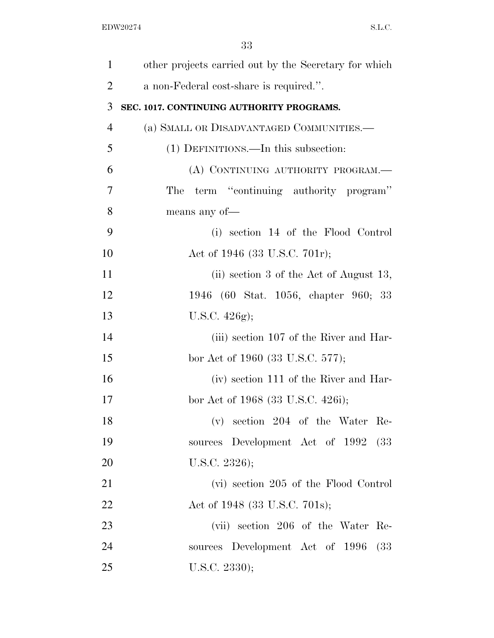| $\mathbf{1}$   | other projects carried out by the Secretary for which |
|----------------|-------------------------------------------------------|
| $\overline{2}$ | a non-Federal cost-share is required.".               |
| 3              | SEC. 1017. CONTINUING AUTHORITY PROGRAMS.             |
| $\overline{4}$ | (a) SMALL OR DISADVANTAGED COMMUNITIES.-              |
| 5              | (1) DEFINITIONS.—In this subsection:                  |
| 6              | (A) CONTINUING AUTHORITY PROGRAM.—                    |
| 7              | term "continuing authority program"<br>The            |
| 8              | means any of-                                         |
| 9              | (i) section 14 of the Flood Control                   |
| 10             | Act of 1946 (33 U.S.C. 701r);                         |
| 11             | (ii) section 3 of the Act of August 13,               |
| 12             | 1946 (60 Stat. 1056, chapter 960; 33                  |
| 13             | U.S.C. $426g$ ;                                       |
| 14             | (iii) section 107 of the River and Har-               |
| 15             | bor Act of 1960 (33 U.S.C. 577);                      |
| 16             | (iv) section 111 of the River and Har-                |
| 17             | bor Act of 1968 (33 U.S.C. 426i);                     |
| 18             | section 204 of the Water Re-<br>$(\rm v)$             |
| 19             | sources Development Act of 1992 (33                   |
| 20             | U.S.C. $2326$ );                                      |
| 21             | (vi) section 205 of the Flood Control                 |
| 22             | Act of 1948 (33 U.S.C. 701s);                         |
| 23             | (vii) section 206 of the Water Re-                    |
| 24             | sources Development Act of 1996<br>(33)               |
| 25             | U.S.C. 2330);                                         |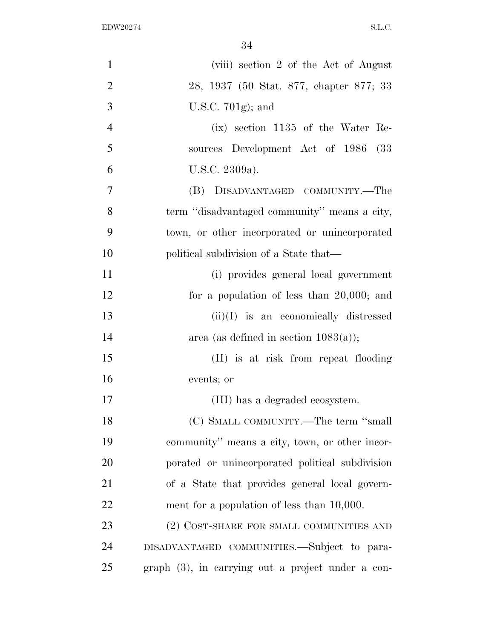| $\mathbf{1}$   | (viii) section 2 of the Act of August               |
|----------------|-----------------------------------------------------|
| $\overline{2}$ | 28, 1937 (50 Stat. 877, chapter 877; 33             |
| 3              | U.S.C. $701g$ ; and                                 |
| $\overline{4}$ | $(ix)$ section 1135 of the Water Re-                |
| 5              | sources Development Act of 1986<br>(33)             |
| 6              | U.S.C. 2309a).                                      |
| 7              | (B) DISADVANTAGED COMMUNITY.-The                    |
| 8              | term "disadvantaged community" means a city,        |
| 9              | town, or other incorporated or unincorporated       |
| 10             | political subdivision of a State that—              |
| 11             | (i) provides general local government               |
| 12             | for a population of less than $20,000$ ; and        |
| 13             | $(ii)(I)$ is an economically distressed             |
| 14             | area (as defined in section $1083(a)$ );            |
| 15             | (II) is at risk from repeat flooding                |
| 16             | events; or                                          |
| 17             | (III) has a degraded ecosystem.                     |
| 18             | (C) SMALL COMMUNITY.—The term "small                |
| 19             | community" means a city, town, or other incor-      |
| 20             | porated or unincorporated political subdivision     |
| 21             | of a State that provides general local govern-      |
| 22             | ment for a population of less than $10,000$ .       |
| 23             | (2) COST-SHARE FOR SMALL COMMUNITIES AND            |
| 24             | DISADVANTAGED COMMUNITIES.—Subject to para-         |
| 25             | $graph(3)$ , in carrying out a project under a con- |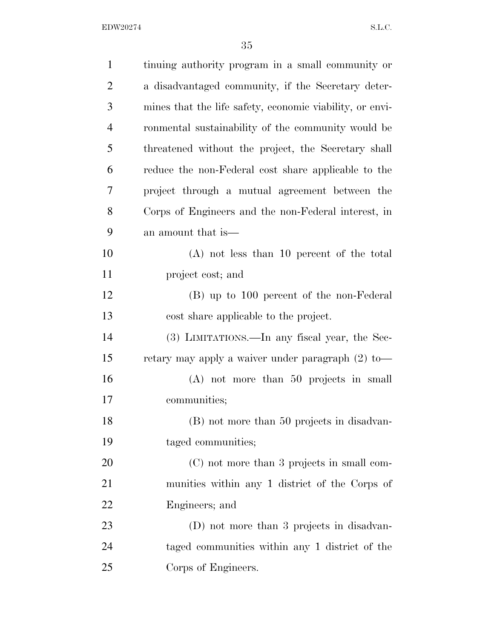| $\mathbf{1}$   | tinuing authority program in a small community or        |
|----------------|----------------------------------------------------------|
| $\overline{2}$ | a disadvantaged community, if the Secretary deter-       |
| 3              | mines that the life safety, economic viability, or envi- |
| $\overline{4}$ | ronmental sustainability of the community would be       |
| 5              | threatened without the project, the Secretary shall      |
| 6              | reduce the non-Federal cost share applicable to the      |
| 7              | project through a mutual agreement between the           |
| 8              | Corps of Engineers and the non-Federal interest, in      |
| 9              | an amount that is—                                       |
| 10             | $(A)$ not less than 10 percent of the total              |
| 11             | project cost; and                                        |
| 12             | (B) up to 100 percent of the non-Federal                 |
| 13             | cost share applicable to the project.                    |
| 14             | (3) LIMITATIONS.—In any fiscal year, the Sec-            |
| 15             | retary may apply a waiver under paragraph $(2)$ to —     |
| 16             | $(A)$ not more than 50 projects in small                 |
| 17             | communities;                                             |
| 18             | (B) not more than 50 projects in disadvan-               |
| 19             | taged communities;                                       |
| 20             | (C) not more than 3 projects in small com-               |
| 21             | munities within any 1 district of the Corps of           |
| 22             | Engineers; and                                           |
| 23             | (D) not more than 3 projects in disadvan-                |
| 24             | taged communities within any 1 district of the           |
| 25             | Corps of Engineers.                                      |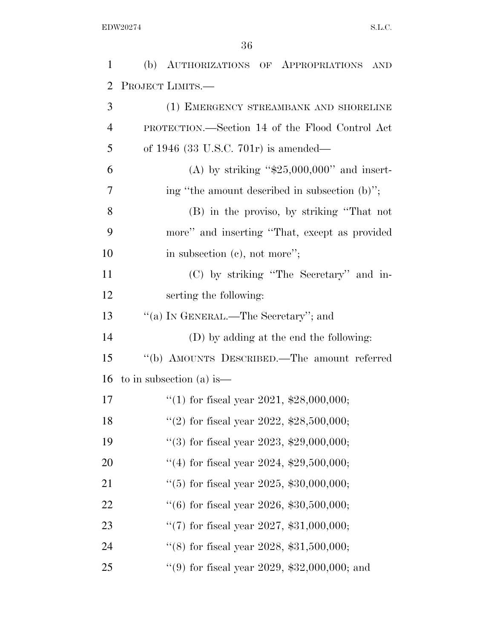| $\mathbf{1}$ | (b) AUTHORIZATIONS OF APPROPRIATIONS<br><b>AND</b> |
|--------------|----------------------------------------------------|
| 2            | PROJECT LIMITS.-                                   |
| 3            | (1) EMERGENCY STREAMBANK AND SHORELINE             |
| 4            | PROTECTION.—Section 14 of the Flood Control Act    |
| 5            | of $1946$ (33 U.S.C. 701r) is amended—             |
| 6            | (A) by striking " $$25,000,000$ " and insert-      |
| 7            | ing "the amount described in subsection (b)";      |
| 8            | (B) in the proviso, by striking "That not          |
| 9            | more" and inserting "That, except as provided      |
| 10           | in subsection $(e)$ , not more";                   |
| 11           | (C) by striking "The Secretary" and in-            |
| 12           | serting the following:                             |
| 13           | "(a) IN GENERAL.—The Secretary"; and               |
| 14           | (D) by adding at the end the following:            |
| 15           | "(b) AMOUNTS DESCRIBED.—The amount referred        |
| 16           | to in subsection (a) is —                          |
| 17           | "(1) for fiscal year 2021, $$28,000,000;$          |
| 18           | "(2) for fiscal year 2022, $$28,500,000;$          |
| 19           | "(3) for fiscal year 2023, $$29,000,000;$          |
| 20           | "(4) for fiscal year 2024, $$29,500,000;$          |
| 21           | "(5) for fiscal year 2025, $$30,000,000;$          |
| 22           | $(6)$ for fiscal year 2026, \$30,500,000;          |
| 23           | "(7) for fiscal year 2027, $$31,000,000;$          |
| 24           | "(8) for fiscal year 2028, $$31,500,000;$          |
| 25           | "(9) for fiscal year 2029, $$32,000,000$ ; and     |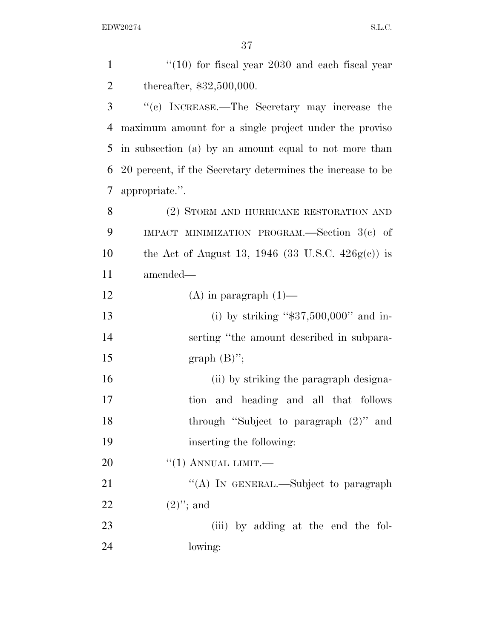| $\mathbf{1}$   | $(10)$ for fiscal year 2030 and each fiscal year           |
|----------------|------------------------------------------------------------|
| $\overline{2}$ | thereafter, $$32,500,000$ .                                |
| 3              | "(c) INCREASE.—The Secretary may increase the              |
| $\overline{4}$ | maximum amount for a single project under the proviso      |
| 5              | in subsection (a) by an amount equal to not more than      |
| 6              | 20 percent, if the Secretary determines the increase to be |
| 7              | appropriate.".                                             |
| 8              | (2) STORM AND HURRICANE RESTORATION AND                    |
| 9              | IMPACT MINIMIZATION PROGRAM.—Section $3(e)$ of             |
| 10             | the Act of August 13, 1946 (33 U.S.C. $426g(c)$ ) is       |
| 11             | amended—                                                   |
| 12             | $(A)$ in paragraph $(1)$ —                                 |
| 13             | (i) by striking " $$37,500,000"$ and in-                   |
| 14             | serting "the amount described in subpara-                  |
| 15             | graph $(B)$ ";                                             |
| 16             | (ii) by striking the paragraph designa-                    |
| 17             | and heading and all that follows<br>tion                   |
| 18             | through "Subject to paragraph $(2)$ " and                  |
| 19             | inserting the following:                                   |
| 20             | $``(1)$ ANNUAL LIMIT.—                                     |
| 21             | "(A) IN GENERAL.—Subject to paragraph                      |
| 22             | $(2)$ "; and                                               |
| 23             | (iii) by adding at the end the fol-                        |
| 24             | lowing:                                                    |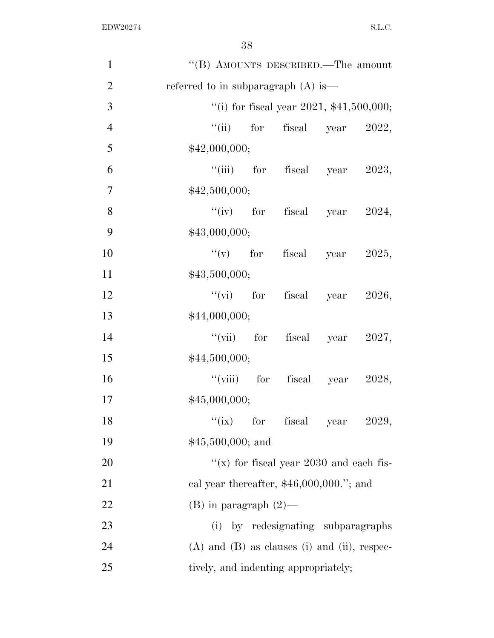| $\mathbf{1}$   | "(B) AMOUNTS DESCRIBED.—The amount               |
|----------------|--------------------------------------------------|
| $\overline{2}$ | referred to in subparagraph $(A)$ is —           |
| 3              | "(i) for fiscal year 2021, $$41,500,000;$        |
| $\overline{4}$ | ``(ii)<br>for fiscal year 2022,                  |
| 5              | \$42,000,000;                                    |
| 6              | "(iii) for fiscal year $2023$ ,                  |
| $\overline{7}$ | \$42,500,000;                                    |
| 8              | "(iv) for fiscal year $2024$ ,                   |
| 9              | \$43,000,000;                                    |
| 10             | "(v) for fiscal year $2025$ ,                    |
| 11             | \$43,500,000;                                    |
| 12             | "(vi) for fiscal year $2026$ ,                   |
| 13             | \$44,000,000;                                    |
| 14             | "(vii) for fiscal year $2027$ ,                  |
| 15             | \$44,500,000;                                    |
| 16             | "(viii) for fiscal year $2028$ ,                 |
| 17             | \$45,000,000;                                    |
| 18             | ``(ix)<br>for fiscal year<br>2029,               |
| 19             | $$45,500,000;$ and                               |
| 20             | "(x) for fiscal year $2030$ and each fis-        |
| 21             | cal year thereafter, $$46,000,000."$ ; and       |
| 22             | $(B)$ in paragraph $(2)$ —                       |
| 23             | by redesignating subparagraphs<br>(i)            |
| 24             | $(A)$ and $(B)$ as clauses (i) and (ii), respec- |
| 25             | tively, and indenting appropriately;             |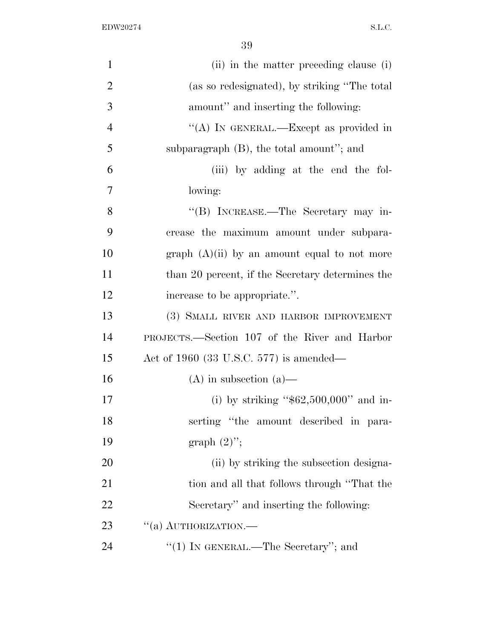| $\mathbf{1}$   | (ii) in the matter preceding clause (i)          |
|----------------|--------------------------------------------------|
| $\overline{2}$ | (as so redesignated), by striking "The total     |
| 3              | amount" and inserting the following:             |
| $\overline{4}$ | "(A) IN GENERAL.—Except as provided in           |
| 5              | subparagraph $(B)$ , the total amount"; and      |
| 6              | (iii) by adding at the end the fol-              |
| $\overline{7}$ | lowing:                                          |
| 8              | "(B) INCREASE.—The Secretary may in-             |
| 9              | crease the maximum amount under subpara-         |
| 10             | graph $(A)(ii)$ by an amount equal to not more   |
| 11             | than 20 percent, if the Secretary determines the |
| 12             | increase to be appropriate.".                    |
| 13             | (3) SMALL RIVER AND HARBOR IMPROVEMENT           |
| 14             | PROJECTS.—Section 107 of the River and Harbor    |
| 15             | Act of 1960 (33 U.S.C. 577) is amended—          |
| 16             | $(A)$ in subsection $(a)$ —                      |
| 17             | (i) by striking " $$62,500,000"$ and in-         |
| 18             | serting "the amount described in para-           |
| 19             | graph $(2)$ ";                                   |
| <b>20</b>      | (ii) by striking the subsection designa-         |
| 21             | tion and all that follows through "That the      |
| 22             | Secretary" and inserting the following:          |
| 23             | "(a) AUTHORIZATION.—                             |
| 24             | "(1) IN GENERAL.—The Secretary"; and             |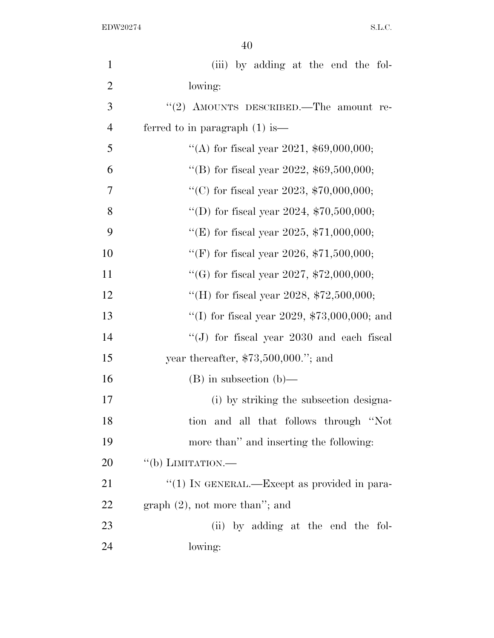| $\mathbf{1}$   | (iii) by adding at the end the fol-                     |
|----------------|---------------------------------------------------------|
| $\overline{2}$ | lowing:                                                 |
| 3              | "(2) AMOUNTS DESCRIBED.—The amount re-                  |
| $\overline{4}$ | ferred to in paragraph $(1)$ is —                       |
| 5              | "(A) for fiscal year 2021, $$69,000,000;$               |
| 6              | "(B) for fiscal year 2022, $$69,500,000;$               |
| 7              | "(C) for fiscal year 2023, $$70,000,000;$               |
| 8              | "(D) for fiscal year 2024, $$70,500,000;$               |
| 9              | "(E) for fiscal year 2025, $$71,000,000;$               |
| 10             | "(F) for fiscal year 2026, $$71,500,000;$               |
| 11             | "(G) for fiscal year 2027, $$72,000,000;$               |
| 12             | "(H) for fiscal year 2028, $$72,500,000;$               |
| 13             | "(I) for fiscal year 2029, $$73,000,000$ ; and          |
| 14             | "(J) for fiscal year $2030$ and each fiscal             |
| 15             | year thereafter, $$73,500,000."$ ; and                  |
| 16             | $(B)$ in subsection $(b)$ —                             |
| 17             | (i) by striking the subsection designa-                 |
| 18             | tion and all that follows through "Not                  |
| 19             | more than" and inserting the following:                 |
| 20             | $``$ (b) LIMITATION.—                                   |
| 21             | $\cdot\cdot(1)$ In GENERAL.—Except as provided in para- |
| 22             | $graph (2)$ , not more than"; and                       |
| 23             | (ii) by adding at the end the fol-                      |
| 24             | lowing:                                                 |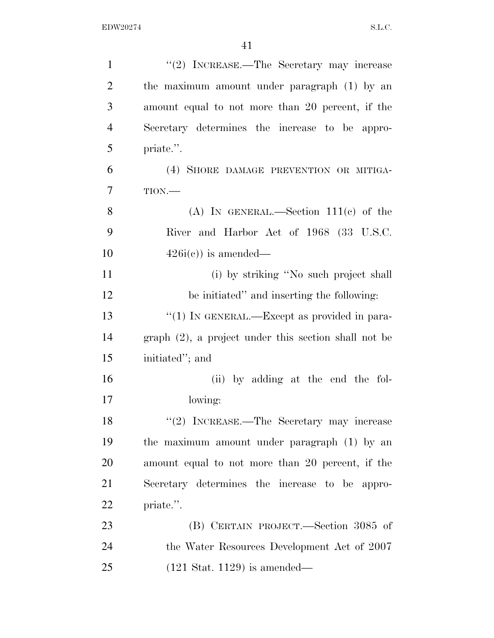| $\mathbf{1}$   | "(2) INCREASE.—The Secretary may increase               |
|----------------|---------------------------------------------------------|
| $\overline{2}$ | the maximum amount under paragraph (1) by an            |
| 3              | amount equal to not more than 20 percent, if the        |
| $\overline{4}$ | Secretary determines the increase to be appro-          |
| 5              | priate.".                                               |
| 6              | (4) SHORE DAMAGE PREVENTION OR MITIGA-                  |
| 7              | TION.                                                   |
| 8              | (A) IN GENERAL.—Section $111(c)$ of the                 |
| 9              | River and Harbor Act of 1968 (33 U.S.C.                 |
| 10             | $426i(c)$ is amended—                                   |
| 11             | (i) by striking "No such project shall                  |
| 12             | be initiated" and inserting the following:              |
| 13             | "(1) IN GENERAL.—Except as provided in para-            |
| 14             | $graph (2)$ , a project under this section shall not be |
| 15             | initiated"; and                                         |
| 16             | (ii) by adding at the end the fol-                      |
| 17             | lowing:                                                 |
| 18             | "(2) INCREASE.—The Secretary may increase               |
| 19             | the maximum amount under paragraph (1) by an            |
| 20             | amount equal to not more than 20 percent, if the        |
| 21             | Secretary determines the increase to be appro-          |
| 22             | priate.".                                               |
| 23             | (B) CERTAIN PROJECT.—Section 3085 of                    |
| 24             | the Water Resources Development Act of 2007             |
| 25             | $(121 \text{ Stat. } 1129)$ is amended—                 |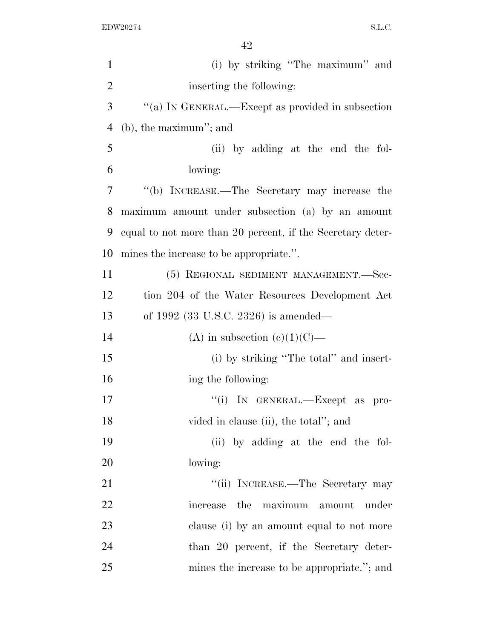| $\mathbf{1}$   | (i) by striking "The maximum" and                          |
|----------------|------------------------------------------------------------|
| $\overline{2}$ | inserting the following:                                   |
| 3              | "(a) IN GENERAL.—Except as provided in subsection          |
| $\overline{4}$ | $(b)$ , the maximum''; and                                 |
| 5              | (ii) by adding at the end the fol-                         |
| 6              | lowing:                                                    |
| 7              | "(b) INCREASE.—The Secretary may increase the              |
| 8              | maximum amount under subsection (a) by an amount           |
| 9              | equal to not more than 20 percent, if the Secretary deter- |
| 10             | mines the increase to be appropriate.".                    |
| 11             | (5) REGIONAL SEDIMENT MANAGEMENT.—Sec-                     |
| 12             | tion 204 of the Water Resources Development Act            |
| 13             | of 1992 $(33 \text{ U.S.C. } 2326)$ is amended—            |
| 14             | (A) in subsection (c)(1)(C)—                               |
| 15             | (i) by striking "The total" and insert-                    |
| 16             | ing the following:                                         |
| 17             | "(i) IN GENERAL.—Except as pro-                            |
| 18             | vided in clause (ii), the total"; and                      |
| 19             | (ii) by adding at the end the fol-                         |
| 20             | lowing:                                                    |
| 21             | "(ii) INCREASE.—The Secretary may                          |
| 22             | maximum amount<br>the<br>under<br>increase                 |
| 23             | clause (i) by an amount equal to not more                  |
| 24             | than 20 percent, if the Secretary deter-                   |
| 25             | mines the increase to be appropriate."; and                |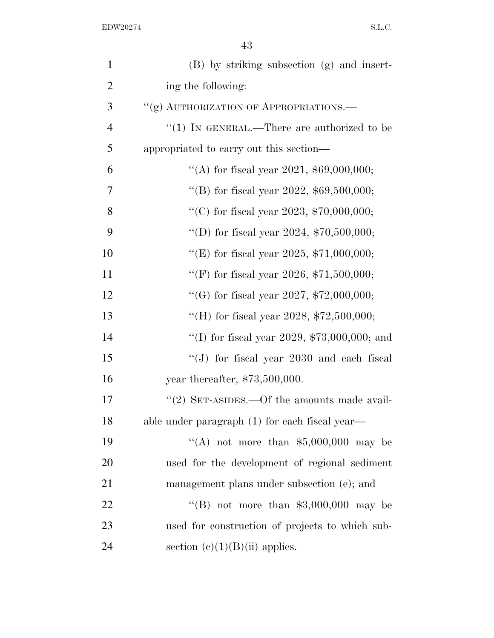| $\mathbf{1}$   | (B) by striking subsection (g) and insert-      |
|----------------|-------------------------------------------------|
| $\overline{2}$ | ing the following:                              |
| 3              | "(g) AUTHORIZATION OF APPROPRIATIONS.           |
| $\overline{4}$ | "(1) IN GENERAL.—There are authorized to be     |
| 5              | appropriated to carry out this section—         |
| 6              | "(A) for fiscal year 2021, $$69,000,000;$       |
| 7              | "(B) for fiscal year 2022, $$69,500,000;$       |
| 8              | "(C) for fiscal year 2023, $$70,000,000;$       |
| 9              | "(D) for fiscal year 2024, $$70,500,000;$       |
| 10             | "(E) for fiscal year 2025, $$71,000,000;$       |
| 11             | "(F) for fiscal year 2026, $$71,500,000;$       |
| 12             | "(G) for fiscal year 2027, $$72,000,000;$       |
| 13             | "(H) for fiscal year 2028, $$72,500,000;$       |
| 14             | "(I) for fiscal year 2029, $$73,000,000$ ; and  |
| 15             | "(J) for fiscal year 2030 and each fiscal       |
| 16             | year thereafter, $$73,500,000$ .                |
| 17             | "(2) SET-ASIDES.—Of the amounts made avail-     |
| 18             | able under paragraph (1) for each fiscal year—  |
| 19             | "(A) not more than $$5,000,000$ may be          |
| 20             | used for the development of regional sediment   |
| 21             | management plans under subsection (e); and      |
| 22             | "(B) not more than $$3,000,000$ may be          |
| 23             | used for construction of projects to which sub- |
| 24             | section $(c)(1)(B)(ii)$ applies.                |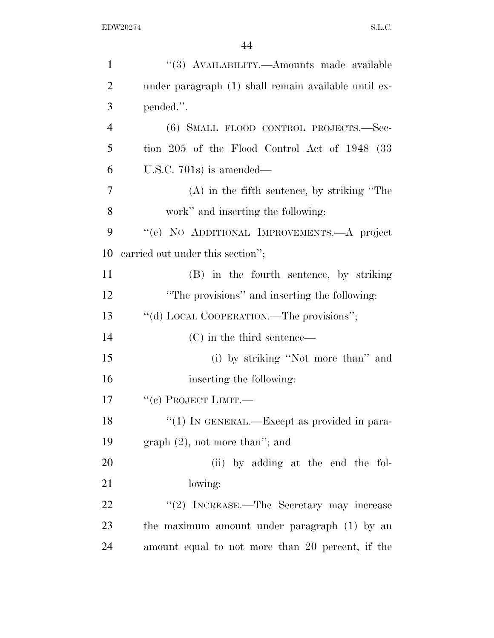| $\mathbf{1}$   | "(3) AVAILABILITY.—Amounts made available            |
|----------------|------------------------------------------------------|
| $\overline{2}$ | under paragraph (1) shall remain available until ex- |
| 3              | pended.".                                            |
| $\overline{4}$ | (6) SMALL FLOOD CONTROL PROJECTS.-Sec-               |
| 5              | tion 205 of the Flood Control Act of 1948 (33        |
| 6              | U.S.C. $701s$ is amended—                            |
| 7              | $(A)$ in the fifth sentence, by striking "The        |
| 8              | work" and inserting the following:                   |
| 9              | "(e) NO ADDITIONAL IMPROVEMENTS.—A project           |
| 10             | carried out under this section";                     |
| 11             | (B) in the fourth sentence, by striking              |
| 12             | "The provisions" and inserting the following:        |
| 13             | "(d) LOCAL COOPERATION.—The provisions";             |
| 14             | $(C)$ in the third sentence—                         |
| 15             | (i) by striking "Not more than" and                  |
| 16             | inserting the following:                             |
| 17             | "(c) PROJECT LIMIT.—                                 |
| 18             | "(1) IN GENERAL.—Except as provided in para-         |
| 19             | $graph (2)$ , not more than"; and                    |
| 20             | (ii) by adding at the end the fol-                   |
| 21             | lowing:                                              |
| 22             | "(2) INCREASE.—The Secretary may increase            |
| 23             | the maximum amount under paragraph (1) by an         |
| 24             | amount equal to not more than 20 percent, if the     |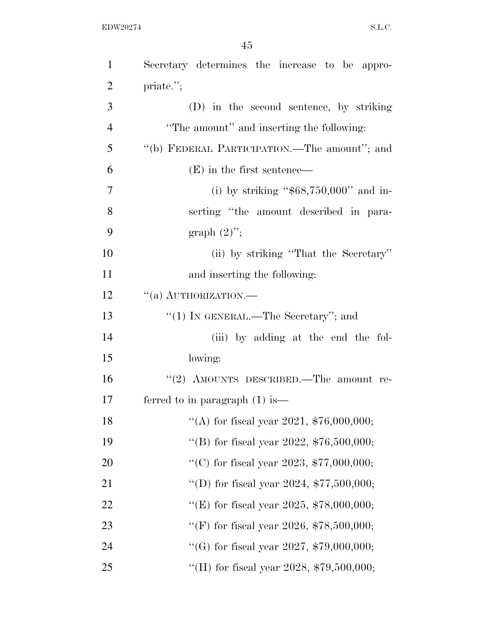| $\mathbf{1}$   | Secretary determines the increase to be appro- |
|----------------|------------------------------------------------|
| $\overline{2}$ | priate.";                                      |
| 3              | (D) in the second sentence, by striking        |
| $\overline{4}$ | "The amount" and inserting the following:      |
| 5              | "(b) FEDERAL PARTICIPATION.—The amount"; and   |
| 6              | $(E)$ in the first sentence—                   |
| $\overline{7}$ | (i) by striking " $$68,750,000"$ and in-       |
| 8              | serting "the amount described in para-         |
| 9              | graph $(2)$ ";                                 |
| 10             | (ii) by striking "That the Secretary"          |
| 11             | and inserting the following:                   |
| 12             | $``(a)$ AUTHORIZATION.—                        |
| 13             | "(1) IN GENERAL.—The Secretary"; and           |
| 14             | (iii) by adding at the end the fol-            |
| 15             | lowing:                                        |
| 16             | "(2) AMOUNTS DESCRIBED.—The amount re-         |
| 17             | ferred to in paragraph $(1)$ is —              |
| 18             | "(A) for fiscal year 2021, $$76,000,000;$      |
| 19             | "(B) for fiscal year 2022, $$76,500,000;$      |
| 20             | "(C) for fiscal year 2023, $$77,000,000;$      |
| 21             | "(D) for fiscal year 2024, $$77,500,000;$      |
| 22             | "(E) for fiscal year 2025, $$78,000,000;$      |
| 23             | "(F) for fiscal year 2026, $$78,500,000;$      |
| 24             | "(G) for fiscal year 2027, $$79,000,000;$      |
| 25             | "(H) for fiscal year 2028, $$79,500,000;$      |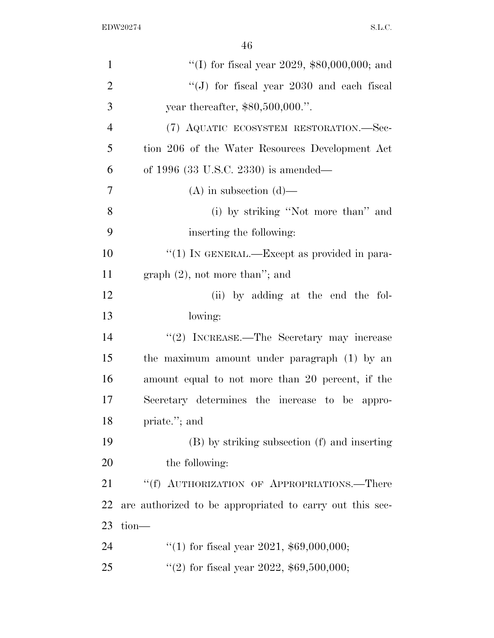| $\mathbf{1}$   | "(I) for fiscal year 2029, $$80,000,000$ ; and           |
|----------------|----------------------------------------------------------|
| $\overline{2}$ | "(J) for fiscal year $2030$ and each fiscal              |
| 3              | year thereafter, \$80,500,000.".                         |
| $\overline{4}$ | (7) AQUATIC ECOSYSTEM RESTORATION.—Sec-                  |
| 5              | tion 206 of the Water Resources Development Act          |
| 6              | of 1996 $(33 \text{ U.S.C. } 2330)$ is amended—          |
| 7              | $(A)$ in subsection $(d)$ —                              |
| 8              | (i) by striking "Not more than" and                      |
| 9              | inserting the following:                                 |
| 10             | "(1) IN GENERAL.—Except as provided in para-             |
| 11             | graph $(2)$ , not more than"; and                        |
| 12             | (ii) by adding at the end the fol-                       |
| 13             | lowing:                                                  |
| 14             | "(2) INCREASE.—The Secretary may increase                |
| 15             | the maximum amount under paragraph (1) by an             |
| 16             | amount equal to not more than 20 percent, if the         |
| 17             | Secretary determines the increase to be appro-           |
| 18             | priate."; and                                            |
| 19             | (B) by striking subsection (f) and inserting             |
| 20             | the following:                                           |
| 21             | "(f) AUTHORIZATION OF APPROPRIATIONS.—There              |
| 22             | are authorized to be appropriated to carry out this sec- |
| 23             | $tion$ —                                                 |
| 24             | "(1) for fiscal year 2021, $$69,000,000;$                |
| 25             | "(2) for fiscal year 2022, $$69,500,000;$                |
|                |                                                          |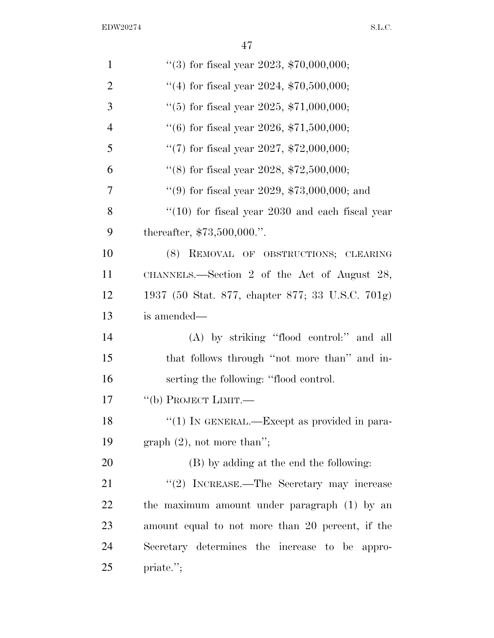| 1              | "(3) for fiscal year 2023, $$70,000,000;$        |
|----------------|--------------------------------------------------|
| $\overline{2}$ | "(4) for fiscal year 2024, $$70,500,000;$        |
| 3              | "(5) for fiscal year 2025, $$71,000,000;$        |
| $\overline{4}$ | "(6) for fiscal year 2026, $$71,500,000;$        |
| 5              | "(7) for fiscal year 2027, $$72,000,000;$        |
| 6              | "(8) for fiscal year 2028, $$72,500,000;$        |
| $\overline{7}$ | "(9) for fiscal year 2029, $$73,000,000$ ; and   |
| 8              | $(10)$ for fiscal year 2030 and each fiscal year |
| 9              | thereafter, $$73,500,000."$ .                    |
| 10             | (8) REMOVAL OF OBSTRUCTIONS; CLEARING            |
| 11             | CHANNELS.—Section 2 of the Act of August 28,     |
| 12             | 1937 (50 Stat. 877, chapter 877; 33 U.S.C. 701g) |
| 13             | is amended—                                      |
| 14             | (A) by striking "flood control:" and all         |
| 15             | that follows through "not more than" and in-     |
| 16             | serting the following: "flood control.           |
| 17             | "(b) PROJECT LIMIT.—                             |
| 18             | " $(1)$ In GENERAL.—Except as provided in para-  |
| 19             | graph $(2)$ , not more than";                    |
| 20             | (B) by adding at the end the following:          |
| 21             | "(2) INCREASE.—The Secretary may increase        |
| 22             | the maximum amount under paragraph (1) by an     |
| 23             | amount equal to not more than 20 percent, if the |
| 24             | Secretary determines the increase to be appro-   |
| 25             | priate.";                                        |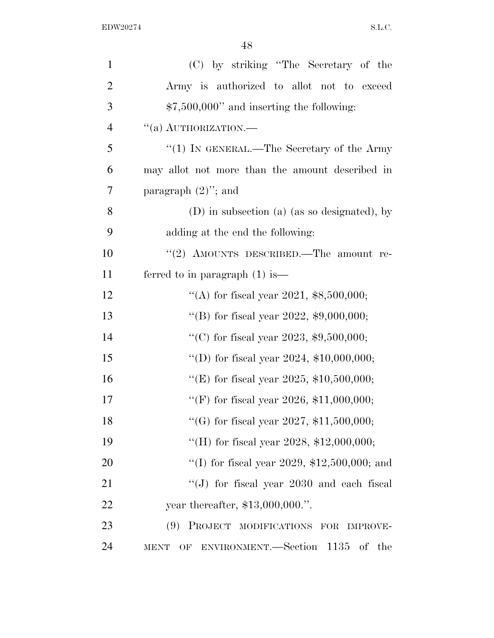| $\mathbf{1}$   | (C) by striking "The Secretary of the                 |
|----------------|-------------------------------------------------------|
| $\overline{2}$ | Army is authorized to allot not to exceed             |
| 3              | $$7,500,000"$ and inserting the following:            |
| $\overline{4}$ | $``(a)$ AUTHORIZATION.—                               |
| 5              | "(1) IN GENERAL.—The Secretary of the Army            |
| 6              | may allot not more than the amount described in       |
| 7              | paragraph $(2)$ "; and                                |
| 8              | (D) in subsection (a) (as so designated), by          |
| 9              | adding at the end the following:                      |
| 10             | "(2) AMOUNTS DESCRIBED.—The amount re-                |
| 11             | ferred to in paragraph $(1)$ is —                     |
| 12             | "(A) for fiscal year 2021, $$8,500,000;$              |
| 13             | "(B) for fiscal year 2022, $$9,000,000;$              |
| 14             | "(C) for fiscal year 2023, $$9,500,000;$              |
| 15             | "(D) for fiscal year 2024, $$10,000,000;$             |
| 16             | "(E) for fiscal year 2025, $$10,500,000;$             |
| 17             | "(F) for fiscal year 2026, $$11,000,000;$             |
| 18             | "(G) for fiscal year 2027, $$11,500,000;$             |
| 19             | "(H) for fiscal year 2028, $$12,000,000;$             |
| 20             | "(I) for fiscal year 2029, $$12,500,000$ ; and        |
| 21             | "(J) for fiscal year $2030$ and each fiscal           |
| 22             | year thereafter, \$13,000,000.".                      |
| 23             | (9)<br>PROJECT MODIFICATIONS FOR<br><b>IMPROVE-</b>   |
| 24             | OF ENVIRONMENT.-Section 1135<br>of the<br><b>MENT</b> |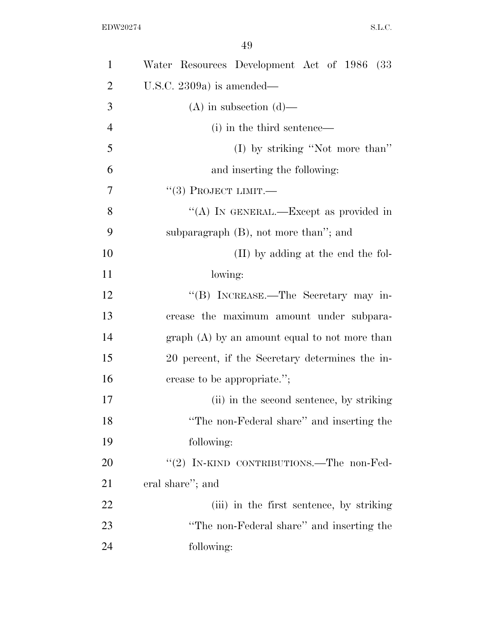| $\mathbf{1}$   | Water Resources Development Act of 1986 (33     |
|----------------|-------------------------------------------------|
| $\overline{2}$ | U.S.C. 2309a) is amended—                       |
| 3              | $(A)$ in subsection $(d)$ —                     |
| $\overline{4}$ | (i) in the third sentence—                      |
| 5              | (I) by striking "Not more than"                 |
| 6              | and inserting the following:                    |
| 7              | $``(3)$ PROJECT LIMIT.—                         |
| 8              | "(A) IN GENERAL.—Except as provided in          |
| 9              | subparagraph $(B)$ , not more than"; and        |
| 10             | (II) by adding at the end the fol-              |
| 11             | lowing:                                         |
| 12             | "(B) INCREASE.—The Secretary may in-            |
| 13             | crease the maximum amount under subpara-        |
| 14             | $graph(A)$ by an amount equal to not more than  |
| 15             | 20 percent, if the Secretary determines the in- |
| 16             | crease to be appropriate.";                     |
| 17             | (ii) in the second sentence, by striking        |
| 18             | "The non-Federal share" and inserting the       |
| 19             | following:                                      |
| 20             | "(2) IN-KIND CONTRIBUTIONS.—The non-Fed-        |
| 21             | eral share"; and                                |
| 22             | (iii) in the first sentence, by striking        |
| 23             | "The non-Federal share" and inserting the       |
| 24             | following:                                      |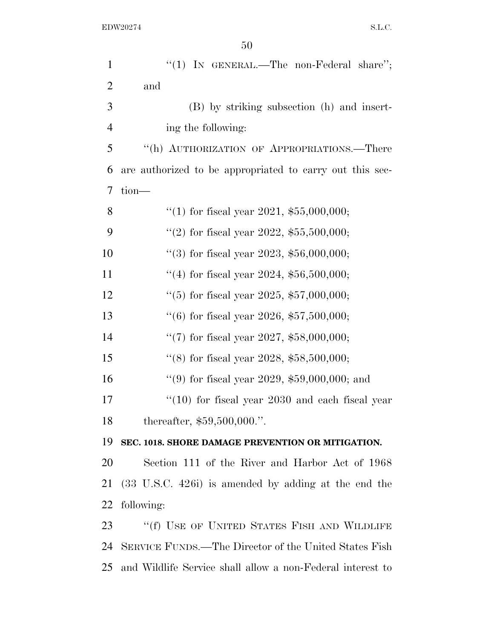| $\mathbf{1}$   | "(1) IN GENERAL.—The non-Federal share";                    |
|----------------|-------------------------------------------------------------|
| $\overline{2}$ | and                                                         |
| 3              | (B) by striking subsection (h) and insert-                  |
| $\overline{4}$ | ing the following:                                          |
| 5              | "(h) AUTHORIZATION OF APPROPRIATIONS.—There                 |
| 6              | are authorized to be appropriated to carry out this sec-    |
| 7              | tion-                                                       |
| 8              | "(1) for fiscal year 2021, $$55,000,000;$                   |
| 9              | "(2) for fiscal year 2022, $$55,500,000;$                   |
| 10             | "(3) for fiscal year 2023, $$56,000,000;$                   |
| 11             | "(4) for fiscal year 2024, $$56,500,000;$                   |
| 12             | $(5)$ for fiscal year 2025, \$57,000,000;                   |
| 13             | $(6)$ for fiscal year 2026, \$57,500,000;                   |
| 14             | "(7) for fiscal year 2027, $$58,000,000;$                   |
| 15             | "(8) for fiscal year 2028, $$58,500,000;$                   |
| 16             | "(9) for fiscal year 2029, $$59,000,000$ ; and              |
| 17             | $(10)$ for fiscal year 2030 and each fiscal year            |
| 18             | thereafter, $$59,500,000."$ .                               |
| 19             | SEC. 1018. SHORE DAMAGE PREVENTION OR MITIGATION.           |
| 20             | Section 111 of the River and Harbor Act of 1968             |
| 21             | $(33 \t{U.S.C. } 426i)$ is amended by adding at the end the |
| 22             | following:                                                  |
| 23             | "(f) USE OF UNITED STATES FISH AND WILDLIFE                 |
| 24             | SERVICE FUNDS.—The Director of the United States Fish       |
| 25             | and Wildlife Service shall allow a non-Federal interest to  |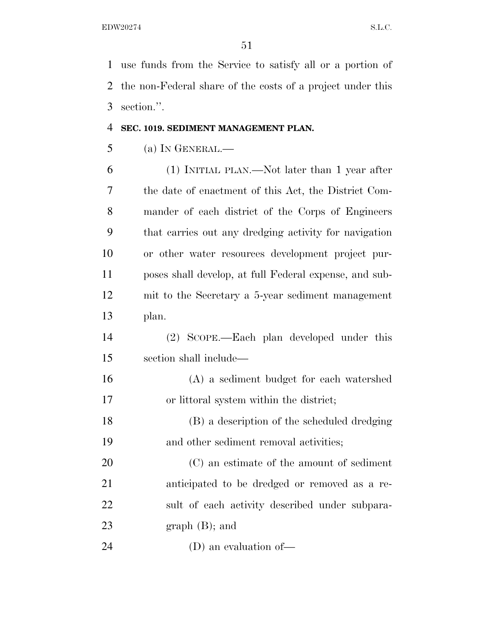use funds from the Service to satisfy all or a portion of the non-Federal share of the costs of a project under this section.''.

#### **SEC. 1019. SEDIMENT MANAGEMENT PLAN.**

(a) IN GENERAL.—

 (1) INITIAL PLAN.—Not later than 1 year after the date of enactment of this Act, the District Com- mander of each district of the Corps of Engineers that carries out any dredging activity for navigation or other water resources development project pur- poses shall develop, at full Federal expense, and sub- mit to the Secretary a 5-year sediment management plan.

 (2) SCOPE.—Each plan developed under this section shall include—

 (A) a sediment budget for each watershed or littoral system within the district;

 (B) a description of the scheduled dredging and other sediment removal activities;

 (C) an estimate of the amount of sediment anticipated to be dredged or removed as a re- sult of each activity described under subpara-graph (B); and

(D) an evaluation of—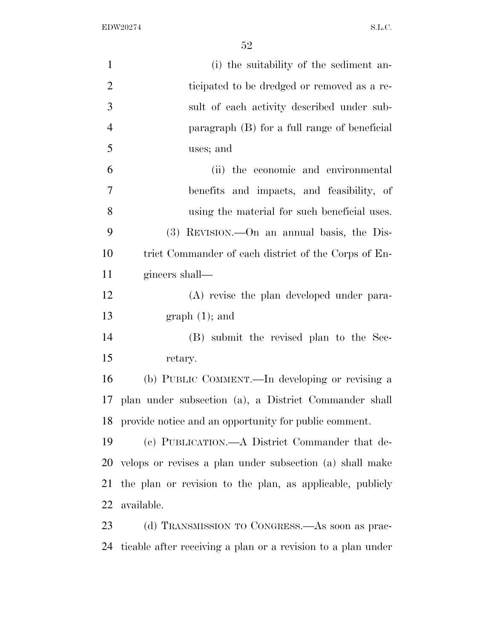| $\mathbf{1}$   | (i) the suitability of the sediment an-                      |
|----------------|--------------------------------------------------------------|
| $\overline{2}$ | ticipated to be dredged or removed as a re-                  |
| 3              | sult of each activity described under sub-                   |
| $\overline{4}$ | paragraph (B) for a full range of beneficial                 |
| 5              | uses; and                                                    |
| 6              | (ii) the economic and environmental                          |
| 7              | benefits and impacts, and feasibility, of                    |
| 8              | using the material for such beneficial uses.                 |
| 9              | (3) REVISION.—On an annual basis, the Dis-                   |
| 10             | trict Commander of each district of the Corps of En-         |
| 11             | gineers shall—                                               |
| 12             | (A) revise the plan developed under para-                    |
| 13             | $graph(1);$ and                                              |
| 14             | (B) submit the revised plan to the Sec-                      |
| 15             | retary.                                                      |
| 16             | (b) PUBLIC COMMENT.—In developing or revising a              |
| 17             | plan under subsection (a), a District Commander shall        |
|                | 18 provide notice and an opportunity for public comment.     |
| 19             | (c) PUBLICATION.—A District Commander that de-               |
| 20             | velops or revises a plan under subsection (a) shall make     |
| 21             | the plan or revision to the plan, as applicable, publicly    |
| 22             | available.                                                   |
| 23             | (d) TRANSMISSION TO CONGRESS.—As soon as prac-               |
| 24             | ticable after receiving a plan or a revision to a plan under |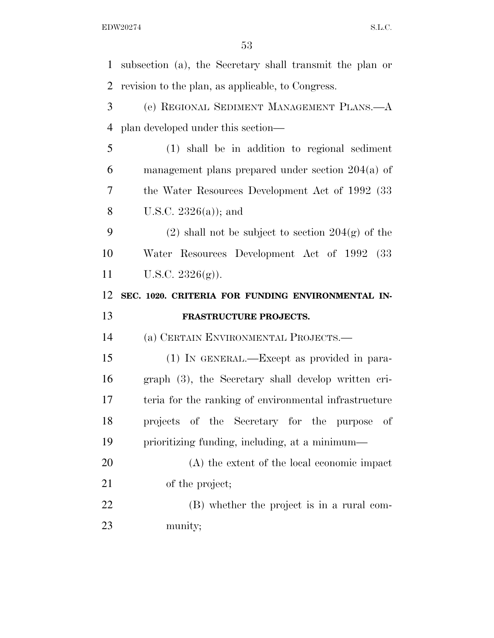subsection (a), the Secretary shall transmit the plan or revision to the plan, as applicable, to Congress. (e) REGIONAL SEDIMENT MANAGEMENT PLANS.—A plan developed under this section— (1) shall be in addition to regional sediment management plans prepared under section 204(a) of the Water Resources Development Act of 1992 (33 U.S.C. 2326(a)); and 9 (2) shall not be subject to section  $204(g)$  of the Water Resources Development Act of 1992 (33 U.S.C. 2326(g)). **SEC. 1020. CRITERIA FOR FUNDING ENVIRONMENTAL IN- FRASTRUCTURE PROJECTS.**  (a) CERTAIN ENVIRONMENTAL PROJECTS.— (1) IN GENERAL.—Except as provided in para- graph (3), the Secretary shall develop written cri- teria for the ranking of environmental infrastructure projects of the Secretary for the purpose of prioritizing funding, including, at a minimum— (A) the extent of the local economic impact 21 of the project; (B) whether the project is in a rural com-munity;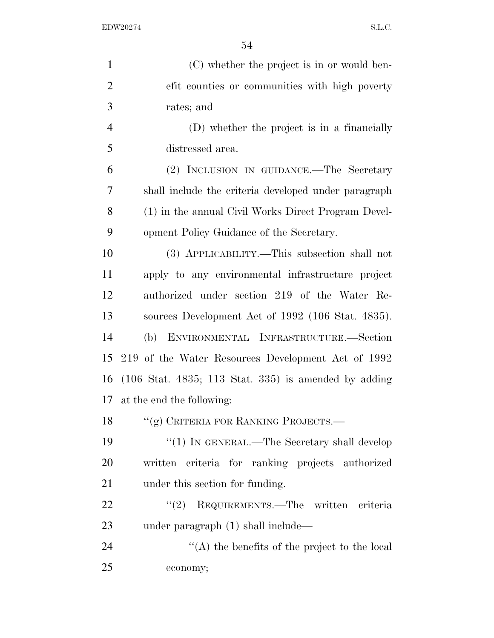| $\mathbf{1}$   | (C) whether the project is in or would ben-                              |
|----------------|--------------------------------------------------------------------------|
| $\overline{2}$ | efit counties or communities with high poverty                           |
| 3              | rates; and                                                               |
| $\overline{4}$ | (D) whether the project is in a financially                              |
| 5              | distressed area.                                                         |
| 6              | (2) INCLUSION IN GUIDANCE.—The Secretary                                 |
| 7              | shall include the criteria developed under paragraph                     |
| 8              | (1) in the annual Civil Works Direct Program Devel-                      |
| 9              | opment Policy Guidance of the Secretary.                                 |
| 10             | (3) APPLICABILITY.—This subsection shall not                             |
| 11             | apply to any environmental infrastructure project                        |
| 12             | authorized under section 219 of the Water Re-                            |
| 13             | sources Development Act of 1992 (106 Stat. 4835).                        |
| 14             | ENVIRONMENTAL INFRASTRUCTURE.-Section<br>(b)                             |
| 15             | 219 of the Water Resources Development Act of 1992                       |
| 16             | $(106 \text{ Stat. } 4835; 113 \text{ Stat. } 335)$ is amended by adding |
| 17             | at the end the following:                                                |
| 18             | "(g) CRITERIA FOR RANKING PROJECTS.-                                     |
| 19             | "(1) IN GENERAL.—The Secretary shall develop                             |
| 20             | written criteria for ranking projects authorized                         |
| 21             | under this section for funding.                                          |
| 22             | REQUIREMENTS.—The written criteria<br>(2)                                |
| 23             | under paragraph (1) shall include—                                       |
| 24             | "(A) the benefits of the project to the local                            |
| 25             | economy;                                                                 |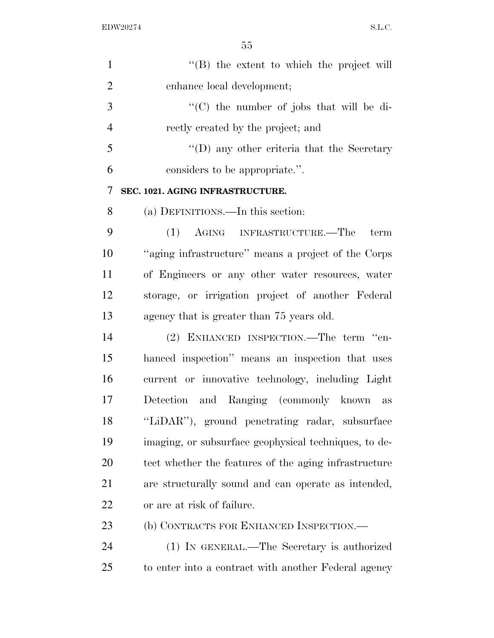| $\mathbf{1}$   | $\lq\lq (B)$ the extent to which the project will     |
|----------------|-------------------------------------------------------|
| $\overline{2}$ | enhance local development;                            |
| 3              | "(C) the number of jobs that will be di-              |
| $\overline{4}$ | rectly created by the project; and                    |
| 5              | $\lq\lq$ (D) any other criteria that the Secretary    |
| 6              | considers to be appropriate.".                        |
| 7              | SEC. 1021. AGING INFRASTRUCTURE.                      |
| 8              | (a) DEFINITIONS.—In this section:                     |
| 9              | (1) AGING INFRASTRUCTURE.—The<br>term                 |
| 10             | "aging infrastructure" means a project of the Corps   |
| 11             | of Engineers or any other water resources, water      |
| 12             | storage, or irrigation project of another Federal     |
| 13             | agency that is greater than 75 years old.             |
| 14             | (2) ENHANCED INSPECTION.—The term "en-                |
| 15             | hanced inspection" means an inspection that uses      |
| 16             | current or innovative technology, including Light     |
| 17             | Detection and Ranging (commonly known as              |
| 18             | "LiDAR"), ground penetrating radar, subsurface        |
| 19             | imaging, or subsurface geophysical techniques, to de- |
| 20             | tect whether the features of the aging infrastructure |
| 21             | are structurally sound and can operate as intended,   |
| 22             | or are at risk of failure.                            |
| 23             | (b) CONTRACTS FOR ENHANCED INSPECTION.—               |
| 24             | (1) IN GENERAL.—The Secretary is authorized           |
| 25             | to enter into a contract with another Federal agency  |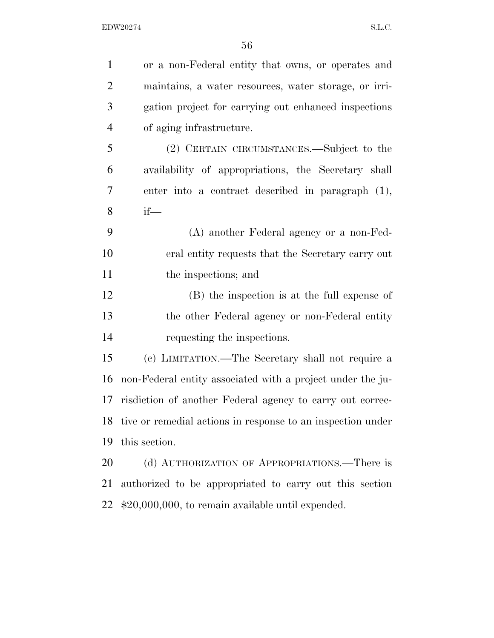| $\mathbf{1}$   | or a non-Federal entity that owns, or operates and          |
|----------------|-------------------------------------------------------------|
| $\overline{2}$ | maintains, a water resources, water storage, or irri-       |
| $\mathfrak{Z}$ | gation project for carrying out enhanced inspections        |
| $\overline{4}$ | of aging infrastructure.                                    |
| 5              | (2) CERTAIN CIRCUMSTANCES.—Subject to the                   |
| 6              | availability of appropriations, the Secretary shall         |
| 7              | enter into a contract described in paragraph (1),           |
| 8              | $if$ —                                                      |
| 9              | (A) another Federal agency or a non-Fed-                    |
| 10             | eral entity requests that the Secretary carry out           |
| 11             | the inspections; and                                        |
| 12             | (B) the inspection is at the full expense of                |
| 13             | the other Federal agency or non-Federal entity              |
| 14             | requesting the inspections.                                 |
| 15             | (c) LIMITATION.—The Secretary shall not require a           |
| 16             | non-Federal entity associated with a project under the ju-  |
| 17             | risdiction of another Federal agency to carry out correc-   |
| 18             | tive or remedial actions in response to an inspection under |
| 19             | this section.                                               |
| 20             | (d) AUTHORIZATION OF APPROPRIATIONS.—There is               |
| 21             | authorized to be appropriated to carry out this section     |
| 22             | $$20,000,000$ , to remain available until expended.         |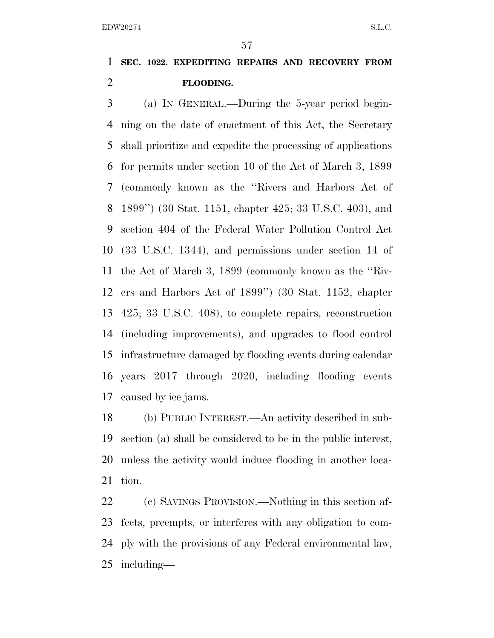## **SEC. 1022. EXPEDITING REPAIRS AND RECOVERY FROM FLOODING.**

 (a) IN GENERAL.—During the 5-year period begin- ning on the date of enactment of this Act, the Secretary shall prioritize and expedite the processing of applications for permits under section 10 of the Act of March 3, 1899 (commonly known as the ''Rivers and Harbors Act of 1899'') (30 Stat. 1151, chapter 425; 33 U.S.C. 403), and section 404 of the Federal Water Pollution Control Act (33 U.S.C. 1344), and permissions under section 14 of the Act of March 3, 1899 (commonly known as the ''Riv- ers and Harbors Act of 1899'') (30 Stat. 1152, chapter 425; 33 U.S.C. 408), to complete repairs, reconstruction (including improvements), and upgrades to flood control infrastructure damaged by flooding events during calendar years 2017 through 2020, including flooding events caused by ice jams.

 (b) PUBLIC INTEREST.—An activity described in sub- section (a) shall be considered to be in the public interest, unless the activity would induce flooding in another loca-tion.

 (c) SAVINGS PROVISION.—Nothing in this section af- fects, preempts, or interferes with any obligation to com- ply with the provisions of any Federal environmental law, including—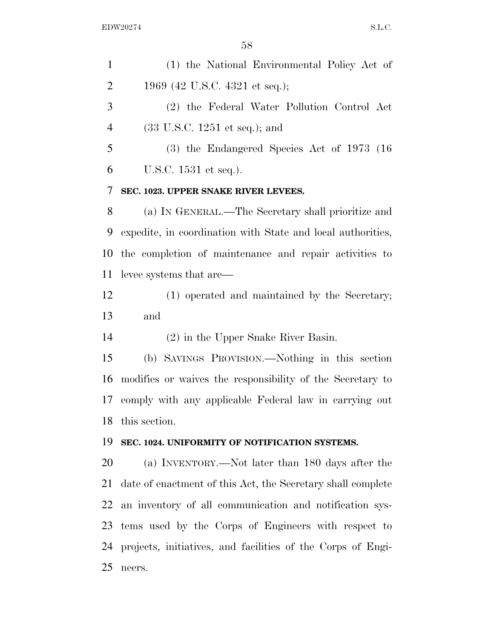| $\mathbf{1}$   | (1) the National Environmental Policy Act of                |
|----------------|-------------------------------------------------------------|
| $\overline{2}$ | 1969 (42 U.S.C. 4321 et seq.);                              |
| 3              | (2) the Federal Water Pollution Control Act                 |
| $\overline{4}$ | $(33 \text{ U.S.C. } 1251 \text{ et seq.});$ and            |
| 5              | $(3)$ the Endangered Species Act of 1973 (16)               |
| 6              | U.S.C. 1531 et seq.).                                       |
| 7              | SEC. 1023. UPPER SNAKE RIVER LEVEES.                        |
| 8              | (a) IN GENERAL.—The Secretary shall prioritize and          |
| 9              | expedite, in coordination with State and local authorities, |
| 10             | the completion of maintenance and repair activities to      |
| 11             | levee systems that are—                                     |
| 12             | (1) operated and maintained by the Secretary;               |
| 13             | and                                                         |
| 14             | $(2)$ in the Upper Snake River Basin.                       |
| 15             | (b) SAVINGS PROVISION.—Nothing in this section              |
| 16             | modifies or waives the responsibility of the Secretary to   |
| 17             | comply with any applicable Federal law in carrying out      |
| 18             | this section.                                               |
| 19             | SEC. 1024. UNIFORMITY OF NOTIFICATION SYSTEMS.              |
| 20             | (a) INVENTORY.—Not later than 180 days after the            |
| 21             | date of enactment of this Act, the Secretary shall complete |
| 22             | an inventory of all communication and notification sys-     |
| 23             | tems used by the Corps of Engineers with respect to         |
| 24             | projects, initiatives, and facilities of the Corps of Engi- |
| 25             | neers.                                                      |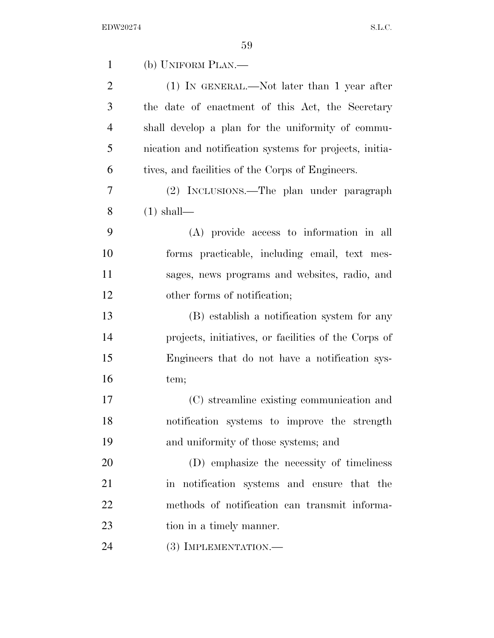| $\mathbf{1}$   | (b) UNIFORM PLAN.—                                      |
|----------------|---------------------------------------------------------|
| $\overline{2}$ | $(1)$ In GENERAL.—Not later than 1 year after           |
| 3              | the date of enactment of this Act, the Secretary        |
| $\overline{4}$ | shall develop a plan for the uniformity of commu-       |
| 5              | nication and notification systems for projects, initia- |
| 6              | tives, and facilities of the Corps of Engineers.        |
| $\overline{7}$ | (2) INCLUSIONS.—The plan under paragraph                |
| 8              | $(1)$ shall—                                            |
| 9              | (A) provide access to information in all                |
| 10             | forms practicable, including email, text mes-           |
| 11             | sages, news programs and websites, radio, and           |
| 12             | other forms of notification;                            |
| 13             | (B) establish a notification system for any             |
| 14             | projects, initiatives, or facilities of the Corps of    |
| 15             | Engineers that do not have a notification sys-          |
| 16             | tem;                                                    |
| 17             | (C) streamline existing communication and               |
| 18             | notification systems to improve the strength            |
| 19             | and uniformity of those systems; and                    |
| 20             | (D) emphasize the necessity of timeliness               |
| 21             | in notification systems and ensure that the             |
| 22             | methods of notification can transmit informa-           |
| 23             | tion in a timely manner.                                |
| 24             | (3) IMPLEMENTATION.—                                    |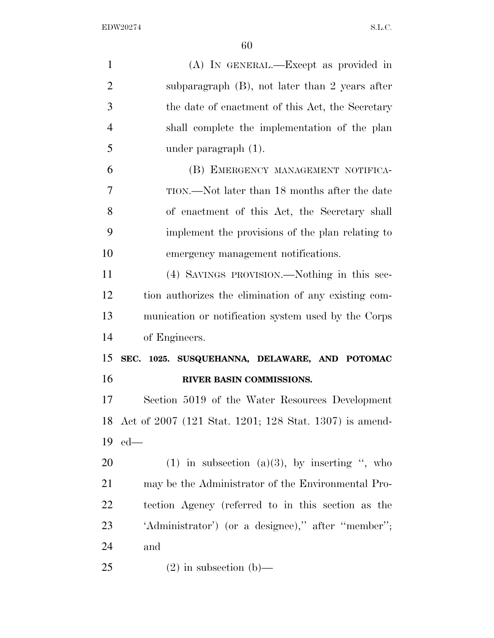| $\mathbf{1}$   | (A) IN GENERAL.—Except as provided in                     |
|----------------|-----------------------------------------------------------|
| $\overline{2}$ | subparagraph $(B)$ , not later than 2 years after         |
| 3              | the date of enactment of this Act, the Secretary          |
| $\overline{4}$ | shall complete the implementation of the plan             |
| 5              | under paragraph $(1)$ .                                   |
| 6              | (B) EMERGENCY MANAGEMENT NOTIFICA-                        |
| $\overline{7}$ | TION.—Not later than 18 months after the date             |
| 8              | of enactment of this Act, the Secretary shall             |
| 9              | implement the provisions of the plan relating to          |
| 10             | emergency management notifications.                       |
| 11             | (4) SAVINGS PROVISION.—Nothing in this sec-               |
| 12             | tion authorizes the elimination of any existing com-      |
| 13             | munication or notification system used by the Corps       |
| 14             | of Engineers.                                             |
| 15             | SEC. 1025. SUSQUEHANNA, DELAWARE, AND POTOMAC             |
| 16             | RIVER BASIN COMMISSIONS.                                  |
| 17             | Section 5019 of the Water Resources Development           |
|                | 18 Act of 2007 (121 Stat. 1201; 128 Stat. 1307) is amend- |
| 19             | $ed$ —                                                    |
| <b>20</b>      | (1) in subsection (a)(3), by inserting ", who             |
| 21             | may be the Administrator of the Environmental Pro-        |
| <u>22</u>      | tection Agency (referred to in this section as the        |
| 23             | 'Administrator') (or a designee)," after "member";        |
| 24             | and                                                       |
| 25             | $(2)$ in subsection $(b)$ —                               |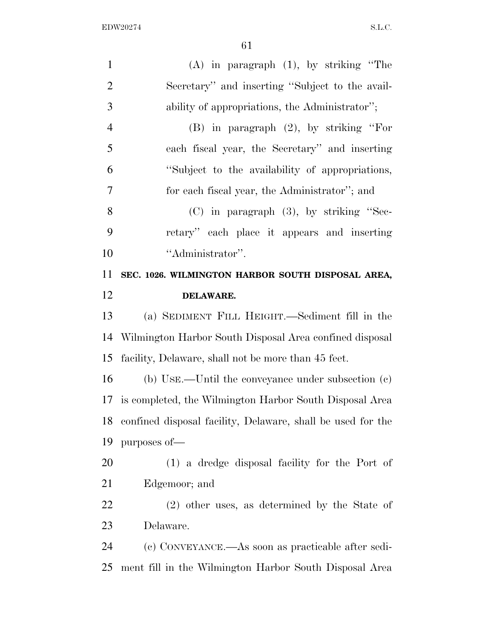| $\mathbf{1}$   | $(A)$ in paragraph $(1)$ , by striking "The                 |
|----------------|-------------------------------------------------------------|
| $\overline{2}$ | Secretary" and inserting "Subject to the avail-             |
| 3              | ability of appropriations, the Administrator";              |
| $\overline{4}$ | $(B)$ in paragraph $(2)$ , by striking "For                 |
| 5              | each fiscal year, the Secretary" and inserting              |
| 6              | "Subject to the availability of appropriations,             |
| $\overline{7}$ | for each fiscal year, the Administrator"; and               |
| 8              | $(C)$ in paragraph $(3)$ , by striking "Sec-                |
| 9              | retary" each place it appears and inserting                 |
| 10             | "Administrator".                                            |
| 11             | SEC. 1026. WILMINGTON HARBOR SOUTH DISPOSAL AREA,           |
| 12             | <b>DELAWARE.</b>                                            |
| 13             | (a) SEDIMENT FILL HEIGHT.—Sediment fill in the              |
| 14             | Wilmington Harbor South Disposal Area confined disposal     |
| 15             | facility, Delaware, shall not be more than 45 feet.         |
| 16             | (b) USE.—Until the conveyance under subsection $(c)$        |
| 17             | is completed, the Wilmington Harbor South Disposal Area     |
| 18             | confined disposal facility, Delaware, shall be used for the |
| 19             | purposes of-                                                |
| 20             | (1) a dredge disposal facility for the Port of              |
| 21             | Edgemoor; and                                               |
| 22             | (2) other uses, as determined by the State of               |
| 23             | Delaware.                                                   |
| 24             | (c) CONVEYANCE.—As soon as practicable after sedi-          |
| 25             | ment fill in the Wilmington Harbor South Disposal Area      |
|                |                                                             |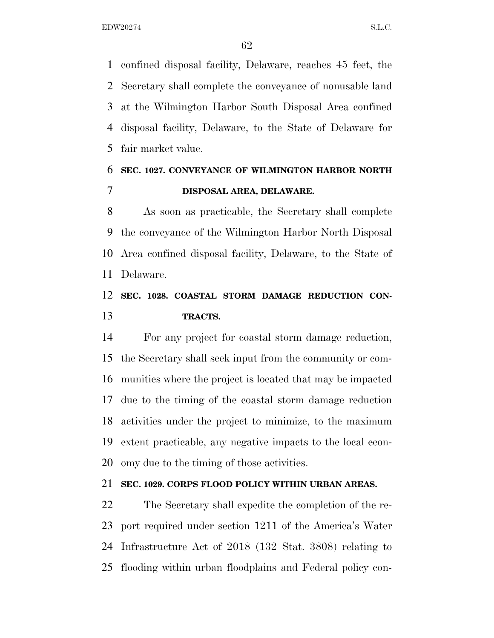confined disposal facility, Delaware, reaches 45 feet, the Secretary shall complete the conveyance of nonusable land at the Wilmington Harbor South Disposal Area confined disposal facility, Delaware, to the State of Delaware for fair market value.

## **SEC. 1027. CONVEYANCE OF WILMINGTON HARBOR NORTH DISPOSAL AREA, DELAWARE.**

 As soon as practicable, the Secretary shall complete the conveyance of the Wilmington Harbor North Disposal Area confined disposal facility, Delaware, to the State of Delaware.

### **SEC. 1028. COASTAL STORM DAMAGE REDUCTION CON-TRACTS.**

 For any project for coastal storm damage reduction, the Secretary shall seek input from the community or com- munities where the project is located that may be impacted due to the timing of the coastal storm damage reduction activities under the project to minimize, to the maximum extent practicable, any negative impacts to the local econ-omy due to the timing of those activities.

### **SEC. 1029. CORPS FLOOD POLICY WITHIN URBAN AREAS.**

 The Secretary shall expedite the completion of the re- port required under section 1211 of the America's Water Infrastructure Act of 2018 (132 Stat. 3808) relating to flooding within urban floodplains and Federal policy con-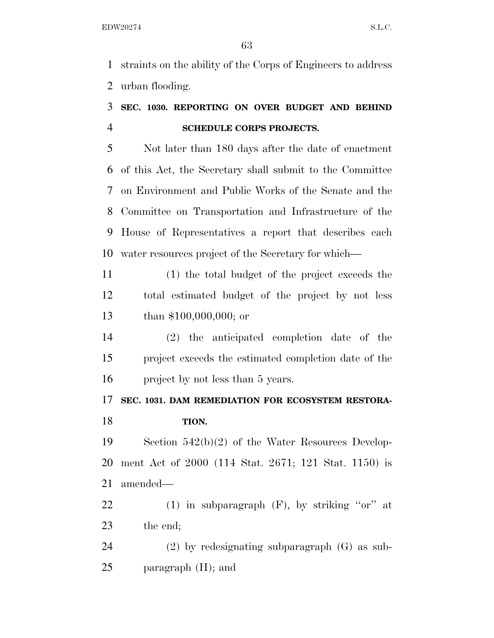straints on the ability of the Corps of Engineers to address urban flooding.

## **SEC. 1030. REPORTING ON OVER BUDGET AND BEHIND SCHEDULE CORPS PROJECTS.**

 Not later than 180 days after the date of enactment of this Act, the Secretary shall submit to the Committee on Environment and Public Works of the Senate and the Committee on Transportation and Infrastructure of the House of Representatives a report that describes each water resources project of the Secretary for which—

 (1) the total budget of the project exceeds the total estimated budget of the project by not less than \$100,000,000; or

 (2) the anticipated completion date of the project exceeds the estimated completion date of the project by not less than 5 years.

## **SEC. 1031. DAM REMEDIATION FOR ECOSYSTEM RESTORA-TION.**

 Section 542(b)(2) of the Water Resources Develop- ment Act of 2000 (114 Stat. 2671; 121 Stat. 1150) is amended—

22 (1) in subparagraph  $(F)$ , by striking "or" at the end;

 (2) by redesignating subparagraph (G) as sub-paragraph (H); and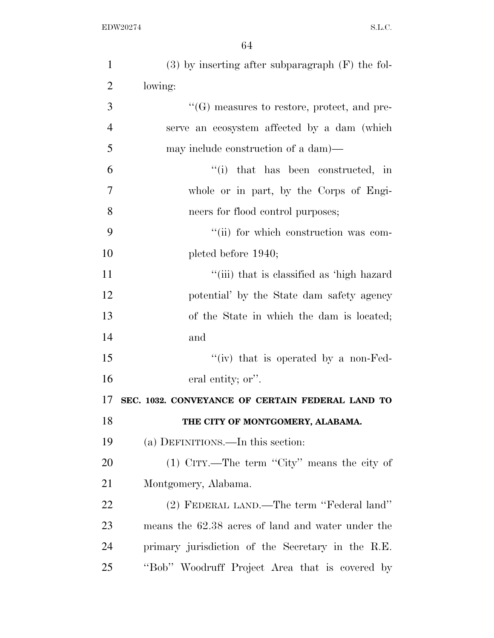| $\mathbf{1}$   | $(3)$ by inserting after subparagraph $(F)$ the fol- |
|----------------|------------------------------------------------------|
| $\overline{2}$ | lowing:                                              |
| 3              | $\lq\lq(G)$ measures to restore, protect, and pre-   |
| $\overline{4}$ | serve an ecosystem affected by a dam (which          |
| 5              | may include construction of a dam)—                  |
| 6              | "(i) that has been constructed, in                   |
| 7              | whole or in part, by the Corps of Engi-              |
| 8              | neers for flood control purposes;                    |
| 9              | "(ii) for which construction was com-                |
| 10             | pleted before 1940;                                  |
| 11             | "(iii) that is classified as 'high hazard            |
| 12             | potential' by the State dam safety agency            |
| 13             | of the State in which the dam is located;            |
| 14             | and                                                  |
| 15             | "(iv) that is operated by a non-Fed-                 |
| 16             | eral entity; or".                                    |
| 17             | SEC. 1032. CONVEYANCE OF CERTAIN FEDERAL LAND TO     |
| 18             | THE CITY OF MONTGOMERY, ALABAMA.                     |
| 19             | (a) DEFINITIONS.—In this section:                    |
| 20             | $(1)$ CITY.—The term "City" means the city of        |
| 21             | Montgomery, Alabama.                                 |
| 22             | (2) FEDERAL LAND.—The term "Federal land"            |
| 23             | means the 62.38 acres of land and water under the    |
| 24             | primary jurisdiction of the Secretary in the R.E.    |
| 25             | "Bob" Woodruff Project Area that is covered by       |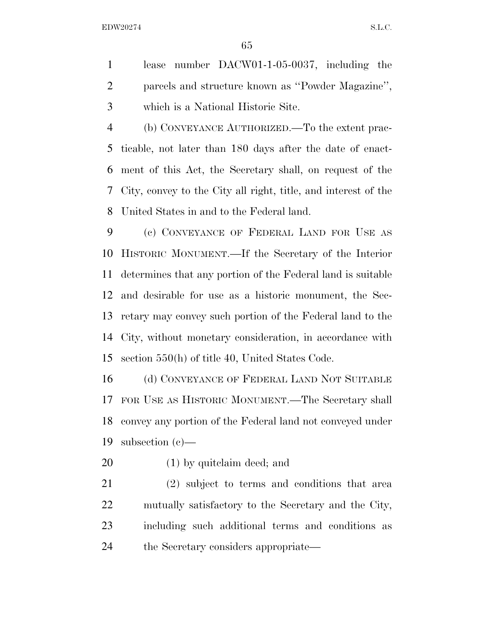lease number DACW01-1-05-0037, including the parcels and structure known as ''Powder Magazine'', which is a National Historic Site.

 (b) CONVEYANCE AUTHORIZED.—To the extent prac- ticable, not later than 180 days after the date of enact- ment of this Act, the Secretary shall, on request of the City, convey to the City all right, title, and interest of the United States in and to the Federal land.

 (c) CONVEYANCE OF FEDERAL LAND FOR USE AS HISTORIC MONUMENT.—If the Secretary of the Interior determines that any portion of the Federal land is suitable and desirable for use as a historic monument, the Sec- retary may convey such portion of the Federal land to the City, without monetary consideration, in accordance with section 550(h) of title 40, United States Code.

16 (d) CONVEYANCE OF FEDERAL LAND NOT SUITABLE FOR USE AS HISTORIC MONUMENT.—The Secretary shall convey any portion of the Federal land not conveyed under subsection (c)—

(1) by quitclaim deed; and

 (2) subject to terms and conditions that area mutually satisfactory to the Secretary and the City, including such additional terms and conditions as the Secretary considers appropriate—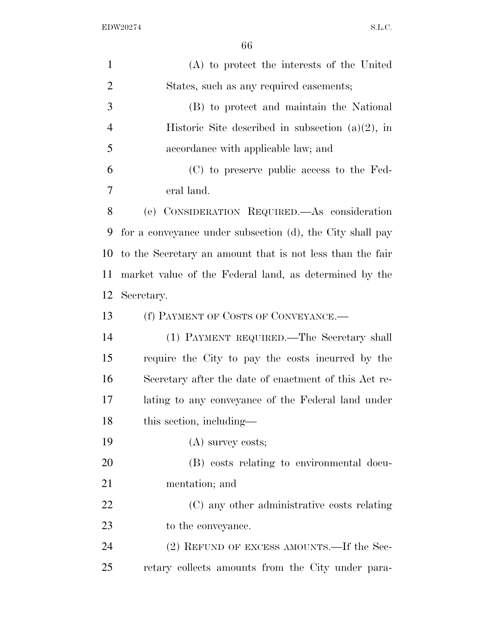| $\mathbf{1}$   | (A) to protect the interests of the United                |
|----------------|-----------------------------------------------------------|
| $\overline{2}$ | States, such as any required easements;                   |
| 3              | (B) to protect and maintain the National                  |
| $\overline{4}$ | Historic Site described in subsection $(a)(2)$ , in       |
| 5              | accordance with applicable law; and                       |
| 6              | (C) to preserve public access to the Fed-                 |
| 7              | eral land.                                                |
| 8              | (e) CONSIDERATION REQUIRED.—As consideration              |
| 9              | for a conveyance under subsection (d), the City shall pay |
| 10             | to the Secretary an amount that is not less than the fair |
| 11             | market value of the Federal land, as determined by the    |
| 12             | Secretary.                                                |
| 13             | (f) PAYMENT OF COSTS OF CONVEYANCE.—                      |
| 14             | (1) PAYMENT REQUIRED.—The Secretary shall                 |
| 15             | require the City to pay the costs incurred by the         |
| 16             | Secretary after the date of enactment of this Act re-     |
| 17             | lating to any conveyance of the Federal land under        |
| 18             | this section, including—                                  |
| 19             | $(A)$ survey costs;                                       |
| 20             | (B) costs relating to environmental docu-                 |
| 21             | mentation; and                                            |
| 22             | (C) any other administrative costs relating               |
| 23             | to the conveyance.                                        |
| 24             | (2) REFUND OF EXCESS AMOUNTS.—If the Sec-                 |
| 25             | retary collects amounts from the City under para-         |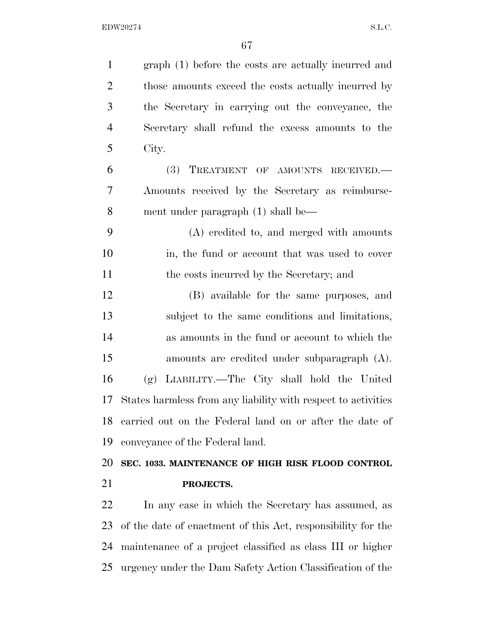| $\mathbf{1}$   | graph (1) before the costs are actually incurred and          |
|----------------|---------------------------------------------------------------|
| $\overline{2}$ | those amounts exceed the costs actually incurred by           |
| 3              | the Secretary in carrying out the conveyance, the             |
| $\overline{4}$ | Secretary shall refund the excess amounts to the              |
| 5              | City.                                                         |
| 6              | (3)<br>TREATMENT OF AMOUNTS RECEIVED.                         |
| $\overline{7}$ | Amounts received by the Secretary as reimburse-               |
| 8              | ment under paragraph (1) shall be—                            |
| 9              | (A) credited to, and merged with amounts                      |
| 10             | in, the fund or account that was used to cover                |
| 11             | the costs incurred by the Secretary; and                      |
| 12             | (B) available for the same purposes, and                      |
| 13             | subject to the same conditions and limitations,               |
| 14             | as amounts in the fund or account to which the                |
| 15             | amounts are credited under subparagraph $(A)$ .               |
| 16             | LIABILITY.—The City shall hold the United<br>(g)              |
| 17             | States harmless from any liability with respect to activities |
| 18             | carried out on the Federal land on or after the date of       |
| 19             | conveyance of the Federal land.                               |
| 20             | SEC. 1033. MAINTENANCE OF HIGH RISK FLOOD CONTROL             |
| 21             | PROJECTS.                                                     |
| 22             | In any case in which the Secretary has assumed, as            |
| 23             | of the date of enactment of this Act, responsibility for the  |

 maintenance of a project classified as class III or higher urgency under the Dam Safety Action Classification of the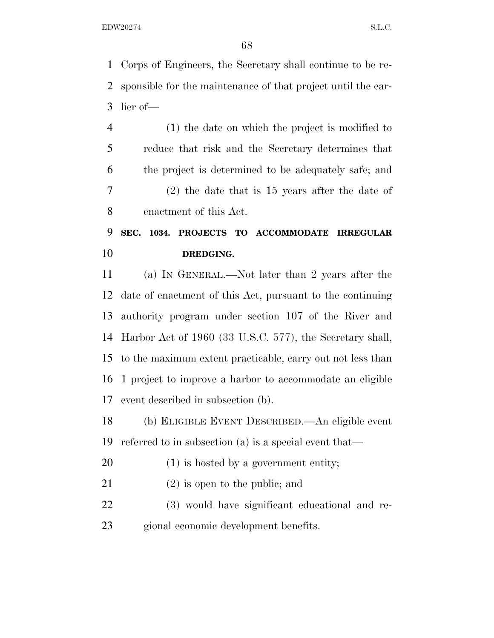Corps of Engineers, the Secretary shall continue to be re- sponsible for the maintenance of that project until the ear-lier of—

 (1) the date on which the project is modified to reduce that risk and the Secretary determines that the project is determined to be adequately safe; and (2) the date that is 15 years after the date of enactment of this Act.

# **SEC. 1034. PROJECTS TO ACCOMMODATE IRREGULAR DREDGING.**

 (a) IN GENERAL.—Not later than 2 years after the date of enactment of this Act, pursuant to the continuing authority program under section 107 of the River and Harbor Act of 1960 (33 U.S.C. 577), the Secretary shall, to the maximum extent practicable, carry out not less than 1 project to improve a harbor to accommodate an eligible event described in subsection (b).

 (b) ELIGIBLE EVENT DESCRIBED.—An eligible event referred to in subsection (a) is a special event that—

- 20 (1) is hosted by a government entity;
- (2) is open to the public; and
- (3) would have significant educational and re-gional economic development benefits.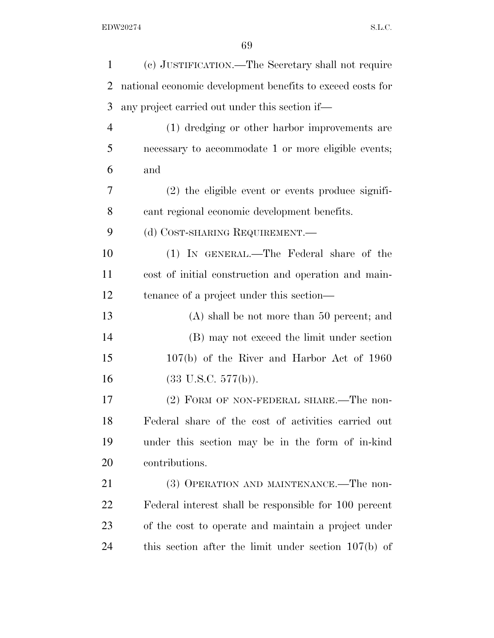| $\mathbf{1}$   | (c) JUSTIFICATION.—The Secretary shall not require         |
|----------------|------------------------------------------------------------|
| $\overline{2}$ | national economic development benefits to exceed costs for |
| 3              | any project carried out under this section if—             |
| $\overline{4}$ | (1) dredging or other harbor improvements are              |
| 5              | necessary to accommodate 1 or more eligible events;        |
| 6              | and                                                        |
| 7              | $(2)$ the eligible event or events produce signifi-        |
| 8              | cant regional economic development benefits.               |
| 9              | (d) COST-SHARING REQUIREMENT.                              |
| 10             | (1) IN GENERAL.—The Federal share of the                   |
| 11             | cost of initial construction and operation and main-       |
| 12             | tenance of a project under this section—                   |
| 13             | $(A)$ shall be not more than 50 percent; and               |
| 14             | (B) may not exceed the limit under section                 |
| 15             | $107(b)$ of the River and Harbor Act of 1960               |
| 16             | $(33 \text{ U.S.C. } 577(b)).$                             |
| 17             | (2) FORM OF NON-FEDERAL SHARE.—The non-                    |
| 18             | Federal share of the cost of activities carried out        |
| 19             | under this section may be in the form of in-kind           |
| 20             | contributions.                                             |
| 21             | (3) OPERATION AND MAINTENANCE.—The non-                    |
| 22             | Federal interest shall be responsible for 100 percent      |
| 23             | of the cost to operate and maintain a project under        |
| 24             | this section after the limit under section $107(b)$ of     |
|                |                                                            |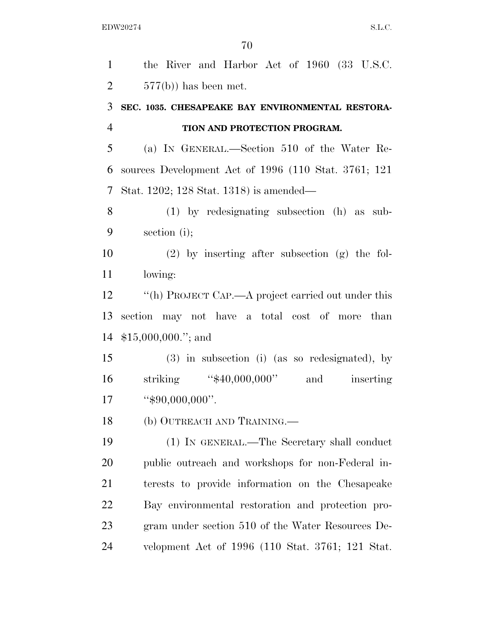the River and Harbor Act of 1960 (33 U.S.C.  $2 \t 577(b)$  has been met. **SEC. 1035. CHESAPEAKE BAY ENVIRONMENTAL RESTORA- TION AND PROTECTION PROGRAM.**  (a) IN GENERAL.—Section 510 of the Water Re- sources Development Act of 1996 (110 Stat. 3761; 121 Stat. 1202; 128 Stat. 1318) is amended— (1) by redesignating subsection (h) as sub- section (i); (2) by inserting after subsection (g) the fol- lowing: 12 ''(h) PROJECT CAP.—A project carried out under this section may not have a total cost of more than \$15,000,000.''; and (3) in subsection (i) (as so redesignated), by 16 striking "\$40,000,000" and inserting ''\$90,000,000''. (b) OUTREACH AND TRAINING.— (1) IN GENERAL.—The Secretary shall conduct public outreach and workshops for non-Federal in- terests to provide information on the Chesapeake Bay environmental restoration and protection pro- gram under section 510 of the Water Resources De-velopment Act of 1996 (110 Stat. 3761; 121 Stat.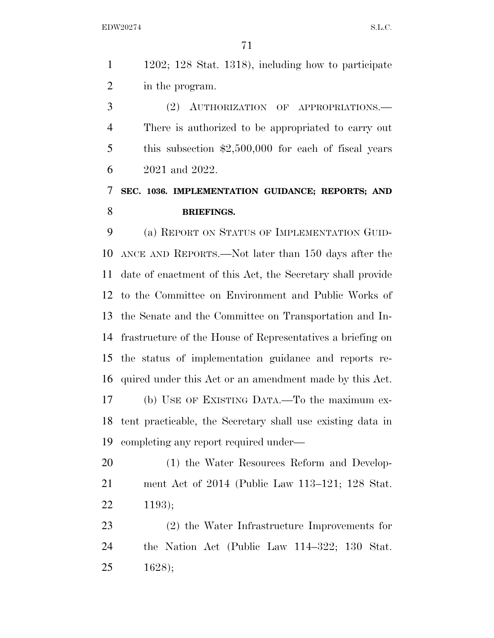1202; 128 Stat. 1318), including how to participate in the program.

 (2) AUTHORIZATION OF APPROPRIATIONS.— There is authorized to be appropriated to carry out this subsection \$2,500,000 for each of fiscal years 2021 and 2022.

# **SEC. 1036. IMPLEMENTATION GUIDANCE; REPORTS; AND BRIEFINGS.**

 (a) REPORT ON STATUS OF IMPLEMENTATION GUID- ANCE AND REPORTS.—Not later than 150 days after the date of enactment of this Act, the Secretary shall provide to the Committee on Environment and Public Works of the Senate and the Committee on Transportation and In- frastructure of the House of Representatives a briefing on the status of implementation guidance and reports re- quired under this Act or an amendment made by this Act. (b) USE OF EXISTING DATA.—To the maximum ex- tent practicable, the Secretary shall use existing data in completing any report required under—

20 (1) the Water Resources Reform and Develop- ment Act of 2014 (Public Law 113–121; 128 Stat. 1193);

 (2) the Water Infrastructure Improvements for the Nation Act (Public Law 114–322; 130 Stat. 1628);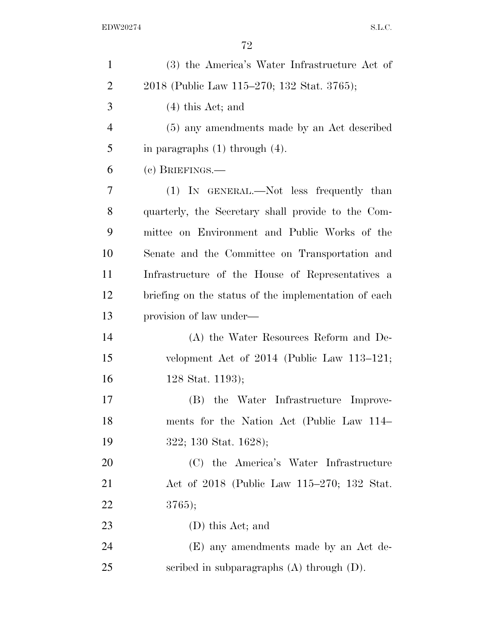| $\mathbf{1}$   | (3) the America's Water Infrastructure Act of        |
|----------------|------------------------------------------------------|
| $\overline{2}$ | 2018 (Public Law 115–270; 132 Stat. 3765);           |
| 3              | $(4)$ this Act; and                                  |
| 4              | (5) any amendments made by an Act described          |
| 5              | in paragraphs $(1)$ through $(4)$ .                  |
| 6              | $(e)$ BRIEFINGS.—                                    |
| 7              | (1) IN GENERAL.—Not less frequently than             |
| 8              | quarterly, the Secretary shall provide to the Com-   |
| 9              | mittee on Environment and Public Works of the        |
| 10             | Senate and the Committee on Transportation and       |
| 11             | Infrastructure of the House of Representatives a     |
| 12             | briefing on the status of the implementation of each |
| 13             | provision of law under—                              |
| 14             | (A) the Water Resources Reform and De-               |
| 15             | velopment Act of $2014$ (Public Law 113–121;         |
| 16             | 128 Stat. 1193);                                     |
| 17             | (B) the Water Infrastructure Improve-                |
| 18             | ments for the Nation Act (Public Law 114–            |
| 19             | 322; 130 Stat. 1628);                                |
| 20             | (C) the America's Water Infrastructure               |
| 21             | Act of 2018 (Public Law 115-270; 132 Stat.           |
| 22             | 3765);                                               |
| 23             | (D) this Act; and                                    |
| 24             | (E) any amendments made by an Act de-                |
| 25             | scribed in subparagraphs $(A)$ through $(D)$ .       |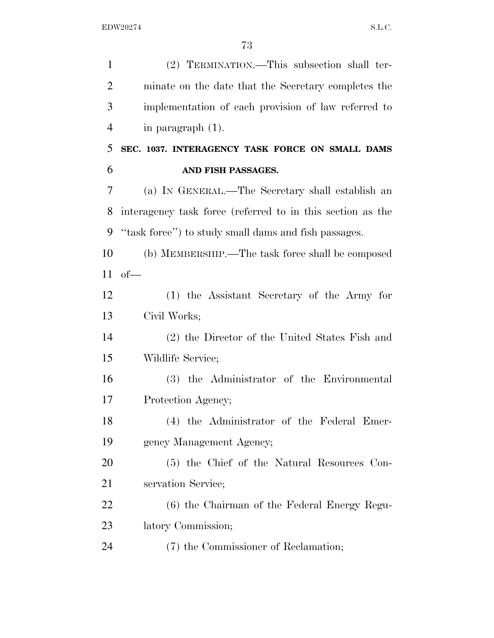| $\mathbf{1}$   | (2) TERMINATION.—This subsection shall ter-                |
|----------------|------------------------------------------------------------|
| $\overline{2}$ | minate on the date that the Secretary completes the        |
| 3              | implementation of each provision of law referred to        |
| $\overline{4}$ | in paragraph $(1)$ .                                       |
| 5              | SEC. 1037. INTERAGENCY TASK FORCE ON SMALL DAMS            |
| 6              | AND FISH PASSAGES.                                         |
| 7              | (a) IN GENERAL.—The Secretary shall establish an           |
| 8              | interagency task force (referred to in this section as the |
| 9              | "task force") to study small dams and fish passages.       |
| 10             | (b) MEMBERSHIP.—The task force shall be composed           |
| 11             | $of$ —                                                     |
| 12             | (1) the Assistant Secretary of the Army for                |
| 13             | Civil Works;                                               |
| 14             | (2) the Director of the United States Fish and             |
| 15             | Wildlife Service;                                          |
| 16             | (3) the Administrator of the Environmental                 |
| 17             | Protection Agency;                                         |
| 18             | (4) the Administrator of the Federal Emer-                 |
| 19             | gency Management Agency;                                   |
| 20             | (5) the Chief of the Natural Resources Con-                |
| 21             | servation Service;                                         |
| 22             | (6) the Chairman of the Federal Energy Regu-               |
| 23             | latory Commission;                                         |
| 24             | (7) the Commissioner of Reclamation;                       |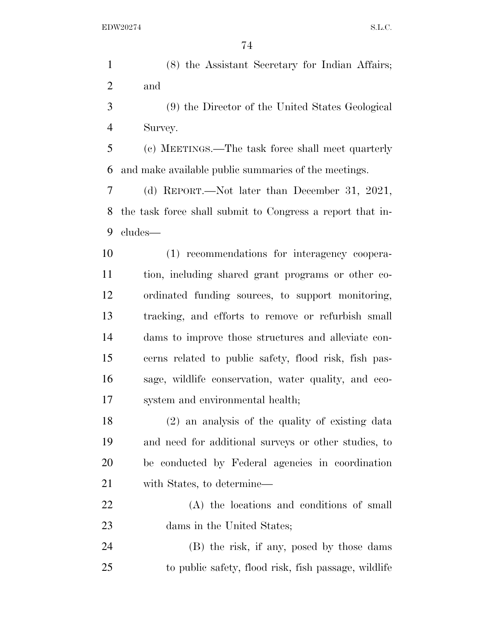(8) the Assistant Secretary for Indian Affairs; and

 (9) the Director of the United States Geological Survey.

 (c) MEETINGS.—The task force shall meet quarterly and make available public summaries of the meetings.

 (d) REPORT.—Not later than December 31, 2021, the task force shall submit to Congress a report that in-cludes—

 (1) recommendations for interagency coopera- tion, including shared grant programs or other co- ordinated funding sources, to support monitoring, tracking, and efforts to remove or refurbish small dams to improve those structures and alleviate con- cerns related to public safety, flood risk, fish pas- sage, wildlife conservation, water quality, and eco-system and environmental health;

 (2) an analysis of the quality of existing data and need for additional surveys or other studies, to be conducted by Federal agencies in coordination with States, to determine—

 (A) the locations and conditions of small 23 dams in the United States;

 (B) the risk, if any, posed by those dams to public safety, flood risk, fish passage, wildlife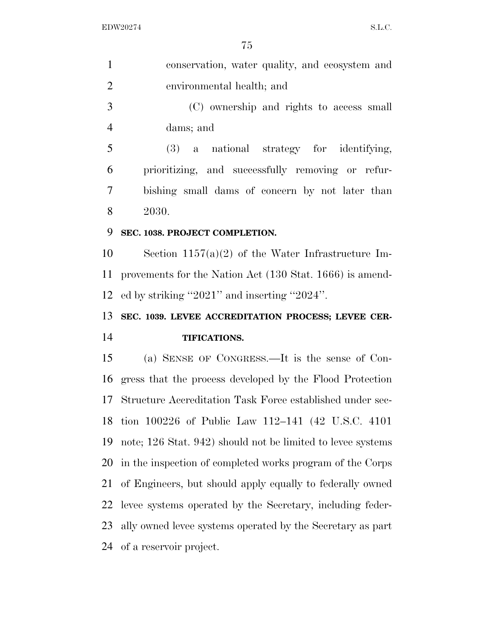| $\mathbf{1}$         | conservation, water quality, and ecosystem and              |
|----------------------|-------------------------------------------------------------|
| $\overline{2}$       | environmental health; and                                   |
| 3                    | (C) ownership and rights to access small                    |
| $\overline{4}$       | dams; and                                                   |
| 5                    | $(3)$ a national strategy for identifying,                  |
| 6                    | prioritizing, and successfully removing or refur-           |
| 7                    | bishing small dams of concern by not later than             |
| 8                    | 2030.                                                       |
| 9                    | SEC. 1038. PROJECT COMPLETION.                              |
| 10                   | Section $1157(a)(2)$ of the Water Infrastructure Im-        |
| 11                   | provements for the Nation Act (130 Stat. 1666) is amend-    |
| 12                   | ed by striking "2021" and inserting "2024".                 |
|                      |                                                             |
|                      | SEC. 1039. LEVEE ACCREDITATION PROCESS; LEVEE CER-          |
|                      | TIFICATIONS.                                                |
|                      | (a) SENSE OF CONGRESS.—It is the sense of Con-              |
| 13<br>14<br>15<br>16 | gress that the process developed by the Flood Protection    |
| 17                   | Structure Accreditation Task Force established under sec-   |
| 18                   | tion 100226 of Public Law 112-141 (42 U.S.C. 4101)          |
| 19                   | note; 126 Stat. 942) should not be limited to levee systems |
| 20                   | in the inspection of completed works program of the Corps   |
| 21                   | of Engineers, but should apply equally to federally owned   |
| 22                   | levee systems operated by the Secretary, including feder-   |
| 23                   | ally owned levee systems operated by the Secretary as part  |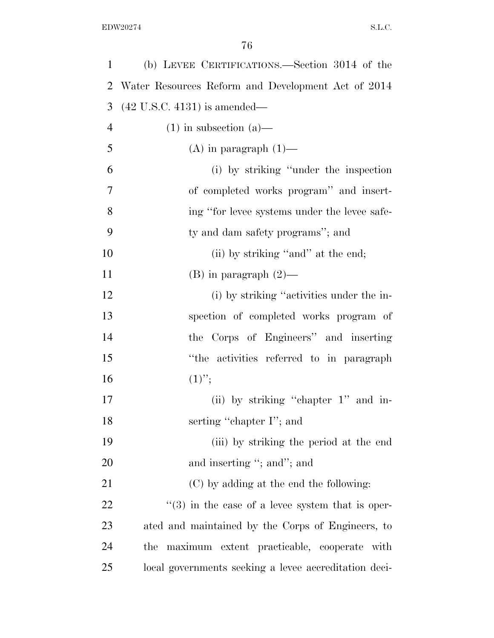| $\mathbf{1}$   | (b) LEVEE CERTIFICATIONS.—Section 3014 of the                |
|----------------|--------------------------------------------------------------|
| 2              | Water Resources Reform and Development Act of 2014           |
| 3              | $(42 \text{ U.S.C. } 4131)$ is amended—                      |
| $\overline{4}$ | $(1)$ in subsection $(a)$ —                                  |
| 5              | $(A)$ in paragraph $(1)$ —                                   |
| 6              | (i) by striking "under the inspection                        |
| 7              | of completed works program" and insert-                      |
| 8              | ing "for levee systems under the levee safe-                 |
| 9              | ty and dam safety programs"; and                             |
| 10             | (ii) by striking "and" at the end;                           |
| 11             | $(B)$ in paragraph $(2)$ —                                   |
| 12             | (i) by striking "activities under the in-                    |
| 13             | spection of completed works program of                       |
| 14             | the Corps of Engineers" and inserting                        |
| 15             | "the activities referred to in paragraph                     |
| 16             | $(1)$ ";                                                     |
| 17             | (ii) by striking "chapter 1" and in-                         |
| 18             | serting "chapter I"; and                                     |
| 19             | (iii) by striking the period at the end                      |
| 20             | and inserting "; and"; and                                   |
| 21             | (C) by adding at the end the following:                      |
| 22             | $\cdot\cdot$ (3) in the case of a level system that is oper- |
| 23             | ated and maintained by the Corps of Engineers, to            |
| 24             | maximum extent practicable, cooperate with<br>the            |
| 25             | local governments seeking a levee accreditation deci-        |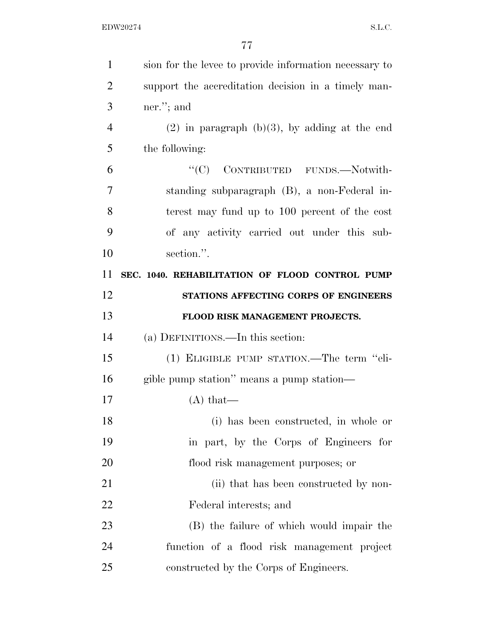| $\mathbf{1}$   | sion for the level to provide information necessary to |
|----------------|--------------------------------------------------------|
| $\overline{2}$ | support the accreditation decision in a timely man-    |
| 3              | ner."; and                                             |
| $\overline{4}$ | $(2)$ in paragraph $(b)(3)$ , by adding at the end     |
| 5              | the following:                                         |
| 6              | "(C) CONTRIBUTED FUNDS.-Notwith-                       |
| 7              | standing subparagraph (B), a non-Federal in-           |
| 8              | terest may fund up to 100 percent of the cost          |
| 9              | of any activity carried out under this sub-            |
| 10             | section.".                                             |
| 11             | SEC. 1040. REHABILITATION OF FLOOD CONTROL PUMP        |
| 12             | STATIONS AFFECTING CORPS OF ENGINEERS                  |
| 13             | FLOOD RISK MANAGEMENT PROJECTS.                        |
| 14             | (a) DEFINITIONS.—In this section:                      |
| 15             | (1) ELIGIBLE PUMP STATION.—The term "eli-              |
| 16             | gible pump station" means a pump station—              |
| 17             | $(A)$ that—                                            |
| 18             | (i) has been constructed, in whole or                  |
| 19             | in part, by the Corps of Engineers for                 |
| 20             | flood risk management purposes; or                     |
| 21             | (ii) that has been constructed by non-                 |
| 22             | Federal interests; and                                 |
| 23             | (B) the failure of which would impair the              |
| 24             | function of a flood risk management project            |
| 25             | constructed by the Corps of Engineers.                 |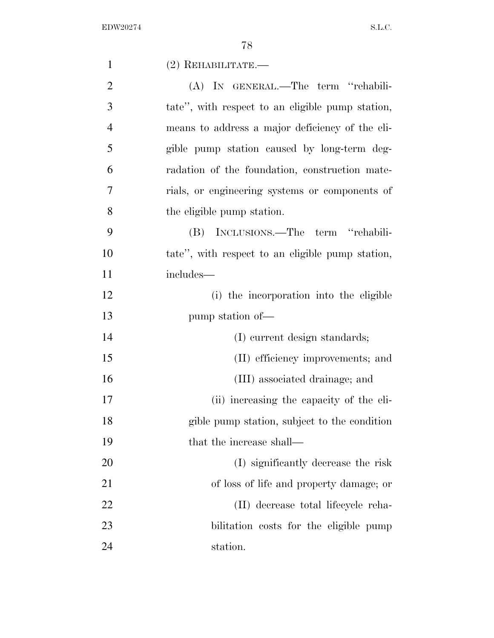| $\mathbf{1}$   | $(2)$ REHABILITATE.—                             |
|----------------|--------------------------------------------------|
| $\overline{2}$ | (A) IN GENERAL.—The term "rehabili-              |
| 3              | tate", with respect to an eligible pump station, |
| $\overline{4}$ | means to address a major deficiency of the eli-  |
| 5              | gible pump station caused by long-term deg-      |
| 6              | radation of the foundation, construction mate-   |
| 7              | rials, or engineering systems or components of   |
| 8              | the eligible pump station.                       |
| 9              | (B) INCLUSIONS.—The term "rehabili-              |
| 10             | tate", with respect to an eligible pump station, |
| 11             | includes—                                        |
| 12             | (i) the incorporation into the eligible          |
| 13             | pump station of-                                 |
| 14             | (I) current design standards;                    |
| 15             | (II) efficiency improvements; and                |
| 16             | (III) associated drainage; and                   |
| 17             | (ii) increasing the capacity of the eli-         |
| 18             | gible pump station, subject to the condition     |
| 19             | that the increase shall—                         |
| 20             | (I) significantly decrease the risk              |
| 21             | of loss of life and property damage; or          |
| 22             | (II) decrease total lifecycle reha-              |
| 23             | bilitation costs for the eligible pump           |
| 24             | station.                                         |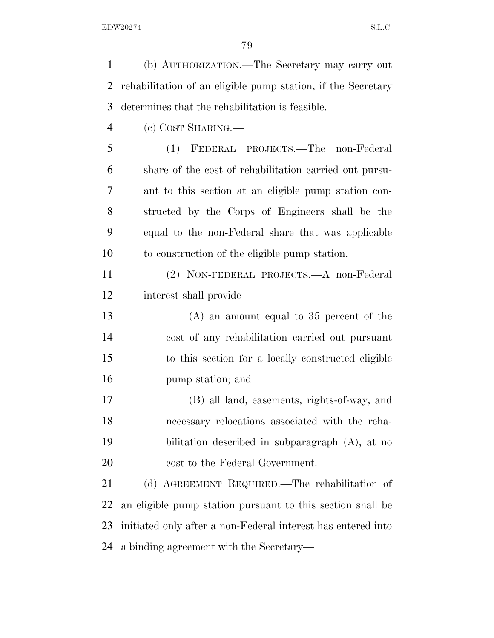(b) AUTHORIZATION.—The Secretary may carry out rehabilitation of an eligible pump station, if the Secretary determines that the rehabilitation is feasible.

(c) COST SHARING.—

 (1) FEDERAL PROJECTS.—The non-Federal share of the cost of rehabilitation carried out pursu- ant to this section at an eligible pump station con- structed by the Corps of Engineers shall be the equal to the non-Federal share that was applicable to construction of the eligible pump station.

 (2) NON-FEDERAL PROJECTS.—A non-Federal interest shall provide—

 (A) an amount equal to 35 percent of the cost of any rehabilitation carried out pursuant to this section for a locally constructed eligible pump station; and

 (B) all land, easements, rights-of-way, and necessary relocations associated with the reha- bilitation described in subparagraph (A), at no cost to the Federal Government.

 (d) AGREEMENT REQUIRED.—The rehabilitation of an eligible pump station pursuant to this section shall be initiated only after a non-Federal interest has entered into a binding agreement with the Secretary—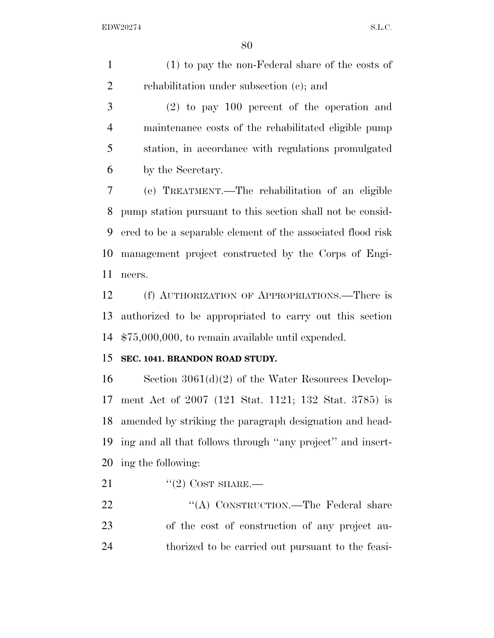(1) to pay the non-Federal share of the costs of rehabilitation under subsection (c); and

 (2) to pay 100 percent of the operation and maintenance costs of the rehabilitated eligible pump station, in accordance with regulations promulgated by the Secretary.

 (e) TREATMENT.—The rehabilitation of an eligible pump station pursuant to this section shall not be consid- ered to be a separable element of the associated flood risk management project constructed by the Corps of Engi-neers.

 (f) AUTHORIZATION OF APPROPRIATIONS.—There is authorized to be appropriated to carry out this section \$75,000,000, to remain available until expended.

### **SEC. 1041. BRANDON ROAD STUDY.**

 Section 3061(d)(2) of the Water Resources Develop- ment Act of 2007 (121 Stat. 1121; 132 Stat. 3785) is amended by striking the paragraph designation and head- ing and all that follows through ''any project'' and insert-ing the following:

- 21  $\text{``(2) COST SHARE.}$
- 22 "'(A) CONSTRUCTION.—The Federal share of the cost of construction of any project au-thorized to be carried out pursuant to the feasi-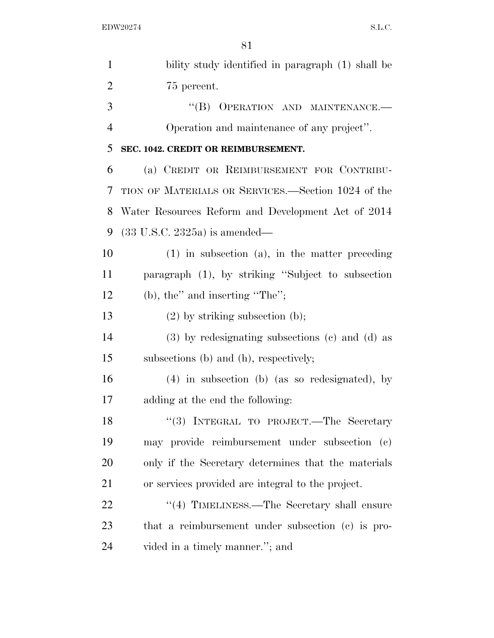| $\mathbf{1}$   | bility study identified in paragraph (1) shall be     |
|----------------|-------------------------------------------------------|
| $\overline{2}$ | 75 percent.                                           |
| 3              | "(B) OPERATION AND MAINTENANCE.-                      |
| $\overline{4}$ | Operation and maintenance of any project".            |
| 5              | SEC. 1042. CREDIT OR REIMBURSEMENT.                   |
| 6              | (a) CREDIT OR REIMBURSEMENT FOR CONTRIBU-             |
| 7              | TION OF MATERIALS OR SERVICES.—Section 1024 of the    |
| 8              | Water Resources Reform and Development Act of 2014    |
| 9              | $(33 \text{ U.S.C. } 2325a)$ is amended—              |
| 10             | $(1)$ in subsection $(a)$ , in the matter preceding   |
| 11             | paragraph (1), by striking "Subject to subsection     |
| 12             | $(b)$ , the" and inserting "The";                     |
| 13             | $(2)$ by striking subsection (b);                     |
| 14             | $(3)$ by redesignating subsections $(e)$ and $(d)$ as |
| 15             | subsections (b) and (h), respectively;                |
| 16             | $(4)$ in subsection (b) (as so redesignated), by      |
| 17             | adding at the end the following:                      |
| 18             | "(3) INTEGRAL TO PROJECT.—The Secretary               |
| 19             | may provide reimbursement under subsection (c)        |
| 20             | only if the Secretary determines that the materials   |
| 21             | or services provided are integral to the project.     |
| 22             | "(4) TIMELINESS.—The Secretary shall ensure           |
| 23             | that a reimbursement under subsection (c) is pro-     |
| 24             | vided in a timely manner."; and                       |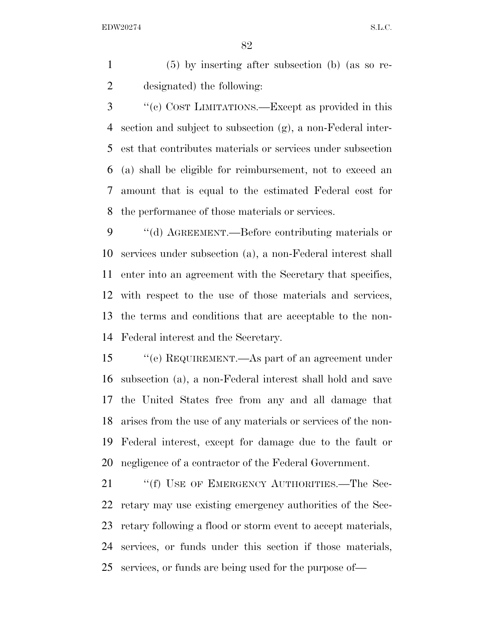(5) by inserting after subsection (b) (as so re-designated) the following:

 ''(c) COST LIMITATIONS.—Except as provided in this section and subject to subsection (g), a non-Federal inter- est that contributes materials or services under subsection (a) shall be eligible for reimbursement, not to exceed an amount that is equal to the estimated Federal cost for the performance of those materials or services.

 ''(d) AGREEMENT.—Before contributing materials or services under subsection (a), a non-Federal interest shall enter into an agreement with the Secretary that specifies, with respect to the use of those materials and services, the terms and conditions that are acceptable to the non-Federal interest and the Secretary.

 ''(e) REQUIREMENT.—As part of an agreement under subsection (a), a non-Federal interest shall hold and save the United States free from any and all damage that arises from the use of any materials or services of the non- Federal interest, except for damage due to the fault or negligence of a contractor of the Federal Government.

21 ""(f) USE OF EMERGENCY AUTHORITIES.—The Sec- retary may use existing emergency authorities of the Sec- retary following a flood or storm event to accept materials, services, or funds under this section if those materials, services, or funds are being used for the purpose of—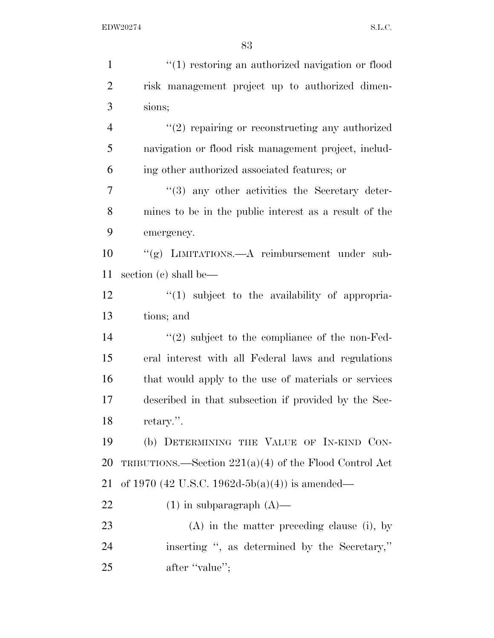| $\mathbf{1}$   | "(1) restoring an authorized navigation or flood               |
|----------------|----------------------------------------------------------------|
| $\overline{2}$ | risk management project up to authorized dimen-                |
| 3              | sions;                                                         |
| $\overline{4}$ | $"(2)$ repairing or reconstructing any authorized              |
| 5              | navigation or flood risk management project, includ-           |
| 6              | ing other authorized associated features; or                   |
| $\tau$         | "(3) any other activities the Secretary deter-                 |
| 8              | mines to be in the public interest as a result of the          |
| 9              | emergency.                                                     |
| 10             | "(g) LIMITATIONS.—A reimbursement under sub-                   |
| 11             | section (c) shall be—                                          |
| 12             | $\lq(1)$ subject to the availability of appropria-             |
| 13             | tions; and                                                     |
| 14             | $\cdot\cdot\cdot(2)$ subject to the compliance of the non-Fed- |
| 15             | eral interest with all Federal laws and regulations            |
| 16             | that would apply to the use of materials or services           |
| 17             | described in that subsection if provided by the Sec-           |
| 18             | retary.".                                                      |
| 19             | (b) DETERMINING THE VALUE OF IN-KIND CON-                      |
| 20             | TRIBUTIONS.—Section $221(a)(4)$ of the Flood Control Act       |
| 21             | of 1970 (42 U.S.C. 1962d-5b(a)(4)) is amended—                 |
| 22             | $(1)$ in subparagraph $(A)$ —                                  |
| 23             | $(A)$ in the matter preceding clause (i), by                   |
| 24             | inserting ", as determined by the Secretary,"                  |
| 25             | after "value";                                                 |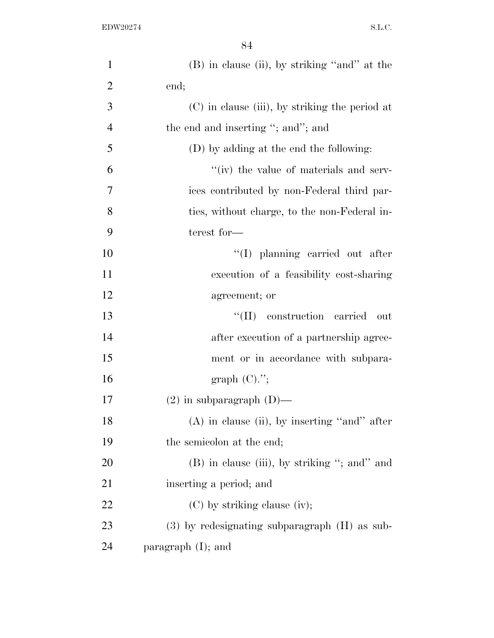| $\mathbf{1}$   | $(B)$ in clause (ii), by striking "and" at the    |
|----------------|---------------------------------------------------|
| $\overline{2}$ | end;                                              |
| 3              | (C) in clause (iii), by striking the period at    |
| $\overline{4}$ | the end and inserting "; and"; and                |
| 5              | (D) by adding at the end the following:           |
| 6              | "(iv) the value of materials and serv-            |
| 7              | ices contributed by non-Federal third par-        |
| 8              | ties, without charge, to the non-Federal in-      |
| 9              | terest for-                                       |
| 10             | "(I) planning carried out after                   |
| 11             | execution of a feasibility cost-sharing           |
| 12             | agreement; or                                     |
| 13             | construction carried<br>``(II)<br>out             |
| 14             | after execution of a partnership agree-           |
| 15             | ment or in accordance with subpara-               |
| 16             | graph $(C).$ ";                                   |
| 17             | $(2)$ in subparagraph $(D)$ —                     |
| 18             | $(A)$ in clause (ii), by inserting "and" after    |
| 19             | the semicolon at the end;                         |
| <b>20</b>      | (B) in clause (iii), by striking "; and" and      |
| 21             | inserting a period; and                           |
| 22             | $(C)$ by striking clause (iv);                    |
| 23             | $(3)$ by redesignating subparagraph $(H)$ as sub- |
| 24             | paragraph $(I)$ ; and                             |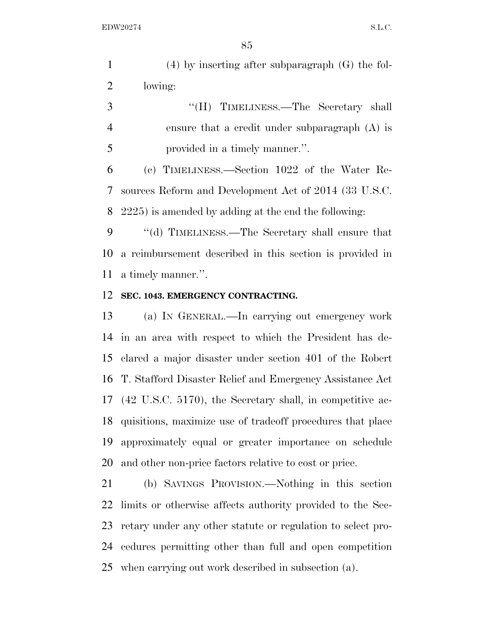| $(4)$ by inserting after subparagraph $(G)$ the fol- |
|------------------------------------------------------|
| lowing:                                              |

| 3              | "(H) TIMELINESS.—The Secretary shall             |
|----------------|--------------------------------------------------|
| $\overline{4}$ | ensure that a credit under subparagraph $(A)$ is |
| 5              | provided in a timely manner.".                   |

 (c) TIMELINESS.—Section 1022 of the Water Re- sources Reform and Development Act of 2014 (33 U.S.C. 2225) is amended by adding at the end the following:

 ''(d) TIMELINESS.—The Secretary shall ensure that a reimbursement described in this section is provided in a timely manner.''.

### **SEC. 1043. EMERGENCY CONTRACTING.**

 (a) IN GENERAL.—In carrying out emergency work in an area with respect to which the President has de- clared a major disaster under section 401 of the Robert T. Stafford Disaster Relief and Emergency Assistance Act (42 U.S.C. 5170), the Secretary shall, in competitive ac- quisitions, maximize use of tradeoff procedures that place approximately equal or greater importance on schedule and other non-price factors relative to cost or price.

 (b) SAVINGS PROVISION.—Nothing in this section limits or otherwise affects authority provided to the Sec- retary under any other statute or regulation to select pro- cedures permitting other than full and open competition when carrying out work described in subsection (a).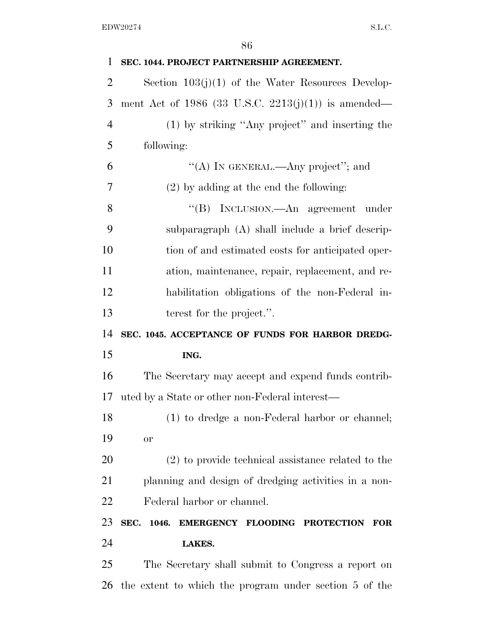| 1              | SEC. 1044. PROJECT PARTNERSHIP AGREEMENT.            |
|----------------|------------------------------------------------------|
| $\overline{2}$ | Section $103(j)(1)$ of the Water Resources Develop-  |
| 3              | ment Act of 1986 (33 U.S.C. 2213(j)(1)) is amended—  |
| $\overline{4}$ | (1) by striking "Any project" and inserting the      |
| 5              | following:                                           |
| 6              | "(A) IN GENERAL.—Any project"; and                   |
| 7              | $(2)$ by adding at the end the following:            |
| 8              | "(B) INCLUSION.—An agreement under                   |
| 9              | subparagraph (A) shall include a brief descrip-      |
| 10             | tion of and estimated costs for anticipated oper-    |
| 11             | ation, maintenance, repair, replacement, and re-     |
| 12             | habilitation obligations of the non-Federal in-      |
| 13             | terest for the project.".                            |
|                |                                                      |
| 14             | SEC. 1045. ACCEPTANCE OF FUNDS FOR HARBOR DREDG-     |
| 15             | ING.                                                 |
| 16             | The Secretary may accept and expend funds contrib-   |
| 17             | uted by a State or other non-Federal interest—       |
| 18             | (1) to dredge a non-Federal harbor or channel;       |
| 19             | or                                                   |
| 20             | $(2)$ to provide technical assistance related to the |
| 21             | planning and design of dredging activities in a non- |
| 22             | Federal harbor or channel.                           |
| 23             | SEC. 1046.<br>EMERGENCY FLOODING PROTECTION FOR      |
| 24             | LAKES.                                               |
| 25             | The Secretary shall submit to Congress a report on   |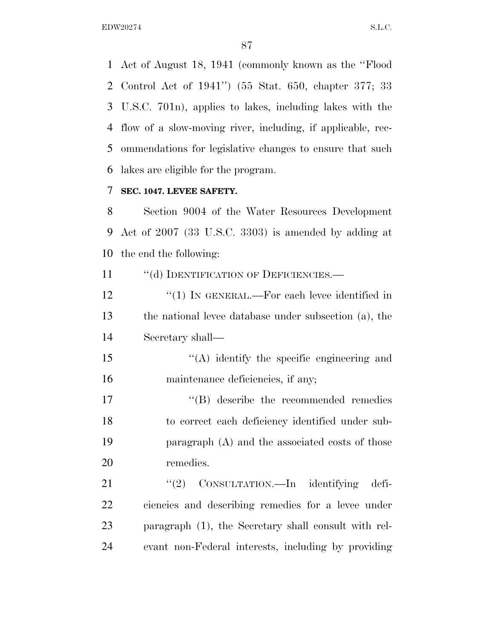Act of August 18, 1941 (commonly known as the ''Flood Control Act of 1941'') (55 Stat. 650, chapter 377; 33 U.S.C. 701n), applies to lakes, including lakes with the flow of a slow-moving river, including, if applicable, rec- ommendations for legislative changes to ensure that such lakes are eligible for the program.

### **SEC. 1047. LEVEE SAFETY.**

 Section 9004 of the Water Resources Development Act of 2007 (33 U.S.C. 3303) is amended by adding at the end the following:

11 "(d) IDENTIFICATION OF DEFICIENCIES.—

12 ''(1) IN GENERAL.—For each levee identified in the national levee database under subsection (a), the Secretary shall—

15 "(A) identify the specific engineering and 16 maintenance deficiencies, if any;

 $\text{``(B)}$  describe the recommended remedies to correct each deficiency identified under sub- paragraph (A) and the associated costs of those remedies.

21 "(2) CONSULTATION.—In identifying defi- ciencies and describing remedies for a levee under paragraph (1), the Secretary shall consult with rel-evant non-Federal interests, including by providing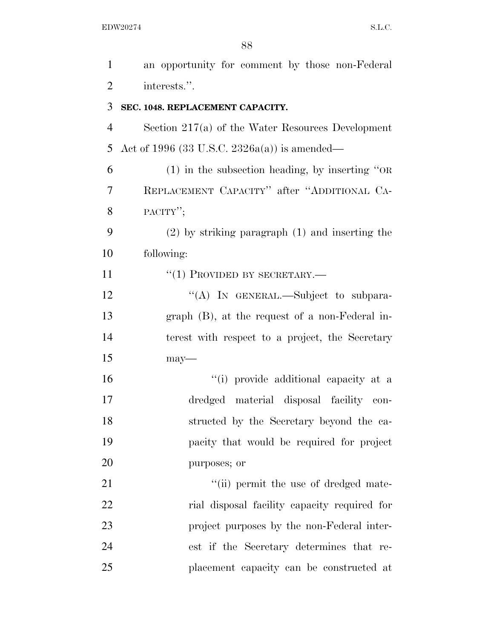| $\mathbf{1}$   | an opportunity for comment by those non-Federal     |
|----------------|-----------------------------------------------------|
| $\overline{2}$ | interests.".                                        |
| 3              | SEC. 1048. REPLACEMENT CAPACITY.                    |
| 4              | Section $217(a)$ of the Water Resources Development |
| 5              | Act of 1996 (33 U.S.C. 2326a(a)) is amended—        |
| 6              | $(1)$ in the subsection heading, by inserting "OR   |
| 7              | REPLACEMENT CAPACITY" after "ADDITIONAL CA-         |
| 8              | PACITY";                                            |
| 9              | $(2)$ by striking paragraph $(1)$ and inserting the |
| 10             | following:                                          |
| 11             | $``(1)$ PROVIDED BY SECRETARY.—                     |
| 12             | "(A) IN GENERAL.—Subject to subpara-                |
| 13             | $graph$ (B), at the request of a non-Federal in-    |
| 14             | terest with respect to a project, the Secretary     |
| 15             | $may-$                                              |
| 16             | "(i) provide additional capacity at a               |
| 17             | dredged material disposal facility con-             |
| 18             | structed by the Secretary beyond the ca-            |
| 19             | pacity that would be required for project           |
| 20             | purposes; or                                        |
| 21             | "(ii) permit the use of dredged mate-               |
| 22             | rial disposal facility capacity required for        |
| 23             | project purposes by the non-Federal inter-          |
| 24             | est if the Secretary determines that re-            |
| 25             | placement capacity can be constructed at            |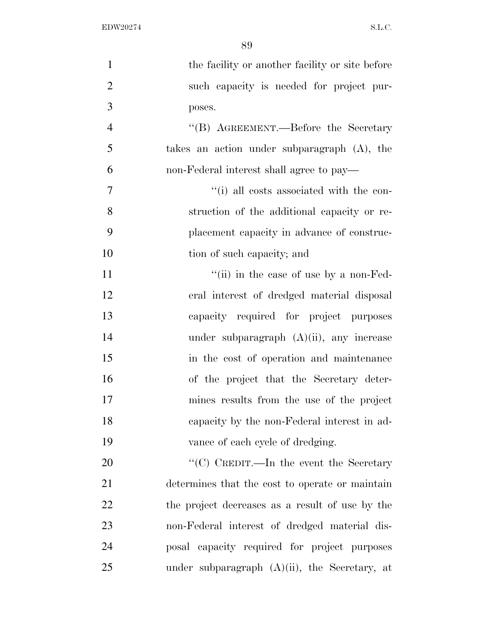| $\mathbf{1}$   | the facility or another facility or site before  |
|----------------|--------------------------------------------------|
| $\overline{2}$ | such capacity is needed for project pur-         |
| 3              | poses.                                           |
| $\overline{4}$ | "(B) AGREEMENT.—Before the Secretary             |
| 5              | takes an action under subparagraph (A), the      |
| 6              | non-Federal interest shall agree to pay—         |
| $\overline{7}$ | "(i) all costs associated with the con-          |
| 8              | struction of the additional capacity or re-      |
| 9              | placement capacity in advance of construc-       |
| 10             | tion of such capacity; and                       |
| 11             | "(ii) in the case of use by a non-Fed-           |
| 12             | eral interest of dredged material disposal       |
| 13             | capacity required for project purposes           |
| 14             | under subparagraph $(A)(ii)$ , any increase      |
| 15             | in the cost of operation and maintenance         |
| 16             | of the project that the Secretary deter-         |
| 17             | mines results from the use of the project        |
| 18             | capacity by the non-Federal interest in ad-      |
| 19             | vance of each cycle of dredging.                 |
| 20             | " $(C)$ CREDIT.—In the event the Secretary       |
| 21             | determines that the cost to operate or maintain  |
| 22             | the project decreases as a result of use by the  |
| 23             | non-Federal interest of dredged material dis-    |
| 24             | posal capacity required for project purposes     |
| 25             | under subparagraph $(A)(ii)$ , the Secretary, at |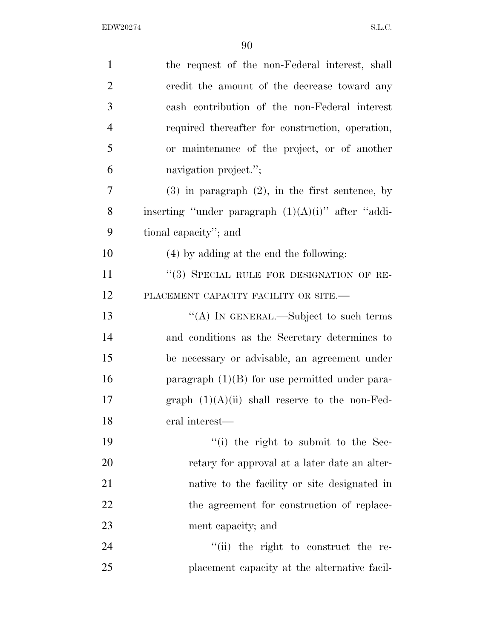| $\mathbf{1}$   | the request of the non-Federal interest, shall        |
|----------------|-------------------------------------------------------|
| $\overline{2}$ | credit the amount of the decrease toward any          |
| 3              | cash contribution of the non-Federal interest         |
| $\overline{4}$ | required thereafter for construction, operation,      |
| 5              | or maintenance of the project, or of another          |
| 6              | navigation project.";                                 |
| 7              | $(3)$ in paragraph $(2)$ , in the first sentence, by  |
| 8              | inserting "under paragraph $(1)(A)(i)$ " after "addi- |
| 9              | tional capacity"; and                                 |
| 10             | (4) by adding at the end the following:               |
| 11             | "(3) SPECIAL RULE FOR DESIGNATION OF RE-              |
| 12             | PLACEMENT CAPACITY FACILITY OR SITE.-                 |
| 13             | "(A) IN GENERAL.—Subject to such terms                |
| 14             | and conditions as the Secretary determines to         |
| 15             | be necessary or advisable, an agreement under         |
| 16             | paragraph $(1)(B)$ for use permitted under para-      |
| 17             | graph $(1)(A)(ii)$ shall reserve to the non-Fed-      |
| 18             | eral interest—                                        |
| 19             | "(i) the right to submit to the Sec-                  |
| 20             | retary for approval at a later date an alter-         |
| 21             | native to the facility or site designated in          |
| 22             | the agreement for construction of replace-            |
| 23             | ment capacity; and                                    |
| 24             | "(ii) the right to construct the re-                  |
| 25             | placement capacity at the alternative facil-          |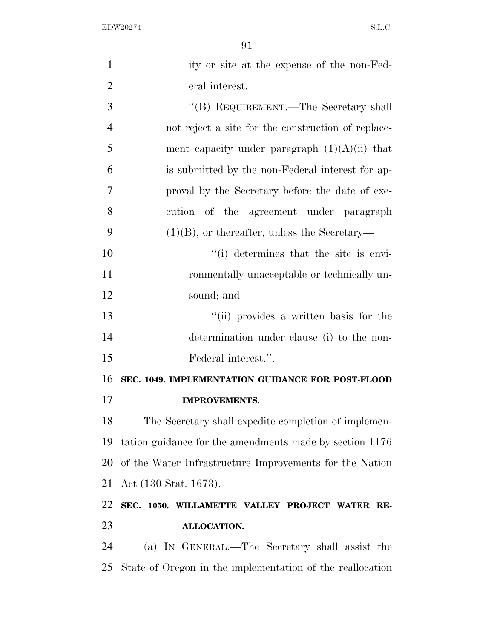| $\mathbf{1}$   | ity or site at the expense of the non-Fed-                |
|----------------|-----------------------------------------------------------|
| $\overline{2}$ | eral interest.                                            |
| 3              | "(B) REQUIREMENT.—The Secretary shall                     |
| $\overline{4}$ | not reject a site for the construction of replace-        |
| 5              | ment capacity under paragraph $(1)(A)(ii)$ that           |
| 6              | is submitted by the non-Federal interest for ap-          |
| 7              | proval by the Secretary before the date of exe-           |
| 8              | cution of the agreement under paragraph                   |
| 9              | $(1)(B)$ , or thereafter, unless the Secretary—           |
| 10             | "(i) determines that the site is envi-                    |
| 11             | ronmentally unacceptable or technically un-               |
| 12             | sound; and                                                |
| 13             | "(ii) provides a written basis for the                    |
| 14             | determination under clause (i) to the non-                |
| 15             | Federal interest.".                                       |
| 16             | SEC. 1049. IMPLEMENTATION GUIDANCE FOR POST-FLOOD         |
| 17             | <b>IMPROVEMENTS.</b>                                      |
| 18             | The Secretary shall expedite completion of implemen-      |
| 19             | tation guidance for the amendments made by section 1176   |
| 20             | of the Water Infrastructure Improvements for the Nation   |
| 21             | Act (130 Stat. 1673).                                     |
| 22             | SEC. 1050. WILLAMETTE VALLEY PROJECT WATER RE-            |
| 23             | ALLOCATION.                                               |
| 24             | (a) IN GENERAL.—The Secretary shall assist the            |
| 25             | State of Oregon in the implementation of the reallocation |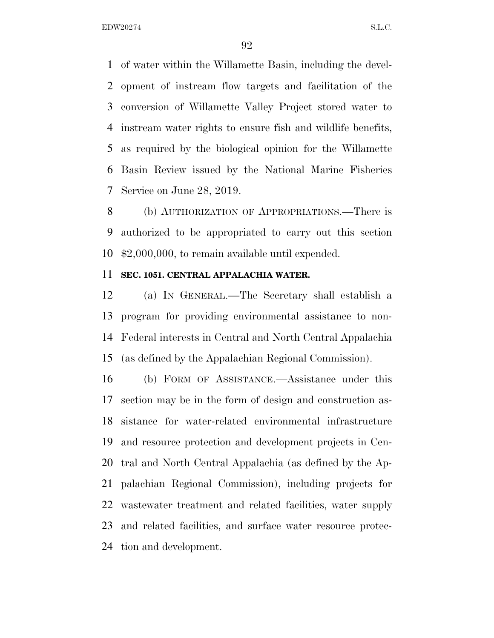of water within the Willamette Basin, including the devel- opment of instream flow targets and facilitation of the conversion of Willamette Valley Project stored water to instream water rights to ensure fish and wildlife benefits, as required by the biological opinion for the Willamette Basin Review issued by the National Marine Fisheries Service on June 28, 2019.

 (b) AUTHORIZATION OF APPROPRIATIONS.—There is authorized to be appropriated to carry out this section \$2,000,000, to remain available until expended.

#### **SEC. 1051. CENTRAL APPALACHIA WATER.**

 (a) IN GENERAL.—The Secretary shall establish a program for providing environmental assistance to non- Federal interests in Central and North Central Appalachia (as defined by the Appalachian Regional Commission).

 (b) FORM OF ASSISTANCE.—Assistance under this section may be in the form of design and construction as- sistance for water-related environmental infrastructure and resource protection and development projects in Cen- tral and North Central Appalachia (as defined by the Ap- palachian Regional Commission), including projects for wastewater treatment and related facilities, water supply and related facilities, and surface water resource protec-tion and development.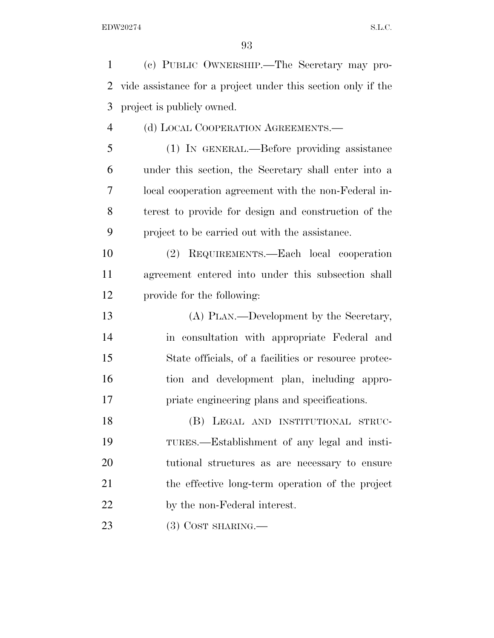(c) PUBLIC OWNERSHIP.—The Secretary may pro- vide assistance for a project under this section only if the project is publicly owned. (d) LOCAL COOPERATION AGREEMENTS.— (1) IN GENERAL.—Before providing assistance under this section, the Secretary shall enter into a local cooperation agreement with the non-Federal in- terest to provide for design and construction of the project to be carried out with the assistance. (2) REQUIREMENTS.—Each local cooperation agreement entered into under this subsection shall provide for the following: (A) PLAN.—Development by the Secretary, in consultation with appropriate Federal and State officials, of a facilities or resource protec- tion and development plan, including appro- priate engineering plans and specifications. (B) LEGAL AND INSTITUTIONAL STRUC- TURES.—Establishment of any legal and insti- tutional structures as are necessary to ensure the effective long-term operation of the project by the non-Federal interest.

23 (3) COST SHARING.—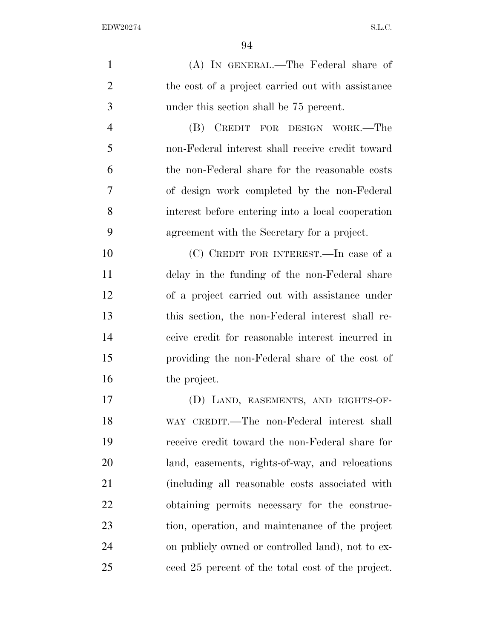| $\mathbf{1}$   | (A) IN GENERAL.—The Federal share of              |
|----------------|---------------------------------------------------|
| $\overline{2}$ | the cost of a project carried out with assistance |
| 3              | under this section shall be 75 percent.           |
| $\overline{4}$ | CREDIT FOR DESIGN WORK.—The<br>(B)                |
| 5              | non-Federal interest shall receive credit toward  |
| 6              | the non-Federal share for the reasonable costs    |
| 7              | of design work completed by the non-Federal       |
| 8              | interest before entering into a local cooperation |
| 9              | agreement with the Secretary for a project.       |
| 10             | $(C)$ CREDIT FOR INTEREST.—In case of a           |
| 11             | delay in the funding of the non-Federal share     |
| 12             | of a project carried out with assistance under    |
| 13             | this section, the non-Federal interest shall re-  |
| 14             | ceive credit for reasonable interest incurred in  |
| 15             | providing the non-Federal share of the cost of    |
| 16             | the project.                                      |
| 17             | (D) LAND, EASEMENTS, AND RIGHTS-OF-               |
| 18             | WAY CREDIT.—The non-Federal interest shall        |
| 19             | receive credit toward the non-Federal share for   |
| 20             | land, easements, rights-of-way, and relocations   |
| 21             | (including all reasonable costs associated with   |
| <u>22</u>      | obtaining permits necessary for the construc-     |
| 23             | tion, operation, and maintenance of the project   |
| 24             | on publicly owned or controlled land), not to ex- |

ceed 25 percent of the total cost of the project.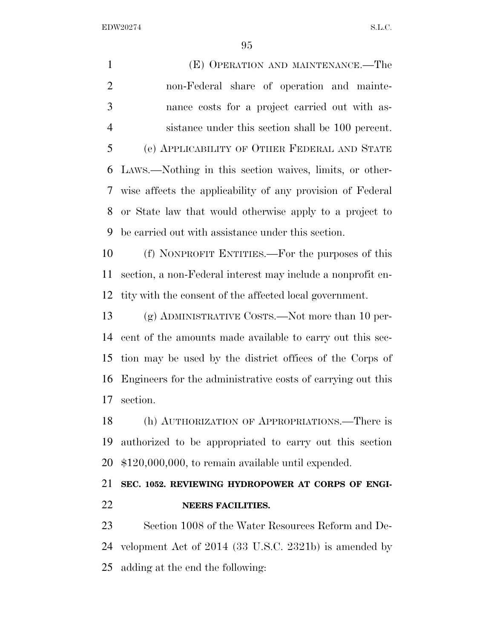(E) OPERATION AND MAINTENANCE.—The non-Federal share of operation and mainte- nance costs for a project carried out with as- sistance under this section shall be 100 percent. (e) APPLICABILITY OF OTHER FEDERAL AND STATE LAWS.—Nothing in this section waives, limits, or other- wise affects the applicability of any provision of Federal or State law that would otherwise apply to a project to be carried out with assistance under this section.

 (f) NONPROFIT ENTITIES.—For the purposes of this section, a non-Federal interest may include a nonprofit en-tity with the consent of the affected local government.

 (g) ADMINISTRATIVE COSTS.—Not more than 10 per- cent of the amounts made available to carry out this sec- tion may be used by the district offices of the Corps of Engineers for the administrative costs of carrying out this section.

 (h) AUTHORIZATION OF APPROPRIATIONS.—There is authorized to be appropriated to carry out this section \$120,000,000, to remain available until expended.

## **SEC. 1052. REVIEWING HYDROPOWER AT CORPS OF ENGI-NEERS FACILITIES.**

 Section 1008 of the Water Resources Reform and De- velopment Act of 2014 (33 U.S.C. 2321b) is amended by adding at the end the following: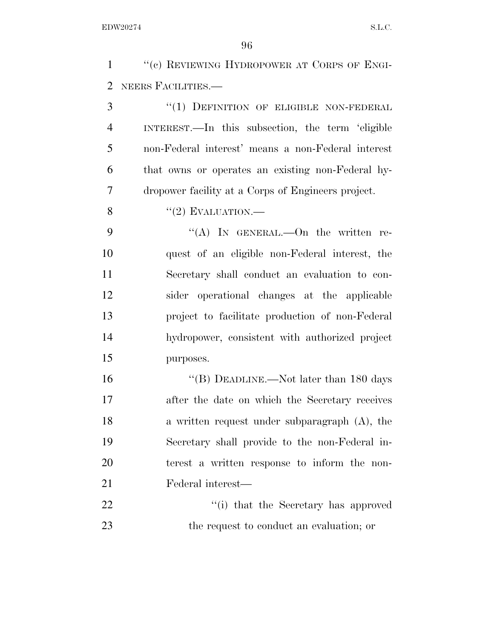''(c) REVIEWING HYDROPOWER AT CORPS OF ENGI-NEERS FACILITIES.—

3 "(1) DEFINITION OF ELIGIBLE NON-FEDERAL INTEREST.—In this subsection, the term 'eligible non-Federal interest' means a non-Federal interest that owns or operates an existing non-Federal hy-dropower facility at a Corps of Engineers project.

8  $"(2)$  EVALUATION.—

9 "(A) In GENERAL.—On the written re- quest of an eligible non-Federal interest, the Secretary shall conduct an evaluation to con- sider operational changes at the applicable project to facilitate production of non-Federal hydropower, consistent with authorized project purposes.

16 "(B) DEADLINE.—Not later than 180 days after the date on which the Secretary receives a written request under subparagraph (A), the Secretary shall provide to the non-Federal in- terest a written response to inform the non-Federal interest—

22 ''(i) that the Secretary has approved 23 the request to conduct an evaluation; or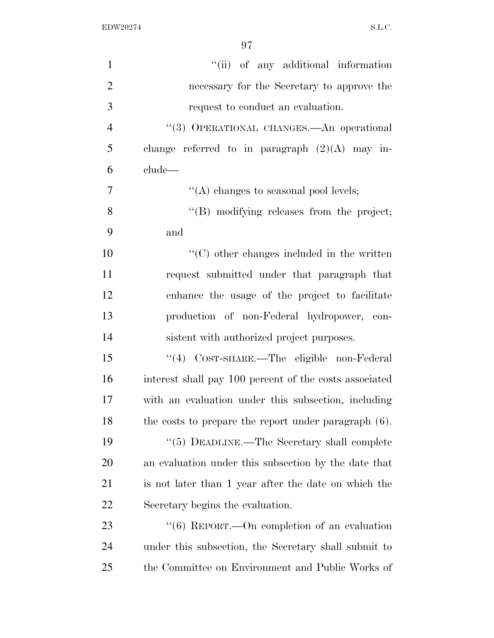| $\mathbf{1}$   | "(ii) of any additional information                     |
|----------------|---------------------------------------------------------|
| $\overline{2}$ | necessary for the Secretary to approve the              |
| 3              | request to conduct an evaluation.                       |
| 4              | "(3) OPERATIONAL CHANGES. An operational                |
| 5              | change referred to in paragraph $(2)(A)$ may in-        |
| 6              | clude—                                                  |
| 7              | "(A) changes to seasonal pool levels;                   |
| 8              | "(B) modifying releases from the project;               |
| 9              | and                                                     |
| 10             | $\lq\lq$ (C) other changes included in the written      |
| 11             | request submitted under that paragraph that             |
| 12             | enhance the usage of the project to facilitate          |
| 13             | production of non-Federal hydropower, con-              |
| 14             | sistent with authorized project purposes.               |
| 15             | "(4) COST-SHARE.—The eligible non-Federal               |
| 16             | interest shall pay 100 percent of the costs associated  |
| 17             | with an evaluation under this subsection, including     |
| 18             | the costs to prepare the report under paragraph $(6)$ . |
| 19             | $\cdot\cdot$ (5) DEADLINE.—The Secretary shall complete |
| 20             | an evaluation under this subsection by the date that    |
| 21             | is not later than 1 year after the date on which the    |
| 22             | Secretary begins the evaluation.                        |
| 23             | "(6) REPORT.—On completion of an evaluation             |
| 24             | under this subsection, the Secretary shall submit to    |
| 25             | the Committee on Environment and Public Works of        |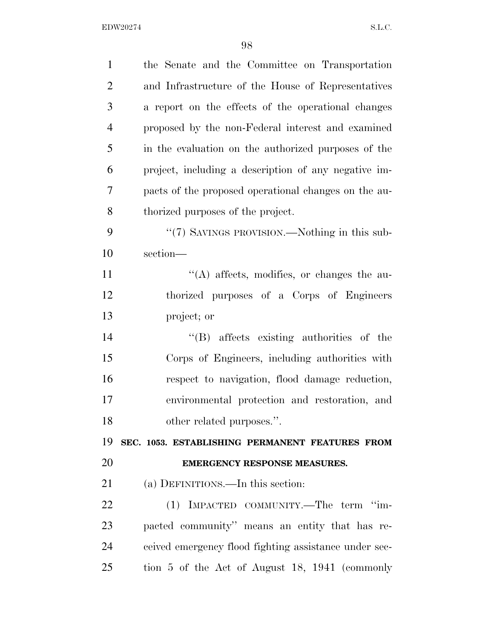| $\mathbf{1}$   | the Senate and the Committee on Transportation        |
|----------------|-------------------------------------------------------|
| $\overline{2}$ | and Infrastructure of the House of Representatives    |
| 3              | a report on the effects of the operational changes    |
| $\overline{4}$ | proposed by the non-Federal interest and examined     |
| 5              | in the evaluation on the authorized purposes of the   |
| 6              | project, including a description of any negative im-  |
| 7              | pacts of the proposed operational changes on the au-  |
| 8              | thorized purposes of the project.                     |
| 9              | "(7) SAVINGS PROVISION.—Nothing in this sub-          |
| 10             | section-                                              |
| 11             | $\lq\lq$ affects, modifies, or changes the au-        |
| 12             | thorized purposes of a Corps of Engineers             |
| 13             | project; or                                           |
| 14             | "(B) affects existing authorities of the              |
| 15             | Corps of Engineers, including authorities with        |
| 16             | respect to navigation, flood damage reduction,        |
| 17             | environmental protection and restoration, and         |
| 18             | other related purposes.".                             |
| 19             | SEC. 1053. ESTABLISHING PERMANENT FEATURES FROM       |
| 20             | <b>EMERGENCY RESPONSE MEASURES.</b>                   |
| 21             | (a) DEFINITIONS.—In this section:                     |
| 22             | (1) IMPACTED COMMUNITY.—The term "im-                 |
| 23             | pacted community" means an entity that has re-        |
| 24             | ceived emergency flood fighting assistance under sec- |
| 25             | tion 5 of the Act of August 18, 1941 (commonly        |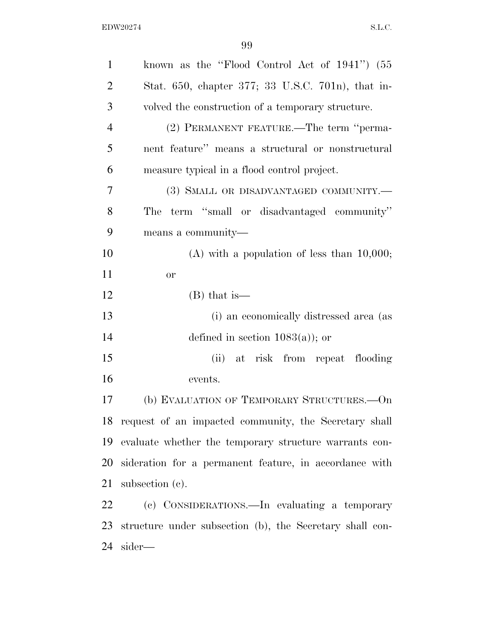| $\mathbf{1}$   | known as the "Flood Control Act of $1941$ ") $(55$       |
|----------------|----------------------------------------------------------|
| $\overline{2}$ | Stat. 650, chapter 377; 33 U.S.C. 701n), that in-        |
| 3              | volved the construction of a temporary structure.        |
| $\overline{4}$ | (2) PERMANENT FEATURE.—The term "perma-                  |
| 5              | nent feature" means a structural or nonstructural        |
| 6              | measure typical in a flood control project.              |
| 7              | (3) SMALL OR DISADVANTAGED COMMUNITY.-                   |
| 8              | term "small or disadvantaged community"<br>The           |
| 9              | means a community—                                       |
| 10             | $(A)$ with a population of less than 10,000;             |
| 11             | or                                                       |
| 12             | $(B)$ that is—                                           |
| 13             | (i) an economically distressed area (as                  |
| 14             | defined in section $1083(a)$ ; or                        |
| 15             | (ii) at risk from repeat flooding                        |
| 16             | events.                                                  |
| 17             | (b) EVALUATION OF TEMPORARY STRUCTURES. - On             |
|                | 18 request of an impacted community, the Secretary shall |
| 19             | evaluate whether the temporary structure warrants con-   |
| 20             | sideration for a permanent feature, in accordance with   |
| 21             | subsection $(c)$ .                                       |
| 22             | (c) CONSIDERATIONS.—In evaluating a temporary            |
| 23             | structure under subsection (b), the Secretary shall con- |
| 24             | sider—                                                   |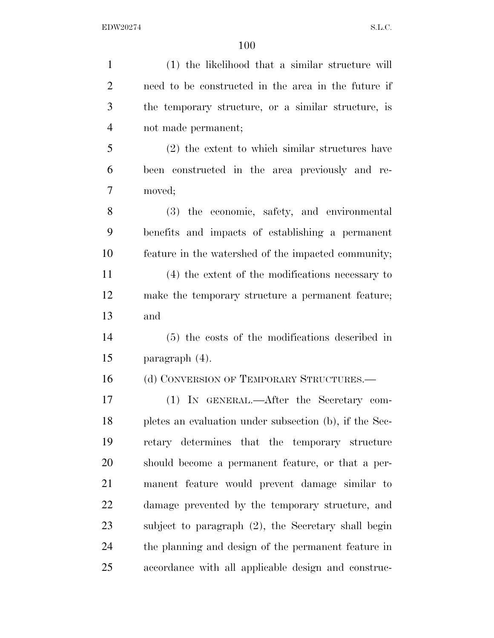| $\mathbf{1}$   | (1) the likelihood that a similar structure will       |
|----------------|--------------------------------------------------------|
| $\overline{2}$ | need to be constructed in the area in the future if    |
| 3              | the temporary structure, or a similar structure, is    |
| $\overline{4}$ | not made permanent;                                    |
| 5              | $(2)$ the extent to which similar structures have      |
| 6              | been constructed in the area previously and re-        |
| 7              | moved;                                                 |
| 8              | (3) the economic, safety, and environmental            |
| 9              | benefits and impacts of establishing a permanent       |
| 10             | feature in the watershed of the impacted community;    |
| 11             | (4) the extent of the modifications necessary to       |
| 12             | make the temporary structure a permanent feature;      |
| 13             | and                                                    |
| 14             | (5) the costs of the modifications described in        |
| 15             | paragraph $(4)$ .                                      |
| 16             | (d) CONVERSION OF TEMPORARY STRUCTURES.—               |
| 17             | (1) IN GENERAL.—After the Secretary com-               |
| 18             | pletes an evaluation under subsection (b), if the Sec- |
| 19             | retary determines that the temporary structure         |
| 20             | should become a permanent feature, or that a per-      |
| 21             | manent feature would prevent damage similar to         |
| 22             | damage prevented by the temporary structure, and       |
| 23             | subject to paragraph (2), the Secretary shall begin    |
| 24             | the planning and design of the permanent feature in    |
| 25             | accordance with all applicable design and construc-    |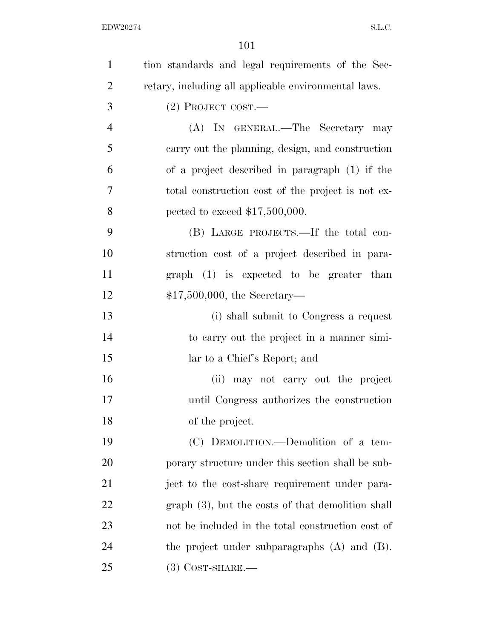| $\mathbf{1}$   | tion standards and legal requirements of the Sec-    |
|----------------|------------------------------------------------------|
| $\overline{2}$ | retary, including all applicable environmental laws. |
| 3              | (2) PROJECT COST.—                                   |
| $\overline{4}$ | (A) IN GENERAL.—The Secretary may                    |
| 5              | carry out the planning, design, and construction     |
| 6              | of a project described in paragraph (1) if the       |
| 7              | total construction cost of the project is not ex-    |
| 8              | pected to exceed $$17,500,000$ .                     |
| 9              | (B) LARGE PROJECTS.—If the total con-                |
| 10             | struction cost of a project described in para-       |
| 11             | $graph (1)$ is expected to be greater than           |
| 12             | $$17,500,000,$ the Secretary-                        |
| 13             | (i) shall submit to Congress a request               |
| 14             | to carry out the project in a manner simi-           |
| 15             | lar to a Chief's Report; and                         |
| 16             | (ii) may not carry out the project                   |
| 17             | until Congress authorizes the construction           |
| 18             | of the project.                                      |
| 19             | (C) DEMOLITION.—Demolition of a tem-                 |
| 20             | porary structure under this section shall be sub-    |
| 21             | ject to the cost-share requirement under para-       |
| 22             | graph (3), but the costs of that demolition shall    |
| 23             | not be included in the total construction cost of    |
| 24             | the project under subparagraphs $(A)$ and $(B)$ .    |
| 25             | $(3)$ COST-SHARE.—                                   |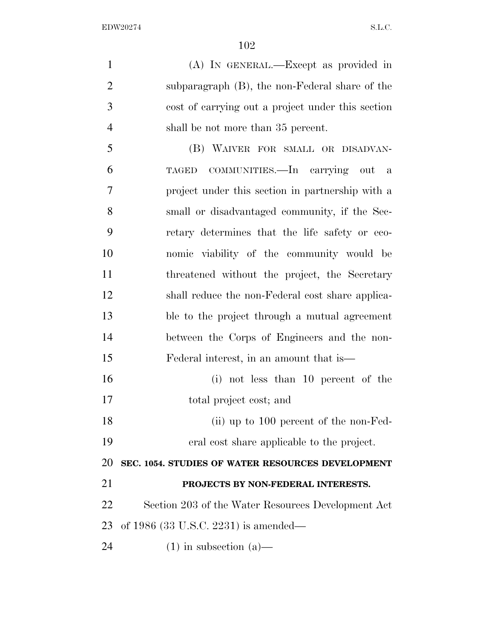(A) IN GENERAL.—Except as provided in subparagraph (B), the non-Federal share of the cost of carrying out a project under this section 4 shall be not more than 35 percent. (B) WAIVER FOR SMALL OR DISADVAN- TAGED COMMUNITIES.—In carrying out a project under this section in partnership with a small or disadvantaged community, if the Sec- retary determines that the life safety or eco- nomic viability of the community would be threatened without the project, the Secretary shall reduce the non-Federal cost share applica- ble to the project through a mutual agreement between the Corps of Engineers and the non- Federal interest, in an amount that is— (i) not less than 10 percent of the total project cost; and 18 (ii) up to 100 percent of the non-Fed- eral cost share applicable to the project. **SEC. 1054. STUDIES OF WATER RESOURCES DEVELOPMENT PROJECTS BY NON-FEDERAL INTERESTS.**  Section 203 of the Water Resources Development Act

of 1986 (33 U.S.C. 2231) is amended—

24 (1) in subsection (a)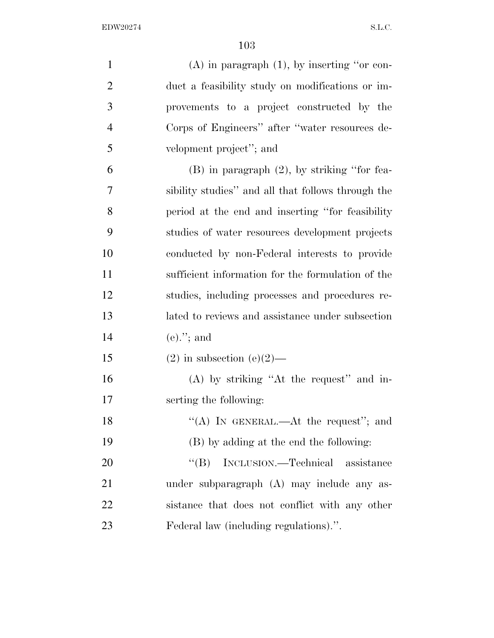| $\mathbf{1}$   | $(A)$ in paragraph $(1)$ , by inserting "or con-   |
|----------------|----------------------------------------------------|
| $\overline{2}$ | duct a feasibility study on modifications or im-   |
| 3              | provements to a project constructed by the         |
| $\overline{4}$ | Corps of Engineers" after "water resources de-     |
| 5              | velopment project"; and                            |
| 6              | $(B)$ in paragraph $(2)$ , by striking "for fea-   |
| 7              | sibility studies" and all that follows through the |
| 8              | period at the end and inserting "for feasibility"  |
| 9              | studies of water resources development projects    |
| 10             | conducted by non-Federal interests to provide      |
| 11             | sufficient information for the formulation of the  |
| 12             | studies, including processes and procedures re-    |
| 13             | lated to reviews and assistance under subsection   |
| 14             | $(e)$ ."; and                                      |
| 15             | $(2)$ in subsection $(e)(2)$ —                     |
| 16             | (A) by striking "At the request" and in-           |
| 17             | serting the following:                             |
| 18             | "(A) IN GENERAL.—At the request"; and              |
| 19             | (B) by adding at the end the following:            |
| 20             | $\lq\lq (B)$<br>INCLUSION.—Technical assistance    |
| 21             | under subparagraph (A) may include any as-         |
| 22             | sistance that does not conflict with any other     |
| 23             | Federal law (including regulations).".             |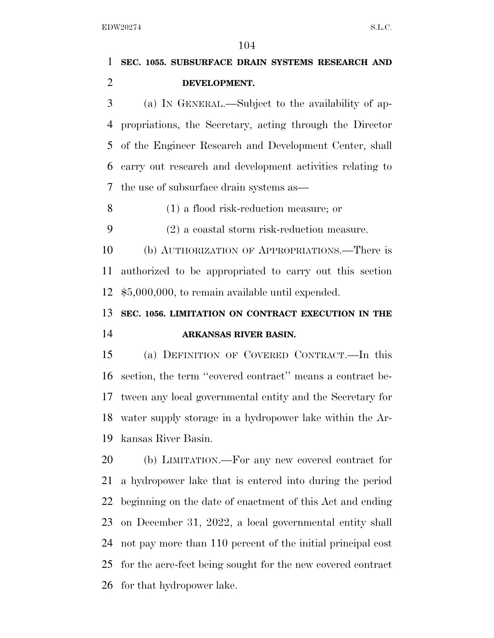# **SEC. 1055. SUBSURFACE DRAIN SYSTEMS RESEARCH AND DEVELOPMENT.**

 (a) IN GENERAL.—Subject to the availability of ap- propriations, the Secretary, acting through the Director of the Engineer Research and Development Center, shall carry out research and development activities relating to the use of subsurface drain systems as—

(1) a flood risk-reduction measure; or

(2) a coastal storm risk-reduction measure.

 (b) AUTHORIZATION OF APPROPRIATIONS.—There is authorized to be appropriated to carry out this section \$5,000,000, to remain available until expended.

## **SEC. 1056. LIMITATION ON CONTRACT EXECUTION IN THE ARKANSAS RIVER BASIN.**

 (a) DEFINITION OF COVERED CONTRACT.—In this section, the term ''covered contract'' means a contract be- tween any local governmental entity and the Secretary for water supply storage in a hydropower lake within the Ar-kansas River Basin.

 (b) LIMITATION.—For any new covered contract for a hydropower lake that is entered into during the period beginning on the date of enactment of this Act and ending on December 31, 2022, a local governmental entity shall not pay more than 110 percent of the initial principal cost for the acre-feet being sought for the new covered contract for that hydropower lake.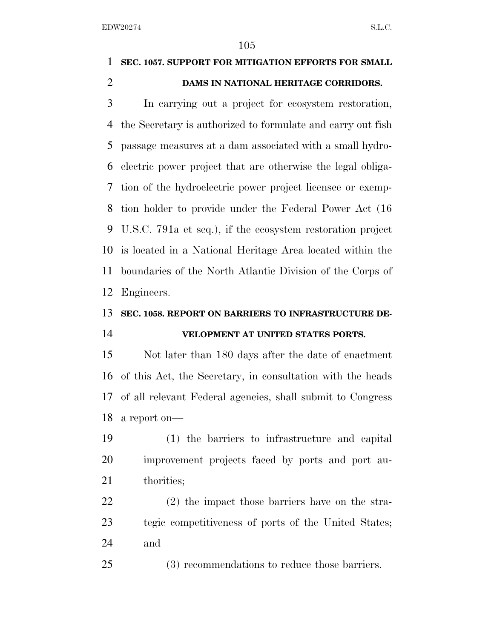# **SEC. 1057. SUPPORT FOR MITIGATION EFFORTS FOR SMALL DAMS IN NATIONAL HERITAGE CORRIDORS.**

 In carrying out a project for ecosystem restoration, the Secretary is authorized to formulate and carry out fish passage measures at a dam associated with a small hydro- electric power project that are otherwise the legal obliga- tion of the hydroelectric power project licensee or exemp- tion holder to provide under the Federal Power Act (16 U.S.C. 791a et seq.), if the ecosystem restoration project is located in a National Heritage Area located within the boundaries of the North Atlantic Division of the Corps of Engineers.

## **SEC. 1058. REPORT ON BARRIERS TO INFRASTRUCTURE DE-**

### **VELOPMENT AT UNITED STATES PORTS.**

 Not later than 180 days after the date of enactment of this Act, the Secretary, in consultation with the heads of all relevant Federal agencies, shall submit to Congress a report on—

 (1) the barriers to infrastructure and capital improvement projects faced by ports and port au-21 thorities;

 (2) the impact those barriers have on the stra- tegic competitiveness of ports of the United States; and

(3) recommendations to reduce those barriers.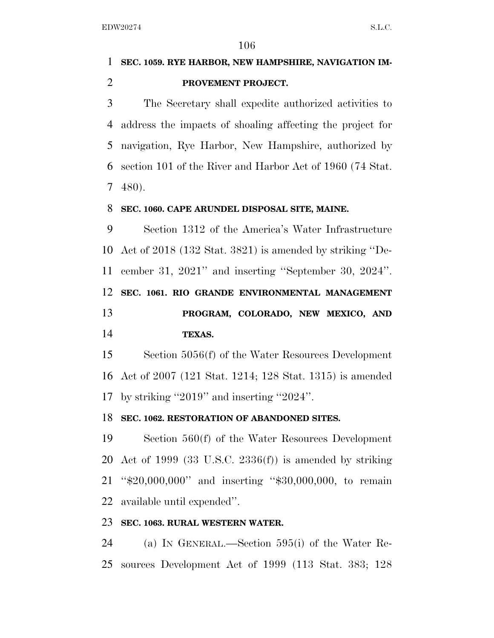## **SEC. 1059. RYE HARBOR, NEW HAMPSHIRE, NAVIGATION IM-PROVEMENT PROJECT.**

 The Secretary shall expedite authorized activities to address the impacts of shoaling affecting the project for navigation, Rye Harbor, New Hampshire, authorized by section 101 of the River and Harbor Act of 1960 (74 Stat. 480).

#### **SEC. 1060. CAPE ARUNDEL DISPOSAL SITE, MAINE.**

 Section 1312 of the America's Water Infrastructure Act of 2018 (132 Stat. 3821) is amended by striking ''De- cember 31, 2021'' and inserting ''September 30, 2024''. **SEC. 1061. RIO GRANDE ENVIRONMENTAL MANAGEMENT PROGRAM, COLORADO, NEW MEXICO, AND TEXAS.** 

 Section 5056(f) of the Water Resources Development Act of 2007 (121 Stat. 1214; 128 Stat. 1315) is amended by striking ''2019'' and inserting ''2024''.

#### **SEC. 1062. RESTORATION OF ABANDONED SITES.**

 Section 560(f) of the Water Resources Development Act of 1999 (33 U.S.C. 2336(f)) is amended by striking ''\$20,000,000'' and inserting ''\$30,000,000, to remain available until expended''.

### **SEC. 1063. RURAL WESTERN WATER.**

 (a) IN GENERAL.—Section 595(i) of the Water Re-sources Development Act of 1999 (113 Stat. 383; 128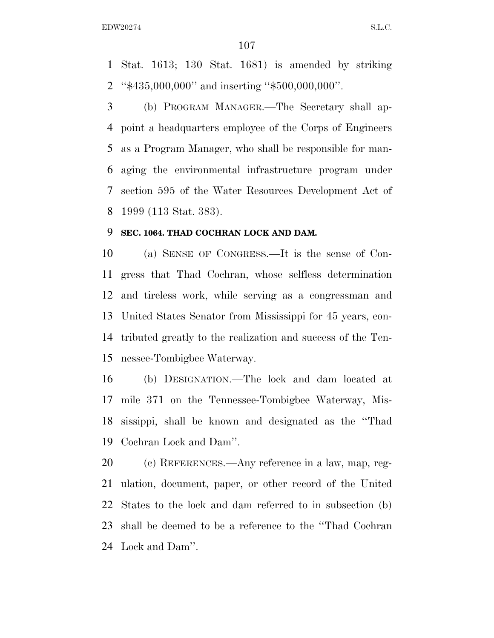Stat. 1613; 130 Stat. 1681) is amended by striking ''\$435,000,000'' and inserting ''\$500,000,000''.

 (b) PROGRAM MANAGER.—The Secretary shall ap- point a headquarters employee of the Corps of Engineers as a Program Manager, who shall be responsible for man- aging the environmental infrastructure program under section 595 of the Water Resources Development Act of 1999 (113 Stat. 383).

#### **SEC. 1064. THAD COCHRAN LOCK AND DAM.**

 (a) SENSE OF CONGRESS.—It is the sense of Con- gress that Thad Cochran, whose selfless determination and tireless work, while serving as a congressman and United States Senator from Mississippi for 45 years, con- tributed greatly to the realization and success of the Ten-nessee-Tombigbee Waterway.

 (b) DESIGNATION.—The lock and dam located at mile 371 on the Tennessee-Tombigbee Waterway, Mis- sissippi, shall be known and designated as the ''Thad Cochran Lock and Dam''.

 (c) REFERENCES.—Any reference in a law, map, reg- ulation, document, paper, or other record of the United States to the lock and dam referred to in subsection (b) shall be deemed to be a reference to the ''Thad Cochran Lock and Dam''.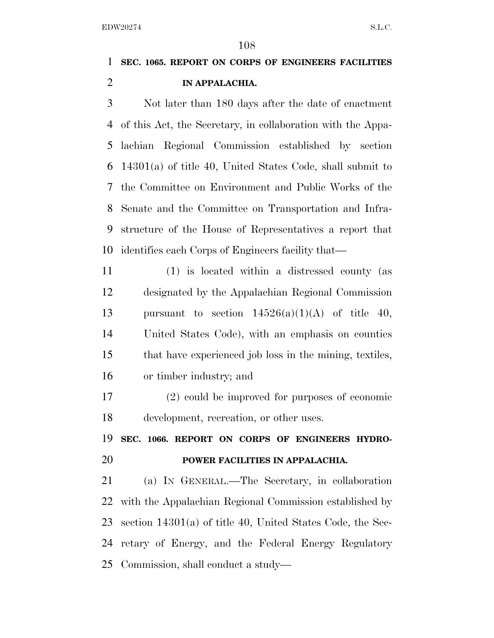## **SEC. 1065. REPORT ON CORPS OF ENGINEERS FACILITIES IN APPALACHIA.**

 Not later than 180 days after the date of enactment of this Act, the Secretary, in collaboration with the Appa- lachian Regional Commission established by section 14301(a) of title 40, United States Code, shall submit to the Committee on Environment and Public Works of the Senate and the Committee on Transportation and Infra- structure of the House of Representatives a report that identifies each Corps of Engineers facility that—

 (1) is located within a distressed county (as designated by the Appalachian Regional Commission 13 pursuant to section  $14526(a)(1)(A)$  of title 40, United States Code), with an emphasis on counties that have experienced job loss in the mining, textiles, or timber industry; and

 (2) could be improved for purposes of economic development, recreation, or other uses.

 **SEC. 1066. REPORT ON CORPS OF ENGINEERS HYDRO-POWER FACILITIES IN APPALACHIA.** 

 (a) IN GENERAL.—The Secretary, in collaboration with the Appalachian Regional Commission established by section 14301(a) of title 40, United States Code, the Sec- retary of Energy, and the Federal Energy Regulatory Commission, shall conduct a study—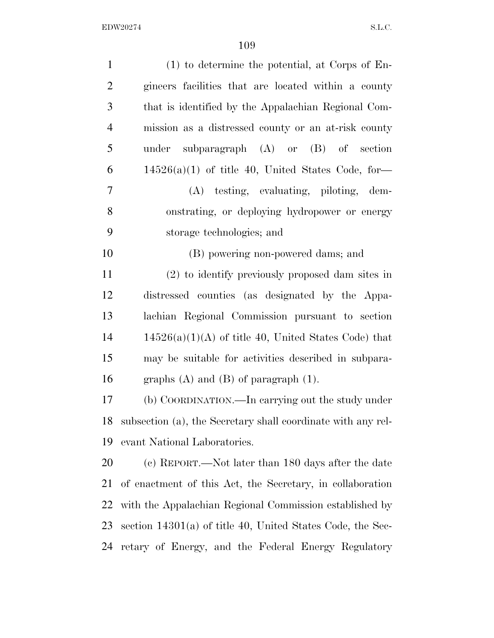| $\mathbf{1}$   | $(1)$ to determine the potential, at Corps of En-            |
|----------------|--------------------------------------------------------------|
| $\overline{2}$ | gineers facilities that are located within a county          |
| 3              | that is identified by the Appalachian Regional Com-          |
| $\overline{4}$ | mission as a distressed county or an at-risk county          |
| 5              | under subparagraph $(A)$ or $(B)$ of section                 |
| 6              | $14526(a)(1)$ of title 40, United States Code, for-          |
| 7              | (A) testing, evaluating, piloting, dem-                      |
| 8              | onstrating, or deploying hydropower or energy                |
| 9              | storage technologies; and                                    |
| 10             | (B) powering non-powered dams; and                           |
| 11             | (2) to identify previously proposed dam sites in             |
| 12             | distressed counties (as designated by the Appa-              |
| 13             | lachian Regional Commission pursuant to section              |
| 14             | $14526(a)(1)(A)$ of title 40, United States Code) that       |
| 15             | may be suitable for activities described in subpara-         |
| 16             | graphs $(A)$ and $(B)$ of paragraph $(1)$ .                  |
| 17             | (b) COORDINATION.—In carrying out the study under            |
| 18             | subsection (a), the Secretary shall coordinate with any rel- |
| 19             | evant National Laboratories.                                 |
| 20             | (c) REPORT.—Not later than 180 days after the date           |
| 21             | of enactment of this Act, the Secretary, in collaboration    |
| 22             | with the Appalachian Regional Commission established by      |
| 23             | section $14301(a)$ of title 40, United States Code, the Sec- |
| 24             | retary of Energy, and the Federal Energy Regulatory          |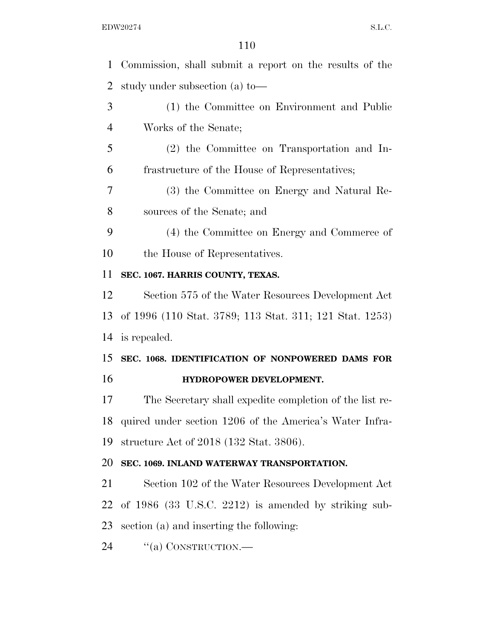| $\mathbf{1}$   | Commission, shall submit a report on the results of the |
|----------------|---------------------------------------------------------|
| 2              | study under subsection (a) to-                          |
| 3              | (1) the Committee on Environment and Public             |
| $\overline{4}$ | Works of the Senate;                                    |
| 5              | (2) the Committee on Transportation and In-             |
| 6              | frastructure of the House of Representatives;           |
| 7              | (3) the Committee on Energy and Natural Re-             |
| 8              | sources of the Senate; and                              |
| 9              | (4) the Committee on Energy and Commerce of             |
| 10             | the House of Representatives.                           |
| 11             | SEC. 1067. HARRIS COUNTY, TEXAS.                        |
| 12             | Section 575 of the Water Resources Development Act      |
| 13             | of 1996 (110 Stat. 3789; 113 Stat. 311; 121 Stat. 1253) |
| 14             | is repealed.                                            |
| 15             | SEC. 1068. IDENTIFICATION OF NONPOWERED DAMS FOR        |
| 16             | HYDROPOWER DEVELOPMENT.                                 |
| 17             | The Secretary shall expedite completion of the list re- |
| 18             | quired under section 1206 of the America's Water Infra- |
| 19             | structure Act of 2018 (132 Stat. 3806).                 |
| 20             | SEC. 1069. INLAND WATERWAY TRANSPORTATION.              |
| 21             | Section 102 of the Water Resources Development Act      |
| 22             | of $1986$ (33 U.S.C. 2212) is amended by striking sub-  |
| 23             | section (a) and inserting the following:                |
| 24             | "(a) CONSTRUCTION.—                                     |
|                |                                                         |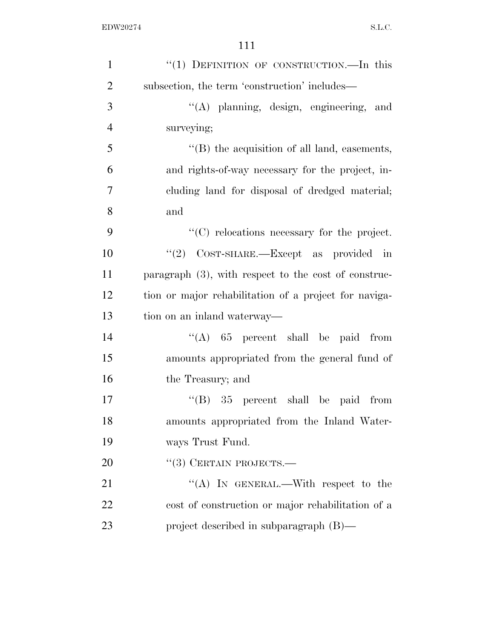| $\mathbf{1}$   | "(1) DEFINITION OF CONSTRUCTION.—In this                |
|----------------|---------------------------------------------------------|
| $\overline{2}$ | subsection, the term 'construction' includes—           |
| 3              | "(A) planning, design, engineering, and                 |
| $\overline{4}$ | surveying;                                              |
| 5              | "(B) the acquisition of all land, easements,            |
| 6              | and rights-of-way necessary for the project, in-        |
| 7              | cluding land for disposal of dredged material;          |
| 8              | and                                                     |
| 9              | $"$ (C) relocations necessary for the project.          |
| 10             | "(2) COST-SHARE.—Except as provided in                  |
| 11             | paragraph $(3)$ , with respect to the cost of construc- |
| 12             | tion or major rehabilitation of a project for naviga-   |
| 13             | tion on an inland waterway—                             |
| 14             | "(A) $65$ percent shall be paid from                    |
| 15             | amounts appropriated from the general fund of           |
| 16             | the Treasury; and                                       |
| 17             | $\cdot$ (B) 35 percent shall be paid from               |
| 18             | amounts appropriated from the Inland Water-             |
| 19             | ways Trust Fund.                                        |
| 20             | $``(3)$ CERTAIN PROJECTS.—                              |
| 21             | "(A) IN GENERAL.—With respect to the                    |
| 22             | cost of construction or major rehabilitation of a       |
| 23             | project described in subparagraph $(B)$ —               |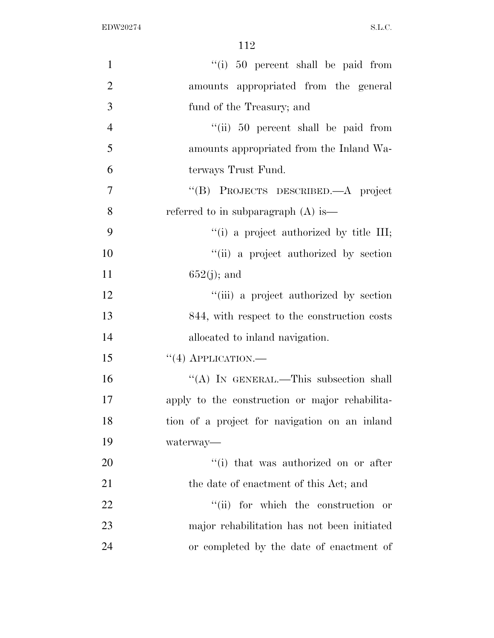| $\mathbf{1}$   | "(i) 50 percent shall be paid from             |
|----------------|------------------------------------------------|
| $\overline{2}$ | amounts appropriated from the general          |
| 3              | fund of the Treasury; and                      |
| $\overline{4}$ | "(ii) 50 percent shall be paid from            |
| 5              | amounts appropriated from the Inland Wa-       |
| 6              | terways Trust Fund.                            |
| 7              | "(B) PROJECTS DESCRIBED.—A project             |
| 8              | referred to in subparagraph $(A)$ is—          |
| 9              | "(i) a project authorized by title III;        |
| 10             | "(ii) a project authorized by section          |
| 11             | $652(j)$ ; and                                 |
| 12             | "(iii) a project authorized by section         |
| 13             | 844, with respect to the construction costs    |
| 14             | allocated to inland navigation.                |
| 15             | $``(4)$ APPLICATION.—                          |
| 16             | "(A) IN GENERAL.—This subsection shall         |
| 17             | apply to the construction or major rehabilita- |
| 18             | tion of a project for navigation on an inland  |
| 19             | waterway—                                      |
| 20             | "(i) that was authorized on or after           |
| 21             | the date of enactment of this Act; and         |
| 22             | "(ii) for which the construction<br>or         |
| 23             | major rehabilitation has not been initiated    |
| 24             | or completed by the date of enactment of       |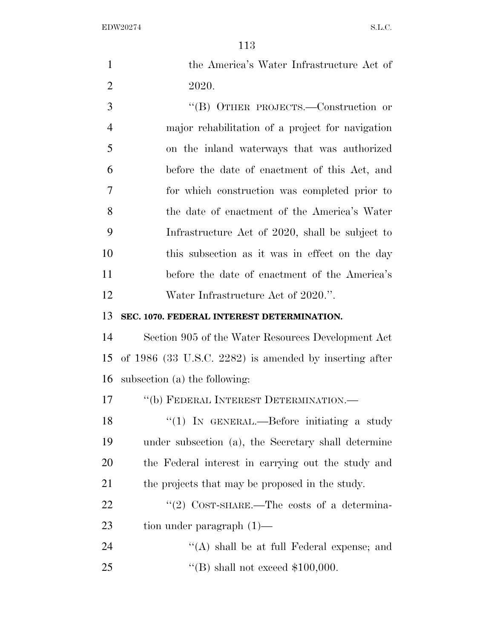| $\mathbf{1}$   | the America's Water Infrastructure Act of                |
|----------------|----------------------------------------------------------|
| $\overline{2}$ | 2020.                                                    |
| 3              | "(B) OTHER PROJECTS.—Construction or                     |
| $\overline{4}$ | major rehabilitation of a project for navigation         |
| 5              | on the inland waterways that was authorized              |
| 6              | before the date of enactment of this Act, and            |
| 7              | for which construction was completed prior to            |
| 8              | the date of enactment of the America's Water             |
| 9              | Infrastructure Act of 2020, shall be subject to          |
| 10             | this subsection as it was in effect on the day           |
| 11             | before the date of enactment of the America's            |
| 12             | Water Infrastructure Act of 2020.".                      |
| 13             | SEC. 1070. FEDERAL INTEREST DETERMINATION.               |
| 14             | Section 905 of the Water Resources Development Act       |
| 15             | of $1986$ (33 U.S.C. 2282) is amended by inserting after |
| 16             | subsection (a) the following:                            |
| 17             | "(b) FEDERAL INTEREST DETERMINATION.—                    |
| 18             | " $(1)$ IN GENERAL.—Before initiating a study            |
| 19             | under subsection (a), the Secretary shall determine      |
| 20             | the Federal interest in carrying out the study and       |
| 21             | the projects that may be proposed in the study.          |
| 22             | "(2) COST-SHARE.—The costs of a determina-               |
| 23             | tion under paragraph $(1)$ —                             |
| 24             | $\lq\lq$ shall be at full Federal expense; and           |
| 25             | "(B) shall not exceed $$100,000$ .                       |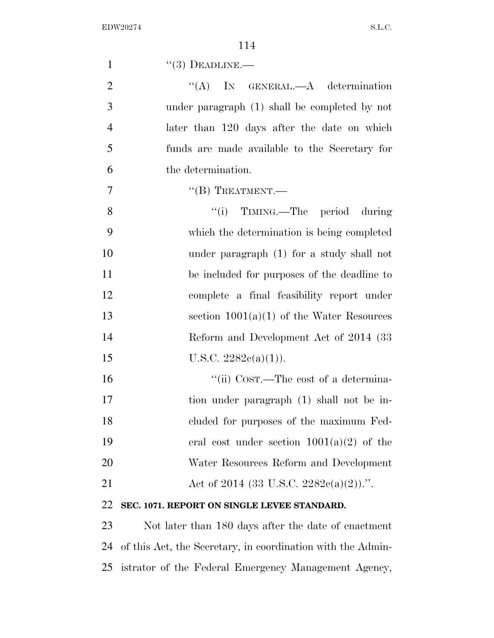| $\mathbf{1}$   | $``(3)$ DEADLINE.—                            |
|----------------|-----------------------------------------------|
| $\overline{2}$ | IN GENERAL.—A determination<br>``(A)          |
| 3              | under paragraph (1) shall be completed by not |
| $\overline{4}$ | later than 120 days after the date on which   |
| 5              | funds are made available to the Secretary for |
| 6              | the determination.                            |
| $\tau$         | $\lq\lq (B)$ TREATMENT.—                      |
| 8              | "(i) TIMING.—The period during                |
| 9              | which the determination is being completed    |
| 10             | under paragraph (1) for a study shall not     |
| 11             | be included for purposes of the deadline to   |
| 12             | complete a final feasibility report under     |
| 13             | section $1001(a)(1)$ of the Water Resources   |
| 14             | Reform and Development Act of 2014 (33)       |
| 15             | U.S.C. $2282e(a)(1)$ .                        |
| 16             | "(ii) Cost.—The cost of a determina-          |
| 17             | tion under paragraph (1) shall not be in-     |
| 18             | cluded for purposes of the maximum Fed-       |
| 19             | eral cost under section $1001(a)(2)$ of the   |
| 20             | Water Resources Reform and Development        |
| 21             | Act of 2014 (33 U.S.C. 2282 $c(a)(2)$ ).".    |
| 22             | SEC. 1071. REPORT ON SINGLE LEVEE STANDARD.   |

 Not later than 180 days after the date of enactment of this Act, the Secretary, in coordination with the Admin-istrator of the Federal Emergency Management Agency,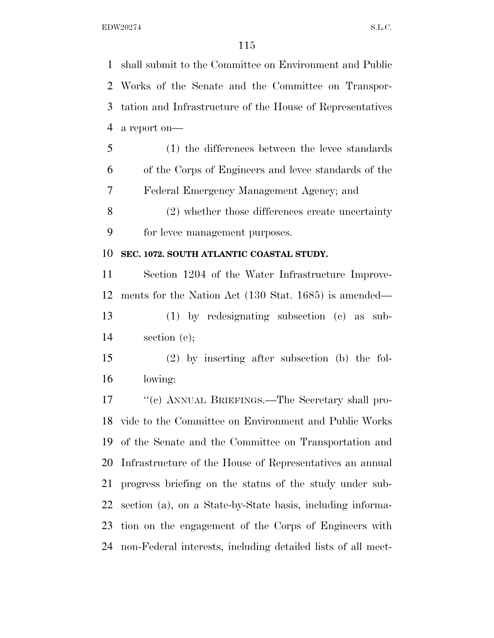shall submit to the Committee on Environment and Public Works of the Senate and the Committee on Transpor- tation and Infrastructure of the House of Representatives a report on— (1) the differences between the levee standards of the Corps of Engineers and levee standards of the Federal Emergency Management Agency; and (2) whether those differences create uncertainty for levee management purposes. **SEC. 1072. SOUTH ATLANTIC COASTAL STUDY.**  Section 1204 of the Water Infrastructure Improve-

 ments for the Nation Act (130 Stat. 1685) is amended— (1) by redesignating subsection (c) as sub-section (e);

 (2) by inserting after subsection (b) the fol-lowing:

 ''(c) ANNUAL BRIEFINGS.—The Secretary shall pro- vide to the Committee on Environment and Public Works of the Senate and the Committee on Transportation and Infrastructure of the House of Representatives an annual progress briefing on the status of the study under sub- section (a), on a State-by-State basis, including informa- tion on the engagement of the Corps of Engineers with non-Federal interests, including detailed lists of all meet-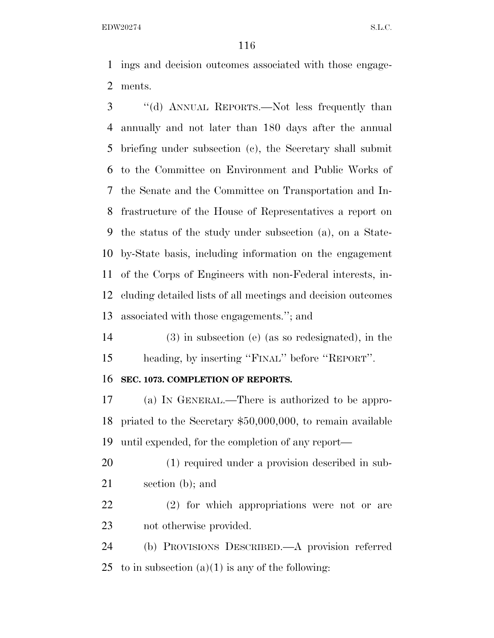ings and decision outcomes associated with those engage-ments.

 ''(d) ANNUAL REPORTS.—Not less frequently than annually and not later than 180 days after the annual briefing under subsection (c), the Secretary shall submit to the Committee on Environment and Public Works of the Senate and the Committee on Transportation and In- frastructure of the House of Representatives a report on the status of the study under subsection (a), on a State- by-State basis, including information on the engagement of the Corps of Engineers with non-Federal interests, in- cluding detailed lists of all meetings and decision outcomes associated with those engagements.''; and

 (3) in subsection (e) (as so redesignated), in the heading, by inserting ''FINAL'' before ''REPORT''.

#### **SEC. 1073. COMPLETION OF REPORTS.**

 (a) IN GENERAL.—There is authorized to be appro- priated to the Secretary \$50,000,000, to remain available until expended, for the completion of any report—

 (1) required under a provision described in sub-section (b); and

 (2) for which appropriations were not or are not otherwise provided.

 (b) PROVISIONS DESCRIBED.—A provision referred 25 to in subsection  $(a)(1)$  is any of the following: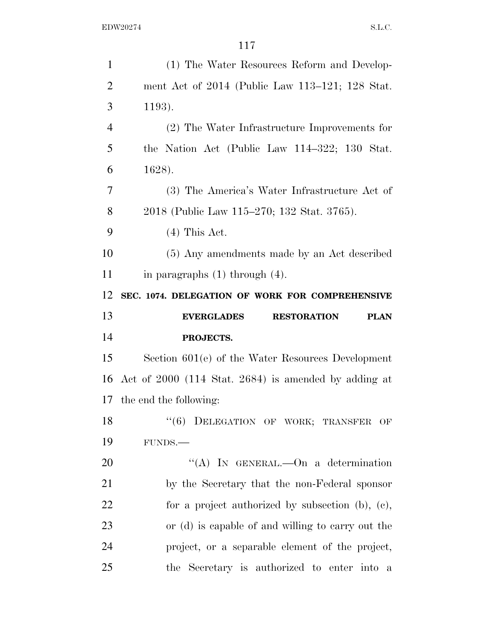| $\mathbf{1}$   | (1) The Water Resources Reform and Develop-            |
|----------------|--------------------------------------------------------|
| $\overline{2}$ | ment Act of 2014 (Public Law 113–121; 128 Stat.        |
| 3              | 1193).                                                 |
| $\overline{4}$ | (2) The Water Infrastructure Improvements for          |
| 5              | the Nation Act (Public Law 114–322; 130 Stat.          |
| 6              | 1628).                                                 |
| 7              | (3) The America's Water Infrastructure Act of          |
| 8              | 2018 (Public Law 115–270; 132 Stat. 3765).             |
| 9              | $(4)$ This Act.                                        |
| 10             | (5) Any amendments made by an Act described            |
| 11             | in paragraphs $(1)$ through $(4)$ .                    |
| 12             | SEC. 1074. DELEGATION OF WORK FOR COMPREHENSIVE        |
|                |                                                        |
| 13             | <b>EVERGLADES</b><br><b>RESTORATION</b><br><b>PLAN</b> |
| 14             | PROJECTS.                                              |
| 15             | Section $601(e)$ of the Water Resources Development    |
| 16             | Act of $2000$ (114 Stat. 2684) is amended by adding at |
|                | 17 the end the following:                              |
|                | "(6) DELEGATION OF WORK; TRANSFER OF                   |
| 18<br>19       | FUNDS.-                                                |
| 20             | "(A) IN GENERAL.—On a determination                    |
| 21             | by the Secretary that the non-Federal sponsor          |
| 22             | for a project authorized by subsection $(b)$ , $(c)$ , |
| 23             | or (d) is capable of and willing to carry out the      |
| 24             | project, or a separable element of the project,        |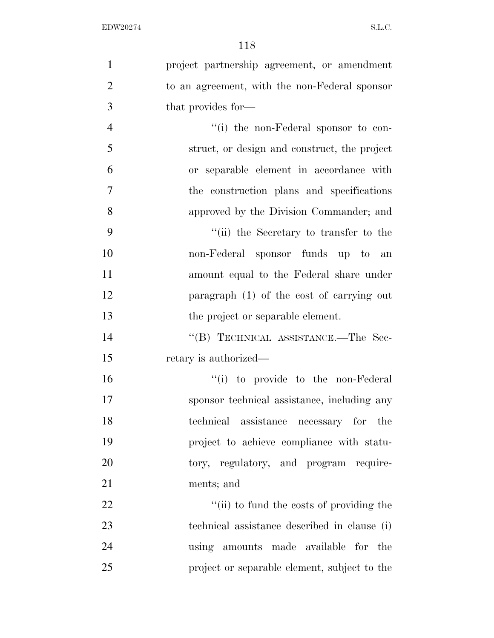| $\mathbf{1}$   | project partnership agreement, or amendment   |
|----------------|-----------------------------------------------|
| $\overline{2}$ | to an agreement, with the non-Federal sponsor |
| 3              | that provides for—                            |
| $\overline{4}$ | $``(i)$ the non-Federal sponsor to con-       |
| 5              | struct, or design and construct, the project  |
| 6              | or separable element in accordance with       |
| $\overline{7}$ | the construction plans and specifications     |
| 8              | approved by the Division Commander; and       |
| 9              | "(ii) the Secretary to transfer to the        |
| 10             | non-Federal sponsor funds up to an            |
| 11             | amount equal to the Federal share under       |
| 12             | paragraph $(1)$ of the cost of carrying out   |
| 13             | the project or separable element.             |
| 14             | "(B) TECHNICAL ASSISTANCE.—The Sec-           |
| 15             | retary is authorized—                         |
| 16             | "(i) to provide to the non-Federal"           |
| 17             | sponsor technical assistance, including any   |
| 18             | technical assistance necessary for the        |
| 19             | project to achieve compliance with statu-     |
| 20             | tory, regulatory, and program require-        |
| 21             | ments; and                                    |
| 22             | "(ii) to fund the costs of providing the      |
| 23             | technical assistance described in clause (i)  |
| 24             | using amounts made available for the          |
| 25             | project or separable element, subject to the  |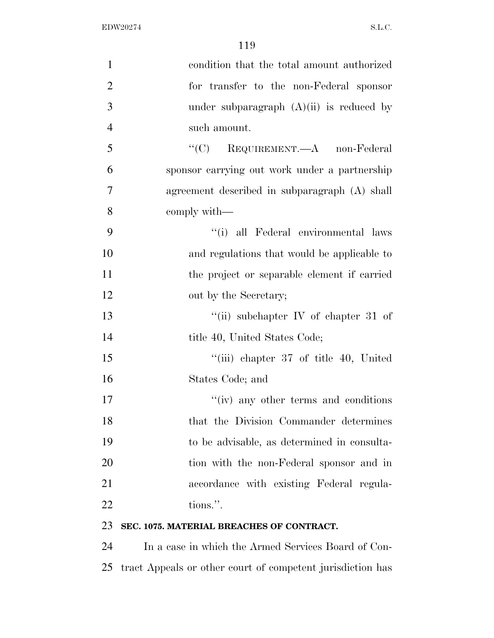| $\mathbf{1}$   | condition that the total amount authorized       |
|----------------|--------------------------------------------------|
| $\overline{2}$ | for transfer to the non-Federal sponsor          |
| 3              | under subparagraph $(A)(ii)$ is reduced by       |
| $\overline{4}$ | such amount.                                     |
| 5              | " $(C)$ REQUIREMENT.—A non-Federal               |
| 6              | sponsor carrying out work under a partnership    |
| $\tau$         | agreement described in subparagraph (A) shall    |
| 8              | comply with—                                     |
| 9              | "(i) all Federal environmental laws              |
| 10             | and regulations that would be applicable to      |
| 11             | the project or separable element if carried      |
| 12             | out by the Secretary;                            |
| 13             | "(ii) subchapter IV of chapter 31 of             |
| 14             | title 40, United States Code;                    |
| 15             | "(iii) chapter 37 of title 40, United            |
| 16             | States Code; and                                 |
| 17             | $\mathbf{``}(iv)$ any other terms and conditions |
| 18             | that the Division Commander determines           |
| 19             | to be advisable, as determined in consulta-      |
| 20             | tion with the non-Federal sponsor and in         |
| 21             | accordance with existing Federal regula-         |
| 22             | tions.".                                         |
|                |                                                  |

## **SEC. 1075. MATERIAL BREACHES OF CONTRACT.**

 In a case in which the Armed Services Board of Con-tract Appeals or other court of competent jurisdiction has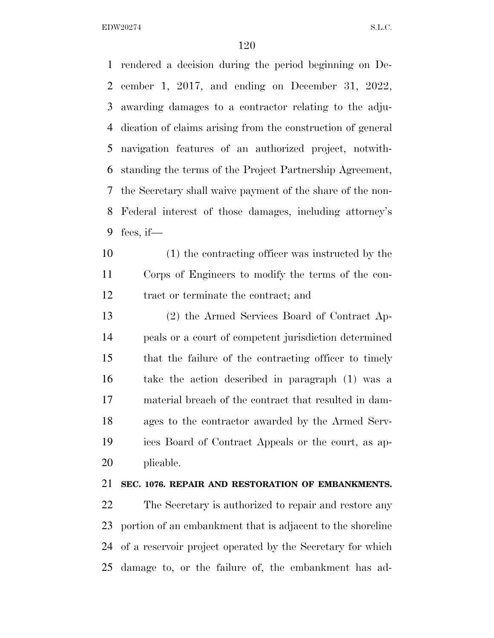rendered a decision during the period beginning on De- cember 1, 2017, and ending on December 31, 2022, awarding damages to a contractor relating to the adju- dication of claims arising from the construction of general navigation features of an authorized project, notwith- standing the terms of the Project Partnership Agreement, the Secretary shall waive payment of the share of the non- Federal interest of those damages, including attorney's fees, if—

 (1) the contracting officer was instructed by the Corps of Engineers to modify the terms of the con-tract or terminate the contract; and

 (2) the Armed Services Board of Contract Ap- peals or a court of competent jurisdiction determined that the failure of the contracting officer to timely take the action described in paragraph (1) was a material breach of the contract that resulted in dam- ages to the contractor awarded by the Armed Serv- ices Board of Contract Appeals or the court, as ap-plicable.

## **SEC. 1076. REPAIR AND RESTORATION OF EMBANKMENTS.**

 The Secretary is authorized to repair and restore any portion of an embankment that is adjacent to the shoreline of a reservoir project operated by the Secretary for which damage to, or the failure of, the embankment has ad-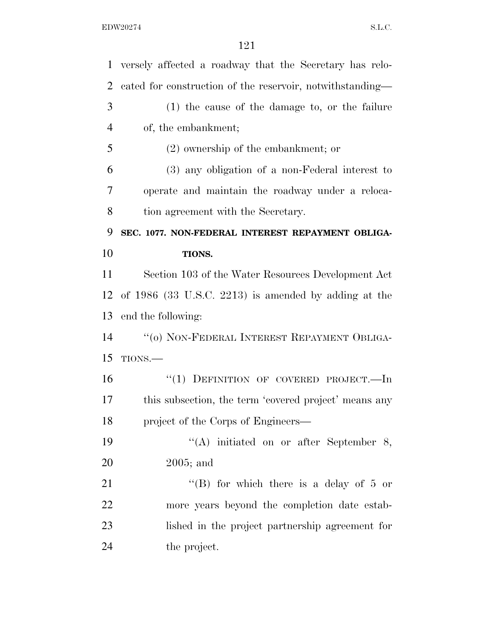| $\mathbf{1}$   | versely affected a roadway that the Secretary has relo-   |
|----------------|-----------------------------------------------------------|
| $\overline{2}$ | cated for construction of the reservoir, notwithstanding— |
| 3              | $(1)$ the cause of the damage to, or the failure          |
| $\overline{4}$ | of, the embankment;                                       |
| 5              | $(2)$ ownership of the embankment; or                     |
| 6              | (3) any obligation of a non-Federal interest to           |
| 7              | operate and maintain the roadway under a reloca-          |
| 8              | tion agreement with the Secretary.                        |
| 9              | SEC. 1077. NON-FEDERAL INTEREST REPAYMENT OBLIGA-         |
| 10             | TIONS.                                                    |
| 11             | Section 103 of the Water Resources Development Act        |
| 12             | of $1986$ (33 U.S.C. 2213) is amended by adding at the    |
| 13             | end the following:                                        |
| 14             | "(0) NON-FEDERAL INTEREST REPAYMENT OBLIGA-               |
| 15             | TIONS.                                                    |
| 16             | "(1) DEFINITION OF COVERED PROJECT.—In                    |
| 17             | this subsection, the term 'covered project' means any     |
| 18             | project of the Corps of Engineers—                        |
| 19             | "(A) initiated on or after September 8,                   |
| 20             | $2005$ ; and                                              |
| 21             | "(B) for which there is a delay of $5$ or                 |
| 22             | more years beyond the completion date estab-              |
| 23             | lished in the project partnership agreement for           |
| 24             | the project.                                              |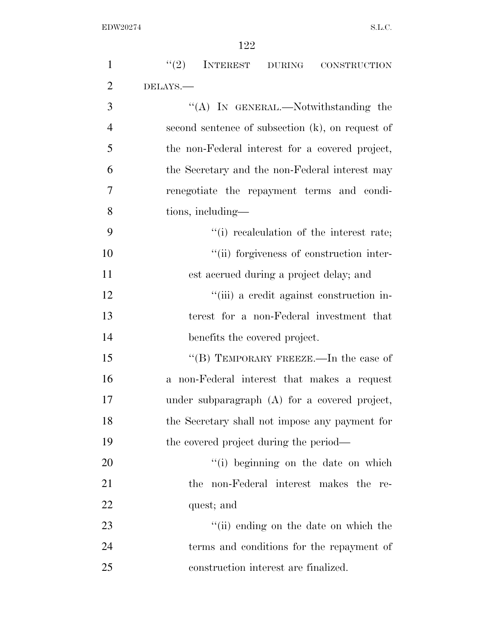| $\mathbf{1}$   | (2)<br>INTEREST DURING CONSTRUCTION              |
|----------------|--------------------------------------------------|
| $\overline{2}$ | DELAYS.-                                         |
| 3              | "(A) IN GENERAL.—Notwithstanding the             |
| $\overline{4}$ | second sentence of subsection (k), on request of |
| 5              | the non-Federal interest for a covered project,  |
| 6              | the Secretary and the non-Federal interest may   |
| 7              | renegotiate the repayment terms and condi-       |
| 8              | tions, including—                                |
| 9              | "(i) recalculation of the interest rate;         |
| 10             | "(ii) forgiveness of construction inter-         |
| 11             | est accrued during a project delay; and          |
| 12             | "(iii) a credit against construction in-         |
| 13             | terest for a non-Federal investment that         |
| 14             | benefits the covered project.                    |
| 15             | "(B) TEMPORARY FREEZE.—In the case of            |
| 16             | a non-Federal interest that makes a request      |
| 17             | under subparagraph (A) for a covered project,    |
| 18             | the Secretary shall not impose any payment for   |
| 19             | the covered project during the period—           |
| 20             | "(i) beginning on the date on which              |
| 21             | non-Federal interest makes the re-<br>the        |
| 22             | quest; and                                       |
| 23             | "(ii) ending on the date on which the            |
| 24             | terms and conditions for the repayment of        |
| 25             | construction interest are finalized.             |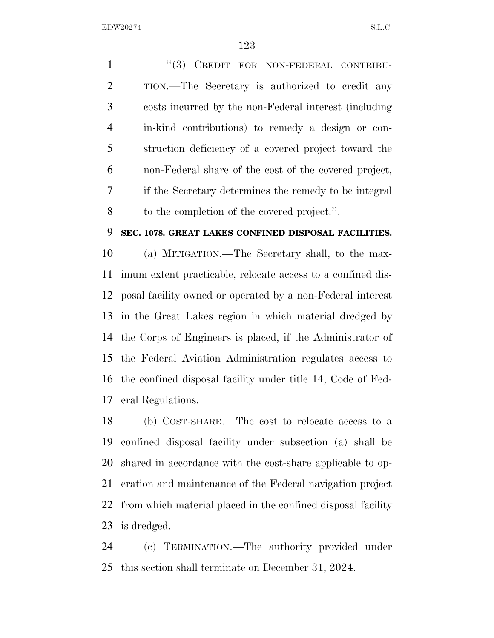1 "(3) CREDIT FOR NON-FEDERAL CONTRIBU- TION.—The Secretary is authorized to credit any costs incurred by the non-Federal interest (including in-kind contributions) to remedy a design or con- struction deficiency of a covered project toward the non-Federal share of the cost of the covered project, if the Secretary determines the remedy to be integral to the completion of the covered project.''.

#### **SEC. 1078. GREAT LAKES CONFINED DISPOSAL FACILITIES.**

 (a) MITIGATION.—The Secretary shall, to the max- imum extent practicable, relocate access to a confined dis- posal facility owned or operated by a non-Federal interest in the Great Lakes region in which material dredged by the Corps of Engineers is placed, if the Administrator of the Federal Aviation Administration regulates access to the confined disposal facility under title 14, Code of Fed-eral Regulations.

 (b) COST-SHARE.—The cost to relocate access to a confined disposal facility under subsection (a) shall be shared in accordance with the cost-share applicable to op- eration and maintenance of the Federal navigation project from which material placed in the confined disposal facility is dredged.

 (c) TERMINATION.—The authority provided under this section shall terminate on December 31, 2024.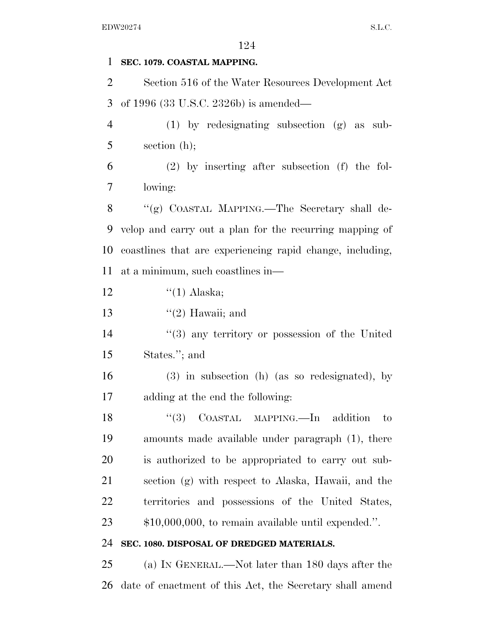## **SEC. 1079. COASTAL MAPPING.**

 Section 516 of the Water Resources Development Act of 1996 (33 U.S.C. 2326b) is amended—

 (1) by redesignating subsection (g) as sub-section (h);

 (2) by inserting after subsection (f) the fol-lowing:

 ''(g) COASTAL MAPPING.—The Secretary shall de- velop and carry out a plan for the recurring mapping of coastlines that are experiencing rapid change, including, at a minimum, such coastlines in—

12  $\frac{((1) \text{ Alaska})}{(1)}$ 

13  $\frac{1}{2}$  Hawaii; and

14 ''(3) any territory or possession of the United States.''; and

 (3) in subsection (h) (as so redesignated), by adding at the end the following:

18 "(3) COASTAL MAPPING.—In addition to amounts made available under paragraph (1), there is authorized to be appropriated to carry out sub- section (g) with respect to Alaska, Hawaii, and the territories and possessions of the United States, \$10,000,000, to remain available until expended.''.

## **SEC. 1080. DISPOSAL OF DREDGED MATERIALS.**

 (a) IN GENERAL.—Not later than 180 days after the date of enactment of this Act, the Secretary shall amend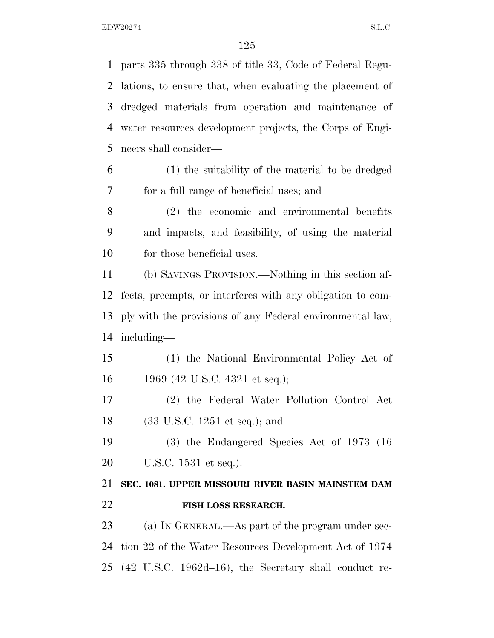parts 335 through 338 of title 33, Code of Federal Regu- lations, to ensure that, when evaluating the placement of dredged materials from operation and maintenance of water resources development projects, the Corps of Engi- neers shall consider— (1) the suitability of the material to be dredged for a full range of beneficial uses; and (2) the economic and environmental benefits and impacts, and feasibility, of using the material for those beneficial uses. (b) SAVINGS PROVISION.—Nothing in this section af- fects, preempts, or interferes with any obligation to com- ply with the provisions of any Federal environmental law, including— (1) the National Environmental Policy Act of 1969 (42 U.S.C. 4321 et seq.); (2) the Federal Water Pollution Control Act (33 U.S.C. 1251 et seq.); and (3) the Endangered Species Act of 1973 (16 U.S.C. 1531 et seq.). **SEC. 1081. UPPER MISSOURI RIVER BASIN MAINSTEM DAM FISH LOSS RESEARCH.**  23 (a) IN GENERAL.—As part of the program under sec-

 tion 22 of the Water Resources Development Act of 1974 (42 U.S.C. 1962d–16), the Secretary shall conduct re-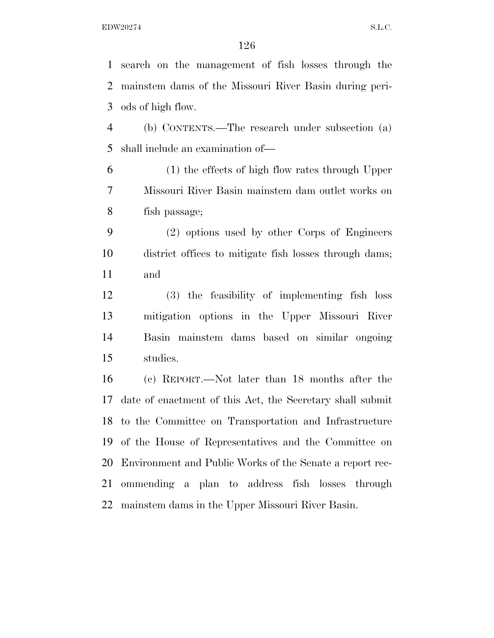search on the management of fish losses through the mainstem dams of the Missouri River Basin during peri-ods of high flow.

 (b) CONTENTS.—The research under subsection (a) shall include an examination of—

 (1) the effects of high flow rates through Upper Missouri River Basin mainstem dam outlet works on fish passage;

 (2) options used by other Corps of Engineers district offices to mitigate fish losses through dams; and

 (3) the feasibility of implementing fish loss mitigation options in the Upper Missouri River Basin mainstem dams based on similar ongoing studies.

 (c) REPORT.—Not later than 18 months after the date of enactment of this Act, the Secretary shall submit to the Committee on Transportation and Infrastructure of the House of Representatives and the Committee on Environment and Public Works of the Senate a report rec- ommending a plan to address fish losses through mainstem dams in the Upper Missouri River Basin.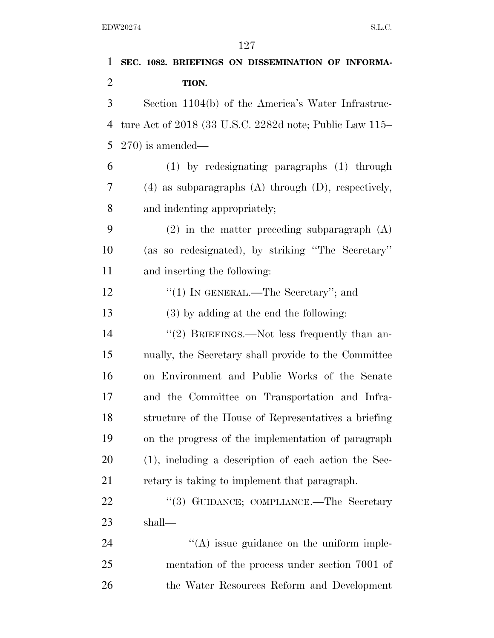| 1              | SEC. 1082. BRIEFINGS ON DISSEMINATION OF INFORMA-          |
|----------------|------------------------------------------------------------|
| $\overline{2}$ | TION.                                                      |
| 3              | Section 1104(b) of the America's Water Infrastruc-         |
| 4              | ture Act of 2018 (33 U.S.C. 2282d note; Public Law 115–    |
| 5              | $(270)$ is amended—                                        |
| 6              | (1) by redesignating paragraphs (1) through                |
| 7              | $(4)$ as subparagraphs $(A)$ through $(D)$ , respectively, |
| 8              | and indenting appropriately;                               |
| 9              | $(2)$ in the matter preceding subparagraph $(A)$           |
| 10             | (as so redesignated), by striking "The Secretary"          |
| 11             | and inserting the following:                               |
| 12             | "(1) IN GENERAL.—The Secretary"; and                       |
| 13             | (3) by adding at the end the following:                    |
| 14             | "(2) BRIEFINGS.—Not less frequently than an-               |
| 15             | nually, the Secretary shall provide to the Committee       |
| 16             | on Environment and Public Works of the Senate              |
| 17             | and the Committee on Transportation and Infra-             |
| 18             | structure of the House of Representatives a briefing       |
| 19             | on the progress of the implementation of paragraph         |
| 20             | $(1)$ , including a description of each action the Sec-    |
| 21             | retary is taking to implement that paragraph.              |
| 22             | "(3) GUIDANCE; COMPLIANCE.—The Secretary                   |
| 23             | shall—                                                     |
| 24             | $\lq\lq$ issue guidance on the uniform imple-              |
| 25             | mentation of the process under section 7001 of             |
| 26             | the Water Resources Reform and Development                 |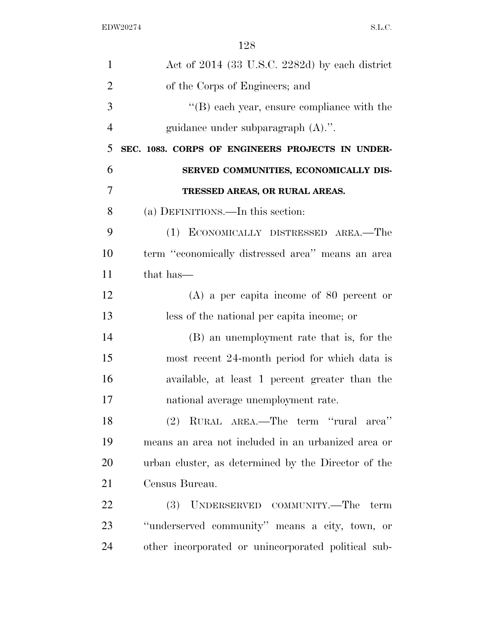| $\mathbf{1}$   | Act of $2014$ (33 U.S.C. 2282d) by each district    |
|----------------|-----------------------------------------------------|
| $\overline{2}$ | of the Corps of Engineers; and                      |
| 3              | "(B) each year, ensure compliance with the          |
| $\overline{4}$ | guidance under subparagraph $(A)$ .".               |
| 5              | SEC. 1083. CORPS OF ENGINEERS PROJECTS IN UNDER-    |
| 6              | SERVED COMMUNITIES, ECONOMICALLY DIS-               |
| 7              | TRESSED AREAS, OR RURAL AREAS.                      |
| 8              | (a) DEFINITIONS.—In this section:                   |
| 9              | (1) ECONOMICALLY DISTRESSED AREA.—The               |
| 10             | term "economically distressed area" means an area   |
| 11             | that has—                                           |
| 12             | $(A)$ a per capita income of 80 percent or          |
| 13             | less of the national per capita income; or          |
| 14             | (B) an unemployment rate that is, for the           |
| 15             | most recent 24-month period for which data is       |
| 16             | available, at least 1 percent greater than the      |
| 17             | national average unemployment rate.                 |
| 18             | (2) RURAL AREA.—The term "rural area"               |
| 19             | means an area not included in an urbanized area or  |
| 20             | urban cluster, as determined by the Director of the |
| 21             | Census Bureau.                                      |
| 22             | (3) UNDERSERVED COMMUNITY.—The term                 |
| 23             | "underserved community" means a city, town, or      |
| 24             | other incorporated or unincorporated political sub- |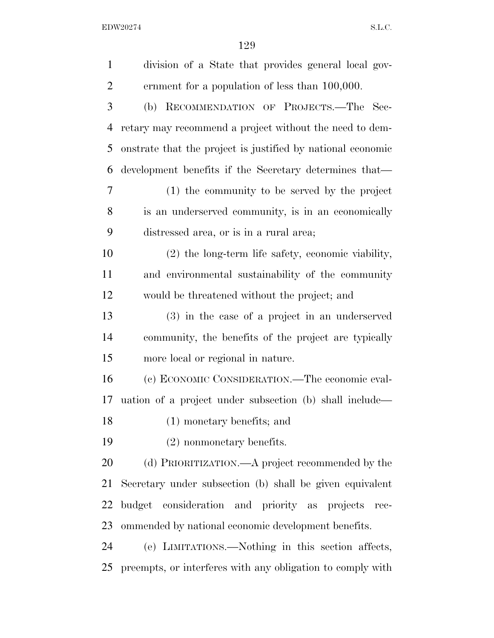| $\mathbf{1}$   | division of a State that provides general local gov-        |
|----------------|-------------------------------------------------------------|
| $\overline{2}$ | ernment for a population of less than 100,000.              |
| 3              | (b) RECOMMENDATION OF PROJECTS.—The Sec-                    |
| $\overline{4}$ | retary may recommend a project without the need to dem-     |
| 5              | onstrate that the project is justified by national economic |
| 6              | development benefits if the Secretary determines that—      |
| 7              | (1) the community to be served by the project               |
| 8              | is an underserved community, is in an economically          |
| 9              | distressed area, or is in a rural area;                     |
| 10             | $(2)$ the long-term life safety, economic viability,        |
| 11             | and environmental sustainability of the community           |
| 12             | would be threatened without the project; and                |
| 13             | (3) in the case of a project in an underserved              |
| 14             | community, the benefits of the project are typically        |
| 15             | more local or regional in nature.                           |
| 16             | (c) ECONOMIC CONSIDERATION.—The economic eval-              |
| 17             | uation of a project under subsection (b) shall include—     |
| 18             | $(1)$ monetary benefits; and                                |
| 19             | $(2)$ nonmonetary benefits.                                 |
| 20             | (d) PRIORITIZATION.—A project recommended by the            |
| 21             | Secretary under subsection (b) shall be given equivalent    |
| 22             | budget consideration and priority as projects<br>rec-       |
| 23             | ommended by national economic development benefits.         |
| 24             | (e) LIMITATIONS.—Nothing in this section affects,           |
| 25             | preempts, or interferes with any obligation to comply with  |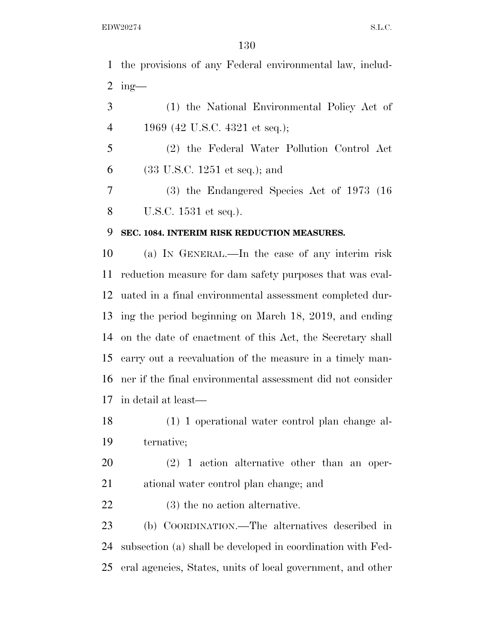the provisions of any Federal environmental law, includ-2 ing-

 (1) the National Environmental Policy Act of 1969 (42 U.S.C. 4321 et seq.);

 (2) the Federal Water Pollution Control Act (33 U.S.C. 1251 et seq.); and

 (3) the Endangered Species Act of 1973 (16 U.S.C. 1531 et seq.).

## **SEC. 1084. INTERIM RISK REDUCTION MEASURES.**

 (a) IN GENERAL.—In the case of any interim risk reduction measure for dam safety purposes that was eval- uated in a final environmental assessment completed dur- ing the period beginning on March 18, 2019, and ending on the date of enactment of this Act, the Secretary shall carry out a reevaluation of the measure in a timely man- ner if the final environmental assessment did not consider in detail at least—

 (1) 1 operational water control plan change al-ternative;

 (2) 1 action alternative other than an oper-ational water control plan change; and

(3) the no action alternative.

 (b) COORDINATION.—The alternatives described in subsection (a) shall be developed in coordination with Fed-eral agencies, States, units of local government, and other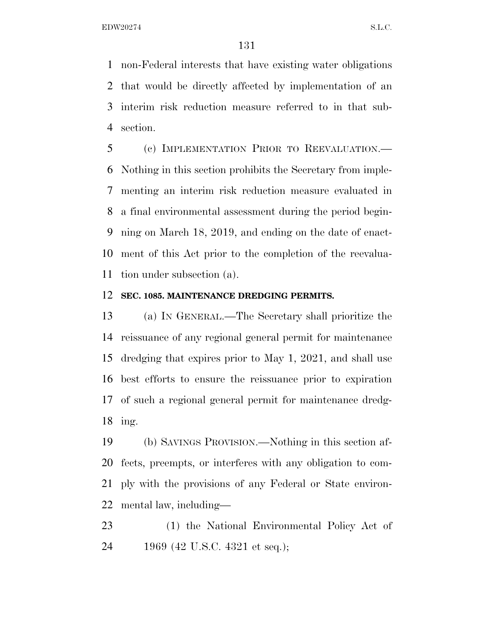non-Federal interests that have existing water obligations that would be directly affected by implementation of an interim risk reduction measure referred to in that sub-section.

 (c) IMPLEMENTATION PRIOR TO REEVALUATION.— Nothing in this section prohibits the Secretary from imple- menting an interim risk reduction measure evaluated in a final environmental assessment during the period begin- ning on March 18, 2019, and ending on the date of enact- ment of this Act prior to the completion of the reevalua-tion under subsection (a).

#### **SEC. 1085. MAINTENANCE DREDGING PERMITS.**

 (a) IN GENERAL.—The Secretary shall prioritize the reissuance of any regional general permit for maintenance dredging that expires prior to May 1, 2021, and shall use best efforts to ensure the reissuance prior to expiration of such a regional general permit for maintenance dredg-ing.

 (b) SAVINGS PROVISION.—Nothing in this section af- fects, preempts, or interferes with any obligation to com- ply with the provisions of any Federal or State environ-mental law, including—

 (1) the National Environmental Policy Act of 1969 (42 U.S.C. 4321 et seq.);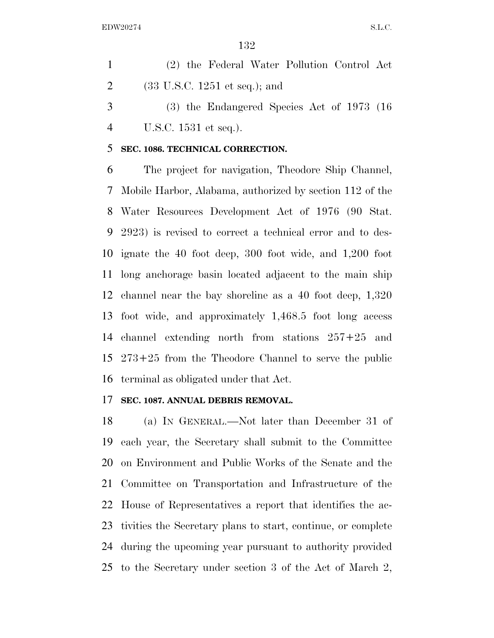(2) the Federal Water Pollution Control Act (33 U.S.C. 1251 et seq.); and

 (3) the Endangered Species Act of 1973 (16 U.S.C. 1531 et seq.).

#### **SEC. 1086. TECHNICAL CORRECTION.**

 The project for navigation, Theodore Ship Channel, Mobile Harbor, Alabama, authorized by section 112 of the Water Resources Development Act of 1976 (90 Stat. 2923) is revised to correct a technical error and to des- ignate the 40 foot deep, 300 foot wide, and 1,200 foot long anchorage basin located adjacent to the main ship channel near the bay shoreline as a 40 foot deep, 1,320 foot wide, and approximately 1,468.5 foot long access channel extending north from stations 257+25 and 273+25 from the Theodore Channel to serve the public terminal as obligated under that Act.

#### **SEC. 1087. ANNUAL DEBRIS REMOVAL.**

 (a) IN GENERAL.—Not later than December 31 of each year, the Secretary shall submit to the Committee on Environment and Public Works of the Senate and the Committee on Transportation and Infrastructure of the House of Representatives a report that identifies the ac- tivities the Secretary plans to start, continue, or complete during the upcoming year pursuant to authority provided to the Secretary under section 3 of the Act of March 2,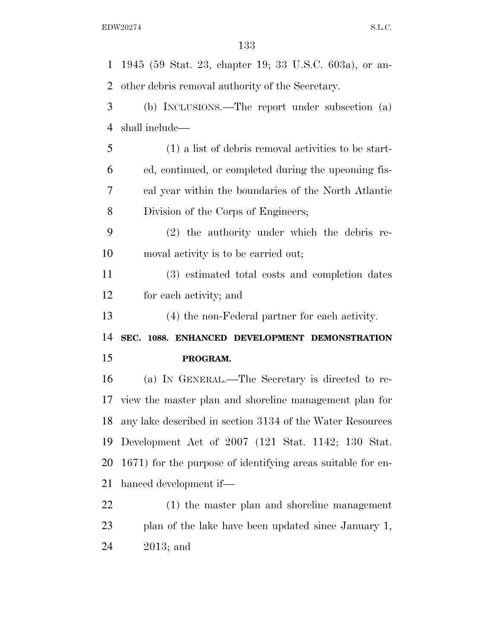1945 (59 Stat. 23, chapter 19; 33 U.S.C. 603a), or an- other debris removal authority of the Secretary. (b) INCLUSIONS.—The report under subsection (a) shall include— (1) a list of debris removal activities to be start- ed, continued, or completed during the upcoming fis- cal year within the boundaries of the North Atlantic Division of the Corps of Engineers; (2) the authority under which the debris re- moval activity is to be carried out; (3) estimated total costs and completion dates for each activity; and (4) the non-Federal partner for each activity. **SEC. 1088. ENHANCED DEVELOPMENT DEMONSTRATION PROGRAM.**  (a) IN GENERAL.—The Secretary is directed to re- view the master plan and shoreline management plan for any lake described in section 3134 of the Water Resources Development Act of 2007 (121 Stat. 1142; 130 Stat. 1671) for the purpose of identifying areas suitable for en- hanced development if— (1) the master plan and shoreline management plan of the lake have been updated since January 1, 2013; and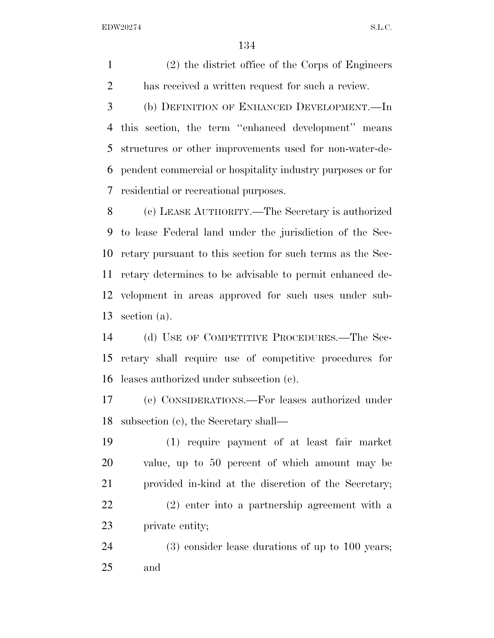(2) the district office of the Corps of Engineers has received a written request for such a review.

 (b) DEFINITION OF ENHANCED DEVELOPMENT.—In this section, the term ''enhanced development'' means structures or other improvements used for non-water-de- pendent commercial or hospitality industry purposes or for residential or recreational purposes.

 (c) LEASE AUTHORITY.—The Secretary is authorized to lease Federal land under the jurisdiction of the Sec- retary pursuant to this section for such terms as the Sec- retary determines to be advisable to permit enhanced de- velopment in areas approved for such uses under sub-section (a).

 (d) USE OF COMPETITIVE PROCEDURES.—The Sec- retary shall require use of competitive procedures for leases authorized under subsection (c).

 (e) CONSIDERATIONS.—For leases authorized under subsection (c), the Secretary shall—

 (1) require payment of at least fair market value, up to 50 percent of which amount may be provided in-kind at the discretion of the Secretary; (2) enter into a partnership agreement with a private entity;

 (3) consider lease durations of up to 100 years; and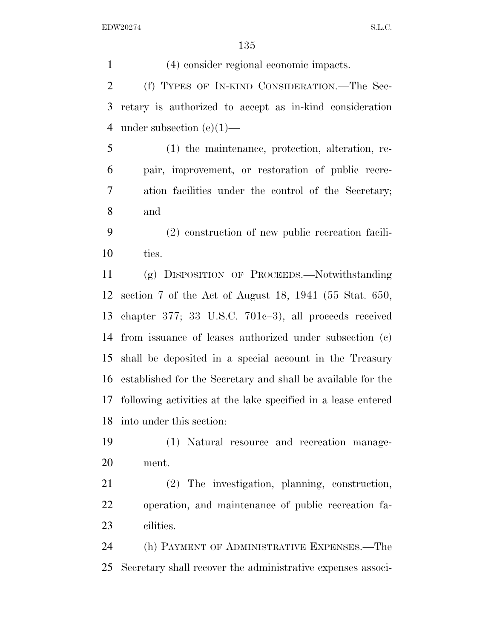(4) consider regional economic impacts. (f) TYPES OF IN-KIND CONSIDERATION.—The Sec- retary is authorized to accept as in-kind consideration under subsection (e)(1)— (1) the maintenance, protection, alteration, re- pair, improvement, or restoration of public recre- ation facilities under the control of the Secretary; and (2) construction of new public recreation facili- ties. (g) DISPOSITION OF PROCEEDS.—Notwithstanding section 7 of the Act of August 18, 1941 (55 Stat. 650, chapter 377; 33 U.S.C. 701c–3), all proceeds received from issuance of leases authorized under subsection (c) shall be deposited in a special account in the Treasury established for the Secretary and shall be available for the following activities at the lake specified in a lease entered into under this section: (1) Natural resource and recreation manage- ment. (2) The investigation, planning, construction, operation, and maintenance of public recreation fa-cilities.

 (h) PAYMENT OF ADMINISTRATIVE EXPENSES.—The Secretary shall recover the administrative expenses associ-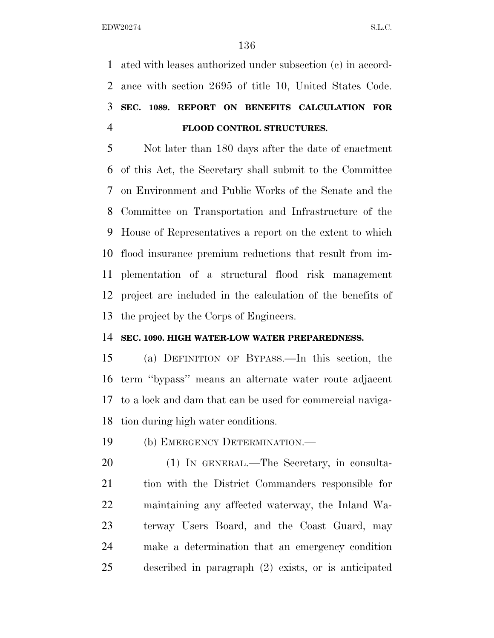ated with leases authorized under subsection (c) in accord- ance with section 2695 of title 10, United States Code. **SEC. 1089. REPORT ON BENEFITS CALCULATION FOR FLOOD CONTROL STRUCTURES.** 

 Not later than 180 days after the date of enactment of this Act, the Secretary shall submit to the Committee on Environment and Public Works of the Senate and the Committee on Transportation and Infrastructure of the House of Representatives a report on the extent to which flood insurance premium reductions that result from im- plementation of a structural flood risk management project are included in the calculation of the benefits of the project by the Corps of Engineers.

#### **SEC. 1090. HIGH WATER-LOW WATER PREPAREDNESS.**

 (a) DEFINITION OF BYPASS.—In this section, the term ''bypass'' means an alternate water route adjacent to a lock and dam that can be used for commercial naviga-tion during high water conditions.

(b) EMERGENCY DETERMINATION.—

 (1) IN GENERAL.—The Secretary, in consulta- tion with the District Commanders responsible for maintaining any affected waterway, the Inland Wa- terway Users Board, and the Coast Guard, may make a determination that an emergency condition described in paragraph (2) exists, or is anticipated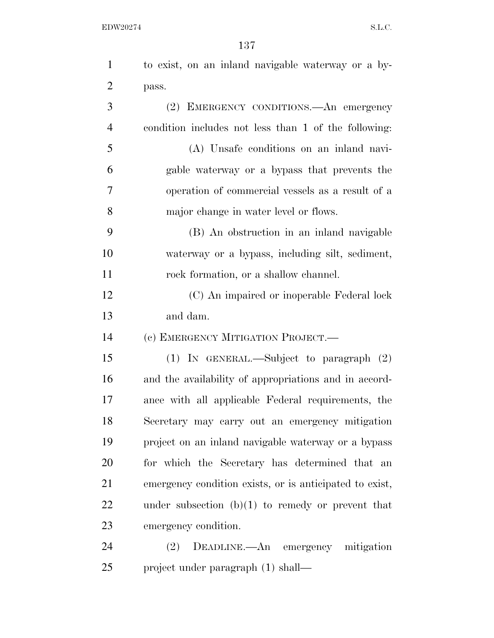| $\mathbf{1}$   | to exist, on an inland navigable waterway or a by-      |
|----------------|---------------------------------------------------------|
| $\overline{2}$ | pass.                                                   |
| 3              | (2) EMERGENCY CONDITIONS.—An emergency                  |
| $\overline{4}$ | condition includes not less than 1 of the following:    |
| 5              | (A) Unsafe conditions on an inland navi-                |
| 6              | gable waterway or a bypass that prevents the            |
| 7              | operation of commercial vessels as a result of a        |
| 8              | major change in water level or flows.                   |
| 9              | (B) An obstruction in an inland navigable               |
| 10             | waterway or a bypass, including silt, sediment,         |
| 11             | rock formation, or a shallow channel.                   |
| 12             | (C) An impaired or inoperable Federal lock              |
| 13             | and dam.                                                |
| 14             | (c) EMERGENCY MITIGATION PROJECT.—                      |
| 15             | (1) IN GENERAL.—Subject to paragraph $(2)$              |
| 16             | and the availability of appropriations and in accord-   |
| 17             | ance with all applicable Federal requirements, the      |
| 18             | Secretary may carry out an emergency mitigation         |
| 19             | project on an inland navigable waterway or a bypass     |
| 20             | for which the Secretary has determined that an          |
| 21             | emergency condition exists, or is anticipated to exist, |
| 22             | under subsection $(b)(1)$ to remedy or prevent that     |
| 23             | emergency condition.                                    |
| 24             | (2) DEADLINE.—An emergency mitigation                   |
| 25             | project under paragraph (1) shall—                      |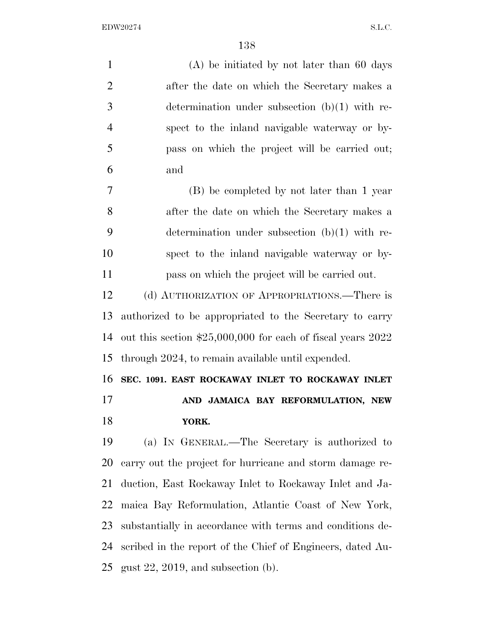(A) be initiated by not later than 60 days after the date on which the Secretary makes a determination under subsection (b)(1) with re- spect to the inland navigable waterway or by- pass on which the project will be carried out; and (B) be completed by not later than 1 year after the date on which the Secretary makes a determination under subsection (b)(1) with re- spect to the inland navigable waterway or by- pass on which the project will be carried out. (d) AUTHORIZATION OF APPROPRIATIONS.—There is authorized to be appropriated to the Secretary to carry out this section \$25,000,000 for each of fiscal years 2022 through 2024, to remain available until expended. **SEC. 1091. EAST ROCKAWAY INLET TO ROCKAWAY INLET AND JAMAICA BAY REFORMULATION, NEW YORK.**  (a) IN GENERAL.—The Secretary is authorized to carry out the project for hurricane and storm damage re- duction, East Rockaway Inlet to Rockaway Inlet and Ja- maica Bay Reformulation, Atlantic Coast of New York, substantially in accordance with terms and conditions de-scribed in the report of the Chief of Engineers, dated Au-

gust 22, 2019, and subsection (b).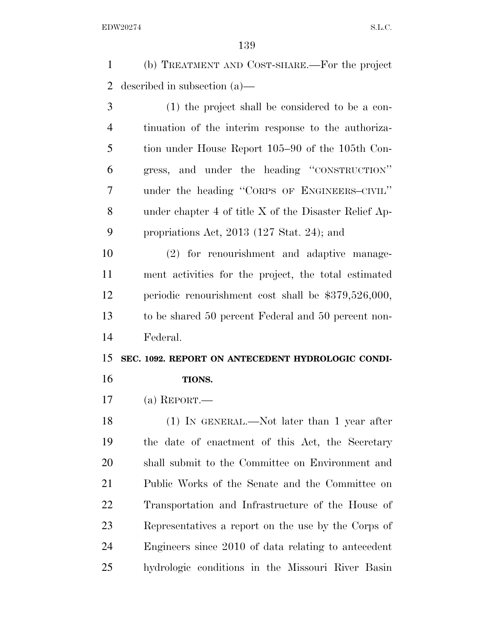(b) TREATMENT AND COST-SHARE.—For the project described in subsection (a)—

 (1) the project shall be considered to be a con- tinuation of the interim response to the authoriza- tion under House Report 105–90 of the 105th Con- gress, and under the heading ''CONSTRUCTION'' under the heading ''CORPS OF ENGINEERS–CIVIL'' under chapter 4 of title X of the Disaster Relief Ap-propriations Act, 2013 (127 Stat. 24); and

 (2) for renourishment and adaptive manage- ment activities for the project, the total estimated periodic renourishment cost shall be \$379,526,000, to be shared 50 percent Federal and 50 percent non-Federal.

# **SEC. 1092. REPORT ON ANTECEDENT HYDROLOGIC CONDI-TIONS.**

(a) REPORT.—

 (1) IN GENERAL.—Not later than 1 year after the date of enactment of this Act, the Secretary shall submit to the Committee on Environment and Public Works of the Senate and the Committee on Transportation and Infrastructure of the House of Representatives a report on the use by the Corps of Engineers since 2010 of data relating to antecedent hydrologic conditions in the Missouri River Basin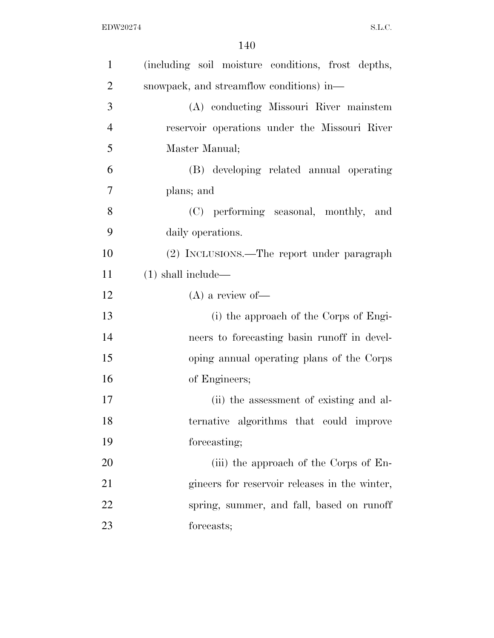| $\mathbf{1}$   | (including soil moisture conditions, frost depths, |
|----------------|----------------------------------------------------|
| $\overline{2}$ | snowpack, and streamflow conditions) in—           |
| 3              | (A) conducting Missouri River mainstem             |
| $\overline{4}$ | reservoir operations under the Missouri River      |
| 5              | Master Manual;                                     |
| 6              | (B) developing related annual operating            |
| 7              | plans; and                                         |
| 8              | (C) performing seasonal, monthly, and              |
| 9              | daily operations.                                  |
| 10             | (2) INCLUSIONS.—The report under paragraph         |
| 11             | $(1)$ shall include—                               |
| 12             | $(A)$ a review of-                                 |
| 13             | (i) the approach of the Corps of Engi-             |
| 14             | neers to forecasting basin runoff in devel-        |
| 15             | oping annual operating plans of the Corps          |
| 16             | of Engineers;                                      |
| 17             | (ii) the assessment of existing and al-            |
| 18             | ternative algorithms that could improve            |
| 19             | forecasting;                                       |
| 20             | (iii) the approach of the Corps of En-             |
| 21             | gineers for reservoir releases in the winter,      |
| 22             | spring, summer, and fall, based on runoff          |
| 23             | forecasts;                                         |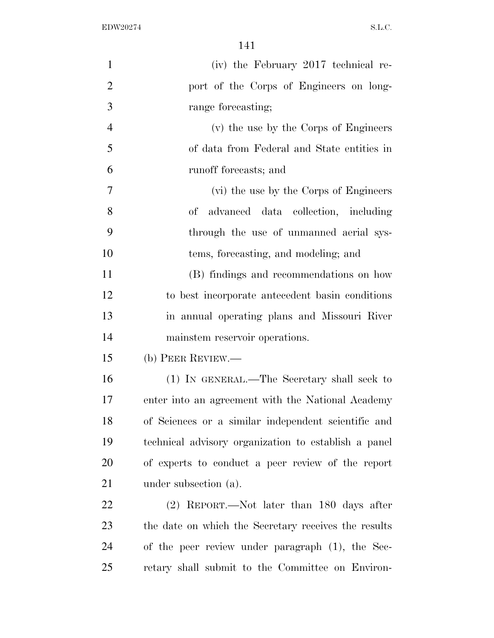| $\mathbf{1}$   | (iv) the February 2017 technical re-                 |
|----------------|------------------------------------------------------|
| $\overline{2}$ | port of the Corps of Engineers on long-              |
| 3              | range forecasting;                                   |
| $\overline{4}$ | (v) the use by the Corps of Engineers                |
| 5              | of data from Federal and State entities in           |
| 6              | runoff forecasts; and                                |
| $\tau$         | (vi) the use by the Corps of Engineers               |
| 8              | advanced data collection, including<br>$\mathrm{of}$ |
| 9              | through the use of unmanned aerial sys-              |
| 10             | tems, forecasting, and modeling; and                 |
| 11             | (B) findings and recommendations on how              |
| 12             | to best incorporate antecedent basin conditions      |
| 13             | in annual operating plans and Missouri River         |
| 14             | mainstem reservoir operations.                       |
| 15             | (b) PEER REVIEW.—                                    |
| 16             | (1) IN GENERAL.—The Secretary shall seek to          |
| 17             | enter into an agreement with the National Academy    |
| 18             | of Sciences or a similar independent scientific and  |
| 19             | technical advisory organization to establish a panel |
| 20             | of experts to conduct a peer review of the report    |
| 21             | under subsection (a).                                |
| 22             | $(2)$ REPORT.—Not later than 180 days after          |
| 23             | the date on which the Secretary receives the results |
| 24             | of the peer review under paragraph (1), the Sec-     |
| 25             | retary shall submit to the Committee on Environ-     |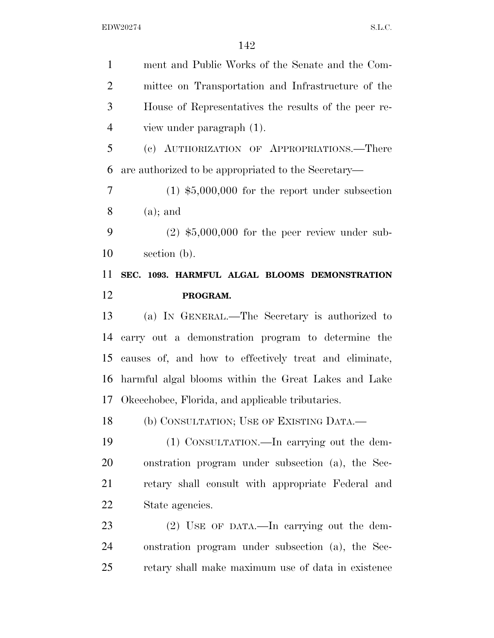ment and Public Works of the Senate and the Com- mittee on Transportation and Infrastructure of the House of Representatives the results of the peer re- view under paragraph (1). (c) AUTHORIZATION OF APPROPRIATIONS.—There are authorized to be appropriated to the Secretary— (1) \$5,000,000 for the report under subsection (a); and (2) \$5,000,000 for the peer review under sub- section (b). **SEC. 1093. HARMFUL ALGAL BLOOMS DEMONSTRATION PROGRAM.**  (a) IN GENERAL.—The Secretary is authorized to carry out a demonstration program to determine the causes of, and how to effectively treat and eliminate, harmful algal blooms within the Great Lakes and Lake Okeechobee, Florida, and applicable tributaries. (b) CONSULTATION; USE OF EXISTING DATA.— (1) CONSULTATION.—In carrying out the dem- onstration program under subsection (a), the Sec- retary shall consult with appropriate Federal and State agencies. (2) USE OF DATA.—In carrying out the dem- onstration program under subsection (a), the Sec-retary shall make maximum use of data in existence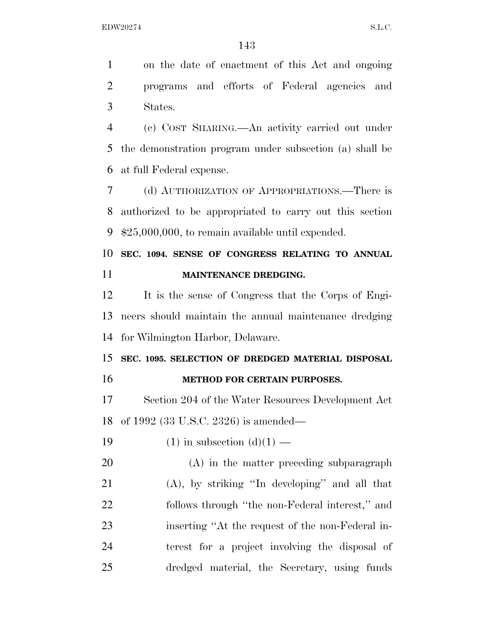on the date of enactment of this Act and ongoing programs and efforts of Federal agencies and States.

 (c) COST SHARING.—An activity carried out under the demonstration program under subsection (a) shall be at full Federal expense.

 (d) AUTHORIZATION OF APPROPRIATIONS.—There is authorized to be appropriated to carry out this section \$25,000,000, to remain available until expended.

 **SEC. 1094. SENSE OF CONGRESS RELATING TO ANNUAL MAINTENANCE DREDGING.** 

 It is the sense of Congress that the Corps of Engi- neers should maintain the annual maintenance dredging for Wilmington Harbor, Delaware.

**SEC. 1095. SELECTION OF DREDGED MATERIAL DISPOSAL** 

## **METHOD FOR CERTAIN PURPOSES.**

 Section 204 of the Water Resources Development Act of 1992 (33 U.S.C. 2326) is amended—

19 (1) in subsection  $(d)(1)$  —

 (A) in the matter preceding subparagraph (A), by striking ''In developing'' and all that follows through ''the non-Federal interest,'' and inserting ''At the request of the non-Federal in- terest for a project involving the disposal of dredged material, the Secretary, using funds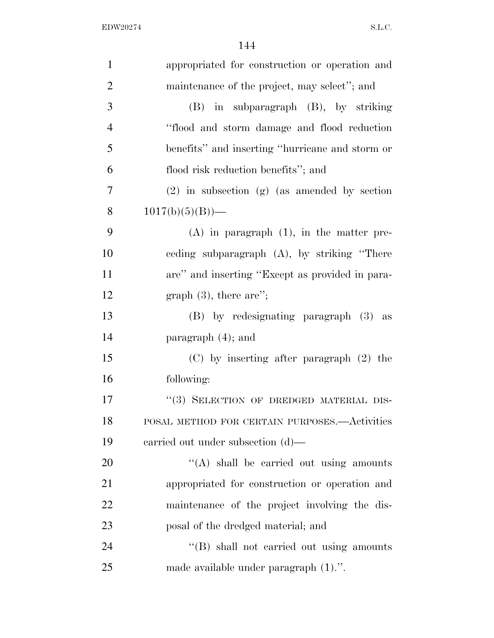| $\mathbf{1}$   | appropriated for construction or operation and   |
|----------------|--------------------------------------------------|
| $\overline{2}$ | maintenance of the project, may select"; and     |
| 3              | (B) in subparagraph (B), by striking             |
| $\overline{4}$ | "flood and storm damage and flood reduction      |
| 5              | benefits" and inserting "hurricane and storm or  |
| 6              | flood risk reduction benefits"; and              |
| 7              | $(2)$ in subsection $(g)$ (as amended by section |
| 8              | $1017(b)(5)(B)$ —                                |
| 9              | $(A)$ in paragraph $(1)$ , in the matter pre-    |
| 10             | eeding subparagraph (A), by striking "There      |
| 11             | are" and inserting "Except as provided in para-  |
| 12             | graph $(3)$ , there are";                        |
| 13             | (B) by redesignating paragraph (3) as            |
| 14             | paragraph $(4)$ ; and                            |
| 15             | $(C)$ by inserting after paragraph $(2)$ the     |
| 16             | following:                                       |
| 17             | "(3) SELECTION OF DREDGED MATERIAL DIS-          |
| 18             | POSAL METHOD FOR CERTAIN PURPOSES. - Activities  |
| 19             | carried out under subsection $(d)$ —             |
| 20             | "(A) shall be carried out using amounts          |
| 21             | appropriated for construction or operation and   |
| 22             | maintenance of the project involving the dis-    |
| 23             | posal of the dredged material; and               |
| 24             | "(B) shall not carried out using amounts         |
| 25             | made available under paragraph $(1)$ .".         |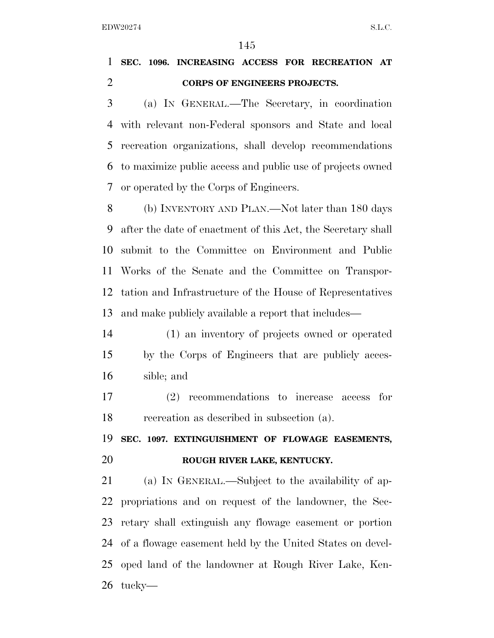## **SEC. 1096. INCREASING ACCESS FOR RECREATION AT CORPS OF ENGINEERS PROJECTS.**

 (a) IN GENERAL.—The Secretary, in coordination with relevant non-Federal sponsors and State and local recreation organizations, shall develop recommendations to maximize public access and public use of projects owned or operated by the Corps of Engineers.

 (b) INVENTORY AND PLAN.—Not later than 180 days after the date of enactment of this Act, the Secretary shall submit to the Committee on Environment and Public Works of the Senate and the Committee on Transpor- tation and Infrastructure of the House of Representatives and make publicly available a report that includes—

 (1) an inventory of projects owned or operated by the Corps of Engineers that are publicly acces-sible; and

 (2) recommendations to increase access for recreation as described in subsection (a).

 **SEC. 1097. EXTINGUISHMENT OF FLOWAGE EASEMENTS, ROUGH RIVER LAKE, KENTUCKY.** 

 (a) IN GENERAL.—Subject to the availability of ap- propriations and on request of the landowner, the Sec- retary shall extinguish any flowage easement or portion of a flowage easement held by the United States on devel- oped land of the landowner at Rough River Lake, Ken-tucky—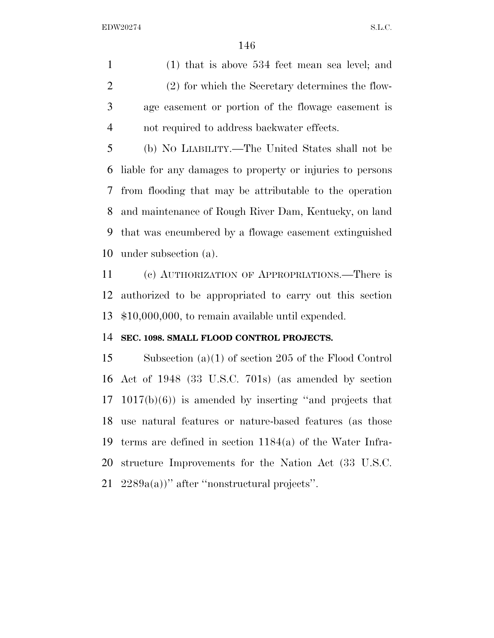(1) that is above 534 feet mean sea level; and (2) for which the Secretary determines the flow- age easement or portion of the flowage easement is not required to address backwater effects.

 (b) NO LIABILITY.—The United States shall not be liable for any damages to property or injuries to persons from flooding that may be attributable to the operation and maintenance of Rough River Dam, Kentucky, on land that was encumbered by a flowage easement extinguished under subsection (a).

 (c) AUTHORIZATION OF APPROPRIATIONS.—There is authorized to be appropriated to carry out this section \$10,000,000, to remain available until expended.

### **SEC. 1098. SMALL FLOOD CONTROL PROJECTS.**

 Subsection (a)(1) of section 205 of the Flood Control Act of 1948 (33 U.S.C. 701s) (as amended by section 1017(b)(6)) is amended by inserting ''and projects that use natural features or nature-based features (as those terms are defined in section 1184(a) of the Water Infra- structure Improvements for the Nation Act (33 U.S.C. 2289a(a))'' after ''nonstructural projects''.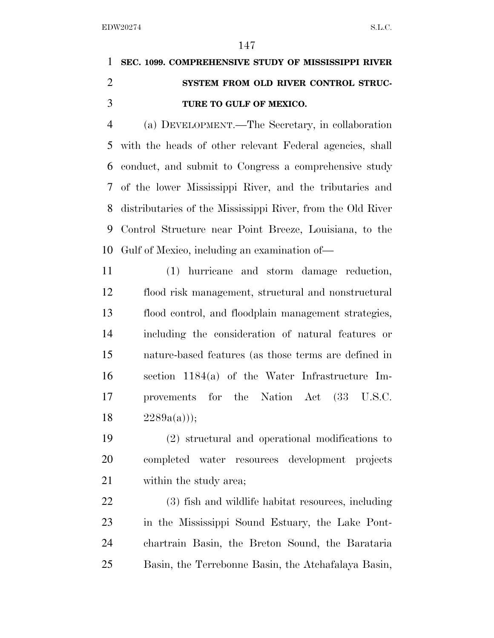# **SEC. 1099. COMPREHENSIVE STUDY OF MISSISSIPPI RIVER SYSTEM FROM OLD RIVER CONTROL STRUC-TURE TO GULF OF MEXICO.**

 (a) DEVELOPMENT.—The Secretary, in collaboration with the heads of other relevant Federal agencies, shall conduct, and submit to Congress a comprehensive study of the lower Mississippi River, and the tributaries and distributaries of the Mississippi River, from the Old River Control Structure near Point Breeze, Louisiana, to the Gulf of Mexico, including an examination of—

 (1) hurricane and storm damage reduction, flood risk management, structural and nonstructural flood control, and floodplain management strategies, including the consideration of natural features or nature-based features (as those terms are defined in section 1184(a) of the Water Infrastructure Im- provements for the Nation Act (33 U.S.C.  $2289a(a))$ ;

 (2) structural and operational modifications to completed water resources development projects within the study area;

 (3) fish and wildlife habitat resources, including in the Mississippi Sound Estuary, the Lake Pont- chartrain Basin, the Breton Sound, the Barataria Basin, the Terrebonne Basin, the Atchafalaya Basin,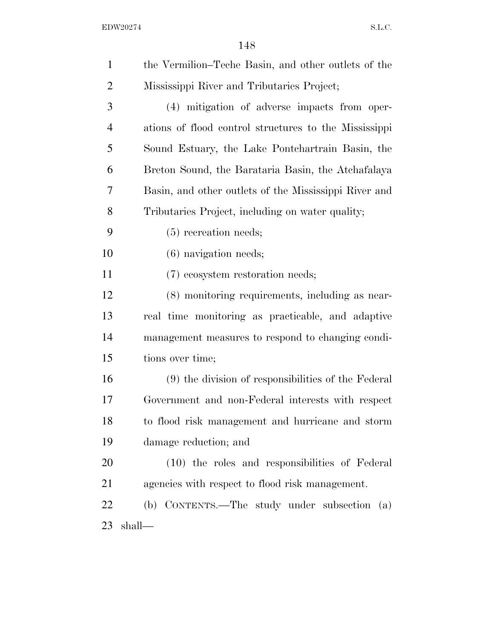| $\mathbf{1}$   | the Vermilion–Teche Basin, and other outlets of the   |
|----------------|-------------------------------------------------------|
| $\overline{c}$ | Mississippi River and Tributaries Project;            |
| 3              | (4) mitigation of adverse impacts from oper-          |
| 4              | ations of flood control structures to the Mississippi |
| 5              | Sound Estuary, the Lake Pontchartrain Basin, the      |
| 6              | Breton Sound, the Barataria Basin, the Atchafalaya    |
| 7              | Basin, and other outlets of the Mississippi River and |
| 8              | Tributaries Project, including on water quality;      |
| 9              | $(5)$ recreation needs;                               |
| 10             | $(6)$ navigation needs;                               |
| 11             | (7) ecosystem restoration needs;                      |
| 12             | (8) monitoring requirements, including as near-       |
| 13             | real time monitoring as practicable, and adaptive     |
| 14             | management measures to respond to changing condi-     |
| 15             | tions over time;                                      |
| 16             | (9) the division of responsibilities of the Federal   |
| 17             | Government and non-Federal interests with respect     |
| 18             | to flood risk management and hurricane and storm      |
| 19             | damage reduction; and                                 |
| 20             | (10) the roles and responsibilities of Federal        |
| 21             | agencies with respect to flood risk management.       |
| 22             | (b) CONTENTS.—The study under subsection (a)          |
| 23             | shall—                                                |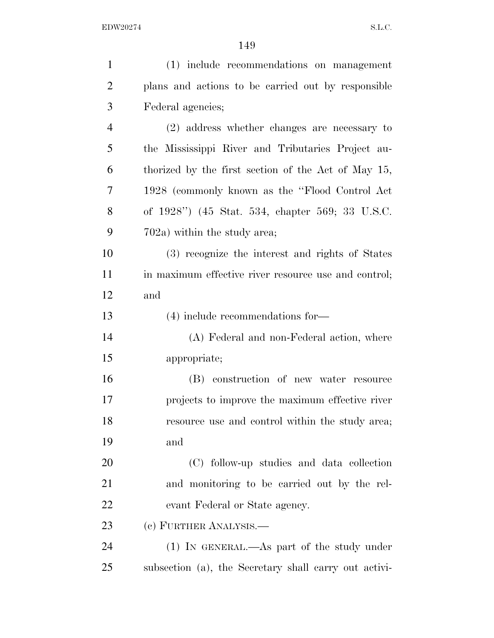| $\mathbf{1}$   | (1) include recommendations on management             |
|----------------|-------------------------------------------------------|
| $\overline{2}$ | plans and actions to be carried out by responsible    |
| 3              | Federal agencies;                                     |
| $\overline{4}$ | (2) address whether changes are necessary to          |
| 5              | the Mississippi River and Tributaries Project au-     |
| 6              | thorized by the first section of the Act of May 15,   |
| 7              | 1928 (commonly known as the "Flood Control Act"       |
| 8              | of 1928") (45 Stat. 534, chapter 569; 33 U.S.C.       |
| 9              | $702a$ ) within the study area;                       |
| 10             | (3) recognize the interest and rights of States       |
| 11             | in maximum effective river resource use and control;  |
| 12             | and                                                   |
| 13             | $(4)$ include recommendations for-                    |
| 14             | (A) Federal and non-Federal action, where             |
| 15             | appropriate;                                          |
| 16             | (B) construction of new water resource                |
| 17             | projects to improve the maximum effective river       |
| 18             | resource use and control within the study area;       |
| 19             | and                                                   |
| 20             | (C) follow-up studies and data collection             |
| 21             | and monitoring to be carried out by the rel-          |
| 22             | evant Federal or State agency.                        |
| 23             | (c) FURTHER ANALYSIS.—                                |
| 24             | $(1)$ IN GENERAL.—As part of the study under          |
| 25             | subsection (a), the Secretary shall carry out activi- |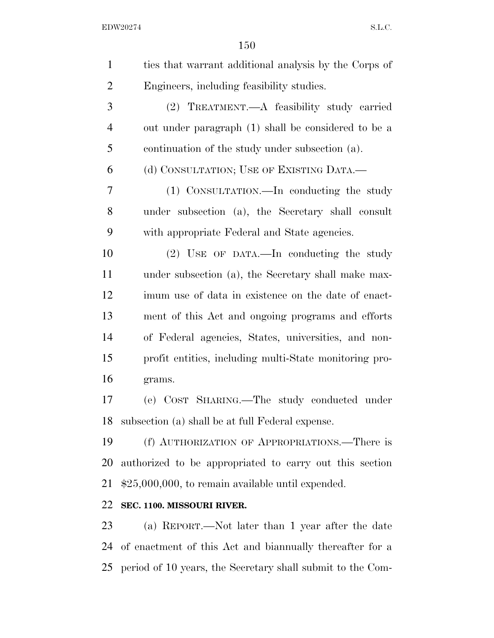| $\mathbf{1}$   | ties that warrant additional analysis by the Corps of     |
|----------------|-----------------------------------------------------------|
| $\overline{2}$ | Engineers, including feasibility studies.                 |
| 3              | (2) TREATMENT.—A feasibility study carried                |
| $\overline{4}$ | out under paragraph (1) shall be considered to be a       |
| 5              | continuation of the study under subsection (a).           |
| 6              | (d) CONSULTATION; USE OF EXISTING DATA.—                  |
| 7              | (1) CONSULTATION.—In conducting the study                 |
| 8              | under subsection (a), the Secretary shall consult         |
| 9              | with appropriate Federal and State agencies.              |
| 10             | (2) USE OF DATA.—In conducting the study                  |
| 11             | under subsection (a), the Secretary shall make max-       |
| 12             | imum use of data in existence on the date of enact-       |
| 13             | ment of this Act and ongoing programs and efforts         |
| 14             | of Federal agencies, States, universities, and non-       |
| 15             | profit entities, including multi-State monitoring pro-    |
| 16             | grams.                                                    |
| 17             | (e) COST SHARING. The study conducted under               |
| 18             | subsection (a) shall be at full Federal expense.          |
| 19             | (f) AUTHORIZATION OF APPROPRIATIONS.—There is             |
| 20             | authorized to be appropriated to carry out this section   |
| 21             | $$25,000,000$ , to remain available until expended.       |
| 22             | SEC. 1100. MISSOURI RIVER.                                |
| 23             | (a) REPORT.—Not later than 1 year after the date          |
| 24             | of enactment of this Act and bian mually thereafter for a |

period of 10 years, the Secretary shall submit to the Com-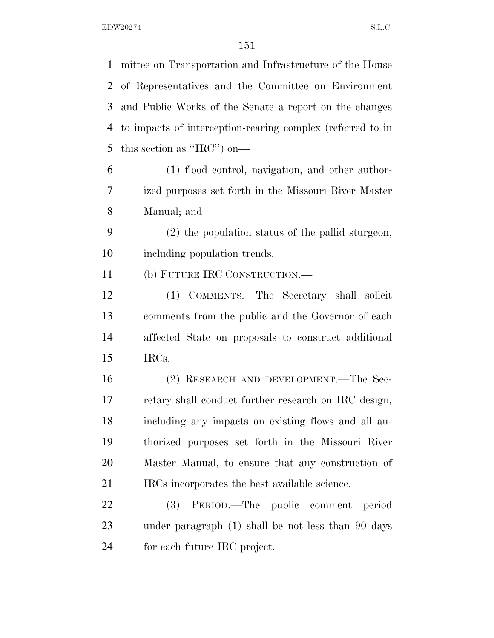mittee on Transportation and Infrastructure of the House of Representatives and the Committee on Environment and Public Works of the Senate a report on the changes to impacts of interception-rearing complex (referred to in this section as ''IRC'') on— (1) flood control, navigation, and other author- ized purposes set forth in the Missouri River Master Manual; and (2) the population status of the pallid sturgeon, including population trends. (b) FUTURE IRC CONSTRUCTION.— (1) COMMENTS.—The Secretary shall solicit comments from the public and the Governor of each affected State on proposals to construct additional IRCs. (2) RESEARCH AND DEVELOPMENT.—The Sec- retary shall conduct further research on IRC design, including any impacts on existing flows and all au- thorized purposes set forth in the Missouri River Master Manual, to ensure that any construction of 21 IRCs incorporates the best available science. (3) PERIOD.—The public comment period under paragraph (1) shall be not less than 90 days for each future IRC project.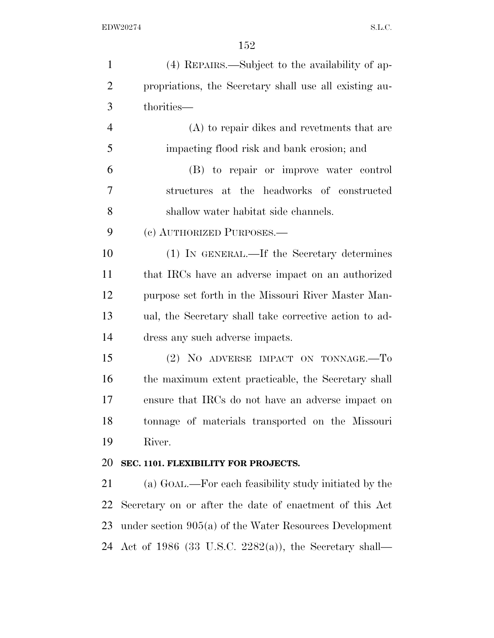| $\mathbf{1}$   | (4) REPAIRS.—Subject to the availability of ap-           |
|----------------|-----------------------------------------------------------|
| $\overline{2}$ | propriations, the Secretary shall use all existing au-    |
| 3              | thorities—                                                |
| $\overline{4}$ | (A) to repair dikes and reversents that are               |
| 5              | impacting flood risk and bank erosion; and                |
| 6              | (B) to repair or improve water control                    |
| 7              | structures at the headworks of constructed                |
| 8              | shallow water habitat side channels.                      |
| 9              | (c) AUTHORIZED PURPOSES.—                                 |
| 10             | (1) IN GENERAL.—If the Secretary determines               |
| 11             | that IRCs have an adverse impact on an authorized         |
| 12             | purpose set forth in the Missouri River Master Man-       |
| 13             | ual, the Secretary shall take corrective action to ad-    |
| 14             | dress any such adverse impacts.                           |
| 15             | (2) NO ADVERSE IMPACT ON TONNAGE.-To                      |
| 16             | the maximum extent practicable, the Secretary shall       |
| 17             | ensure that IRCs do not have an adverse impact on         |
| 18             | tonnage of materials transported on the Missouri          |
| 19             | River.                                                    |
| 20             | SEC. 1101. FLEXIBILITY FOR PROJECTS.                      |
| 21             | (a) GOAL.—For each feasibility study initiated by the     |
| 22             | Secretary on or after the date of enactment of this Act   |
| 23             | under section $905(a)$ of the Water Resources Development |
|                | 24 Act of 1986 (33 U.S.C. 2282(a)), the Secretary shall—  |
|                |                                                           |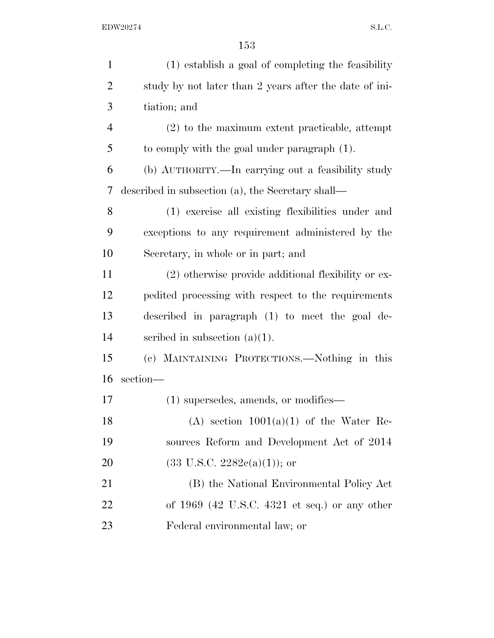| $\mathbf{1}$   | (1) establish a goal of completing the feasibility     |
|----------------|--------------------------------------------------------|
| $\overline{2}$ | study by not later than 2 years after the date of ini- |
| 3              | tiation; and                                           |
| $\overline{4}$ | $(2)$ to the maximum extent practicable, attempt       |
| 5              | to comply with the goal under paragraph (1).           |
| 6              | (b) AUTHORITY.—In carrying out a feasibility study     |
| 7              | described in subsection (a), the Secretary shall—      |
| 8              | (1) exercise all existing flexibilities under and      |
| 9              | exceptions to any requirement administered by the      |
| 10             | Secretary, in whole or in part; and                    |
| 11             | (2) otherwise provide additional flexibility or ex-    |
| 12             | pedited processing with respect to the requirements    |
| 13             | described in paragraph (1) to meet the goal de-        |
| 14             | scribed in subsection $(a)(1)$ .                       |
| 15             | (c) MAINTAINING PROTECTIONS.—Nothing in this           |
| 16             | section-                                               |
| 17             | $(1)$ supersedes, amends, or modifies—                 |
| 18             | (A) section $1001(a)(1)$ of the Water Re-              |
| 19             | sources Reform and Development Act of 2014             |
| 20             | $(33 \text{ U.S.C. } 2282c(a)(1));$ or                 |
| 21             | (B) the National Environmental Policy Act              |
| 22             | of $1969$ (42 U.S.C. 4321 et seq.) or any other        |
| 23             | Federal environmental law; or                          |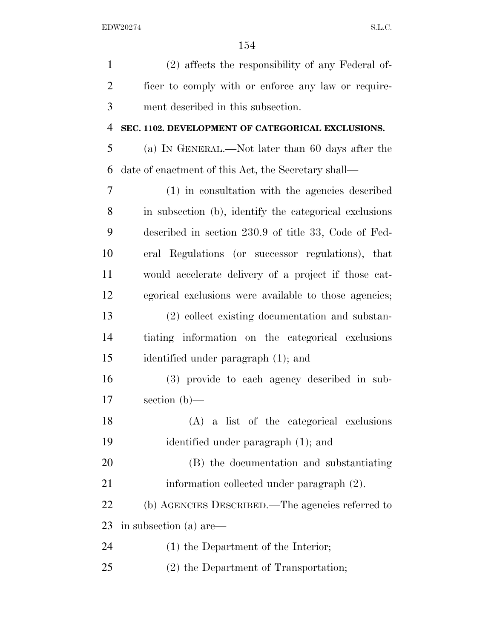| $\mathbf{1}$   | (2) affects the responsibility of any Federal of-      |
|----------------|--------------------------------------------------------|
| $\overline{2}$ | ficer to comply with or enforce any law or require-    |
| 3              | ment described in this subsection.                     |
| $\overline{4}$ | SEC. 1102. DEVELOPMENT OF CATEGORICAL EXCLUSIONS.      |
| 5              | (a) IN GENERAL.—Not later than 60 days after the       |
| 6              | date of enactment of this Act, the Secretary shall—    |
| 7              | (1) in consultation with the agencies described        |
| 8              | in subsection (b), identify the categorical exclusions |
| 9              | described in section 230.9 of title 33, Code of Fed-   |
| 10             | eral Regulations (or successor regulations), that      |
| 11             | would accelerate delivery of a project if those cat-   |
| 12             | egorical exclusions were available to those agencies;  |
| 13             | (2) collect existing documentation and substan-        |
| 14             | tiating information on the categorical exclusions      |
| 15             | identified under paragraph (1); and                    |
| 16             | (3) provide to each agency described in sub-           |
| 17             | section $(b)$ —                                        |
| 18             | (A) a list of the categorical exclusions               |
| 19             | identified under paragraph (1); and                    |
| 20             | (B) the documentation and substantiating               |
| 21             | information collected under paragraph (2).             |
| 22             | (b) AGENCIES DESCRIBED.—The agencies referred to       |
| 23             | in subsection (a) are—                                 |
| 24             | $(1)$ the Department of the Interior;                  |
| 25             | (2) the Department of Transportation;                  |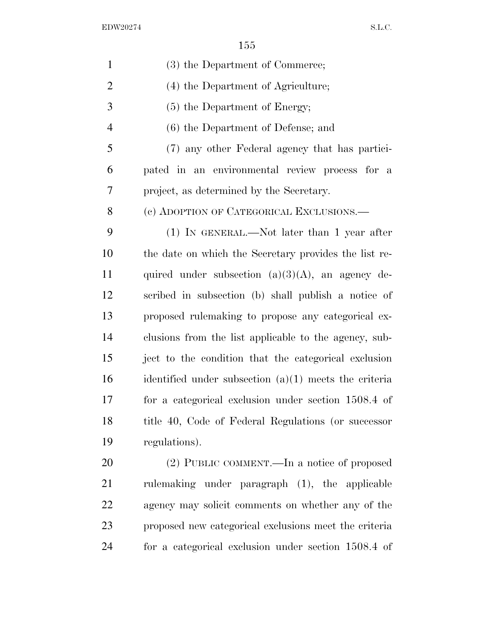| $\mathbf{1}$   | (3) the Department of Commerce;                         |
|----------------|---------------------------------------------------------|
| $\overline{2}$ | (4) the Department of Agriculture;                      |
| 3              | (5) the Department of Energy;                           |
| $\overline{4}$ | $(6)$ the Department of Defense; and                    |
| 5              | (7) any other Federal agency that has partici-          |
| 6              | pated in an environmental review process for a          |
| 7              | project, as determined by the Secretary.                |
| 8              | (c) ADOPTION OF CATEGORICAL EXCLUSIONS.—                |
| 9              | $(1)$ IN GENERAL.—Not later than 1 year after           |
| 10             | the date on which the Secretary provides the list re-   |
| 11             | quired under subsection $(a)(3)(A)$ , an agency de-     |
| 12             | scribed in subsection (b) shall publish a notice of     |
| 13             | proposed rulemaking to propose any categorical ex-      |
| 14             | clusions from the list applicable to the agency, sub-   |
| 15             | ject to the condition that the categorical exclusion    |
| 16             | identified under subsection $(a)(1)$ meets the criteria |
| 17             | for a categorical exclusion under section 1508.4 of     |
| 18             | title 40, Code of Federal Regulations (or successor     |
| 19             | regulations).                                           |
| 20             | (2) PUBLIC COMMENT.—In a notice of proposed             |
| 21             | rulemaking under paragraph (1), the applicable          |
| 22             | agency may solicit comments on whether any of the       |
| 23             | proposed new categorical exclusions meet the criteria   |

for a categorical exclusion under section 1508.4 of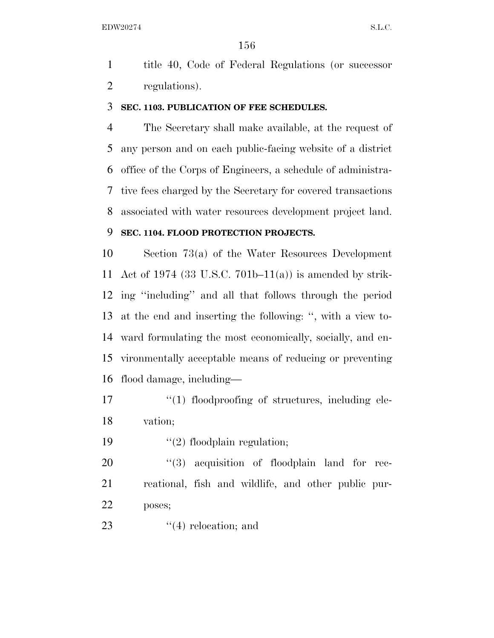title 40, Code of Federal Regulations (or successor regulations).

#### **SEC. 1103. PUBLICATION OF FEE SCHEDULES.**

 The Secretary shall make available, at the request of any person and on each public-facing website of a district office of the Corps of Engineers, a schedule of administra- tive fees charged by the Secretary for covered transactions associated with water resources development project land.

### **SEC. 1104. FLOOD PROTECTION PROJECTS.**

 Section 73(a) of the Water Resources Development Act of 1974 (33 U.S.C. 701b–11(a)) is amended by strik- ing ''including'' and all that follows through the period at the end and inserting the following: '', with a view to- ward formulating the most economically, socially, and en- vironmentally acceptable means of reducing or preventing flood damage, including—

- 17  $\frac{17}{2}$   $\frac{17}{2}$  floodproofing of structures, including ele-vation;
- 19  $\frac{1}{2}$  floodplain regulation;

20  $(3)$  acquisition of floodplain land for rec- reational, fish and wildlife, and other public pur-poses;

23  $(4)$  relocation; and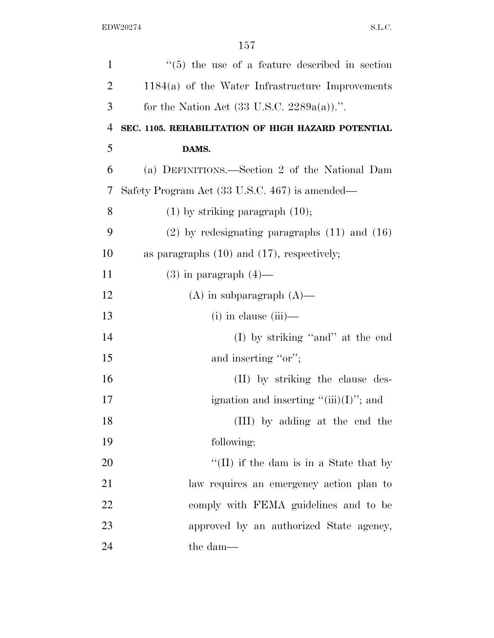| $\mathbf{1}$   | $\cdot\cdot$ (5) the use of a feature described in section |
|----------------|------------------------------------------------------------|
| $\overline{2}$ | $1184(a)$ of the Water Infrastructure Improvements         |
| 3              | for the Nation Act $(33 \text{ U.S.C. } 2289a(a))$ .".     |
| $\overline{4}$ | SEC. 1105. REHABILITATION OF HIGH HAZARD POTENTIAL         |
| 5              | DAMS.                                                      |
| 6              | (a) DEFINITIONS.—Section 2 of the National Dam             |
| 7              | Safety Program Act (33 U.S.C. 467) is amended—             |
| 8              | $(1)$ by striking paragraph $(10)$ ;                       |
| 9              | $(2)$ by redesignating paragraphs $(11)$ and $(16)$        |
| 10             | as paragraphs $(10)$ and $(17)$ , respectively;            |
| 11             | $(3)$ in paragraph $(4)$ —                                 |
| 12             | $(A)$ in subparagraph $(A)$ —                              |
| 13             | $(i)$ in clause $(iii)$ —                                  |
| 14             | (I) by striking "and" at the end                           |
| 15             | and inserting "or";                                        |
| 16             | (II) by striking the clause des-                           |
| 17             | ignation and inserting " $(iii)(I)$ "; and                 |
| 18             | (III) by adding at the end the                             |
| 19             | following:                                                 |
| 20             | "(II) if the dam is in a State that by                     |
| 21             | law requires an emergency action plan to                   |
| 22             | comply with FEMA guidelines and to be                      |
| 23             | approved by an authorized State agency,                    |
| 24             | the dam—                                                   |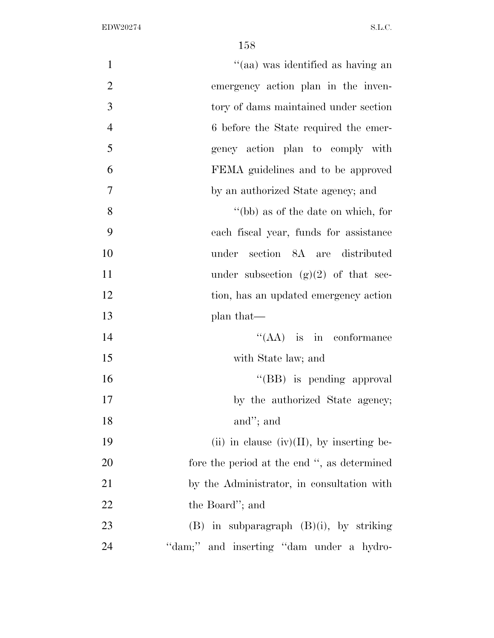| $\mathbf{1}$   | "(aa) was identified as having an            |
|----------------|----------------------------------------------|
| $\overline{2}$ | emergency action plan in the inven-          |
| 3              | tory of dams maintained under section        |
| $\overline{4}$ | 6 before the State required the emer-        |
| 5              | gency action plan to comply with             |
| 6              | FEMA guidelines and to be approved           |
| 7              | by an authorized State agency; and           |
| 8              | "(bb) as of the date on which, for           |
| 9              | each fiscal year, funds for assistance       |
| 10             | under section 8A are distributed             |
| 11             | under subsection $(g)(2)$ of that sec-       |
| 12             | tion, has an updated emergency action        |
| 13             | plan that—                                   |
| 14             | $\lq\lq$ (AA) is in conformance              |
| 15             | with State law; and                          |
| 16             | "(BB) is pending approval                    |
| 17             | by the authorized State agency;              |
| 18             | and"; and                                    |
| 19             | (ii) in clause (iv)(II), by inserting be-    |
| 20             | fore the period at the end ", as determined  |
| 21             | by the Administrator, in consultation with   |
| 22             | the Board"; and                              |
| 23             | $(B)$ in subparagraph $(B)(i)$ , by striking |
| 24             | "dam;" and inserting "dam under a hydro-     |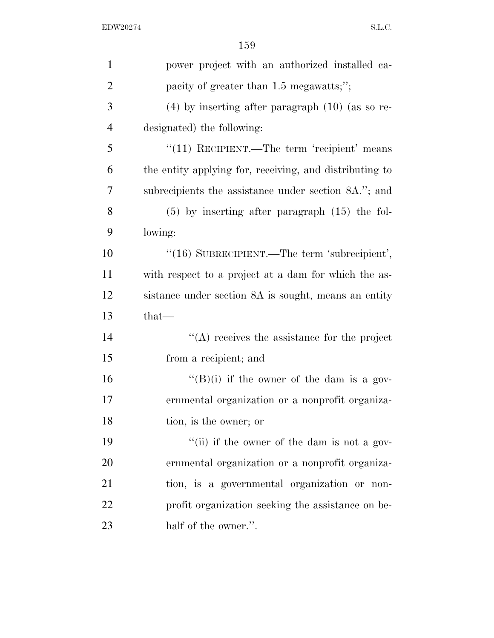| $\mathbf{1}$   | power project with an authorized installed ca-          |
|----------------|---------------------------------------------------------|
| $\overline{2}$ | pacity of greater than 1.5 megawatts;";                 |
| 3              | $(4)$ by inserting after paragraph $(10)$ (as so re-    |
| $\overline{4}$ | designated) the following:                              |
| 5              | " $(11)$ RECIPIENT.—The term 'recipient' means          |
| 6              | the entity applying for, receiving, and distributing to |
| 7              | subrecipients the assistance under section 8A."; and    |
| 8              | $(5)$ by inserting after paragraph $(15)$ the fol-      |
| 9              | lowing:                                                 |
| 10             | "(16) SUBRECIPIENT.—The term 'subrecipient',            |
| 11             | with respect to a project at a dam for which the as-    |
| 12             | sistance under section 8A is sought, means an entity    |
| 13             | $that-$                                                 |
| 14             | $\lq\lq$ receives the assistance for the project        |
| 15             | from a recipient; and                                   |
| 16             | "(B)(i) if the owner of the dam is a gov-               |
| 17             | ernmental organization or a nonprofit organiza-         |
| 18             | tion, is the owner; or                                  |
| 19             | "(ii) if the owner of the dam is not a gov-             |
| 20             | ernmental organization or a nonprofit organiza-         |
| 21             | tion, is a governmental organization or non-            |
| 22             | profit organization seeking the assistance on be-       |
| 23             | half of the owner.".                                    |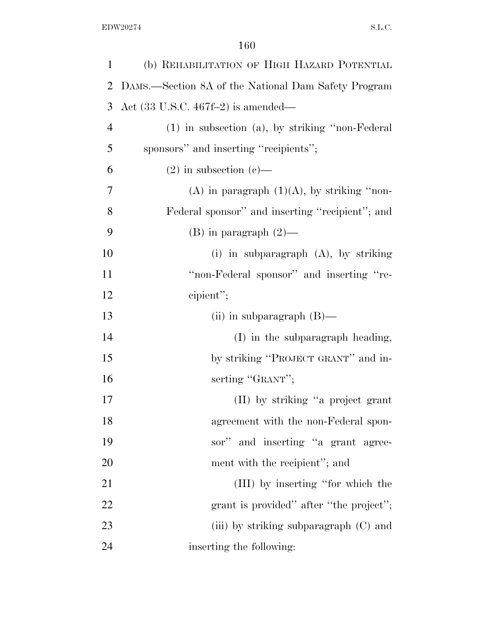| 1              | (b) REHABILITATION OF HIGH HAZARD POTENTIAL           |
|----------------|-------------------------------------------------------|
| 2              | DAMS.—Section 8A of the National Dam Safety Program   |
| 3              | Act $(33 \text{ U.S.C. } 467f-2)$ is amended—         |
| $\overline{4}$ | $(1)$ in subsection $(a)$ , by striking "non-Federal" |
| 5              | sponsors" and inserting "recipients";                 |
| 6              | $(2)$ in subsection $(e)$ —                           |
| 7              | (A) in paragraph $(1)(A)$ , by striking "non-         |
| 8              | Federal sponsor" and inserting "recipient"; and       |
| 9              | $(B)$ in paragraph $(2)$ —                            |
| 10             | (i) in subparagraph $(A)$ , by striking               |
| 11             | "non-Federal sponsor" and inserting "re-              |
| 12             | cipient";                                             |
| 13             | (ii) in subparagraph $(B)$ —                          |
| 14             | (I) in the subparagraph heading,                      |
| 15             | by striking "PROJECT GRANT" and in-                   |
| 16             | serting "GRANT";                                      |
| 17             | (II) by striking "a project grant                     |
| 18             | agreement with the non-Federal spon-                  |
| 19             | sor" and inserting "a grant agree-                    |
| 20             | ment with the recipient"; and                         |
| 21             | (III) by inserting "for which the                     |
| 22             | grant is provided" after "the project";               |
| 23             | (iii) by striking subparagraph $(C)$ and              |
| 24             | inserting the following:                              |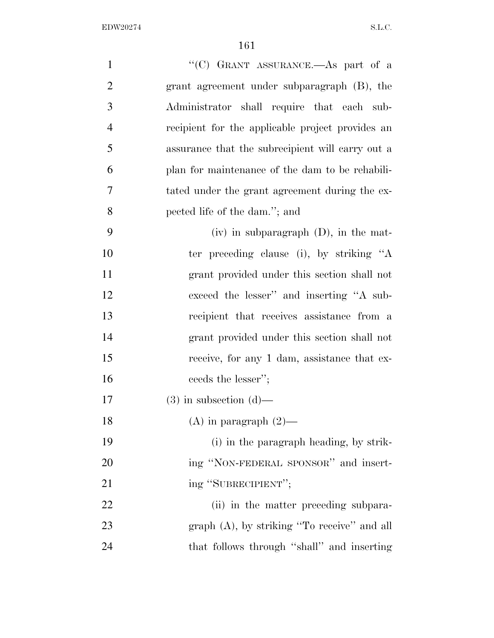| $\mathbf{1}$   | "(C) GRANT ASSURANCE.—As part of a               |
|----------------|--------------------------------------------------|
| $\overline{2}$ | grant agreement under subparagraph (B), the      |
| 3              | Administrator shall require that each sub-       |
| $\overline{4}$ | recipient for the applicable project provides an |
| 5              | assurance that the subrecipient will carry out a |
| 6              | plan for maintenance of the dam to be rehabili-  |
| 7              | tated under the grant agreement during the ex-   |
| 8              | pected life of the dam."; and                    |
| 9              | $(iv)$ in subparagraph $(D)$ , in the mat-       |
| 10             | ter preceding clause (i), by striking "A         |
| 11             | grant provided under this section shall not      |
| 12             | exceed the lesser" and inserting "A sub-         |
| 13             | recipient that receives assistance from a        |
| 14             | grant provided under this section shall not      |
| 15             | receive, for any 1 dam, assistance that ex-      |
| 16             | ceeds the lesser";                               |
| 17             | $(3)$ in subsection $(d)$ —                      |
| 18             | $(A)$ in paragraph $(2)$ —                       |
| 19             | (i) in the paragraph heading, by strik-          |
| 20             | ing "NON-FEDERAL SPONSOR" and insert-            |
| 21             | ing "SUBRECIPIENT";                              |
| 22             | (ii) in the matter preceding subpara-            |
| 23             | $graph(A)$ , by striking "To receive" and all    |
| 24             | that follows through "shall" and inserting       |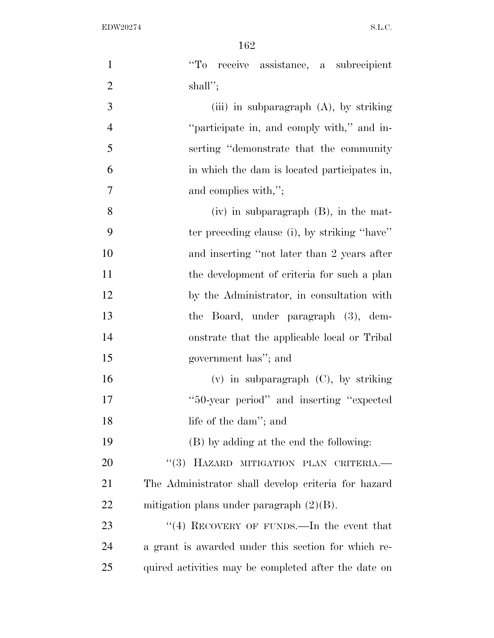| $\mathbf{1}$   | "To receive assistance, a subrecipient               |
|----------------|------------------------------------------------------|
| $\overline{2}$ | $shall$ ";                                           |
| 3              | (iii) in subparagraph $(A)$ , by striking            |
| $\overline{4}$ | "participate in, and comply with," and in-           |
| 5              | serting "demonstrate that the community"             |
| 6              | in which the dam is located participates in,         |
| 7              | and complies with,";                                 |
| $8\,$          | $(iv)$ in subparagraph $(B)$ , in the mat-           |
| 9              | ter preceding clause (i), by striking "have"         |
| 10             | and inserting "not later than 2 years after          |
| 11             | the development of criteria for such a plan          |
| 12             | by the Administrator, in consultation with           |
| 13             | the Board, under paragraph (3), dem-                 |
| 14             | onstrate that the applicable local or Tribal         |
| 15             | government has"; and                                 |
| 16             | $(v)$ in subparagraph $(C)$ , by striking            |
| 17             | "50-year period" and inserting "expected"            |
| 18             | life of the dam"; and                                |
| 19             | (B) by adding at the end the following:              |
| 20             | "(3) HAZARD MITIGATION PLAN CRITERIA.                |
| 21             | The Administrator shall develop criteria for hazard  |
| <u>22</u>      | mitigation plans under paragraph $(2)(B)$ .          |
| 23             | "(4) RECOVERY OF FUNDS.—In the event that            |
| 24             | a grant is awarded under this section for which re-  |
| 25             | quired activities may be completed after the date on |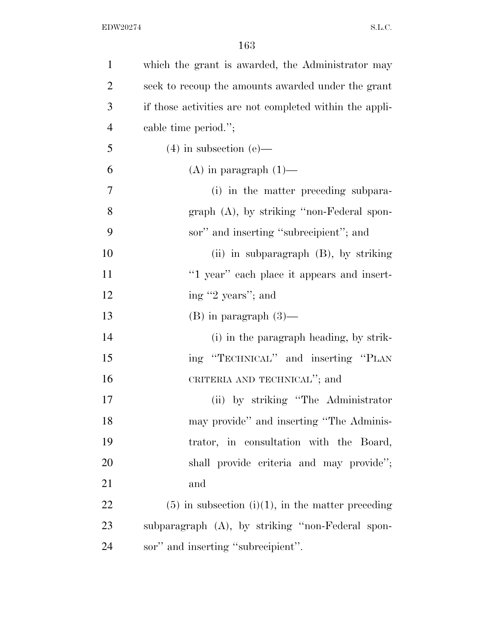| $\mathbf{1}$   | which the grant is awarded, the Administrator may       |
|----------------|---------------------------------------------------------|
| $\overline{2}$ | seek to recoup the amounts awarded under the grant      |
| 3              | if those activities are not completed within the appli- |
| $\overline{4}$ | cable time period.";                                    |
| 5              | $(4)$ in subsection $(e)$ —                             |
| 6              | $(A)$ in paragraph $(1)$ —                              |
| 7              | (i) in the matter preceding subpara-                    |
| 8              | graph (A), by striking "non-Federal spon-               |
| 9              | sor" and inserting "subrecipient"; and                  |
| 10             | $(ii)$ in subparagraph $(B)$ , by striking              |
| 11             | "1 year" each place it appears and insert-              |
| 12             | ing "2 years"; and                                      |
| 13             | $(B)$ in paragraph $(3)$ —                              |
| 14             | (i) in the paragraph heading, by strik-                 |
| 15             | ing "TECHNICAL" and inserting "PLAN                     |
| 16             | CRITERIA AND TECHNICAL"; and                            |
| 17             | (ii) by striking "The Administrator"                    |
| 18             | may provide" and inserting "The Adminis-                |
| 19             | trator, in consultation with the Board,                 |
| 20             | shall provide criteria and may provide";                |
| 21             | and                                                     |
| 22             | $(5)$ in subsection $(i)(1)$ , in the matter preceding  |
| 23             | subparagraph (A), by striking "non-Federal spon-        |
| 24             | sor" and inserting "subrecipient".                      |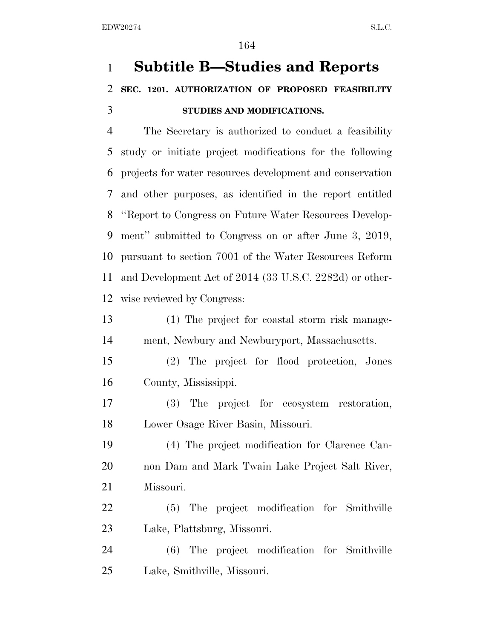# **Subtitle B—Studies and Reports SEC. 1201. AUTHORIZATION OF PROPOSED FEASIBILITY STUDIES AND MODIFICATIONS.**

 The Secretary is authorized to conduct a feasibility study or initiate project modifications for the following projects for water resources development and conservation and other purposes, as identified in the report entitled ''Report to Congress on Future Water Resources Develop- ment'' submitted to Congress on or after June 3, 2019, pursuant to section 7001 of the Water Resources Reform and Development Act of 2014 (33 U.S.C. 2282d) or other-wise reviewed by Congress:

 (1) The project for coastal storm risk manage-ment, Newbury and Newburyport, Massachusetts.

 (2) The project for flood protection, Jones County, Mississippi.

 (3) The project for ecosystem restoration, Lower Osage River Basin, Missouri.

 (4) The project modification for Clarence Can- non Dam and Mark Twain Lake Project Salt River, Missouri.

 (5) The project modification for Smithville Lake, Plattsburg, Missouri.

 (6) The project modification for Smithville Lake, Smithville, Missouri.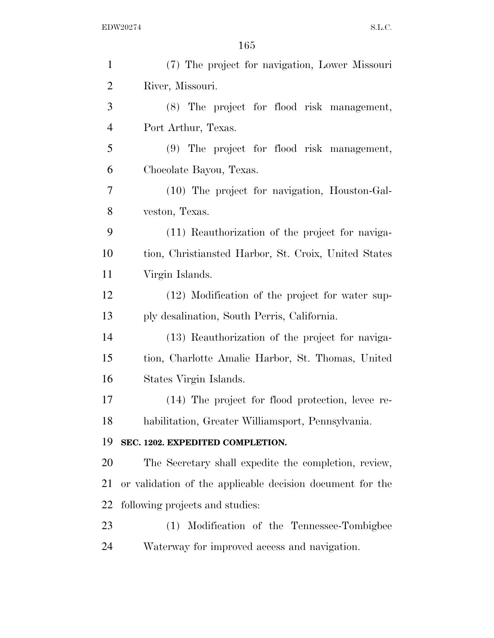| $\mathbf{1}$   | (7) The project for navigation, Lower Missouri            |
|----------------|-----------------------------------------------------------|
| $\overline{2}$ | River, Missouri.                                          |
| 3              | (8) The project for flood risk management,                |
| $\overline{4}$ | Port Arthur, Texas.                                       |
| 5              | (9) The project for flood risk management,                |
| 6              | Chocolate Bayou, Texas.                                   |
| 7              | (10) The project for navigation, Houston-Gal-             |
| 8              | veston, Texas.                                            |
| 9              | (11) Reauthorization of the project for naviga-           |
| 10             | tion, Christiansted Harbor, St. Croix, United States      |
| 11             | Virgin Islands.                                           |
| 12             | (12) Modification of the project for water sup-           |
| 13             | ply desalination, South Perris, California.               |
| 14             | (13) Reauthorization of the project for naviga-           |
| 15             | tion, Charlotte Amalie Harbor, St. Thomas, United         |
| 16             | States Virgin Islands.                                    |
| 17             | (14) The project for flood protection, levee re-          |
| 18             | habilitation, Greater Williamsport, Pennsylvania.         |
| 19             | SEC. 1202. EXPEDITED COMPLETION.                          |
| 20             | The Secretary shall expedite the completion, review,      |
| 21             | or validation of the applicable decision document for the |
| 22             | following projects and studies:                           |
| 23             | Modification of the Tennessee-Tombigbee<br>(1)            |
| 24             | Waterway for improved access and navigation.              |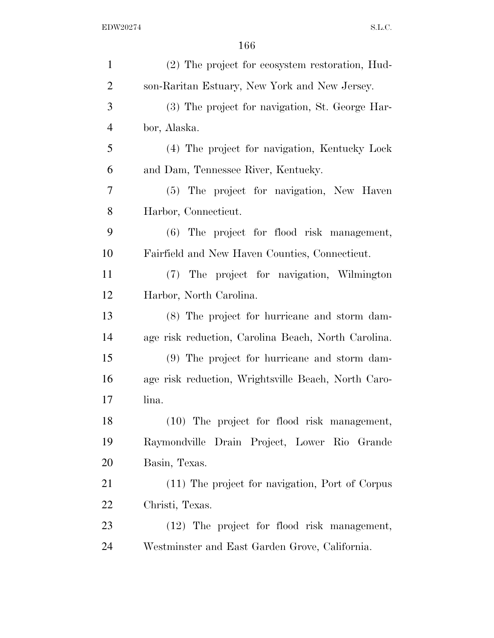| $\mathbf{1}$   | (2) The project for ecosystem restoration, Hud-     |
|----------------|-----------------------------------------------------|
| $\overline{2}$ | son-Raritan Estuary, New York and New Jersey.       |
| 3              | (3) The project for navigation, St. George Har-     |
| $\overline{4}$ | bor, Alaska.                                        |
| 5              | (4) The project for navigation, Kentucky Lock       |
| 6              | and Dam, Tennessee River, Kentucky.                 |
| 7              | (5) The project for navigation, New Haven           |
| 8              | Harbor, Connecticut.                                |
| 9              | (6) The project for flood risk management,          |
| 10             | Fairfield and New Haven Counties, Connecticut.      |
| 11             | (7) The project for navigation, Wilmington          |
| 12             | Harbor, North Carolina.                             |
| 13             | (8) The project for hurricane and storm dam-        |
| 14             | age risk reduction, Carolina Beach, North Carolina. |
| 15             | (9) The project for hurricane and storm dam-        |
| 16             | age risk reduction, Wrightsville Beach, North Caro- |
| 17             | lina.                                               |
| 18             | (10) The project for flood risk management,         |
| 19             | Raymondville Drain Project, Lower Rio Grande        |
| 20             | Basin, Texas.                                       |
| 21             | (11) The project for navigation, Port of Corpus     |
| 22             | Christi, Texas.                                     |
| 23             | (12) The project for flood risk management,         |
| 24             | Westminster and East Garden Grove, California.      |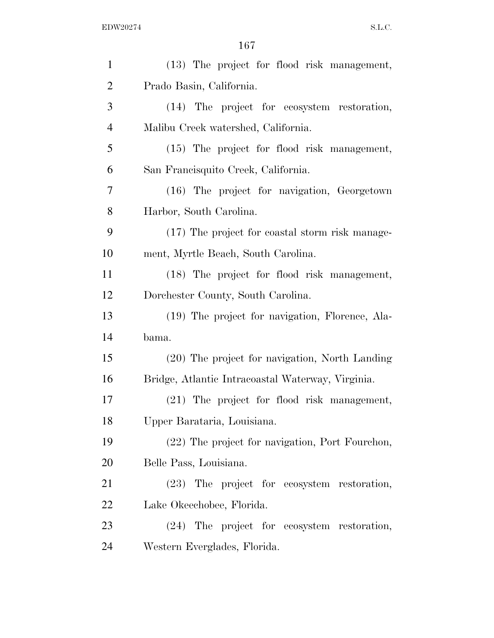| $\mathbf{1}$   | (13) The project for flood risk management,       |
|----------------|---------------------------------------------------|
| $\overline{2}$ | Prado Basin, California.                          |
| 3              | (14) The project for ecosystem restoration,       |
| $\overline{4}$ | Malibu Creek watershed, California.               |
| 5              | (15) The project for flood risk management,       |
| 6              | San Francisquito Creek, California.               |
| 7              | (16) The project for navigation, Georgetown       |
| 8              | Harbor, South Carolina.                           |
| 9              | (17) The project for coastal storm risk manage-   |
| 10             | ment, Myrtle Beach, South Carolina.               |
| 11             | (18) The project for flood risk management,       |
| 12             | Dorchester County, South Carolina.                |
| 13             | (19) The project for navigation, Florence, Ala-   |
| 14             | bama.                                             |
| 15             | (20) The project for navigation, North Landing    |
| 16             | Bridge, Atlantic Intracoastal Waterway, Virginia. |
| 17             | (21) The project for flood risk management,       |
| 18             | Upper Barataria, Louisiana.                       |
| 19             |                                                   |
|                | (22) The project for navigation, Port Fourchon,   |
| 20             | Belle Pass, Louisiana.                            |
| 21             | (23) The project for ecosystem restoration,       |
| 22             | Lake Okeechobee, Florida.                         |
| 23             | (24) The project for ecosystem restoration,       |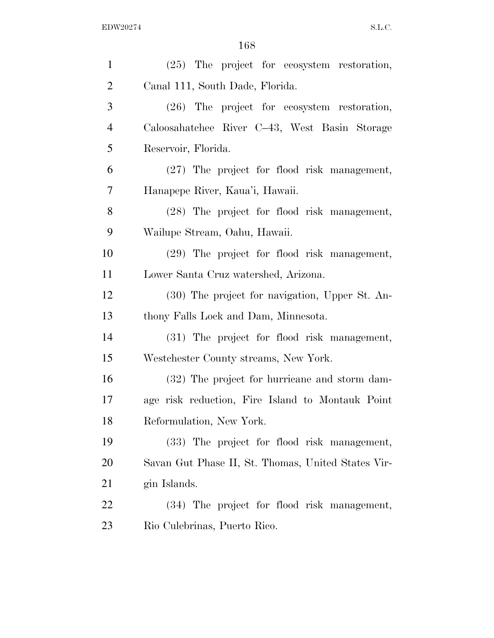| $\mathbf{1}$   | (25) The project for ecosystem restoration,        |
|----------------|----------------------------------------------------|
| $\overline{2}$ | Canal 111, South Dade, Florida.                    |
| 3              | $(26)$ The project for ecosystem restoration,      |
| $\overline{4}$ | Caloosahatchee River C-43, West Basin Storage      |
| 5              | Reservoir, Florida.                                |
| 6              | (27) The project for flood risk management,        |
| 7              | Hanapepe River, Kaua'i, Hawaii.                    |
| 8              | (28) The project for flood risk management,        |
| 9              | Wailupe Stream, Oahu, Hawaii.                      |
| 10             | (29) The project for flood risk management,        |
| 11             | Lower Santa Cruz watershed, Arizona.               |
| 12             | (30) The project for navigation, Upper St. An-     |
| 13             | thony Falls Lock and Dam, Minnesota.               |
| 14             | (31) The project for flood risk management,        |
| 15             | Westchester County streams, New York.              |
| 16             | (32) The project for hurricane and storm dam-      |
| 17             | age risk reduction, Fire Island to Montauk Point   |
| 18             | Reformulation, New York.                           |
| 19             | (33) The project for flood risk management,        |
| 20             | Savan Gut Phase II, St. Thomas, United States Vir- |
| 21             | gin Islands.                                       |
| <u>22</u>      | (34) The project for flood risk management,        |
| 23             | Rio Culebrinas, Puerto Rico.                       |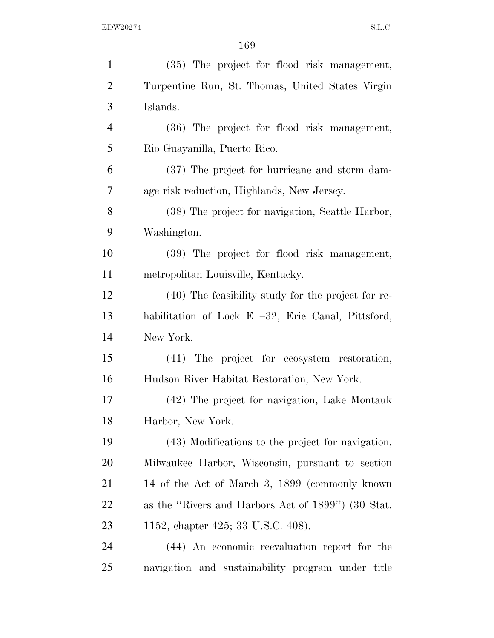| $\mathbf{1}$   | (35) The project for flood risk management,           |
|----------------|-------------------------------------------------------|
| $\overline{2}$ | Turpentine Run, St. Thomas, United States Virgin      |
| 3              | Islands.                                              |
| $\overline{4}$ | (36) The project for flood risk management,           |
| 5              | Rio Guayanilla, Puerto Rico.                          |
| 6              | (37) The project for hurricane and storm dam-         |
| 7              | age risk reduction, Highlands, New Jersey.            |
| 8              | (38) The project for navigation, Seattle Harbor,      |
| 9              | Washington.                                           |
| 10             | (39) The project for flood risk management,           |
| 11             | metropolitan Louisville, Kentucky.                    |
| 12             | (40) The feasibility study for the project for re-    |
| 13             | habilitation of Lock E $-32$ , Erie Canal, Pittsford, |
| 14             | New York.                                             |
| 15             | (41) The project for ecosystem restoration,           |
| 16             | Hudson River Habitat Restoration, New York.           |
| 17             | (42) The project for navigation, Lake Montauk         |
| 18             | Harbor, New York.                                     |
| 19             | (43) Modifications to the project for navigation,     |
| 20             | Milwaukee Harbor, Wisconsin, pursuant to section      |
| 21             | 14 of the Act of March 3, 1899 (commonly known)       |
| 22             | as the "Rivers and Harbors Act of 1899") (30 Stat.    |
| 23             | 1152, chapter 425; 33 U.S.C. 408).                    |
| 24             | (44) An economic reevaluation report for the          |
| 25             | navigation and sustainability program under title     |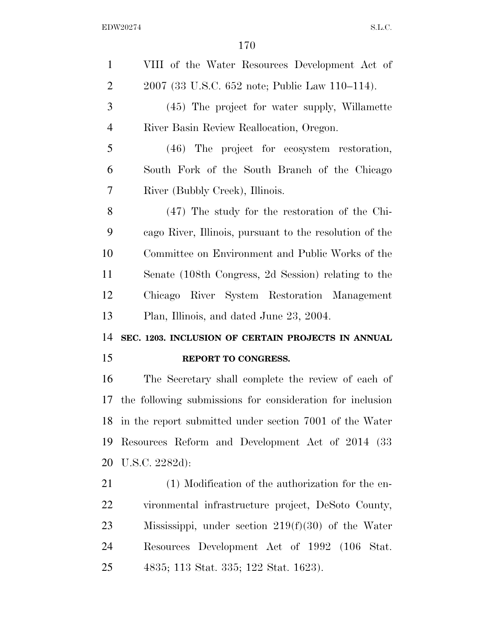| $\mathbf{1}$   | VIII of the Water Resources Development Act of            |
|----------------|-----------------------------------------------------------|
| $\overline{2}$ | 2007 (33 U.S.C. 652 note; Public Law 110–114).            |
| 3              | (45) The project for water supply, Willamette             |
| $\overline{4}$ | River Basin Review Reallocation, Oregon.                  |
| 5              | (46) The project for ecosystem restoration,               |
| 6              | South Fork of the South Branch of the Chicago             |
| 7              | River (Bubbly Creek), Illinois.                           |
| 8              | $(47)$ The study for the restoration of the Chi-          |
| 9              | cago River, Illinois, pursuant to the resolution of the   |
| 10             | Committee on Environment and Public Works of the          |
| 11             | Senate (108th Congress, 2d Session) relating to the       |
| 12             | Chicago River System Restoration Management               |
|                |                                                           |
| 13             | Plan, Illinois, and dated June 23, 2004.                  |
| 14             | SEC. 1203. INCLUSION OF CERTAIN PROJECTS IN ANNUAL        |
| 15             | REPORT TO CONGRESS.                                       |
| 16             | The Secretary shall complete the review of each of        |
| 17             | the following submissions for consideration for inclusion |
| 18             | in the report submitted under section 7001 of the Water   |
| 19             | Resources Reform and Development Act of 2014 (33)         |
| 20             | U.S.C. 2282d):                                            |
| 21             | (1) Modification of the authorization for the en-         |
| <u>22</u>      | vironmental infrastructure project, DeSoto County,        |
| 23             | Mississippi, under section $219(f)(30)$ of the Water      |
| 24             | Resources Development Act of 1992 (106 Stat.              |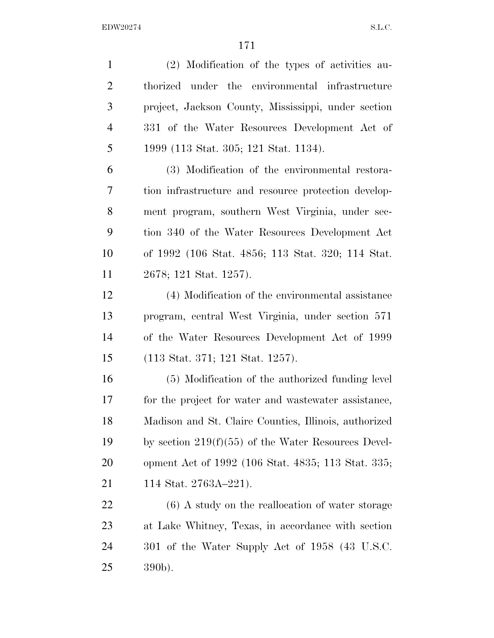(2) Modification of the types of activities au- thorized under the environmental infrastructure project, Jackson County, Mississippi, under section 331 of the Water Resources Development Act of 1999 (113 Stat. 305; 121 Stat. 1134). (3) Modification of the environmental restora- tion infrastructure and resource protection develop- ment program, southern West Virginia, under sec- tion 340 of the Water Resources Development Act of 1992 (106 Stat. 4856; 113 Stat. 320; 114 Stat. 2678; 121 Stat. 1257). (4) Modification of the environmental assistance program, central West Virginia, under section 571 of the Water Resources Development Act of 1999 (113 Stat. 371; 121 Stat. 1257). (5) Modification of the authorized funding level for the project for water and wastewater assistance, Madison and St. Claire Counties, Illinois, authorized by section 219(f)(55) of the Water Resources Devel- opment Act of 1992 (106 Stat. 4835; 113 Stat. 335; 21 114 Stat. 2763A-221). (6) A study on the reallocation of water storage at Lake Whitney, Texas, in accordance with section 301 of the Water Supply Act of 1958 (43 U.S.C. 390b).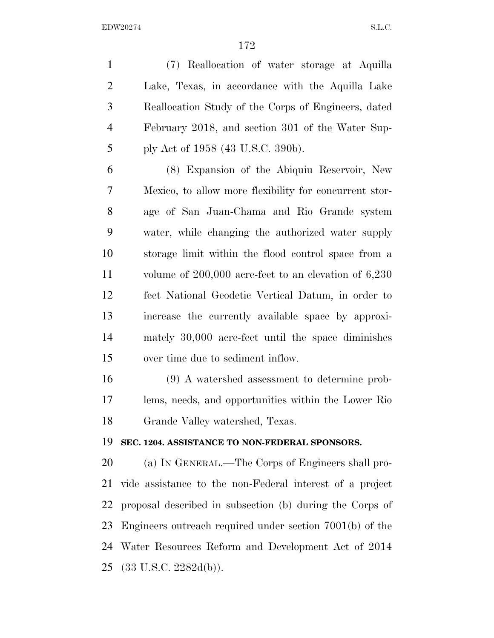(7) Reallocation of water storage at Aquilla Lake, Texas, in accordance with the Aquilla Lake Reallocation Study of the Corps of Engineers, dated February 2018, and section 301 of the Water Sup-ply Act of 1958 (43 U.S.C. 390b).

 (8) Expansion of the Abiquiu Reservoir, New Mexico, to allow more flexibility for concurrent stor- age of San Juan-Chama and Rio Grande system water, while changing the authorized water supply storage limit within the flood control space from a volume of 200,000 acre-feet to an elevation of 6,230 feet National Geodetic Vertical Datum, in order to increase the currently available space by approxi- mately 30,000 acre-feet until the space diminishes over time due to sediment inflow.

 (9) A watershed assessment to determine prob- lems, needs, and opportunities within the Lower Rio Grande Valley watershed, Texas.

#### **SEC. 1204. ASSISTANCE TO NON-FEDERAL SPONSORS.**

 (a) IN GENERAL.—The Corps of Engineers shall pro- vide assistance to the non-Federal interest of a project proposal described in subsection (b) during the Corps of Engineers outreach required under section 7001(b) of the Water Resources Reform and Development Act of 2014 (33 U.S.C. 2282d(b)).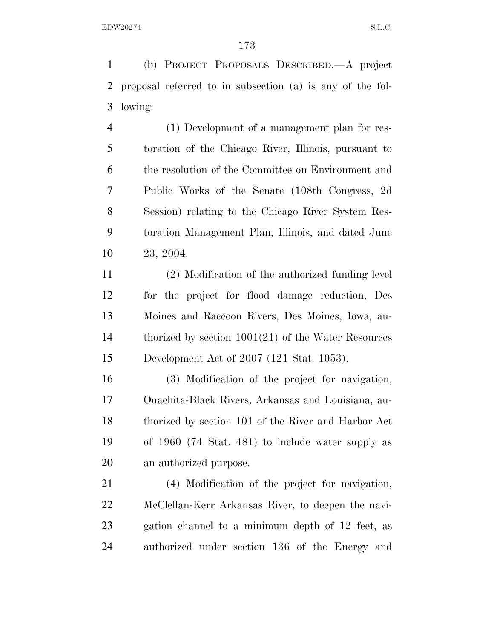(b) PROJECT PROPOSALS DESCRIBED.—A project proposal referred to in subsection (a) is any of the fol-lowing:

 (1) Development of a management plan for res- toration of the Chicago River, Illinois, pursuant to the resolution of the Committee on Environment and Public Works of the Senate (108th Congress, 2d Session) relating to the Chicago River System Res- toration Management Plan, Illinois, and dated June 23, 2004.

 (2) Modification of the authorized funding level for the project for flood damage reduction, Des Moines and Raccoon Rivers, Des Moines, Iowa, au- thorized by section 1001(21) of the Water Resources Development Act of 2007 (121 Stat. 1053).

 (3) Modification of the project for navigation, Ouachita-Black Rivers, Arkansas and Louisiana, au- thorized by section 101 of the River and Harbor Act of 1960 (74 Stat. 481) to include water supply as an authorized purpose.

 (4) Modification of the project for navigation, McClellan-Kerr Arkansas River, to deepen the navi- gation channel to a minimum depth of 12 feet, as authorized under section 136 of the Energy and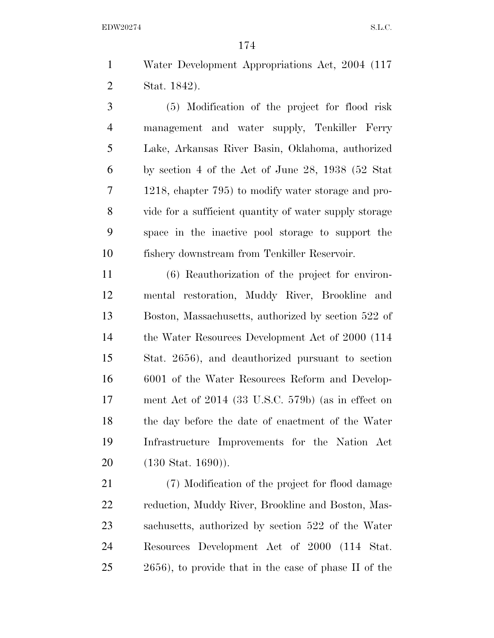Water Development Appropriations Act, 2004 (117 Stat. 1842).

 (5) Modification of the project for flood risk management and water supply, Tenkiller Ferry Lake, Arkansas River Basin, Oklahoma, authorized by section 4 of the Act of June 28, 1938 (52 Stat 1218, chapter 795) to modify water storage and pro- vide for a sufficient quantity of water supply storage space in the inactive pool storage to support the fishery downstream from Tenkiller Reservoir.

 (6) Reauthorization of the project for environ- mental restoration, Muddy River, Brookline and Boston, Massachusetts, authorized by section 522 of 14 the Water Resources Development Act of 2000 (114 Stat. 2656), and deauthorized pursuant to section 6001 of the Water Resources Reform and Develop- ment Act of 2014 (33 U.S.C. 579b) (as in effect on the day before the date of enactment of the Water Infrastructure Improvements for the Nation Act (130 Stat. 1690)).

 (7) Modification of the project for flood damage reduction, Muddy River, Brookline and Boston, Mas- sachusetts, authorized by section 522 of the Water Resources Development Act of 2000 (114 Stat. 2656), to provide that in the case of phase II of the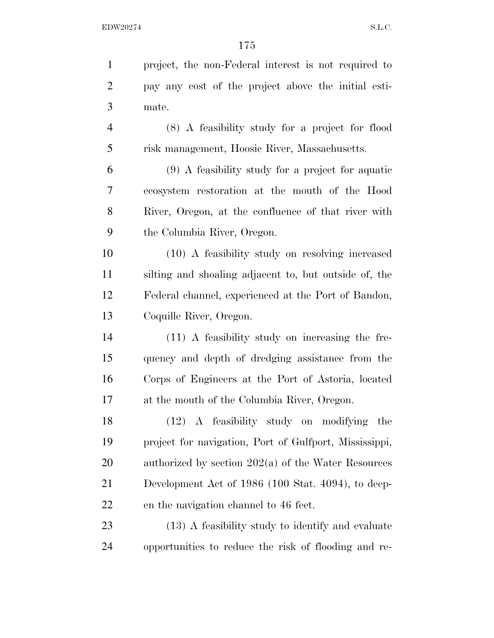| project, the non-Federal interest is not required to   |
|--------------------------------------------------------|
| pay any cost of the project above the initial esti-    |
| mate.                                                  |
| (8) A feasibility study for a project for flood        |
| risk management, Hoosic River, Massachusetts.          |
| $(9)$ A feasibility study for a project for aquatic    |
| ecosystem restoration at the mouth of the Hood         |
| River, Oregon, at the confluence of that river with    |
| the Columbia River, Oregon.                            |
| (10) A feasibility study on resolving increased        |
| silting and shoaling adjacent to, but outside of, the  |
| Federal channel, experienced at the Port of Bandon,    |
| Coquille River, Oregon.                                |
| (11) A feasibility study on increasing the fre-        |
| quency and depth of dredging assistance from the       |
| Corps of Engineers at the Port of Astoria, located     |
| at the mouth of the Columbia River, Oregon.            |
| $(12)$ A feasibility study on modifying the            |
| project for navigation, Port of Gulfport, Mississippi, |
| authorized by section $202(a)$ of the Water Resources  |
| Development Act of 1986 (100 Stat. 4094), to deep-     |
| en the navigation channel to 46 feet.                  |
| (13) A feasibility study to identify and evaluate      |
| opportunities to reduce the risk of flooding and re-   |
|                                                        |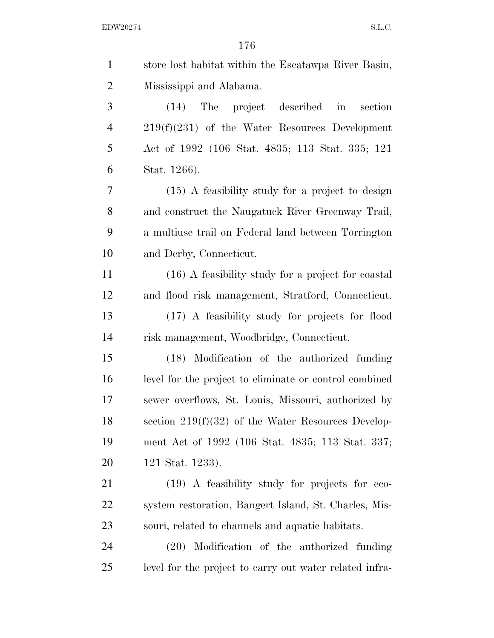| $\mathbf{1}$   | store lost habitat within the Escatawpa River Basin,    |
|----------------|---------------------------------------------------------|
| $\overline{2}$ | Mississippi and Alabama.                                |
| 3              | (14) The project described in section                   |
| $\overline{4}$ | $219(f)(231)$ of the Water Resources Development        |
| 5              | Act of 1992 (106 Stat. 4835; 113 Stat. 335; 121         |
| 6              | Stat. 1266).                                            |
| 7              | $(15)$ A feasibility study for a project to design      |
| 8              | and construct the Naugatuck River Greenway Trail,       |
| 9              | a multiuse trail on Federal land between Torrington     |
| 10             | and Derby, Connecticut.                                 |
| 11             | (16) A feasibility study for a project for coastal      |
| 12             | and flood risk management, Stratford, Connecticut.      |
| 13             | (17) A feasibility study for projects for flood         |
| 14             | risk management, Woodbridge, Connecticut.               |
| 15             | (18) Modification of the authorized funding             |
| 16             | level for the project to eliminate or control combined  |
| 17             | sewer overflows, St. Louis, Missouri, authorized by     |
| 18             | section $219(f)(32)$ of the Water Resources Develop-    |
| 19             | ment Act of 1992 (106 Stat. 4835; 113 Stat. 337;        |
| 20             | 121 Stat. 1233).                                        |
| 21             | (19) A feasibility study for projects for eco-          |
| 22             | system restoration, Bangert Island, St. Charles, Mis-   |
| 23             | souri, related to channels and aquatic habitats.        |
| 24             | Modification of the authorized funding<br>(20)          |
| 25             | level for the project to carry out water related infra- |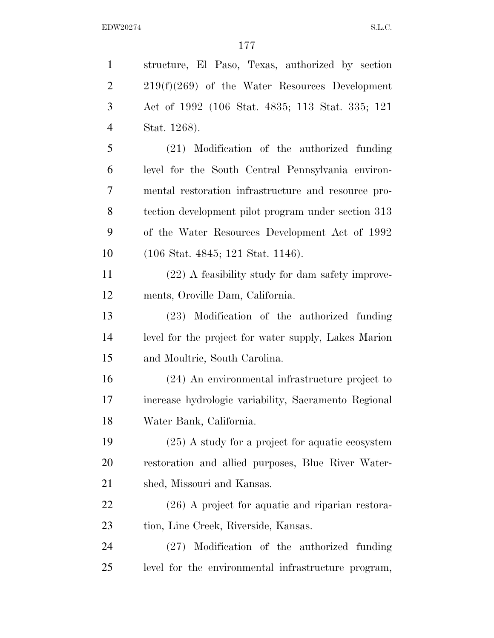structure, El Paso, Texas, authorized by section 2 219(f)(269) of the Water Resources Development Act of 1992 (106 Stat. 4835; 113 Stat. 335; 121 Stat. 1268). (21) Modification of the authorized funding level for the South Central Pennsylvania environ- mental restoration infrastructure and resource pro- tection development pilot program under section 313 of the Water Resources Development Act of 1992 (106 Stat. 4845; 121 Stat. 1146). (22) A feasibility study for dam safety improve- ments, Oroville Dam, California. (23) Modification of the authorized funding level for the project for water supply, Lakes Marion and Moultrie, South Carolina. (24) An environmental infrastructure project to increase hydrologic variability, Sacramento Regional Water Bank, California. (25) A study for a project for aquatic ecosystem restoration and allied purposes, Blue River Water- shed, Missouri and Kansas. (26) A project for aquatic and riparian restora- tion, Line Creek, Riverside, Kansas. (27) Modification of the authorized funding level for the environmental infrastructure program,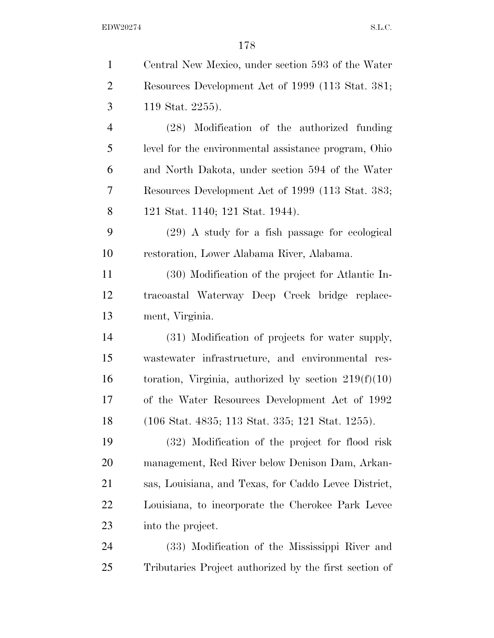| $\mathbf{1}$   | Central New Mexico, under section 593 of the Water     |
|----------------|--------------------------------------------------------|
| $\overline{2}$ | Resources Development Act of 1999 (113 Stat. 381;      |
| 3              | 119 Stat. 2255).                                       |
| $\overline{4}$ | (28) Modification of the authorized funding            |
| 5              | level for the environmental assistance program, Ohio   |
| 6              | and North Dakota, under section 594 of the Water       |
| 7              | Resources Development Act of 1999 (113 Stat. 383;      |
| 8              | 121 Stat. 1140; 121 Stat. 1944).                       |
| 9              | $(29)$ A study for a fish passage for ecological       |
| 10             | restoration, Lower Alabama River, Alabama.             |
| 11             | (30) Modification of the project for Atlantic In-      |
| 12             | tracoastal Waterway Deep Creek bridge replace-         |
| 13             | ment, Virginia.                                        |
| 14             | (31) Modification of projects for water supply,        |
| 15             | wastewater infrastructure, and environmental res-      |
| 16             | toration, Virginia, authorized by section $219(f)(10)$ |
| 17             | of the Water Resources Development Act of 1992         |
| 18             | (106 Stat. 4835; 113 Stat. 335; 121 Stat. 1255).       |
| 19             | (32) Modification of the project for flood risk        |
| 20             | management, Red River below Denison Dam, Arkan-        |
| 21             | sas, Louisiana, and Texas, for Caddo Levee District,   |
| 22             | Louisiana, to incorporate the Cherokee Park Levee      |
| 23             | into the project.                                      |
| 24             | (33) Modification of the Mississippi River and         |
| 25             | Tributaries Project authorized by the first section of |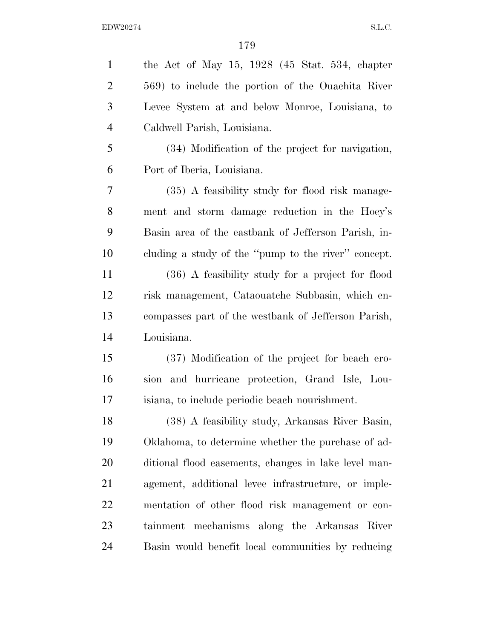| $\mathbf{1}$   | the Act of May $15, 1928$ (45 Stat. 534, chapter     |
|----------------|------------------------------------------------------|
| $\overline{2}$ | 569) to include the portion of the Ouachita River    |
| 3              | Levee System at and below Monroe, Louisiana, to      |
| $\overline{4}$ | Caldwell Parish, Louisiana.                          |
| 5              | (34) Modification of the project for navigation,     |
| 6              | Port of Iberia, Louisiana.                           |
| 7              | (35) A feasibility study for flood risk manage-      |
| 8              | ment and storm damage reduction in the Hoey's        |
| 9              | Basin area of the eastbank of Jefferson Parish, in-  |
| 10             | cluding a study of the "pump to the river" concept.  |
| 11             | (36) A feasibility study for a project for flood     |
| 12             | risk management, Cataouatche Subbasin, which en-     |
| 13             | compasses part of the westbank of Jefferson Parish,  |
| 14             | Louisiana.                                           |
| 15             | (37) Modification of the project for beach ero-      |
| 16             | sion and hurricane protection, Grand Isle, Lou-      |
| 17             | isiana, to include periodic beach nourishment.       |
| 18             | (38) A feasibility study, Arkansas River Basin,      |
| 19             | Oklahoma, to determine whether the purchase of ad-   |
| 20             | ditional flood easements, changes in lake level man- |
| 21             | agement, additional levee infrastructure, or imple-  |
| 22             | mentation of other flood risk management or con-     |
| 23             | tainment mechanisms along the Arkansas River         |
| 24             | Basin would benefit local communities by reducing    |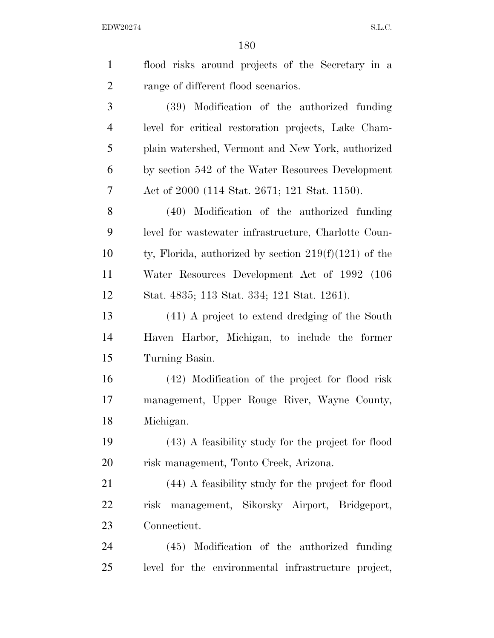| $\mathbf{1}$   | flood risks around projects of the Secretary in a       |
|----------------|---------------------------------------------------------|
| $\overline{2}$ | range of different flood scenarios.                     |
| 3              | (39) Modification of the authorized funding             |
| $\overline{4}$ | level for critical restoration projects, Lake Cham-     |
| 5              | plain watershed, Vermont and New York, authorized       |
| 6              | by section 542 of the Water Resources Development       |
| 7              | Act of 2000 (114 Stat. 2671; 121 Stat. 1150).           |
| 8              | (40) Modification of the authorized funding             |
| 9              | level for wastewater infrastructure, Charlotte Coun-    |
| 10             | ty, Florida, authorized by section $219(f)(121)$ of the |
| 11             | Water Resources Development Act of 1992 (106            |
| 12             | Stat. 4835; 113 Stat. 334; 121 Stat. 1261).             |
| 13             | (41) A project to extend dredging of the South          |
| 14             | Haven Harbor, Michigan, to include the former           |
| 15             | Turning Basin.                                          |
| 16             | (42) Modification of the project for flood risk         |
| 17             | management, Upper Rouge River, Wayne County,            |
| 18             | Michigan.                                               |
| 19             | (43) A feasibility study for the project for flood      |
| <b>20</b>      | risk management, Tonto Creek, Arizona.                  |
| 21             | (44) A feasibility study for the project for flood      |
| 22             | risk management, Sikorsky Airport, Bridgeport,          |
| 23             | Connecticut.                                            |
| 24             | Modification of the authorized funding<br>(45)          |
| 25             | level for the environmental infrastructure project,     |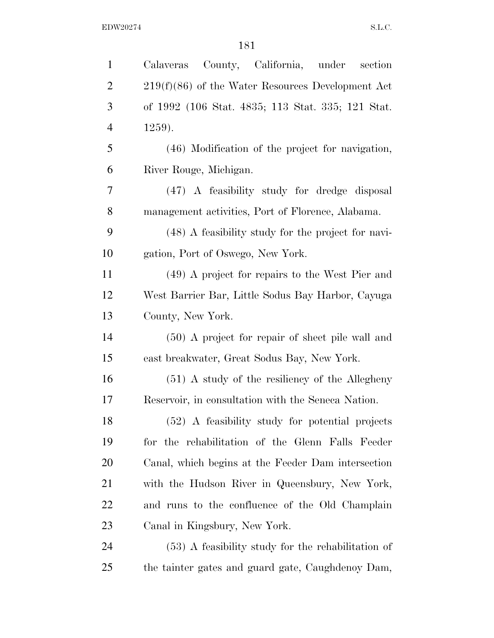| $\mathbf{1}$   | County, California, under<br>section<br>Calaveras    |  |  |  |  |  |
|----------------|------------------------------------------------------|--|--|--|--|--|
| $\overline{2}$ | $219(f)(86)$ of the Water Resources Development Act  |  |  |  |  |  |
| 3              | of 1992 (106 Stat. 4835; 113 Stat. 335; 121 Stat.    |  |  |  |  |  |
| $\overline{4}$ | $1259$ ).                                            |  |  |  |  |  |
| 5              | (46) Modification of the project for navigation,     |  |  |  |  |  |
| 6              | River Rouge, Michigan.                               |  |  |  |  |  |
| 7              | (47) A feasibility study for dredge disposal         |  |  |  |  |  |
| 8              | management activities, Port of Florence, Alabama.    |  |  |  |  |  |
| 9              | (48) A feasibility study for the project for navi-   |  |  |  |  |  |
| 10             | gation, Port of Oswego, New York.                    |  |  |  |  |  |
| 11             | (49) A project for repairs to the West Pier and      |  |  |  |  |  |
| 12             | West Barrier Bar, Little Sodus Bay Harbor, Cayuga    |  |  |  |  |  |
| 13             | County, New York.                                    |  |  |  |  |  |
| 14             | $(50)$ A project for repair of sheet pile wall and   |  |  |  |  |  |
| 15             | east breakwater, Great Sodus Bay, New York.          |  |  |  |  |  |
| 16             | $(51)$ A study of the resiliency of the Allegheny    |  |  |  |  |  |
| 17             | Reservoir, in consultation with the Seneca Nation.   |  |  |  |  |  |
| 18             | (52) A feasibility study for potential projects      |  |  |  |  |  |
| 19             | for the rehabilitation of the Glenn Falls Feeder     |  |  |  |  |  |
| 20             | Canal, which begins at the Feeder Dam intersection   |  |  |  |  |  |
| 21             | with the Hudson River in Queensbury, New York,       |  |  |  |  |  |
| <u>22</u>      | and runs to the confluence of the Old Champlain      |  |  |  |  |  |
| 23             | Canal in Kingsbury, New York.                        |  |  |  |  |  |
| 24             | $(53)$ A feasibility study for the rehabilitation of |  |  |  |  |  |
| 25             | the tainter gates and guard gate, Caughdenoy Dam,    |  |  |  |  |  |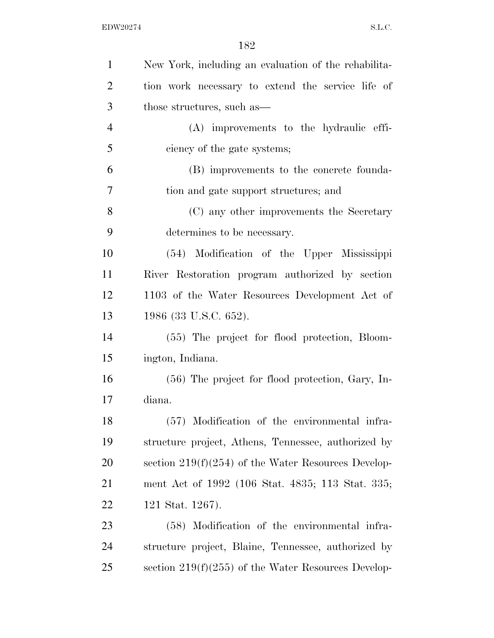| $\mathbf{1}$   | New York, including an evaluation of the rehabilita-  |  |  |  |  |  |
|----------------|-------------------------------------------------------|--|--|--|--|--|
| $\overline{2}$ | tion work necessary to extend the service life of     |  |  |  |  |  |
| 3              | those structures, such as—                            |  |  |  |  |  |
| $\overline{4}$ | (A) improvements to the hydraulic effi-               |  |  |  |  |  |
| 5              | ciency of the gate systems;                           |  |  |  |  |  |
| 6              | (B) improvements to the concrete founda-              |  |  |  |  |  |
| 7              | tion and gate support structures; and                 |  |  |  |  |  |
| 8              | (C) any other improvements the Secretary              |  |  |  |  |  |
| 9              | determines to be necessary.                           |  |  |  |  |  |
| 10             | (54) Modification of the Upper Mississippi            |  |  |  |  |  |
| 11             | River Restoration program authorized by section       |  |  |  |  |  |
| 12             | 1103 of the Water Resources Development Act of        |  |  |  |  |  |
| 13             | 1986 (33 U.S.C. 652).                                 |  |  |  |  |  |
| 14             | (55) The project for flood protection, Bloom-         |  |  |  |  |  |
| 15             | ington, Indiana.                                      |  |  |  |  |  |
| 16             | $(56)$ The project for flood protection, Gary, In-    |  |  |  |  |  |
| 17             | diana.                                                |  |  |  |  |  |
| 18             | (57) Modification of the environmental infra-         |  |  |  |  |  |
| 19             | structure project, Athens, Tennessee, authorized by   |  |  |  |  |  |
| <b>20</b>      | section $219(f)(254)$ of the Water Resources Develop- |  |  |  |  |  |
| 21             | ment Act of 1992 (106 Stat. 4835; 113 Stat. 335;      |  |  |  |  |  |
| <u>22</u>      | 121 Stat. 1267).                                      |  |  |  |  |  |
| 23             | (58) Modification of the environmental infra-         |  |  |  |  |  |
| 24             | structure project, Blaine, Tennessee, authorized by   |  |  |  |  |  |
| 25             | section $219(f)(255)$ of the Water Resources Develop- |  |  |  |  |  |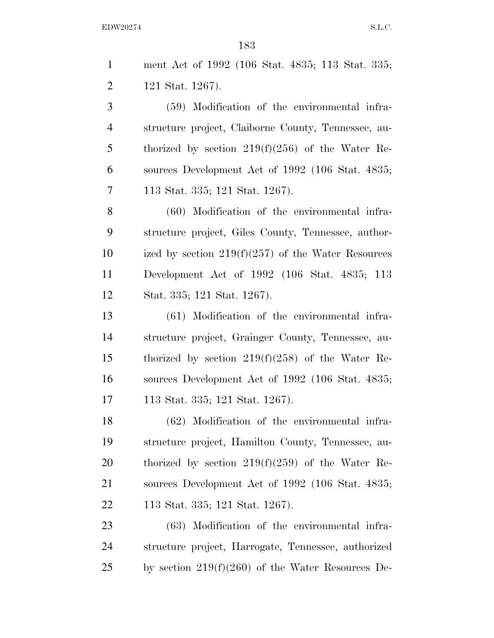| $\mathbf{1}$   | ment Act of 1992 (106 Stat. 4835; 113 Stat. 335;     |  |  |  |  |  |
|----------------|------------------------------------------------------|--|--|--|--|--|
| $\overline{2}$ | 121 Stat. 1267).                                     |  |  |  |  |  |
| 3              | (59) Modification of the environmental infra-        |  |  |  |  |  |
| $\overline{4}$ | structure project, Claiborne County, Tennessee, au-  |  |  |  |  |  |
| 5              | thorized by section $219(f)(256)$ of the Water Re-   |  |  |  |  |  |
| 6              | sources Development Act of 1992 (106 Stat. 4835;     |  |  |  |  |  |
| 7              | 113 Stat. 335; 121 Stat. 1267).                      |  |  |  |  |  |
| 8              | (60) Modification of the environmental infra-        |  |  |  |  |  |
| 9              | structure project, Giles County, Tennessee, author-  |  |  |  |  |  |
| 10             | ized by section $219(f)(257)$ of the Water Resources |  |  |  |  |  |
| 11             | Development Act of 1992 (106 Stat. 4835; 113         |  |  |  |  |  |
| 12             | Stat. 335; 121 Stat. 1267).                          |  |  |  |  |  |
| 13             | (61) Modification of the environmental infra-        |  |  |  |  |  |
| 14             | structure project, Grainger County, Tennessee, au-   |  |  |  |  |  |
| 15             | thorized by section $219(f)(258)$ of the Water Re-   |  |  |  |  |  |
| 16             | sources Development Act of 1992 (106 Stat. 4835;     |  |  |  |  |  |
| 17             | 113 Stat. 335; 121 Stat. 1267).                      |  |  |  |  |  |
| 18             | (62) Modification of the environmental infra-        |  |  |  |  |  |
| 19             | structure project, Hamilton County, Tennessee, au-   |  |  |  |  |  |
| 20             | thorized by section $219(f)(259)$ of the Water Re-   |  |  |  |  |  |
| 21             | sources Development Act of 1992 (106 Stat. 4835;     |  |  |  |  |  |
| <u>22</u>      | 113 Stat. 335; 121 Stat. 1267).                      |  |  |  |  |  |
| 23             | (63) Modification of the environmental infra-        |  |  |  |  |  |
| 24             | structure project, Harrogate, Tennessee, authorized  |  |  |  |  |  |
| 25             | by section $219(f)(260)$ of the Water Resources De-  |  |  |  |  |  |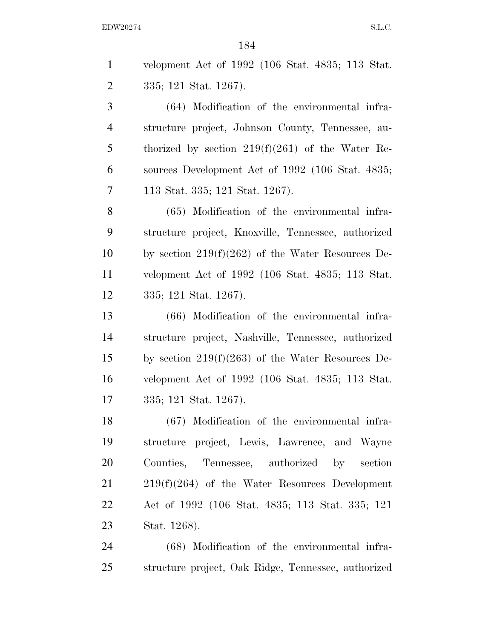velopment Act of 1992 (106 Stat. 4835; 113 Stat. 335; 121 Stat. 1267). (64) Modification of the environmental infra-

 structure project, Johnson County, Tennessee, au- thorized by section 219(f)(261) of the Water Re- sources Development Act of 1992 (106 Stat. 4835; 113 Stat. 335; 121 Stat. 1267).

 (65) Modification of the environmental infra- structure project, Knoxville, Tennessee, authorized by section 219(f)(262) of the Water Resources De- velopment Act of 1992 (106 Stat. 4835; 113 Stat. 335; 121 Stat. 1267).

 (66) Modification of the environmental infra- structure project, Nashville, Tennessee, authorized by section 219(f)(263) of the Water Resources De- velopment Act of 1992 (106 Stat. 4835; 113 Stat. 335; 121 Stat. 1267).

 (67) Modification of the environmental infra- structure project, Lewis, Lawrence, and Wayne Counties, Tennessee, authorized by section 219(f)(264) of the Water Resources Development Act of 1992 (106 Stat. 4835; 113 Stat. 335; 121 Stat. 1268).

 (68) Modification of the environmental infra-structure project, Oak Ridge, Tennessee, authorized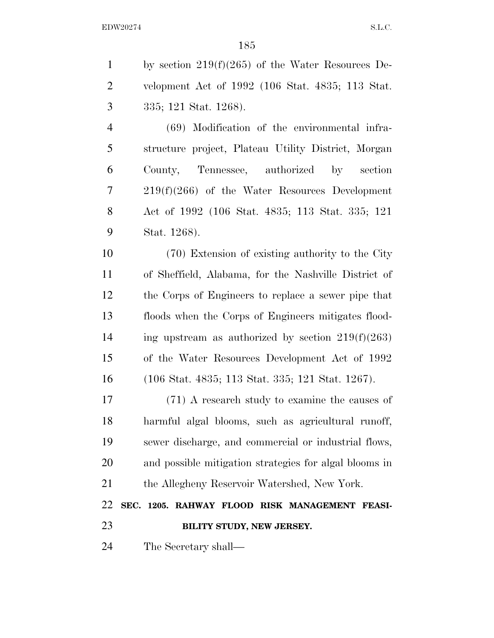by section 219(f)(265) of the Water Resources De- velopment Act of 1992 (106 Stat. 4835; 113 Stat. 335; 121 Stat. 1268). (69) Modification of the environmental infra- structure project, Plateau Utility District, Morgan County, Tennessee, authorized by section 219(f)(266) of the Water Resources Development Act of 1992 (106 Stat. 4835; 113 Stat. 335; 121 Stat. 1268). (70) Extension of existing authority to the City of Sheffield, Alabama, for the Nashville District of the Corps of Engineers to replace a sewer pipe that floods when the Corps of Engineers mitigates flood-14 ing upstream as authorized by section  $219(f)(263)$  of the Water Resources Development Act of 1992 (106 Stat. 4835; 113 Stat. 335; 121 Stat. 1267). (71) A research study to examine the causes of harmful algal blooms, such as agricultural runoff, sewer discharge, and commercial or industrial flows, and possible mitigation strategies for algal blooms in the Allegheny Reservoir Watershed, New York. **SEC. 1205. RAHWAY FLOOD RISK MANAGEMENT FEASI- BILITY STUDY, NEW JERSEY.**  The Secretary shall—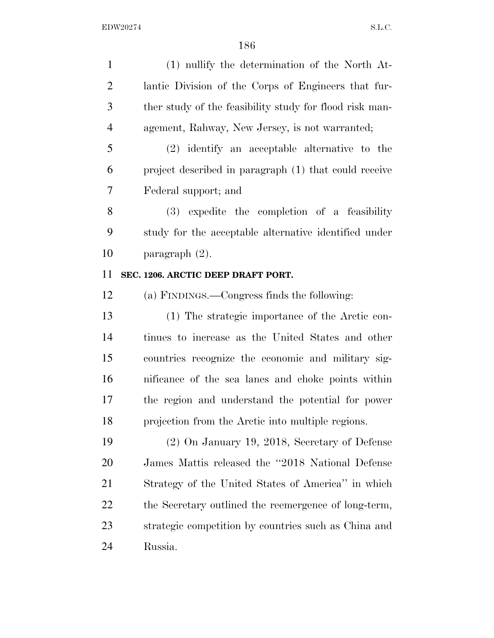(1) nullify the determination of the North At- lantic Division of the Corps of Engineers that fur- ther study of the feasibility study for flood risk man-agement, Rahway, New Jersey, is not warranted;

 (2) identify an acceptable alternative to the project described in paragraph (1) that could receive Federal support; and

 (3) expedite the completion of a feasibility study for the acceptable alternative identified under paragraph (2).

### **SEC. 1206. ARCTIC DEEP DRAFT PORT.**

(a) FINDINGS.—Congress finds the following:

 (1) The strategic importance of the Arctic con- tinues to increase as the United States and other countries recognize the economic and military sig- nificance of the sea lanes and choke points within the region and understand the potential for power projection from the Arctic into multiple regions.

 (2) On January 19, 2018, Secretary of Defense James Mattis released the ''2018 National Defense Strategy of the United States of America'' in which 22 the Secretary outlined the reemergence of long-term, strategic competition by countries such as China and Russia.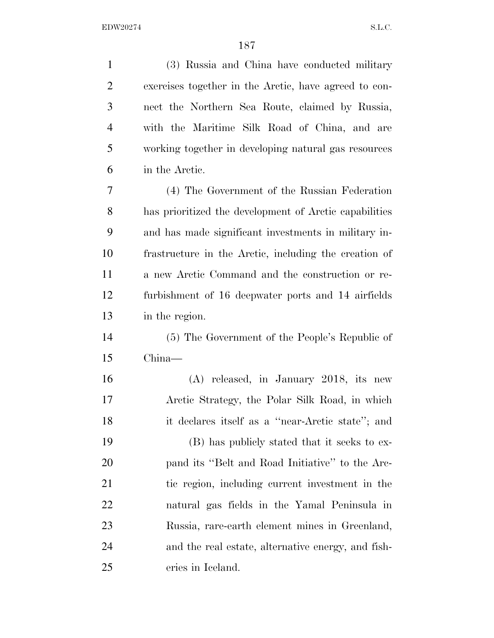| $\mathbf{1}$   | (3) Russia and China have conducted military           |  |  |  |  |  |
|----------------|--------------------------------------------------------|--|--|--|--|--|
| $\overline{2}$ | exercises together in the Arctic, have agreed to con-  |  |  |  |  |  |
| 3              | nect the Northern Sea Route, claimed by Russia,        |  |  |  |  |  |
| $\overline{4}$ | with the Maritime Silk Road of China, and are          |  |  |  |  |  |
| 5              | working together in developing natural gas resources   |  |  |  |  |  |
| 6              | in the Arctic.                                         |  |  |  |  |  |
| 7              | (4) The Government of the Russian Federation           |  |  |  |  |  |
| 8              | has prioritized the development of Arctic capabilities |  |  |  |  |  |
| 9              | and has made significant investments in military in-   |  |  |  |  |  |
| 10             | frastructure in the Arctic, including the creation of  |  |  |  |  |  |
| 11             | a new Arctic Command and the construction or re-       |  |  |  |  |  |
| 12             | furbishment of 16 deepwater ports and 14 airfields     |  |  |  |  |  |
| 13             | in the region.                                         |  |  |  |  |  |
| 14             | (5) The Government of the People's Republic of         |  |  |  |  |  |
| 15             | $China$ —                                              |  |  |  |  |  |
| 16             | (A) released, in January 2018, its new                 |  |  |  |  |  |
| 17             | Arctic Strategy, the Polar Silk Road, in which         |  |  |  |  |  |
| 18             | it declares itself as a "near-Arctic state"; and       |  |  |  |  |  |
| 19             | (B) has publicly stated that it seeks to ex-           |  |  |  |  |  |
| 20             | pand its "Belt and Road Initiative" to the Arc-        |  |  |  |  |  |
| 21             | tic region, including current investment in the        |  |  |  |  |  |
| <u>22</u>      | natural gas fields in the Yamal Peninsula in           |  |  |  |  |  |
| 23             | Russia, rare-earth element mines in Greenland,         |  |  |  |  |  |
| 24             | and the real estate, alternative energy, and fish-     |  |  |  |  |  |
| 25             | eries in Iceland.                                      |  |  |  |  |  |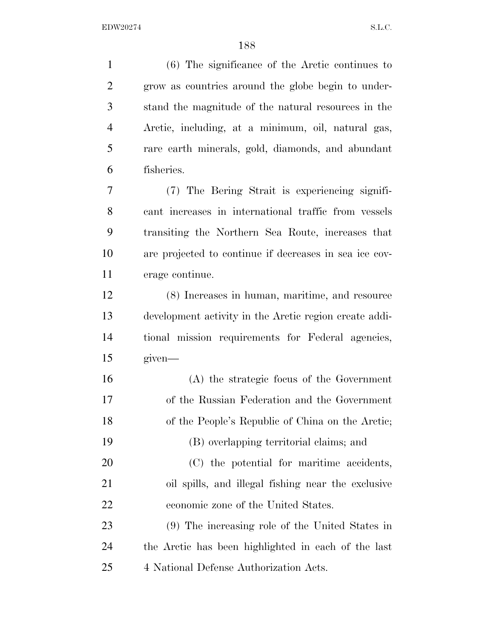(6) The significance of the Arctic continues to grow as countries around the globe begin to under- stand the magnitude of the natural resources in the Arctic, including, at a minimum, oil, natural gas, rare earth minerals, gold, diamonds, and abundant fisheries. (7) The Bering Strait is experiencing signifi- cant increases in international traffic from vessels transiting the Northern Sea Route, increases that are projected to continue if decreases in sea ice cov- erage continue. (8) Increases in human, maritime, and resource development activity in the Arctic region create addi- tional mission requirements for Federal agencies, given— (A) the strategic focus of the Government of the Russian Federation and the Government of the People's Republic of China on the Arctic; (B) overlapping territorial claims; and (C) the potential for maritime accidents, oil spills, and illegal fishing near the exclusive economic zone of the United States. (9) The increasing role of the United States in the Arctic has been highlighted in each of the last 4 National Defense Authorization Acts.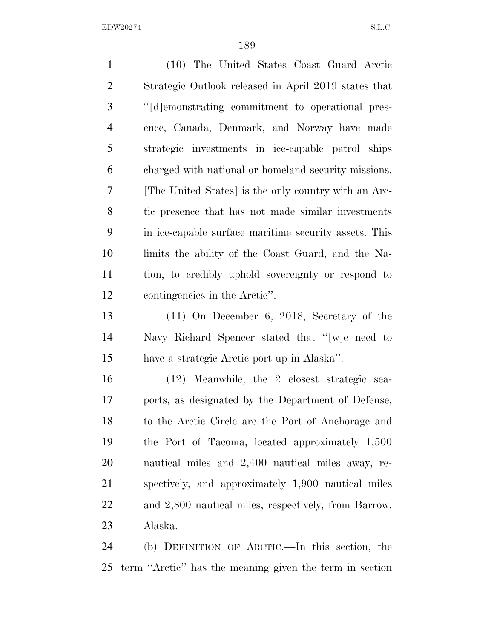(10) The United States Coast Guard Arctic Strategic Outlook released in April 2019 states that ''[d]emonstrating commitment to operational pres- ence, Canada, Denmark, and Norway have made strategic investments in ice-capable patrol ships charged with national or homeland security missions. [The United States] is the only country with an Arc- tic presence that has not made similar investments in ice-capable surface maritime security assets. This limits the ability of the Coast Guard, and the Na- tion, to credibly uphold sovereignty or respond to contingencies in the Arctic''. (11) On December 6, 2018, Secretary of the Navy Richard Spencer stated that ''[w]e need to have a strategic Arctic port up in Alaska''. (12) Meanwhile, the 2 closest strategic sea- ports, as designated by the Department of Defense, to the Arctic Circle are the Port of Anchorage and the Port of Tacoma, located approximately 1,500 nautical miles and 2,400 nautical miles away, re- spectively, and approximately 1,900 nautical miles and 2,800 nautical miles, respectively, from Barrow,

Alaska.

 (b) DEFINITION OF ARCTIC.—In this section, the term ''Arctic'' has the meaning given the term in section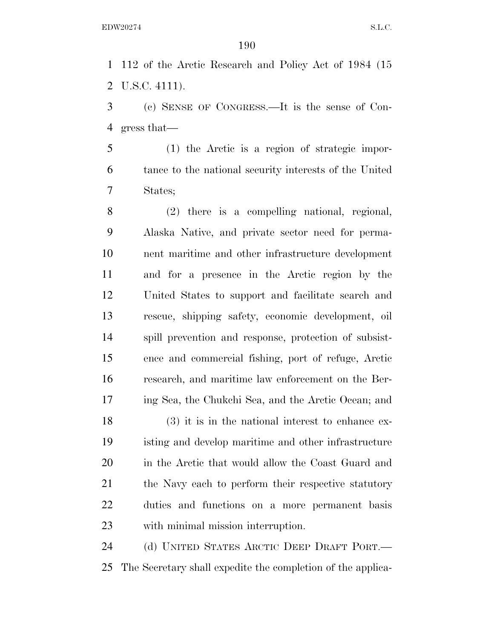112 of the Arctic Research and Policy Act of 1984 (15 U.S.C. 4111).

 (c) SENSE OF CONGRESS.—It is the sense of Con-gress that—

 (1) the Arctic is a region of strategic impor- tance to the national security interests of the United States;

 (2) there is a compelling national, regional, Alaska Native, and private sector need for perma- nent maritime and other infrastructure development and for a presence in the Arctic region by the United States to support and facilitate search and rescue, shipping safety, economic development, oil spill prevention and response, protection of subsist- ence and commercial fishing, port of refuge, Arctic research, and maritime law enforcement on the Ber-ing Sea, the Chukchi Sea, and the Arctic Ocean; and

 (3) it is in the national interest to enhance ex- isting and develop maritime and other infrastructure in the Arctic that would allow the Coast Guard and 21 the Navy each to perform their respective statutory duties and functions on a more permanent basis with minimal mission interruption.

 (d) UNITED STATES ARCTIC DEEP DRAFT PORT.— The Secretary shall expedite the completion of the applica-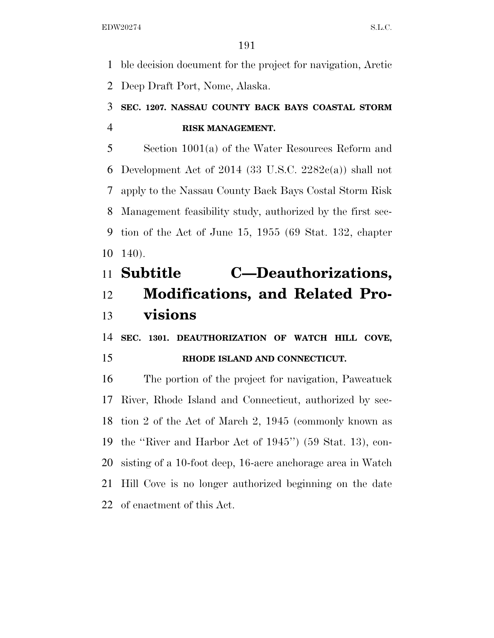ble decision document for the project for navigation, Arctic Deep Draft Port, Nome, Alaska.

# **SEC. 1207. NASSAU COUNTY BACK BAYS COASTAL STORM RISK MANAGEMENT.**

 Section 1001(a) of the Water Resources Reform and 6 Development Act of 2014 (33 U.S.C.  $2282c(a)$ ) shall not apply to the Nassau County Back Bays Costal Storm Risk Management feasibility study, authorized by the first sec- tion of the Act of June 15, 1955 (69 Stat. 132, chapter 140).

# **Subtitle C—Deauthorizations, Modifications, and Related Pro-visions**

 **SEC. 1301. DEAUTHORIZATION OF WATCH HILL COVE, RHODE ISLAND AND CONNECTICUT.** 

 The portion of the project for navigation, Pawcatuck River, Rhode Island and Connecticut, authorized by sec- tion 2 of the Act of March 2, 1945 (commonly known as the ''River and Harbor Act of 1945'') (59 Stat. 13), con- sisting of a 10-foot deep, 16-acre anchorage area in Watch Hill Cove is no longer authorized beginning on the date of enactment of this Act.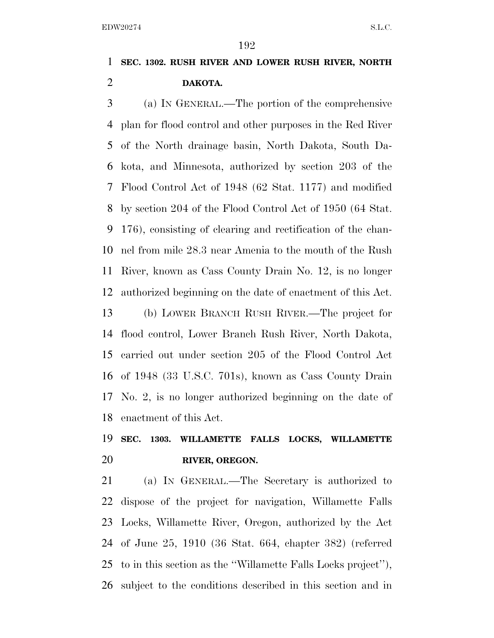# **SEC. 1302. RUSH RIVER AND LOWER RUSH RIVER, NORTH DAKOTA.**

 (a) IN GENERAL.—The portion of the comprehensive plan for flood control and other purposes in the Red River of the North drainage basin, North Dakota, South Da- kota, and Minnesota, authorized by section 203 of the Flood Control Act of 1948 (62 Stat. 1177) and modified by section 204 of the Flood Control Act of 1950 (64 Stat. 176), consisting of clearing and rectification of the chan- nel from mile 28.3 near Amenia to the mouth of the Rush River, known as Cass County Drain No. 12, is no longer authorized beginning on the date of enactment of this Act.

 (b) LOWER BRANCH RUSH RIVER.—The project for flood control, Lower Branch Rush River, North Dakota, carried out under section 205 of the Flood Control Act of 1948 (33 U.S.C. 701s), known as Cass County Drain No. 2, is no longer authorized beginning on the date of enactment of this Act.

# **SEC. 1303. WILLAMETTE FALLS LOCKS, WILLAMETTE RIVER, OREGON.**

 (a) IN GENERAL.—The Secretary is authorized to dispose of the project for navigation, Willamette Falls Locks, Willamette River, Oregon, authorized by the Act of June 25, 1910 (36 Stat. 664, chapter 382) (referred to in this section as the ''Willamette Falls Locks project''), subject to the conditions described in this section and in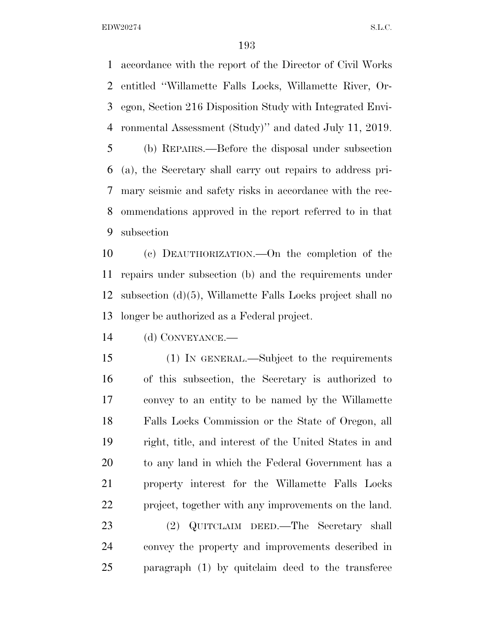accordance with the report of the Director of Civil Works entitled ''Willamette Falls Locks, Willamette River, Or- egon, Section 216 Disposition Study with Integrated Envi- ronmental Assessment (Study)'' and dated July 11, 2019. (b) REPAIRS.—Before the disposal under subsection (a), the Secretary shall carry out repairs to address pri-mary seismic and safety risks in accordance with the rec-

 ommendations approved in the report referred to in that subsection

 (c) DEAUTHORIZATION.—On the completion of the repairs under subsection (b) and the requirements under subsection (d)(5), Willamette Falls Locks project shall no longer be authorized as a Federal project.

(d) CONVEYANCE.—

 (1) IN GENERAL.—Subject to the requirements of this subsection, the Secretary is authorized to convey to an entity to be named by the Willamette Falls Locks Commission or the State of Oregon, all right, title, and interest of the United States in and to any land in which the Federal Government has a property interest for the Willamette Falls Locks project, together with any improvements on the land.

 (2) QUITCLAIM DEED.—The Secretary shall convey the property and improvements described in paragraph (1) by quitclaim deed to the transferee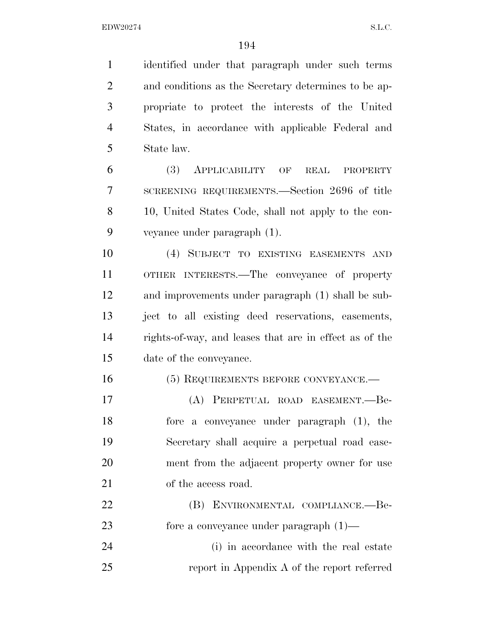identified under that paragraph under such terms and conditions as the Secretary determines to be ap- propriate to protect the interests of the United States, in accordance with applicable Federal and State law. (3) APPLICABILITY OF REAL PROPERTY SCREENING REQUIREMENTS.—Section 2696 of title 10, United States Code, shall not apply to the con- veyance under paragraph (1). (4) SUBJECT TO EXISTING EASEMENTS AND OTHER INTERESTS.—The conveyance of property and improvements under paragraph (1) shall be sub- ject to all existing deed reservations, easements, rights-of-way, and leases that are in effect as of the date of the conveyance. 16 (5) REQUIREMENTS BEFORE CONVEYANCE. (A) PERPETUAL ROAD EASEMENT.—Be- fore a conveyance under paragraph (1), the Secretary shall acquire a perpetual road ease- ment from the adjacent property owner for use of the access road. (B) ENVIRONMENTAL COMPLIANCE.—Be- fore a conveyance under paragraph (1)— (i) in accordance with the real estate report in Appendix A of the report referred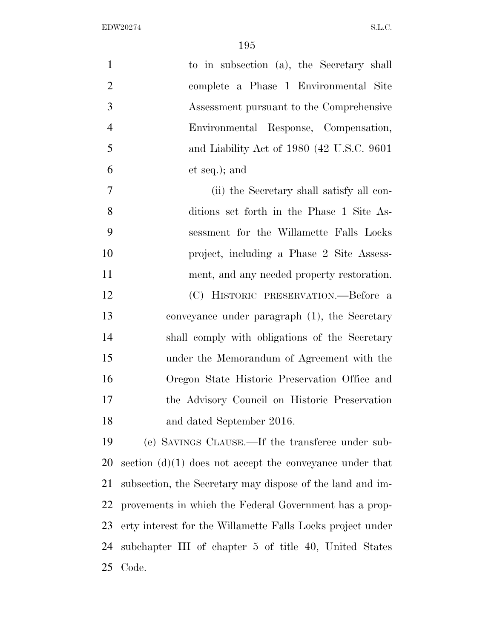| $\mathbf{1}$   | to in subsection (a), the Secretary shall                  |  |  |  |  |  |
|----------------|------------------------------------------------------------|--|--|--|--|--|
| $\overline{2}$ | complete a Phase 1 Environmental Site                      |  |  |  |  |  |
| 3              | Assessment pursuant to the Comprehensive                   |  |  |  |  |  |
| $\overline{4}$ | Environmental Response, Compensation,                      |  |  |  |  |  |
| 5              | and Liability Act of 1980 (42 U.S.C. 9601)                 |  |  |  |  |  |
| 6              | et seq.); and                                              |  |  |  |  |  |
| 7              | (ii) the Secretary shall satisfy all con-                  |  |  |  |  |  |
| 8              | ditions set forth in the Phase 1 Site As-                  |  |  |  |  |  |
| 9              | sessment for the Willamette Falls Locks                    |  |  |  |  |  |
| 10             | project, including a Phase 2 Site Assess-                  |  |  |  |  |  |
| 11             | ment, and any needed property restoration.                 |  |  |  |  |  |
| 12             | (C) HISTORIC PRESERVATION.—Before a                        |  |  |  |  |  |
| 13             | conveyance under paragraph (1), the Secretary              |  |  |  |  |  |
| 14             | shall comply with obligations of the Secretary             |  |  |  |  |  |
| 15             | under the Memorandum of Agreement with the                 |  |  |  |  |  |
| 16             | Oregon State Historic Preservation Office and              |  |  |  |  |  |
| 17             | the Advisory Council on Historic Preservation              |  |  |  |  |  |
| 18             | and dated September 2016.                                  |  |  |  |  |  |
| 19             | (e) SAVINGS CLAUSE.—If the transferee under sub-           |  |  |  |  |  |
| 20             | section $(d)(1)$ does not accept the conveyance under that |  |  |  |  |  |
| 21             | subsection, the Secretary may dispose of the land and im-  |  |  |  |  |  |
| 22             | provements in which the Federal Government has a prop-     |  |  |  |  |  |
| 23             | erty interest for the Willamette Falls Locks project under |  |  |  |  |  |
| 24             | subchapter III of chapter 5 of title 40, United States     |  |  |  |  |  |
| 25             | Code.                                                      |  |  |  |  |  |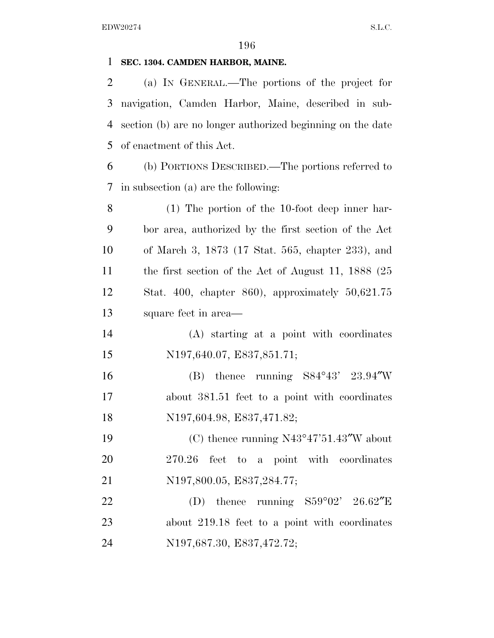### **SEC. 1304. CAMDEN HARBOR, MAINE.**

 (a) IN GENERAL.—The portions of the project for navigation, Camden Harbor, Maine, described in sub- section (b) are no longer authorized beginning on the date of enactment of this Act.

 (b) PORTIONS DESCRIBED.—The portions referred to in subsection (a) are the following:

 (1) The portion of the 10-foot deep inner har- bor area, authorized by the first section of the Act of March 3, 1873 (17 Stat. 565, chapter 233), and the first section of the Act of August 11, 1888 (25 Stat. 400, chapter 860), approximately 50,621.75 square feet in area—

 (A) starting at a point with coordinates N197,640.07, E837,851.71;

 (B) thence running S84°43' 23.94″W about 381.51 feet to a point with coordinates N197,604.98, E837,471.82;

 (C) thence running N43°47'51.43″W about 270.26 feet to a point with coordinates N197,800.05, E837,284.77;

22 (D) thence running  $S59^{\circ}02'$  26.62"E about 219.18 feet to a point with coordinates N197,687.30, E837,472.72;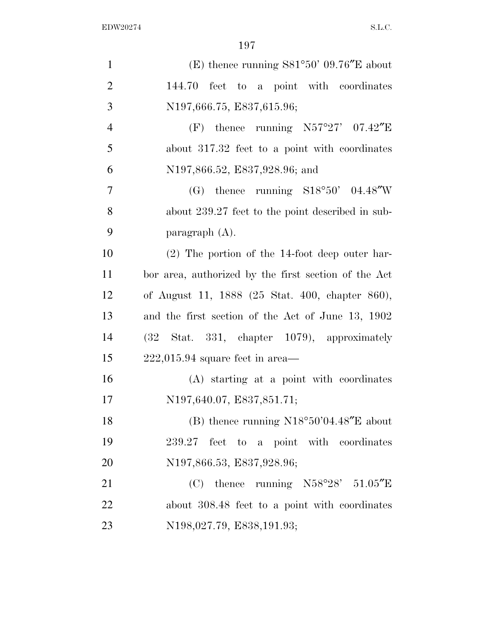| $\mathbf{1}$   | (E) thence running $S81°50'$ 09.76"E about           |  |  |  |  |
|----------------|------------------------------------------------------|--|--|--|--|
| $\overline{2}$ | 144.70 feet to a point with coordinates              |  |  |  |  |
| 3              | N197,666.75, E837,615.96;                            |  |  |  |  |
| $\overline{4}$ | (F) thence running $N57°27'$ 07.42"E                 |  |  |  |  |
| 5              | about 317.32 feet to a point with coordinates        |  |  |  |  |
| 6              | N197,866.52, E837,928.96; and                        |  |  |  |  |
| $\overline{7}$ | (G) thence running $S18°50'$ 04.48"W                 |  |  |  |  |
| 8              | about 239.27 feet to the point described in sub-     |  |  |  |  |
| 9              | paragraph $(A)$ .                                    |  |  |  |  |
| 10             | $(2)$ The portion of the 14-foot deep outer har-     |  |  |  |  |
| 11             | bor area, authorized by the first section of the Act |  |  |  |  |
| 12             | of August 11, 1888 (25 Stat. 400, chapter 860),      |  |  |  |  |
| 13             | and the first section of the Act of June 13, 1902    |  |  |  |  |
| 14             | Stat. 331, chapter 1079), approximately<br>(32)      |  |  |  |  |
| 15             | $222,015.94$ square feet in area—                    |  |  |  |  |
| 16             | (A) starting at a point with coordinates             |  |  |  |  |
| 17             | N197,640.07, E837,851.71;                            |  |  |  |  |
| 18             | (B) thence running $N18^{\circ}50'04.48''E$ about    |  |  |  |  |
| 19             | 239.27 feet to a point with coordinates              |  |  |  |  |
| 20             | N197,866.53, E837,928.96;                            |  |  |  |  |
| 21             | (C) thence running $N58°28'$ 51.05"E                 |  |  |  |  |
| 22             | about 308.48 feet to a point with coordinates        |  |  |  |  |
| 23             | N198,027.79, E838,191.93;                            |  |  |  |  |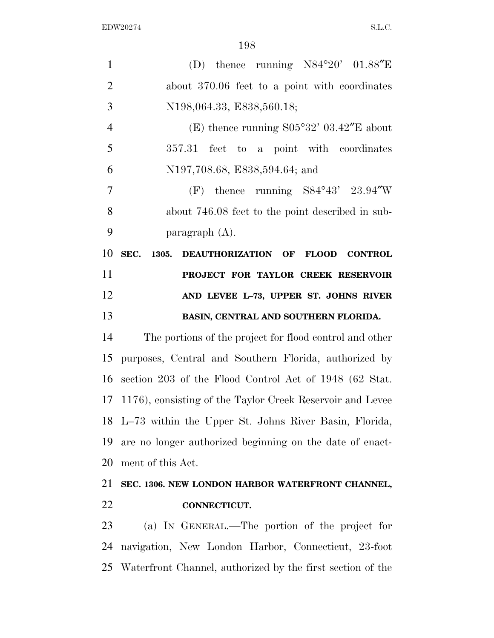| $\mathbf{1}$   | (D) thence running $N84^{\circ}20'$ 01.88"E                   |  |  |  |  |
|----------------|---------------------------------------------------------------|--|--|--|--|
| $\overline{2}$ | about 370.06 feet to a point with coordinates                 |  |  |  |  |
| 3              | N198,064.33, E838,560.18;                                     |  |  |  |  |
| $\overline{4}$ | (E) thence running $S05°32' 03.42''E$ about                   |  |  |  |  |
| 5              | 357.31 feet to a point with coordinates                       |  |  |  |  |
| 6              | N197,708.68, E838,594.64; and                                 |  |  |  |  |
| 7              | (F) thence running $S84^{\circ}43'$ 23.94"W                   |  |  |  |  |
| 8              | about 746.08 feet to the point described in sub-              |  |  |  |  |
| 9              | paragraph $(A)$ .                                             |  |  |  |  |
| 10             | SEC.<br>DEAUTHORIZATION OF FLOOD CONTROL<br>1305.             |  |  |  |  |
| 11             | PROJECT FOR TAYLOR CREEK RESERVOIR                            |  |  |  |  |
| 12             | AND LEVEE L-73, UPPER ST. JOHNS RIVER                         |  |  |  |  |
| 13             | BASIN, CENTRAL AND SOUTHERN FLORIDA.                          |  |  |  |  |
| 14             | The portions of the project for flood control and other       |  |  |  |  |
| 15             | purposes, Central and Southern Florida, authorized by         |  |  |  |  |
| 16             | section 203 of the Flood Control Act of 1948 (62 Stat.        |  |  |  |  |
| 17             | 1176), consisting of the Taylor Creek Reservoir and Levee     |  |  |  |  |
|                | 18 L-73 within the Upper St. Johns River Basin, Florida,      |  |  |  |  |
| 19             | are no longer authorized beginning on the date of enact-      |  |  |  |  |
| 20             | ment of this Act.                                             |  |  |  |  |
| 21             | SEC. 1306. NEW LONDON HARBOR WATERFRONT CHANNEL,              |  |  |  |  |
| 22             | CONNECTICUT.                                                  |  |  |  |  |
| 23             | (a) IN GENERAL.—The portion of the project for                |  |  |  |  |
| 24             | navigation, New London Harbor, Connecticut, 23-foot           |  |  |  |  |
|                | 25 Waterfront Channel, authorized by the first section of the |  |  |  |  |
|                |                                                               |  |  |  |  |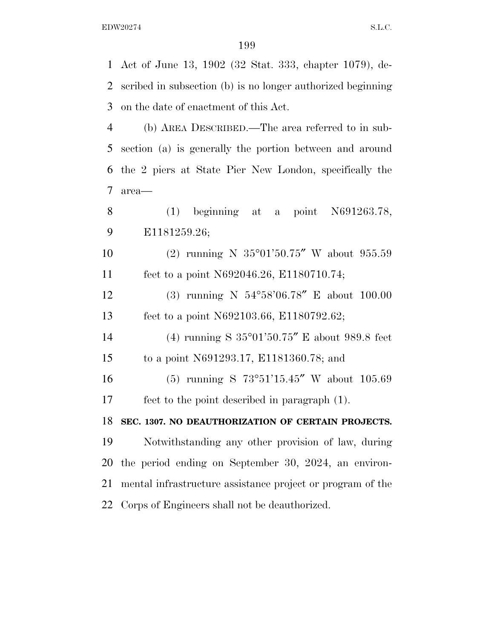Act of June 13, 1902 (32 Stat. 333, chapter 1079), de- scribed in subsection (b) is no longer authorized beginning on the date of enactment of this Act. (b) AREA DESCRIBED.—The area referred to in sub- section (a) is generally the portion between and around the 2 piers at State Pier New London, specifically the area— (1) beginning at a point N691263.78, E1181259.26; (2) running N 35°01'50.75″ W about 955.59 feet to a point N692046.26, E1180710.74; (3) running N 54°58'06.78″ E about 100.00 feet to a point N692103.66, E1180792.62; (4) running S 35°01'50.75″ E about 989.8 feet to a point N691293.17, E1181360.78; and (5) running S 73°51'15.45″ W about 105.69 feet to the point described in paragraph (1). **SEC. 1307. NO DEAUTHORIZATION OF CERTAIN PROJECTS.**  Notwithstanding any other provision of law, during the period ending on September 30, 2024, an environ- mental infrastructure assistance project or program of the Corps of Engineers shall not be deauthorized.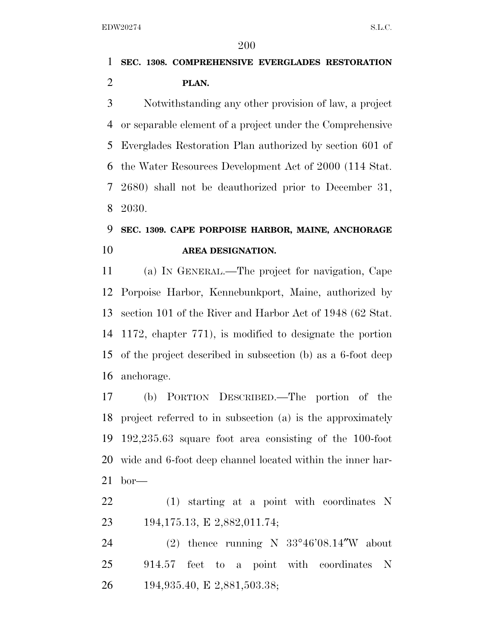## **SEC. 1308. COMPREHENSIVE EVERGLADES RESTORATION PLAN.**

 Notwithstanding any other provision of law, a project or separable element of a project under the Comprehensive Everglades Restoration Plan authorized by section 601 of the Water Resources Development Act of 2000 (114 Stat. 2680) shall not be deauthorized prior to December 31, 2030.

# **SEC. 1309. CAPE PORPOISE HARBOR, MAINE, ANCHORAGE AREA DESIGNATION.**

 (a) IN GENERAL.—The project for navigation, Cape Porpoise Harbor, Kennebunkport, Maine, authorized by section 101 of the River and Harbor Act of 1948 (62 Stat. 1172, chapter 771), is modified to designate the portion of the project described in subsection (b) as a 6-foot deep anchorage.

 (b) PORTION DESCRIBED.—The portion of the project referred to in subsection (a) is the approximately 192,235.63 square foot area consisting of the 100-foot wide and 6-foot deep channel located within the inner har-bor—

 (1) starting at a point with coordinates N 194,175.13, E 2,882,011.74;

 (2) thence running N 33°46'08.14″W about 914.57 feet to a point with coordinates N 194,935.40, E 2,881,503.38;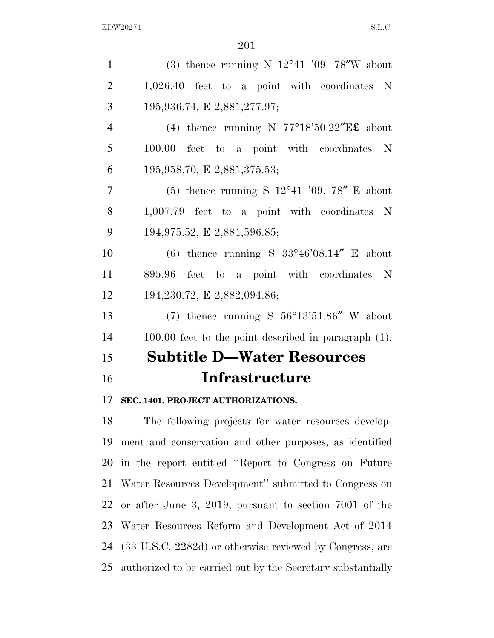| $\mathbf{1}$   | (3) thence running N $12^{\circ}41$ '09. 78"W about                    |
|----------------|------------------------------------------------------------------------|
| $\overline{2}$ | $1,026.40$ feet to a point with coordinates N                          |
| 3              | 195,936.74, E 2,881,277.97;                                            |
| $\overline{4}$ | (4) thence running N $77^{\circ}18'50.22''E\text{\textsterling}$ about |
| 5              | 100.00 feet to a point with coordinates N                              |
| 6              | 195,958.70, E 2,881,375.53;                                            |
| $\tau$         | (5) thence running S $12^{\circ}41$ '09. 78" E about                   |
| 8              | $1,007.79$ feet to a point with coordinates N                          |
| 9              | 194,975.52, E 2,881,596.85;                                            |
| 10             | (6) thence running S $33^{\circ}46'08.14''$ E about                    |
| 11             | 895.96 feet to a point with coordinates N                              |
| 12             | 194,230.72, E 2,882,094.86;                                            |
| 13             | (7) thence running S $56^{\circ}13'51.86''$ W about                    |
| 14             | $100.00$ feet to the point described in paragraph $(1)$ .              |
| 15             | <b>Subtitle D-Water Resources</b>                                      |
| 16             | <b>Infrastructure</b>                                                  |
| 17             | SEC. 1401. PROJECT AUTHORIZATIONS.                                     |
| $\sim$         | $\mathbf{r}$                                                           |

 The following projects for water resources develop- ment and conservation and other purposes, as identified in the report entitled ''Report to Congress on Future Water Resources Development'' submitted to Congress on or after June 3, 2019, pursuant to section 7001 of the Water Resources Reform and Development Act of 2014 (33 U.S.C. 2282d) or otherwise reviewed by Congress, are authorized to be carried out by the Secretary substantially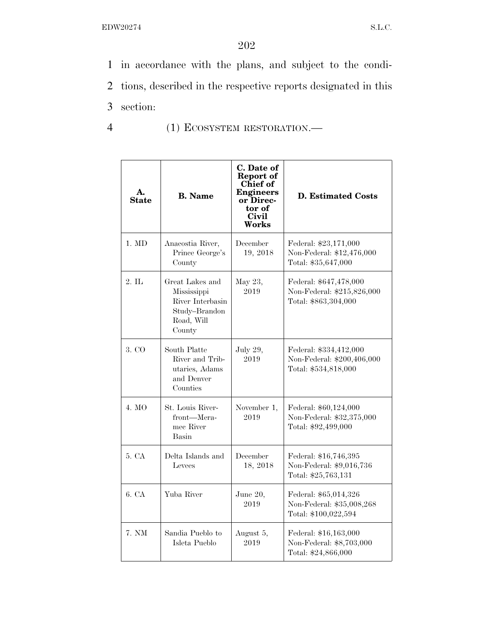1 in accordance with the plans, and subject to the condi-2 tions, described in the respective reports designated in this 3 section:

4 (1) ECOSYSTEM RESTORATION.—

| A.<br><b>State</b> | <b>B.</b> Name                                                                              | C. Date of<br>Report of<br><b>Chief</b> of<br><b>Engineers</b><br>or Direc-<br>tor of<br><b>Civil</b><br><b>Works</b> | <b>D. Estimated Costs</b>                                                    |
|--------------------|---------------------------------------------------------------------------------------------|-----------------------------------------------------------------------------------------------------------------------|------------------------------------------------------------------------------|
| $1. \text{ MD}$    | Anacostia River,<br>Prince George's<br>County                                               | December<br>19, 2018                                                                                                  | Federal: \$23,171,000<br>Non-Federal: \$12,476,000<br>Total: \$35,647,000    |
| $2.$ IL            | Great Lakes and<br>Mississippi<br>River Interbasin<br>Study-Brandon<br>Road, Will<br>County | May 23,<br>2019                                                                                                       | Federal: \$647,478,000<br>Non-Federal: \$215,826,000<br>Total: \$863,304,000 |
| 3. CO              | South Platte<br>River and Trib-<br>utaries, Adams<br>and Denver<br>Counties                 | July 29,<br>2019                                                                                                      | Federal: \$334,412,000<br>Non-Federal: \$200,406,000<br>Total: \$534,818,000 |
| 4. MO              | St. Louis River-<br>front-Mera-<br>mee River<br>Basin                                       | November 1,<br>2019                                                                                                   | Federal: \$60,124,000<br>Non-Federal: \$32,375,000<br>Total: \$92,499,000    |
| 5. CA              | Delta Islands and<br>Levees                                                                 | December<br>18, 2018                                                                                                  | Federal: \$16,746,395<br>Non-Federal: \$9,016,736<br>Total: \$25,763,131     |
| 6. CA              | Yuba River                                                                                  | June 20,<br>2019                                                                                                      | Federal: \$65,014,326<br>Non-Federal: \$35,008,268<br>Total: \$100,022,594   |
| 7. NM              | Sandia Pueblo to<br>Isleta Pueblo                                                           | August 5,<br>2019                                                                                                     | Federal: \$16,163,000<br>Non-Federal: \$8,703,000<br>Total: \$24,866,000     |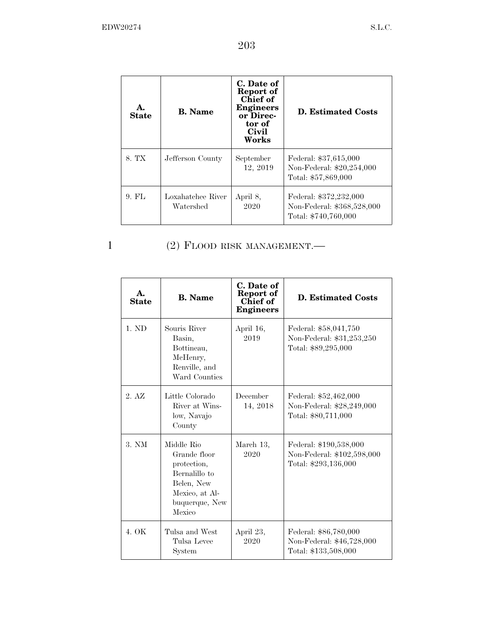| А.<br><b>State</b> | <b>B.</b> Name                 | C. Date of<br>Report of<br>Chief of<br><b>Engineers</b><br>or Direc-<br>tor of<br>Civil<br>Works | D. Estimated Costs                                                           |
|--------------------|--------------------------------|--------------------------------------------------------------------------------------------------|------------------------------------------------------------------------------|
| 8. TX              | Jefferson County               | September<br>12, 2019                                                                            | Federal: \$37,615,000<br>Non-Federal: \$20,254,000<br>Total: \$57,869,000    |
| $9.$ FL            | Loxahatchee River<br>Watershed | April 8,<br>2020                                                                                 | Federal: \$372,232,000<br>Non-Federal: \$368,528,000<br>Total: \$740,760,000 |

1 (2) FLOOD RISK MANAGEMENT.—

| A.<br><b>State</b> | <b>B.</b> Name                                                                                                         | C. Date of<br>Report of<br>Chief of<br><b>Engineers</b> | <b>D. Estimated Costs</b>                                                    |
|--------------------|------------------------------------------------------------------------------------------------------------------------|---------------------------------------------------------|------------------------------------------------------------------------------|
| 1. ND              | Souris River<br>Basin,<br>Bottineau,<br>McHenry,<br>Renville, and<br>Ward Counties                                     | April 16,<br>2019                                       | Federal: \$58,041,750<br>Non-Federal: \$31,253,250<br>Total: \$89,295,000    |
| 2. AZ              | Little Colorado<br>River at Wins-<br>low, Navajo<br>County                                                             | December<br>14, 2018                                    | Federal: \$52,462,000<br>Non-Federal: \$28,249,000<br>Total: \$80,711,000    |
| 3. N M             | Middle Rio<br>Grande floor<br>protection,<br>Bernalillo to<br>Belen, New<br>Mexico, at Al-<br>buquerque, New<br>Mexico | March 13,<br>2020                                       | Federal: \$190,538,000<br>Non-Federal: \$102,598,000<br>Total: \$293,136,000 |
| 4.0K               | Tulsa and West<br>Tulsa Levee<br>System                                                                                | April 23,<br>2020                                       | Federal: \$86,780,000<br>Non-Federal: \$46,728,000<br>Total: \$133,508,000   |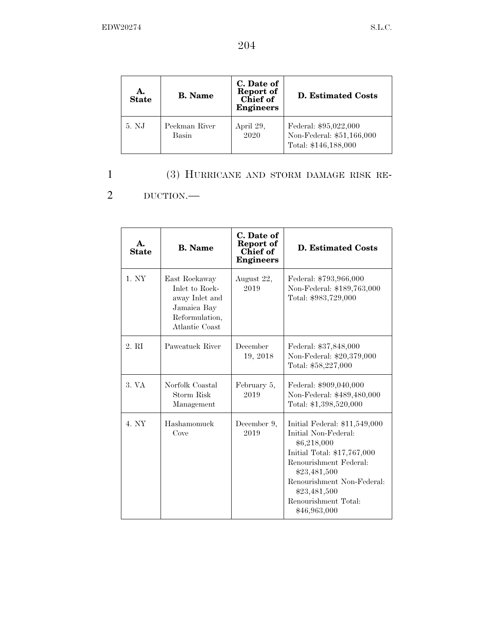| А.<br><b>State</b> | <b>B.</b> Name         | C. Date of<br>Report of<br>Chief of<br><b>Engineers</b> | <b>D.</b> Estimated Costs                                                  |
|--------------------|------------------------|---------------------------------------------------------|----------------------------------------------------------------------------|
| 5. NJ              | Peckman River<br>Basin | April 29,<br>2020                                       | Federal: \$95,022,000<br>Non-Federal: \$51,166,000<br>Total: \$146,188,000 |

### 1 (3) HURRICANE AND STORM DAMAGE RISK RE-

2 DUCTION.—

| $\mathbf{A}$ .<br><b>State</b> | <b>B.</b> Name                                                                                       | C. Date of<br>Report of<br>Chief of<br><b>Engineers</b> | <b>D. Estimated Costs</b>                                                                                                                                                                                                           |
|--------------------------------|------------------------------------------------------------------------------------------------------|---------------------------------------------------------|-------------------------------------------------------------------------------------------------------------------------------------------------------------------------------------------------------------------------------------|
| 1. NY                          | East Rockaway<br>Inlet to Rock-<br>away Inlet and<br>Jamaica Bay<br>Reformulation,<br>Atlantic Coast | August 22,<br>2019                                      | Federal: \$793,966,000<br>Non-Federal: \$189,763,000<br>Total: \$983,729,000                                                                                                                                                        |
| 2. RI                          | Paweatuck River                                                                                      | December<br>19, 2018                                    | Federal: \$37,848,000<br>Non-Federal: \$20,379,000<br>Total: \$58,227,000                                                                                                                                                           |
| 3. VA                          | Norfolk Coastal<br>Storm Risk<br>Management                                                          | February 5,<br>2019                                     | Federal: \$909,040,000<br>Non-Federal: \$489,480,000<br>Total: \$1,398,520,000                                                                                                                                                      |
| 4. NY                          | Hashamomuck<br>Cove                                                                                  | December 9,<br>2019                                     | Initial Federal: \$11,549,000<br>Initial Non-Federal:<br>\$6,218,000<br>Initial Total: \$17,767,000<br>Renourishment Federal:<br>\$23,481,500<br>Renourishment Non-Federal:<br>\$23,481,500<br>Renourishment Total:<br>\$46,963,000 |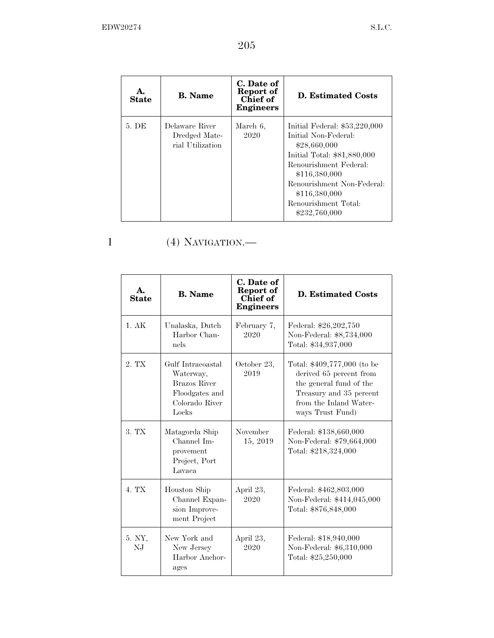| А.<br><b>State</b> | <b>B.</b> Name                                      | C. Date of<br>Report of<br>Chief of<br><b>Engineers</b> | <b>D.</b> Estimated Costs                                                                                                                                                                                                                |
|--------------------|-----------------------------------------------------|---------------------------------------------------------|------------------------------------------------------------------------------------------------------------------------------------------------------------------------------------------------------------------------------------------|
| 5. DE              | Delaware River<br>Dredged Mate-<br>rial Utilization | March 6,<br>2020                                        | Initial Federal: $$53,220,000$<br>Initial Non-Federal:<br>\$28,660,000<br>Initial Total: \$81,880,000<br>Renourishment Federal:<br>\$116,380,000<br>Renourishment Non-Federal:<br>\$116,380,000<br>Renourishment Total:<br>\$232,760,000 |

### 1 (4) NAVIGATION.—

| A.<br><b>State</b> | <b>B.</b> Name                                                                                     | C. Date of<br>Report of<br>Chief of<br><b>Engineers</b> | <b>D. Estimated Costs</b>                                                                                                                                  |
|--------------------|----------------------------------------------------------------------------------------------------|---------------------------------------------------------|------------------------------------------------------------------------------------------------------------------------------------------------------------|
| 1.AK               | Unalaska, Dutch<br>Harbor Chan-<br>nels                                                            | February 7,<br>2020                                     | Federal: \$26,202,750<br>Non-Federal: \$8,734,000<br>Total: \$34,937,000                                                                                   |
| 2. TX              | Gulf Intracoastal<br>Waterway,<br><b>Brazos River</b><br>Floodgates and<br>Colorado River<br>Locks | October 23,<br>2019                                     | Total: \$409,777,000 (to be<br>derived 65 percent from<br>the general fund of the<br>Treasury and 35 percent<br>from the Inland Water-<br>ways Trust Fund) |
| 3. TX              | Matagorda Ship<br>Channel Im-<br>provement<br>Project, Port<br>Lavaca                              | November<br>15, 2019                                    | Federal: \$138,660,000<br>Non-Federal: \$79,664,000<br>Total: \$218,324,000                                                                                |
| 4. TX              | Houston Ship<br>Channel Expan-<br>sion Improve-<br>ment Project                                    | April 23,<br>2020                                       | Federal: \$462,803,000<br>Non-Federal: \$414,045,000<br>Total: \$876,848,000                                                                               |
| 5. NY,<br>N.J      | New York and<br>New Jersey<br>Harbor Anchor-<br>ages                                               | April 23,<br>2020                                       | Federal: \$18,940,000<br>Non-Federal: \$6,310,000<br>Total: \$25,250,000                                                                                   |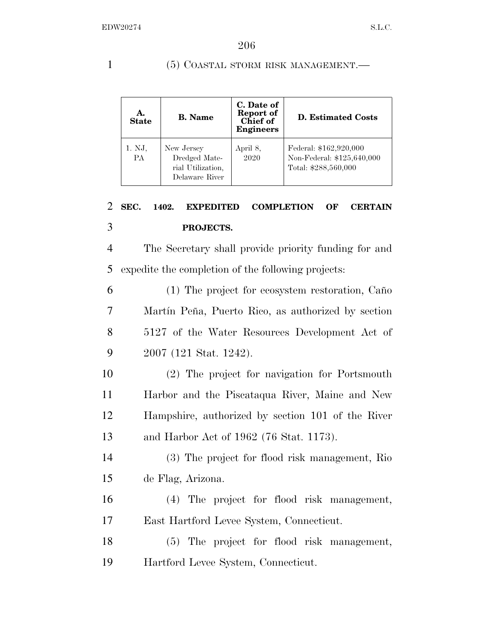### 1 (5) COASTAL STORM RISK MANAGEMENT.

| A.<br><b>State</b>  | <b>B.</b> Name                                                     | C. Date of<br>Report of<br>Chief of<br><b>Engineers</b> | <b>D.</b> Estimated Costs                                                    |
|---------------------|--------------------------------------------------------------------|---------------------------------------------------------|------------------------------------------------------------------------------|
| 1. NJ,<br><b>PA</b> | New Jersey<br>Dredged Mate-<br>rial Utilization,<br>Delaware River | April 8,<br>2020                                        | Federal: \$162,920,000<br>Non-Federal: \$125,640,000<br>Total: \$288,560,000 |

# 2 **SEC. 1402. EXPEDITED COMPLETION OF CERTAIN**  3 **PROJECTS.**

4 The Secretary shall provide priority funding for and 5 expedite the completion of the following projects:

6 (1) The project for ecosystem restoration, Caño 7 Martín Peña, Puerto Rico, as authorized by section 8 5127 of the Water Resources Development Act of 9 2007 (121 Stat. 1242).

 (2) The project for navigation for Portsmouth Harbor and the Piscataqua River, Maine and New Hampshire, authorized by section 101 of the River and Harbor Act of 1962 (76 Stat. 1173).

14 (3) The project for flood risk management, Rio 15 de Flag, Arizona.

16 (4) The project for flood risk management, 17 East Hartford Levee System, Connecticut.

18 (5) The project for flood risk management, 19 Hartford Levee System, Connecticut.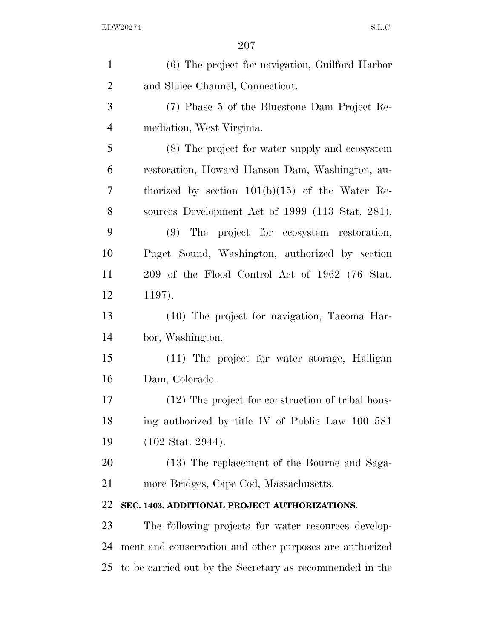| $\mathbf{1}$   | (6) The project for navigation, Guilford Harbor          |
|----------------|----------------------------------------------------------|
| $\overline{2}$ | and Sluice Channel, Connecticut.                         |
| 3              | (7) Phase 5 of the Bluestone Dam Project Re-             |
| $\overline{4}$ | mediation, West Virginia.                                |
| 5              | (8) The project for water supply and ecosystem           |
| 6              | restoration, Howard Hanson Dam, Washington, au-          |
| 7              | thorized by section $101(b)(15)$ of the Water Re-        |
| 8              | sources Development Act of 1999 (113 Stat. 281).         |
| 9              | (9) The project for ecosystem restoration,               |
| 10             | Puget Sound, Washington, authorized by section           |
| 11             | 209 of the Flood Control Act of 1962 (76 Stat.           |
| 12             | 1197).                                                   |
| 13             | (10) The project for navigation, Tacoma Har-             |
| 14             | bor, Washington.                                         |
| 15             | (11) The project for water storage, Halligan             |
| 16             | Dam, Colorado.                                           |
| 17             | (12) The project for construction of tribal hous-        |
| 18             | ing authorized by title IV of Public Law 100–581         |
| 19             | $(102 \text{ Stat. } 2944).$                             |
| 20             | (13) The replacement of the Bourne and Saga-             |
| 21             | more Bridges, Cape Cod, Massachusetts.                   |
| 22             | SEC. 1403. ADDITIONAL PROJECT AUTHORIZATIONS.            |
| 23             | The following projects for water resources develop-      |
| 24             | ment and conservation and other purposes are authorized  |
| 25             | to be carried out by the Secretary as recommended in the |
|                |                                                          |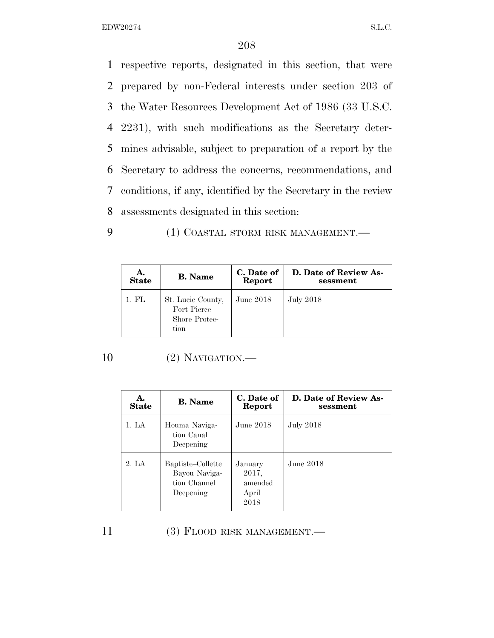respective reports, designated in this section, that were prepared by non-Federal interests under section 203 of the Water Resources Development Act of 1986 (33 U.S.C. 2231), with such modifications as the Secretary deter- mines advisable, subject to preparation of a report by the Secretary to address the concerns, recommendations, and conditions, if any, identified by the Secretary in the review assessments designated in this section:

9 (1) COASTAL STORM RISK MANAGEMENT.

| A.           | <b>B.</b> Name                                            | C. Date of | D. Date of Review As- |
|--------------|-----------------------------------------------------------|------------|-----------------------|
| <b>State</b> |                                                           | Report     | sessment              |
| 1. FL        | St. Lucie County,<br>Fort Pierce<br>Shore Protec-<br>tion | June 2018  | <b>July 2018</b>      |

10 (2) NAVIGATION.—

| А.<br><b>State</b> | <b>B.</b> Name                                                  | C. Date of<br>Report                         | D. Date of Review As-<br>sessment |
|--------------------|-----------------------------------------------------------------|----------------------------------------------|-----------------------------------|
| 1. LA              | Houma Naviga-<br>tion Canal<br>Deepening                        | June $2018$                                  | <b>July 2018</b>                  |
| 2. LA              | Baptiste-Collette<br>Bayou Naviga-<br>tion Channel<br>Deepening | January<br>2017,<br>amended<br>April<br>2018 | June $2018$                       |

| 11<br>$(3)$ FLOOD RISK MANAGEMENT.— |  |
|-------------------------------------|--|
|-------------------------------------|--|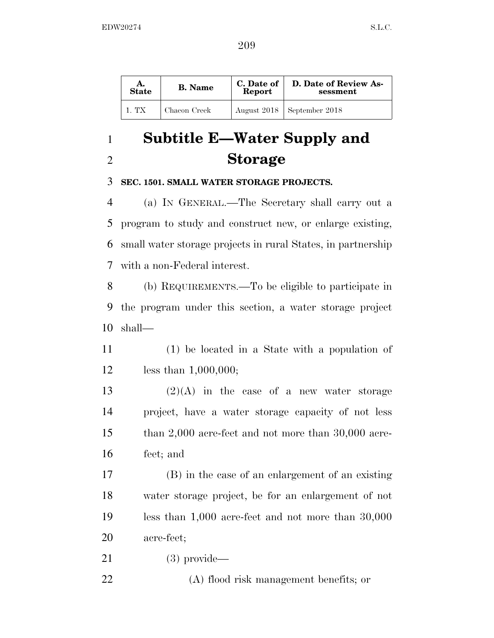| А.<br><b>State</b> | <b>B.</b> Name | C. Date of<br>Report | D. Date of Review As-<br>sessment |
|--------------------|----------------|----------------------|-----------------------------------|
| 1. TX              | Chacon Creek   |                      | August 2018   September 2018      |

# **Subtitle E—Water Supply and Storage**

### **SEC. 1501. SMALL WATER STORAGE PROJECTS.**

 (a) IN GENERAL.—The Secretary shall carry out a program to study and construct new, or enlarge existing, small water storage projects in rural States, in partnership with a non-Federal interest.

 (b) REQUIREMENTS.—To be eligible to participate in the program under this section, a water storage project shall—

 (1) be located in a State with a population of less than 1,000,000;

 $(2)(A)$  in the case of a new water storage project, have a water storage capacity of not less than 2,000 acre-feet and not more than 30,000 acre-feet; and

 (B) in the case of an enlargement of an existing water storage project, be for an enlargement of not less than 1,000 acre-feet and not more than 30,000 acre-feet;

(3) provide—

(A) flood risk management benefits; or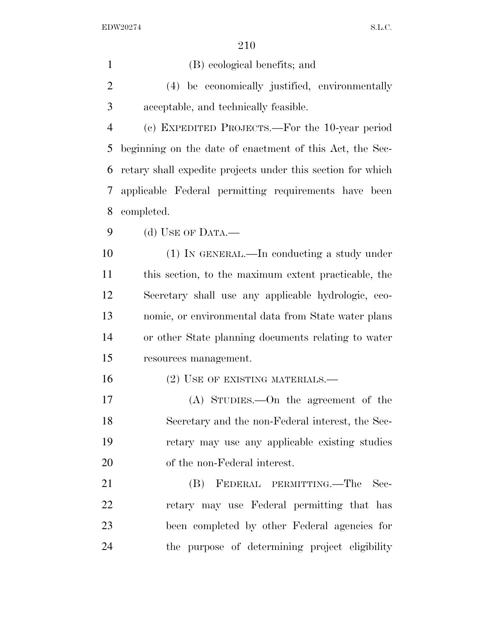| $\mathbf{1}$   | (B) ecological benefits; and                                |
|----------------|-------------------------------------------------------------|
| 2              | (4) be economically justified, environmentally              |
| 3              | acceptable, and technically feasible.                       |
| $\overline{4}$ | (c) EXPEDITED PROJECTS.—For the 10-year period              |
| 5              | beginning on the date of enactment of this Act, the Sec-    |
| 6              | retary shall expedite projects under this section for which |
| 7              | applicable Federal permitting requirements have been        |
| 8              | completed.                                                  |
| 9              | (d) USE OF DATA.—                                           |
| 10             | (1) IN GENERAL.—In conducting a study under                 |
| 11             | this section, to the maximum extent practicable, the        |
| 12             | Secretary shall use any applicable hydrologic, eco-         |
| 13             | nomic, or environmental data from State water plans         |
| 14             | or other State planning documents relating to water         |
| 15             | resources management.                                       |
| 16             | $(2)$ USE OF EXISTING MATERIALS.—                           |
| 17             | $(A)$ STUDIES.—On the agreement of the                      |
| 18             | Secretary and the non-Federal interest, the Sec-            |
| 19             | retary may use any applicable existing studies              |
| 20             | of the non-Federal interest.                                |
| 21             | (B)<br>FEDERAL PERMITTING.—The<br>Sec-                      |
| 22             | retary may use Federal permitting that has                  |
| 23             | been completed by other Federal agencies for                |
| 24             | the purpose of determining project eligibility              |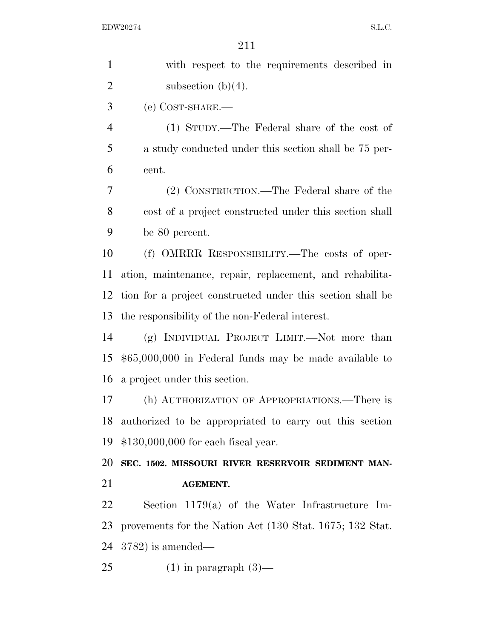| with respect to the requirements described in              |
|------------------------------------------------------------|
| subsection $(b)(4)$ .                                      |
| $(e)$ COST-SHARE.—                                         |
| (1) STUDY.—The Federal share of the cost of                |
| a study conducted under this section shall be 75 per-      |
| cent.                                                      |
| (2) CONSTRUCTION.—The Federal share of the                 |
| cost of a project constructed under this section shall     |
| be 80 percent.                                             |
| (f) OMRRR RESPONSIBILITY.—The costs of oper-               |
| ation, maintenance, repair, replacement, and rehabilita-   |
| tion for a project constructed under this section shall be |
| the responsibility of the non-Federal interest.            |
| (g) INDIVIDUAL PROJECT LIMIT.—Not more than                |
| $$65,000,000$ in Federal funds may be made available to    |
| a project under this section.                              |
| (h) AUTHORIZATION OF APPROPRIATIONS.—There is              |
| authorized to be appropriated to carry out this section    |
| $$130,000,000$ for each fiscal year.                       |
| SEC. 1502. MISSOURI RIVER RESERVOIR SEDIMENT MAN-          |
| <b>AGEMENT.</b>                                            |
| Section $1179(a)$ of the Water Infrastructure Im-          |
| provements for the Nation Act (130 Stat. 1675; 132 Stat.   |
| $(3782)$ is amended—                                       |
| $(1)$ in paragraph $(3)$ —                                 |
|                                                            |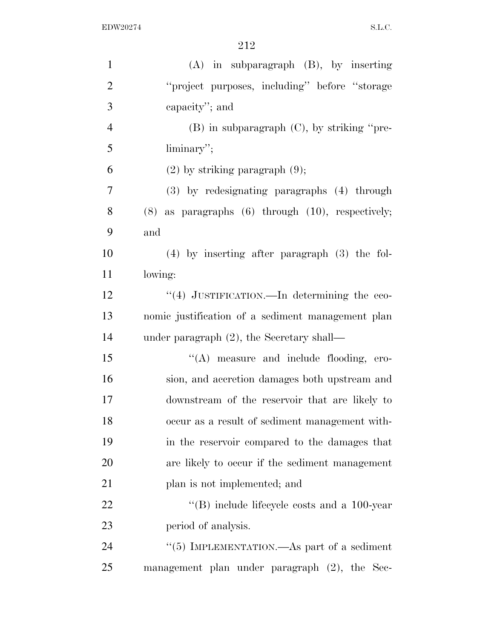| $\mathbf{1}$   | $(A)$ in subparagraph $(B)$ , by inserting                      |
|----------------|-----------------------------------------------------------------|
| $\overline{2}$ | "project purposes, including" before "storage                   |
| 3              | capacity"; and                                                  |
| $\overline{4}$ | $(B)$ in subparagraph $(C)$ , by striking "pre-                 |
| 5              | $\liminary$ .                                                   |
| 6              | $(2)$ by striking paragraph $(9)$ ;                             |
| 7              | (3) by redesignating paragraphs (4) through                     |
| 8              | $(8)$ as paragraphs $(6)$ through $(10)$ , respectively;        |
| 9              | and                                                             |
| 10             | $(4)$ by inserting after paragraph $(3)$ the fol-               |
| 11             | lowing:                                                         |
| 12             | "(4) JUSTIFICATION.—In determining the eco-                     |
| 13             | nomic justification of a sediment management plan               |
| 14             | under paragraph $(2)$ , the Secretary shall—                    |
| 15             | "(A) measure and include flooding, ero-                         |
| 16             | sion, and accretion damages both upstream and                   |
| 17             | downstream of the reservoir that are likely to                  |
| 18             | occur as a result of sediment management with-                  |
| 19             | in the reservoir compared to the damages that                   |
| 20             | are likely to occur if the sediment management                  |
| 21             | plan is not implemented; and                                    |
| 22             | $\cdot$ <sup>"</sup> (B) include lifecycle costs and a 100-year |
| 23             | period of analysis.                                             |
| 24             | "(5) IMPLEMENTATION.—As part of a sediment                      |
| 25             | management plan under paragraph (2), the Sec-                   |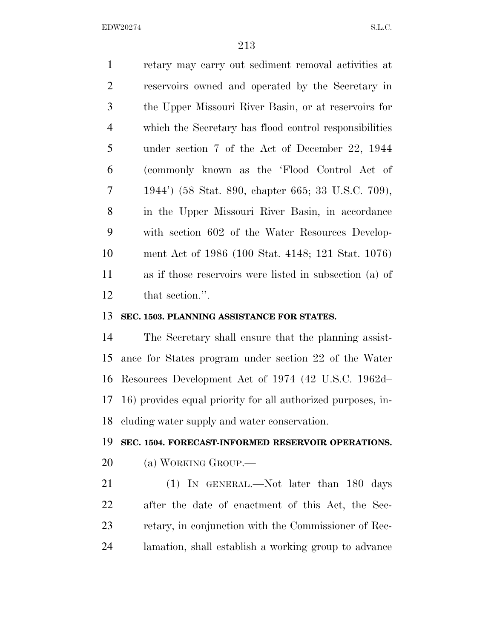retary may carry out sediment removal activities at reservoirs owned and operated by the Secretary in the Upper Missouri River Basin, or at reservoirs for which the Secretary has flood control responsibilities under section 7 of the Act of December 22, 1944 (commonly known as the 'Flood Control Act of 1944') (58 Stat. 890, chapter 665; 33 U.S.C. 709), in the Upper Missouri River Basin, in accordance with section 602 of the Water Resources Develop- ment Act of 1986 (100 Stat. 4148; 121 Stat. 1076) as if those reservoirs were listed in subsection (a) of that section.''.

#### **SEC. 1503. PLANNING ASSISTANCE FOR STATES.**

 The Secretary shall ensure that the planning assist- ance for States program under section 22 of the Water Resources Development Act of 1974 (42 U.S.C. 1962d– 16) provides equal priority for all authorized purposes, in-cluding water supply and water conservation.

#### **SEC. 1504. FORECAST-INFORMED RESERVOIR OPERATIONS.**

(a) WORKING GROUP.—

21 (1) IN GENERAL.—Not later than 180 days after the date of enactment of this Act, the Sec- retary, in conjunction with the Commissioner of Rec-lamation, shall establish a working group to advance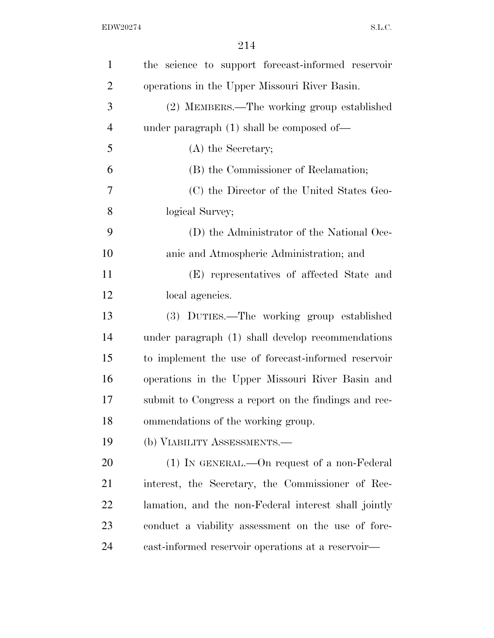| $\mathbf{1}$   | the science to support forecast-informed reservoir   |
|----------------|------------------------------------------------------|
| $\overline{2}$ | operations in the Upper Missouri River Basin.        |
| 3              | (2) MEMBERS.—The working group established           |
| $\overline{4}$ | under paragraph $(1)$ shall be composed of —         |
| 5              | (A) the Secretary;                                   |
| 6              | (B) the Commissioner of Reclamation;                 |
| 7              | (C) the Director of the United States Geo-           |
| 8              | logical Survey;                                      |
| 9              | (D) the Administrator of the National Oce-           |
| 10             | anic and Atmospheric Administration; and             |
| 11             | (E) representatives of affected State and            |
| 12             | local agencies.                                      |
| 13             | (3) DUTIES.—The working group established            |
| 14             | under paragraph (1) shall develop recommendations    |
| 15             | to implement the use of forecast-informed reservoir  |
| 16             | operations in the Upper Missouri River Basin and     |
| 17             | submit to Congress a report on the findings and rec- |
| 18             | ommendations of the working group.                   |
| 19             | (b) VIABILITY ASSESSMENTS.—                          |
| 20             | $(1)$ In GENERAL.—On request of a non-Federal        |
| 21             | interest, the Secretary, the Commissioner of Rec-    |
| 22             | lamation, and the non-Federal interest shall jointly |
| 23             | conduct a viability assessment on the use of fore-   |
| 24             | cast-informed reservoir operations at a reservoir—   |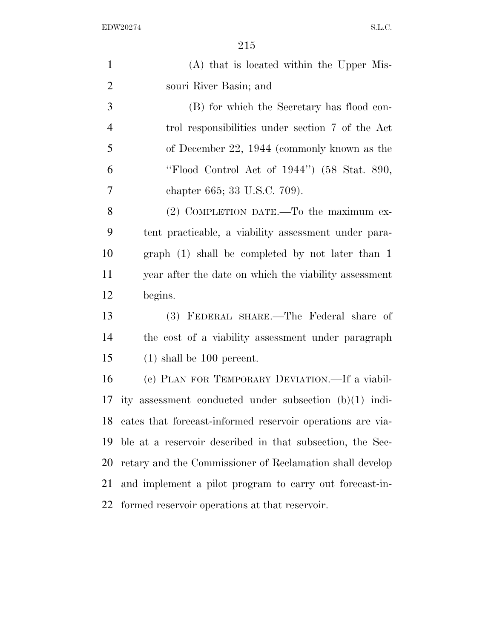| $\mathbf{1}$   | (A) that is located within the Upper Mis-                  |
|----------------|------------------------------------------------------------|
| $\overline{2}$ | souri River Basin; and                                     |
| 3              | (B) for which the Secretary has flood con-                 |
| $\overline{4}$ | trol responsibilities under section 7 of the Act           |
| 5              | of December 22, 1944 (commonly known as the                |
| 6              | "Flood Control Act of 1944") (58 Stat. 890,                |
| 7              | chapter 665; 33 U.S.C. 709).                               |
| 8              | $(2)$ COMPLETION DATE.—To the maximum ex-                  |
| 9              | tent practicable, a viability assessment under para-       |
| 10             | graph $(1)$ shall be completed by not later than 1         |
| 11             | year after the date on which the viability assessment      |
| 12             | begins.                                                    |
| 13             | (3) FEDERAL SHARE.—The Federal share of                    |
| 14             | the cost of a viability assessment under paragraph         |
| 15             | $(1)$ shall be 100 percent.                                |
| 16             | (c) PLAN FOR TEMPORARY DEVIATION.—If a viabil-             |
| 17             | ity assessment conducted under subsection $(b)(1)$ indi-   |
| 18             | cates that forecast-informed reservoir operations are via- |
| 19             | ble at a reservoir described in that subsection, the Sec-  |
| 20             | retary and the Commissioner of Reclamation shall develop   |
| 21             | and implement a pilot program to carry out forecast-in-    |
| 22             | formed reservoir operations at that reservoir.             |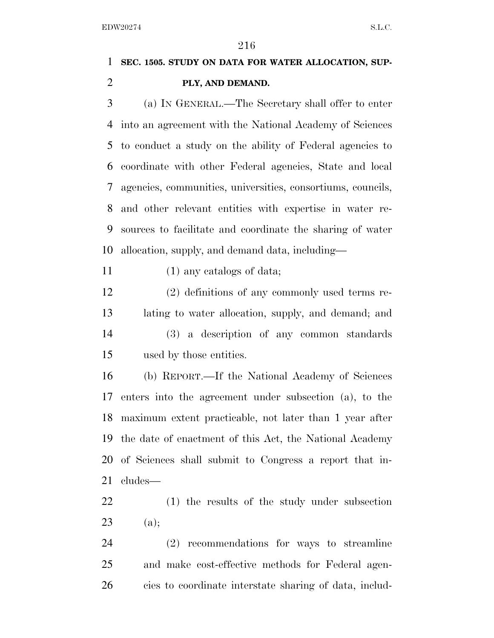# **SEC. 1505. STUDY ON DATA FOR WATER ALLOCATION, SUP-PLY, AND DEMAND.**

 (a) IN GENERAL.—The Secretary shall offer to enter into an agreement with the National Academy of Sciences to conduct a study on the ability of Federal agencies to coordinate with other Federal agencies, State and local agencies, communities, universities, consortiums, councils, and other relevant entities with expertise in water re- sources to facilitate and coordinate the sharing of water allocation, supply, and demand data, including—

(1) any catalogs of data;

 (2) definitions of any commonly used terms re- lating to water allocation, supply, and demand; and (3) a description of any common standards used by those entities.

 (b) REPORT.—If the National Academy of Sciences enters into the agreement under subsection (a), to the maximum extent practicable, not later than 1 year after the date of enactment of this Act, the National Academy of Sciences shall submit to Congress a report that in-cludes—

 (1) the results of the study under subsection (a);

 (2) recommendations for ways to streamline and make cost-effective methods for Federal agen-cies to coordinate interstate sharing of data, includ-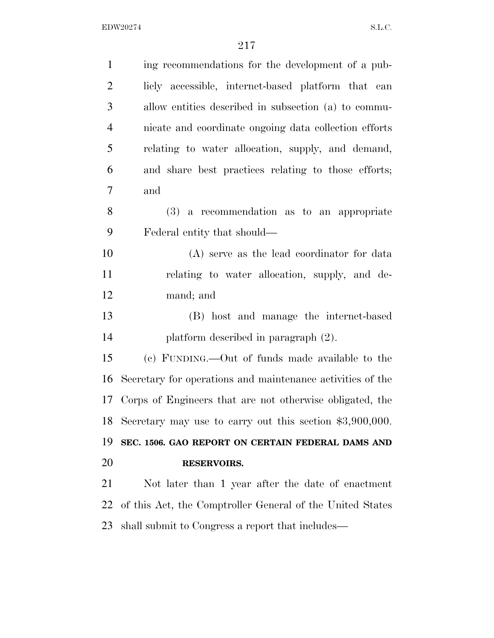| $\mathbf{1}$   | ing recommendations for the development of a pub-          |
|----------------|------------------------------------------------------------|
| $\overline{2}$ | licly accessible, internet-based platform that can         |
| 3              | allow entities described in subsection (a) to commu-       |
| $\overline{4}$ | nicate and coordinate ongoing data collection efforts      |
| 5              | relating to water allocation, supply, and demand,          |
| 6              | and share best practices relating to those efforts;        |
| 7              | and                                                        |
| 8              | $(3)$ a recommendation as to an appropriate                |
| 9              | Federal entity that should—                                |
| 10             | (A) serve as the lead coordinator for data                 |
| 11             | relating to water allocation, supply, and de-              |
| 12             | mand; and                                                  |
| 13             | (B) host and manage the internet-based                     |
| 14             | platform described in paragraph $(2)$ .                    |
| 15             | (c) FUNDING.—Out of funds made available to the            |
| 16             | Secretary for operations and maintenance activities of the |
| 17             | Corps of Engineers that are not otherwise obligated, the   |
| 18             | Secretary may use to carry out this section $$3,900,000$ . |
| 19             | SEC. 1506. GAO REPORT ON CERTAIN FEDERAL DAMS AND          |
| 20             | <b>RESERVOIRS.</b>                                         |
| 21             | Not later than 1 year after the date of enactment          |
| 22             | of this Act, the Comptroller General of the United States  |
| 23             | shall submit to Congress a report that includes—           |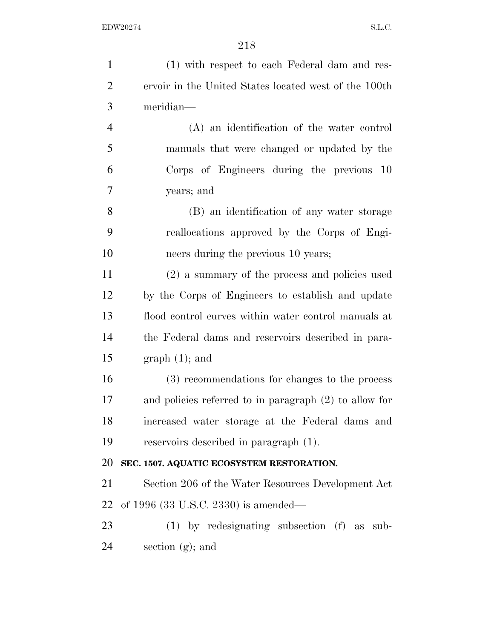| $\mathbf{1}$   | (1) with respect to each Federal dam and res-            |
|----------------|----------------------------------------------------------|
| $\overline{2}$ | ervoir in the United States located west of the 100th    |
| 3              | meridian-                                                |
| $\overline{4}$ | (A) an identification of the water control               |
| 5              | manuals that were changed or updated by the              |
| 6              | Corps of Engineers during the previous 10                |
| 7              | years; and                                               |
| 8              | (B) an identification of any water storage               |
| 9              | reallocations approved by the Corps of Engi-             |
| 10             | neers during the previous 10 years;                      |
| 11             | (2) a summary of the process and policies used           |
| 12             | by the Corps of Engineers to establish and update        |
| 13             | flood control curves within water control manuals at     |
| 14             | the Federal dams and reservoirs described in para-       |
| 15             | $graph(1);$ and                                          |
| 16             | (3) recommendations for changes to the process           |
| 17             | and policies referred to in paragraph $(2)$ to allow for |
| 18             | increased water storage at the Federal dams and          |
| 19             | reservoirs described in paragraph $(1)$ .                |
| 20             | SEC. 1507. AQUATIC ECOSYSTEM RESTORATION.                |
| 21             | Section 206 of the Water Resources Development Act       |
| 22             | of 1996 $(33 \text{ U.S.C. } 2330)$ is amended—          |
| 23             | $(1)$ by redesignating subsection $(f)$ as<br>sub-       |
| 24             | section $(g)$ ; and                                      |
|                |                                                          |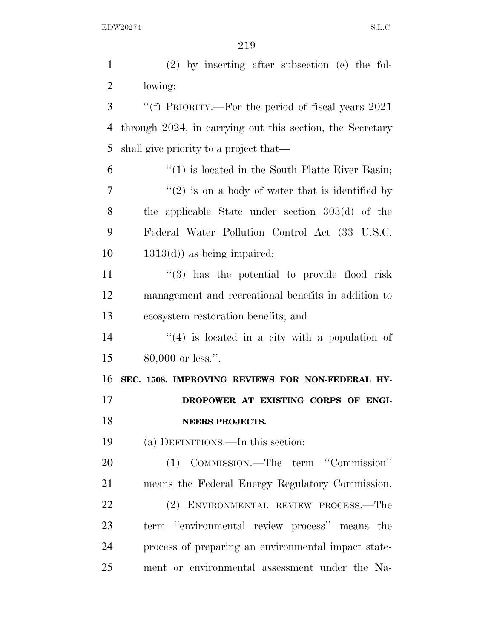(2) by inserting after subsection (e) the fol- lowing: ''(f) PRIORITY.—For the period of fiscal years 2021 through 2024, in carrying out this section, the Secretary shall give priority to a project that— ''(1) is located in the South Platte River Basin; ''(2) is on a body of water that is identified by the applicable State under section 303(d) of the Federal Water Pollution Control Act (33 U.S.C.  $10 \qquad 1313(d)$  as being impaired; 11 ''(3) has the potential to provide flood risk management and recreational benefits in addition to ecosystem restoration benefits; and  $(4)$  is located in a city with a population of 80,000 or less.''. **SEC. 1508. IMPROVING REVIEWS FOR NON-FEDERAL HY- DROPOWER AT EXISTING CORPS OF ENGI- NEERS PROJECTS.**  (a) DEFINITIONS.—In this section: (1) COMMISSION.—The term ''Commission'' means the Federal Energy Regulatory Commission. (2) ENVIRONMENTAL REVIEW PROCESS.—The term ''environmental review process'' means the process of preparing an environmental impact state-ment or environmental assessment under the Na-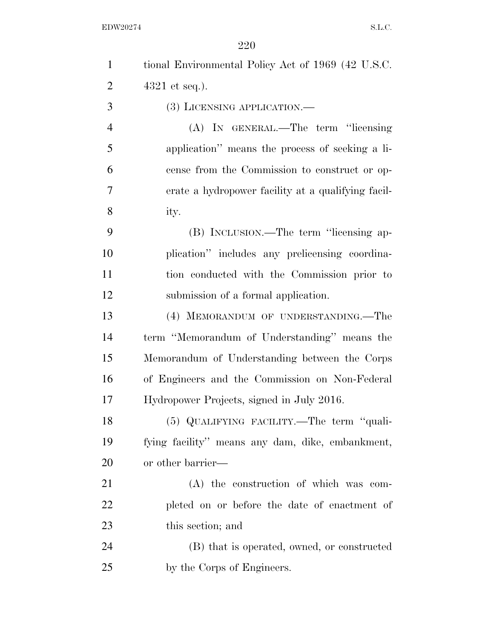| $\mathbf{1}$   | tional Environmental Policy Act of 1969 (42 U.S.C. |
|----------------|----------------------------------------------------|
| $\overline{2}$ | $4321$ et seq.).                                   |
| 3              | (3) LICENSING APPLICATION.—                        |
| $\overline{4}$ | (A) IN GENERAL.—The term "licensing                |
| 5              | application" means the process of seeking a li-    |
| 6              | cense from the Commission to construct or op-      |
| 7              | erate a hydropower facility at a qualifying facil- |
| 8              | ity.                                               |
| 9              | (B) INCLUSION.—The term "licensing ap-             |
| 10             | plication" includes any prelicensing coordina-     |
| 11             | tion conducted with the Commission prior to        |
| 12             | submission of a formal application.                |
| 13             | (4) MEMORANDUM OF UNDERSTANDING.—The               |
| 14             | term "Memorandum of Understanding" means the       |
| 15             | Memorandum of Understanding between the Corps      |
| 16             | of Engineers and the Commission on Non-Federal     |
| 17             | Hydropower Projects, signed in July 2016.          |
| 18             | $(5)$ QUALIFYING FACILITY.—The term "quali-        |
| 19             | fying facility" means any dam, dike, embankment,   |
| 20             | or other barrier—                                  |
| 21             | $(A)$ the construction of which was com-           |
| 22             | pleted on or before the date of enactment of       |
| 23             | this section; and                                  |
| 24             | (B) that is operated, owned, or constructed        |
| 25             | by the Corps of Engineers.                         |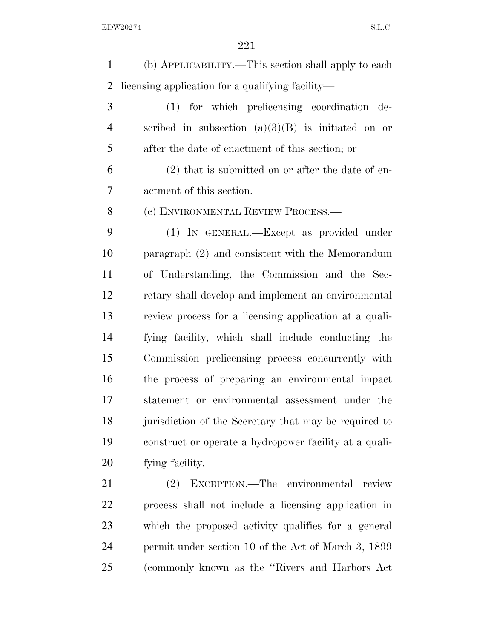(b) APPLICABILITY.—This section shall apply to each licensing application for a qualifying facility—

 (1) for which prelicensing coordination de- scribed in subsection (a)(3)(B) is initiated on or after the date of enactment of this section; or

 (2) that is submitted on or after the date of en-actment of this section.

(c) ENVIRONMENTAL REVIEW PROCESS.—

 (1) IN GENERAL.—Except as provided under paragraph (2) and consistent with the Memorandum of Understanding, the Commission and the Sec- retary shall develop and implement an environmental review process for a licensing application at a quali- fying facility, which shall include conducting the Commission prelicensing process concurrently with the process of preparing an environmental impact statement or environmental assessment under the jurisdiction of the Secretary that may be required to construct or operate a hydropower facility at a quali-fying facility.

 (2) EXCEPTION.—The environmental review process shall not include a licensing application in which the proposed activity qualifies for a general permit under section 10 of the Act of March 3, 1899 (commonly known as the ''Rivers and Harbors Act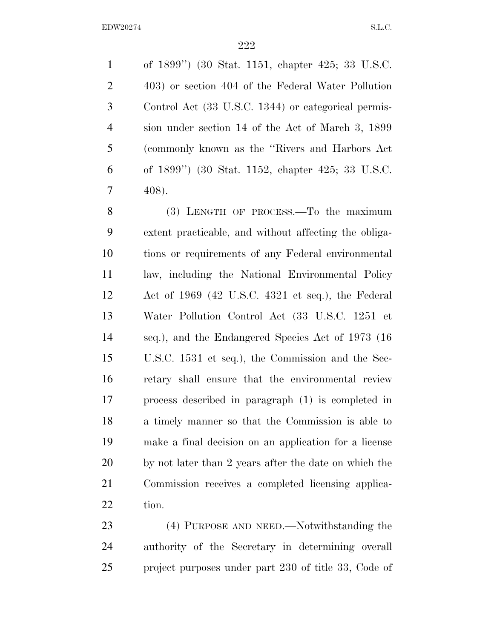of 1899'') (30 Stat. 1151, chapter 425; 33 U.S.C. 403) or section 404 of the Federal Water Pollution Control Act (33 U.S.C. 1344) or categorical permis- sion under section 14 of the Act of March 3, 1899 (commonly known as the ''Rivers and Harbors Act of 1899'') (30 Stat. 1152, chapter 425; 33 U.S.C. 408).

 (3) LENGTH OF PROCESS.—To the maximum extent practicable, and without affecting the obliga- tions or requirements of any Federal environmental law, including the National Environmental Policy Act of 1969 (42 U.S.C. 4321 et seq.), the Federal Water Pollution Control Act (33 U.S.C. 1251 et seq.), and the Endangered Species Act of 1973 (16 U.S.C. 1531 et seq.), the Commission and the Sec- retary shall ensure that the environmental review process described in paragraph (1) is completed in a timely manner so that the Commission is able to make a final decision on an application for a license by not later than 2 years after the date on which the Commission receives a completed licensing applica-tion.

23 (4) PURPOSE AND NEED.—Notwithstanding the authority of the Secretary in determining overall 25 project purposes under part 230 of title 33, Code of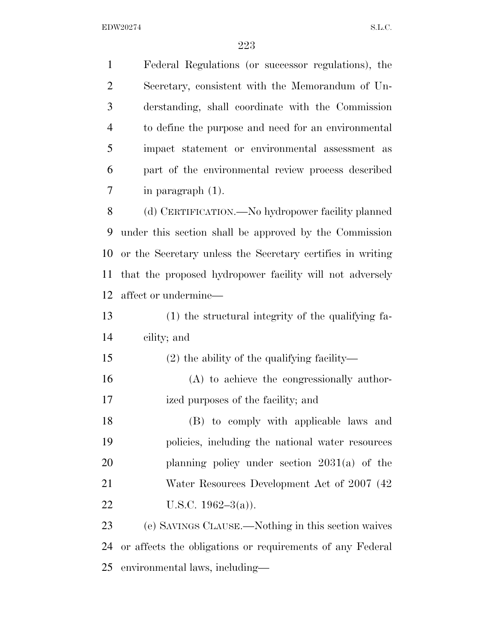Federal Regulations (or successor regulations), the Secretary, consistent with the Memorandum of Un- derstanding, shall coordinate with the Commission to define the purpose and need for an environmental impact statement or environmental assessment as part of the environmental review process described in paragraph (1). (d) CERTIFICATION.—No hydropower facility planned under this section shall be approved by the Commission or the Secretary unless the Secretary certifies in writing that the proposed hydropower facility will not adversely affect or undermine— (1) the structural integrity of the qualifying fa- cility; and (2) the ability of the qualifying facility— (A) to achieve the congressionally author- ized purposes of the facility; and (B) to comply with applicable laws and policies, including the national water resources planning policy under section 2031(a) of the 21 Water Resources Development Act of 2007 (42) 22 U.S.C.  $1962-3(a)$ ). (e) SAVINGS CLAUSE.—Nothing in this section waives or affects the obligations or requirements of any Federal

environmental laws, including—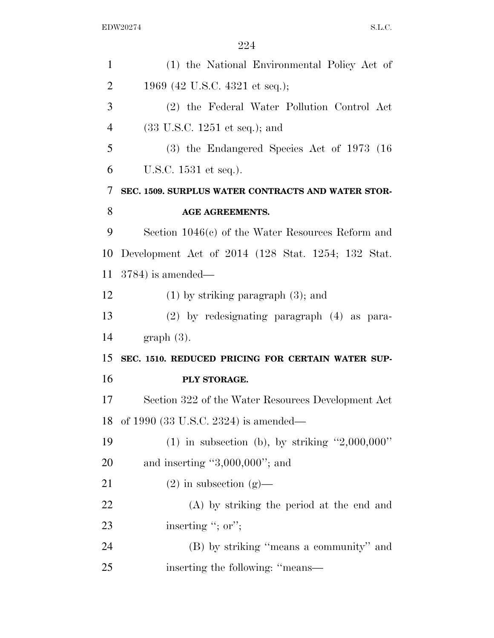| $\mathbf{1}$   | (1) the National Environmental Policy Act of        |
|----------------|-----------------------------------------------------|
| $\overline{2}$ | 1969 (42 U.S.C. 4321 et seq.);                      |
| 3              | (2) the Federal Water Pollution Control Act         |
| $\overline{4}$ | $(33 \text{ U.S.C. } 1251 \text{ et seq.});$ and    |
| 5              | $(3)$ the Endangered Species Act of 1973 (16)       |
| 6              | U.S.C. 1531 et seq.).                               |
| 7              | SEC. 1509. SURPLUS WATER CONTRACTS AND WATER STOR-  |
| 8              | <b>AGE AGREEMENTS.</b>                              |
| 9              | Section $1046(c)$ of the Water Resources Reform and |
| 10             | Development Act of 2014 (128 Stat. 1254; 132 Stat.  |
| 11             | $3784$ ) is amended—                                |
| 12             | $(1)$ by striking paragraph $(3)$ ; and             |
| 13             | (2) by redesignating paragraph (4) as para-         |
| 14             | $graph(3)$ .                                        |
| 15             | SEC. 1510. REDUCED PRICING FOR CERTAIN WATER SUP-   |
| 16             | PLY STORAGE.                                        |
| 17             | Section 322 of the Water Resources Development Act  |
| 18             | of 1990 (33 U.S.C. 2324) is amended—                |
| 19             | (1) in subsection (b), by striking $"2,000,000"$    |
| 20             | and inserting " $3,000,000$ "; and                  |
| 21             | $(2)$ in subsection $(g)$ —                         |
| 22             | (A) by striking the period at the end and           |
| 23             | inserting "; or";                                   |
| 24             | (B) by striking "means a community" and             |
| 25             | inserting the following: "means—                    |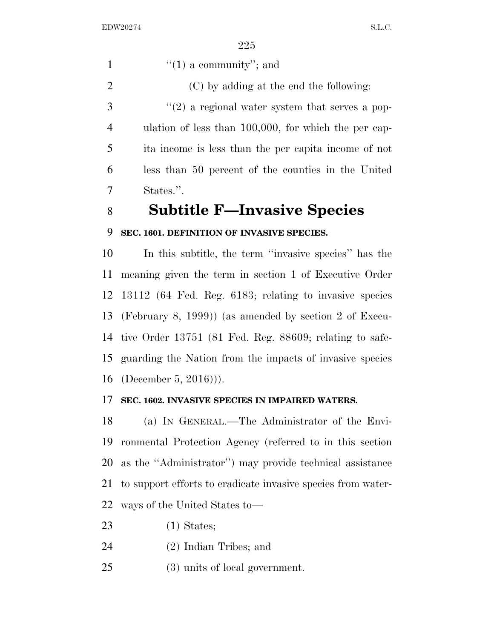$"(1)$  a community"; and (C) by adding at the end the following:  $\mathcal{S}$  ''(2) a regional water system that serves a pop- ulation of less than 100,000, for which the per cap- ita income is less than the per capita income of not less than 50 percent of the counties in the United States.''.

## **Subtitle F—Invasive Species**

#### **SEC. 1601. DEFINITION OF INVASIVE SPECIES.**

 In this subtitle, the term ''invasive species'' has the meaning given the term in section 1 of Executive Order 13112 (64 Fed. Reg. 6183; relating to invasive species (February 8, 1999)) (as amended by section 2 of Execu- tive Order 13751 (81 Fed. Reg. 88609; relating to safe- guarding the Nation from the impacts of invasive species (December 5, 2016))).

#### **SEC. 1602. INVASIVE SPECIES IN IMPAIRED WATERS.**

 (a) IN GENERAL.—The Administrator of the Envi- ronmental Protection Agency (referred to in this section as the ''Administrator'') may provide technical assistance to support efforts to eradicate invasive species from water-ways of the United States to—

- (1) States;
- (2) Indian Tribes; and
- (3) units of local government.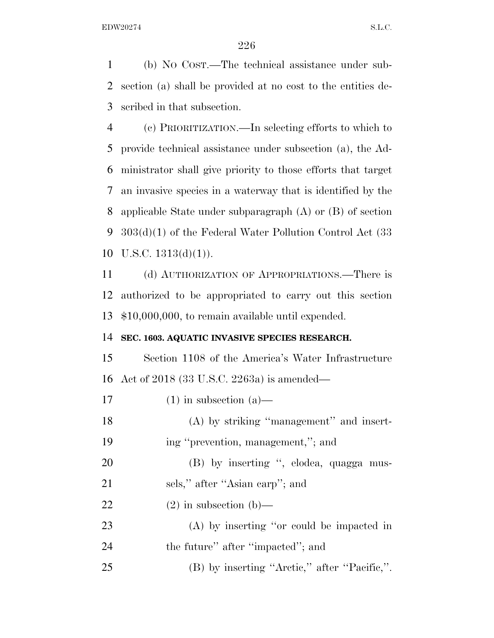(b) NO COST.—The technical assistance under sub- section (a) shall be provided at no cost to the entities de-scribed in that subsection.

 (c) PRIORITIZATION.—In selecting efforts to which to provide technical assistance under subsection (a), the Ad- ministrator shall give priority to those efforts that target an invasive species in a waterway that is identified by the applicable State under subparagraph (A) or (B) of section 303(d)(1) of the Federal Water Pollution Control Act (33 10 U.S.C.  $1313(d)(1)$ ).

 (d) AUTHORIZATION OF APPROPRIATIONS.—There is authorized to be appropriated to carry out this section \$10,000,000, to remain available until expended.

#### **SEC. 1603. AQUATIC INVASIVE SPECIES RESEARCH.**

 Section 1108 of the America's Water Infrastructure Act of 2018 (33 U.S.C. 2263a) is amended—

17 (1) in subsection  $(a)$ — (A) by striking ''management'' and insert- ing ''prevention, management,''; and 20 (B) by inserting ", elodea, quagga mus-21 sels," after "Asian carp"; and 22 (2) in subsection (b)— (A) by inserting ''or could be impacted in 24 the future'' after "impacted"; and (B) by inserting ''Arctic,'' after ''Pacific,''.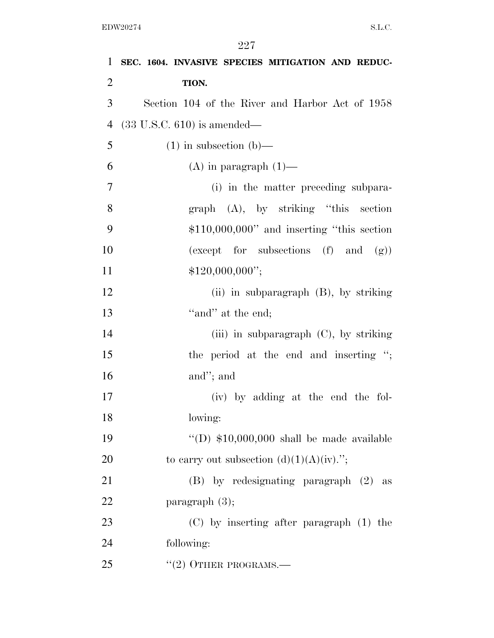| $\mathbf{1}$   | SEC. 1604. INVASIVE SPECIES MITIGATION AND REDUC- |
|----------------|---------------------------------------------------|
| $\overline{2}$ | TION.                                             |
| 3              | Section 104 of the River and Harbor Act of 1958   |
| $\overline{4}$ | $(33 \text{ U.S.C. } 610)$ is amended—            |
| 5              | $(1)$ in subsection $(b)$ —                       |
| 6              | $(A)$ in paragraph $(1)$ —                        |
| $\overline{7}$ | (i) in the matter preceding subpara-              |
| 8              | $graph$ (A), by striking "this section            |
| 9              | $$110,000,000"$ and inserting "this section"      |
| 10             | (except for subsections (f) and (g))              |
| 11             | \$120,000,000";                                   |
| 12             | (ii) in subparagraph $(B)$ , by striking          |
| 13             | "and" at the end;                                 |
| 14             | (iii) in subparagraph (C), by striking            |
| 15             | the period at the end and inserting ";            |
| 16             | and"; and                                         |
| 17             | (iv) by adding at the end the fol-                |
| 18             | lowing:                                           |
| 19             | "(D) $$10,000,000$ shall be made available        |
| 20             | to carry out subsection $(d)(1)(A)(iv)$ .";       |
| 21             | (B) by redesignating paragraph (2) as             |
| 22             | paragraph $(3)$ ;                                 |
| 23             | $(C)$ by inserting after paragraph $(1)$ the      |
| 24             | following:                                        |
| 25             | $"(2)$ OTHER PROGRAMS.—                           |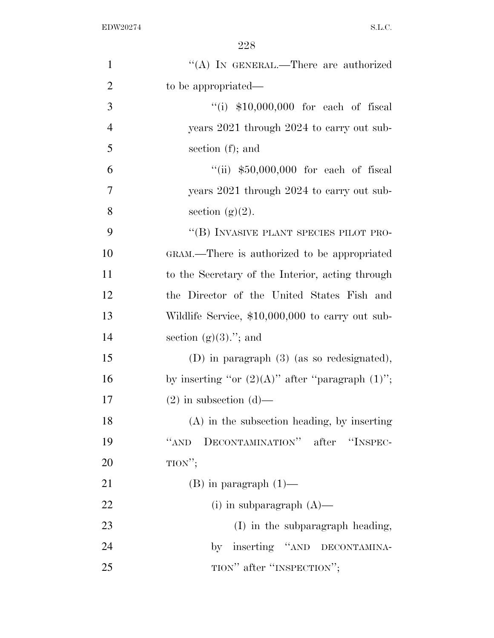| $\mathbf{1}$   | "(A) IN GENERAL.—There are authorized                 |
|----------------|-------------------------------------------------------|
| $\overline{2}$ | to be appropriated—                                   |
| 3              | "(i) $$10,000,000$ for each of fiscal                 |
| $\overline{4}$ | years 2021 through 2024 to carry out sub-             |
| 5              | section $(f)$ ; and                                   |
| 6              | "(ii) $$50,000,000$ for each of fiscal                |
| 7              | years 2021 through 2024 to carry out sub-             |
| 8              | section $(g)(2)$ .                                    |
| 9              | "(B) INVASIVE PLANT SPECIES PILOT PRO-                |
| 10             | GRAM.—There is authorized to be appropriated          |
| 11             | to the Secretary of the Interior, acting through      |
| 12             | the Director of the United States Fish and            |
| 13             | Wildlife Service, \$10,000,000 to carry out sub-      |
| 14             | section $(g)(3)$ ."; and                              |
| 15             | $(D)$ in paragraph $(3)$ (as so redesignated),        |
| 16             | by inserting "or $(2)(A)$ " after "paragraph $(1)$ "; |
| 17             | $(2)$ in subsection $(d)$ —                           |
| 18             | $(A)$ in the subsection heading, by inserting         |
| 19             | DECONTAMINATION" after "INSPEC-<br>``AND              |
| 20             | TION";                                                |
| 21             | $(B)$ in paragraph $(1)$ —                            |
| 22             | $(i)$ in subparagraph $(A)$ —                         |
| 23             | (I) in the subparagraph heading,                      |
| 24             | by inserting "AND DECONTAMINA-                        |
| 25             | TION" after "INSPECTION";                             |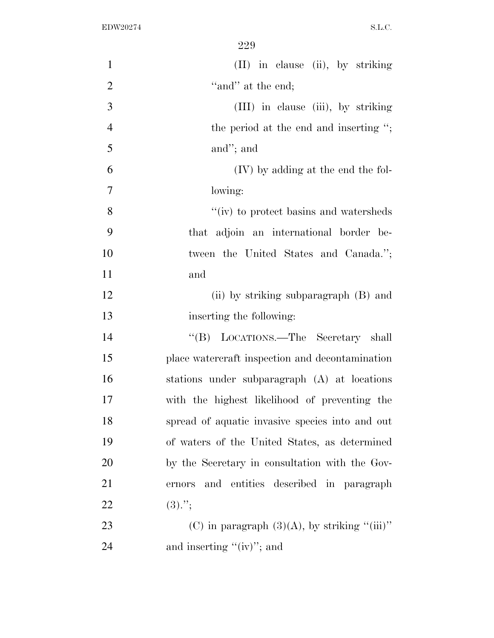| $\mathbf{1}$   | (II) in clause (ii), by striking                |
|----------------|-------------------------------------------------|
| $\overline{2}$ | "and" at the end;                               |
| 3              | (III) in clause (iii), by striking              |
| $\overline{4}$ | the period at the end and inserting ";          |
| 5              | and"; and                                       |
| 6              | (IV) by adding at the end the fol-              |
| 7              | lowing:                                         |
| 8              | " $(iv)$ to protect basins and watersheds       |
| 9              | that adjoin an international border be-         |
| 10             | tween the United States and Canada.";           |
| 11             | and                                             |
| 12             | (ii) by striking subparagraph (B) and           |
| 13             | inserting the following:                        |
| 14             | "(B) LOCATIONS.—The Secretary shall             |
| 15             | place watercraft inspection and decontamination |
| 16             | stations under subparagraph (A) at locations    |
| 17             | with the highest likelihood of preventing the   |
| 18             | spread of aquatic invasive species into and out |
| 19             | of waters of the United States, as determined   |
| 20             | by the Secretary in consultation with the Gov-  |
| 21             | and entities described in paragraph<br>ernors   |
| 22             | $(3).$ ";                                       |
| 23             | (C) in paragraph $(3)(A)$ , by striking "(iii)" |
| 24             | and inserting " $(iv)$ "; and                   |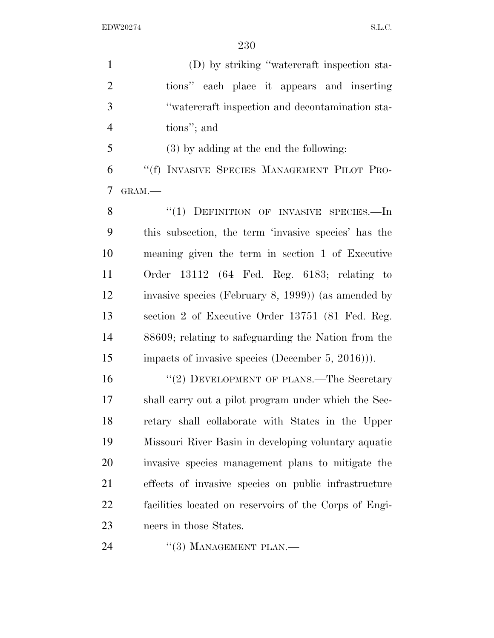(D) by striking ''watercraft inspection sta- tions'' each place it appears and inserting ''watercraft inspection and decontamination sta-tions''; and

 (3) by adding at the end the following: ''(f) INVASIVE SPECIES MANAGEMENT PILOT PRO-GRAM.—

8 "(1) DEFINITION OF INVASIVE SPECIES.—In this subsection, the term 'invasive species' has the meaning given the term in section 1 of Executive Order 13112 (64 Fed. Reg. 6183; relating to invasive species (February 8, 1999)) (as amended by section 2 of Executive Order 13751 (81 Fed. Reg. 88609; relating to safeguarding the Nation from the impacts of invasive species (December 5, 2016))).

16 "(2) DEVELOPMENT OF PLANS.—The Secretary shall carry out a pilot program under which the Sec- retary shall collaborate with States in the Upper Missouri River Basin in developing voluntary aquatic invasive species management plans to mitigate the effects of invasive species on public infrastructure facilities located on reservoirs of the Corps of Engi-neers in those States.

24 "(3) MANAGEMENT PLAN.—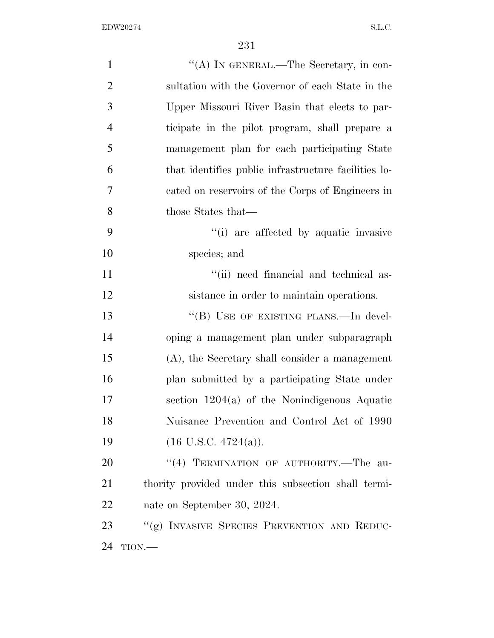| $\mathbf{1}$   | "(A) IN GENERAL.—The Secretary, in con-              |
|----------------|------------------------------------------------------|
| $\overline{2}$ | sultation with the Governor of each State in the     |
| 3              | Upper Missouri River Basin that elects to par-       |
| $\overline{4}$ | ticipate in the pilot program, shall prepare a       |
| 5              | management plan for each participating State         |
| 6              | that identifies public infrastructure facilities lo- |
| 7              | cated on reservoirs of the Corps of Engineers in     |
| 8              | those States that—                                   |
| 9              | "(i) are affected by aquatic invasive                |
| 10             | species; and                                         |
| 11             | "(ii) need financial and technical as-               |
| 12             | sistance in order to maintain operations.            |
| 13             | "(B) USE OF EXISTING PLANS.—In devel-                |
| 14             | oping a management plan under subparagraph           |
| 15             | (A), the Secretary shall consider a management       |
| 16             | plan submitted by a participating State under        |
| 17             | section $1204(a)$ of the Nonindigenous Aquatic       |
| 18             | Nuisance Prevention and Control Act of 1990          |
| 19             | $(16$ U.S.C. $4724(a)$ ).                            |
| 20             | "(4) TERMINATION OF AUTHORITY.-The au-               |
| 21             | thority provided under this subsection shall termi-  |
| 22             | nate on September 30, 2024.                          |
| 23             | "(g) INVASIVE SPECIES PREVENTION AND REDUC-          |
| 24             | TION.                                                |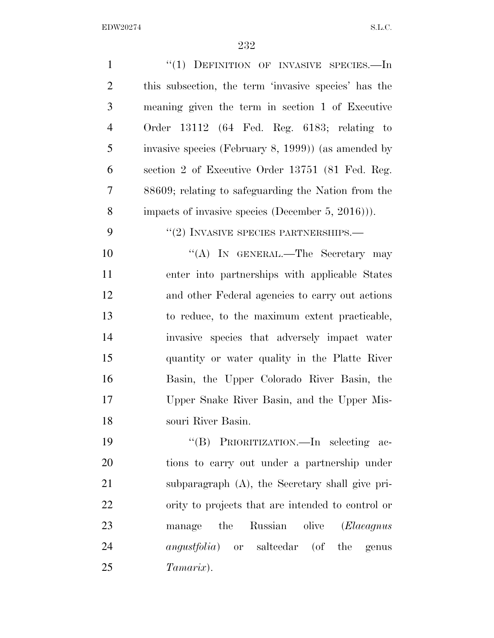| $\mathbf{1}$   | $``(1)$ DEFINITION OF INVASIVE SPECIES.—In           |
|----------------|------------------------------------------------------|
| $\overline{2}$ | this subsection, the term 'invasive species' has the |
| 3              | meaning given the term in section 1 of Executive     |
| $\overline{4}$ | Order $13112$ (64 Fed. Reg. 6183; relating to        |
| 5              | invasive species (February 8, 1999)) (as amended by  |
| 6              | section 2 of Executive Order 13751 (81 Fed. Reg.     |
| 7              | 88609; relating to safeguarding the Nation from the  |
| 8              | impacts of invasive species (December 5, 2016)).     |
| 9              | $``(2)$ INVASIVE SPECIES PARTNERSHIPS.—              |
| 10             | "(A) IN GENERAL.—The Secretary may                   |
| 11             | enter into partnerships with applicable States       |
| 12             | and other Federal agencies to carry out actions      |
| 13             | to reduce, to the maximum extent practicable,        |
| 14             | invasive species that adversely impact water         |
| 15             | quantity or water quality in the Platte River        |
| 16             | Basin, the Upper Colorado River Basin, the           |
| 17             | Upper Snake River Basin, and the Upper Mis-          |
| 18             | souri River Basin.                                   |
| 19             | "(B) PRIORITIZATION.—In selecting ac-                |
| 20             | tions to carry out under a partnership under         |
| 21             | subparagraph (A), the Secretary shall give pri-      |
| 22             | ority to projects that are intended to control or    |
| 23             | Russian olive<br>the<br>( <i>Elaeagnus</i><br>manage |
| 24             | <i>angustfolia</i> ) or salteedar (of the genus      |
| 25             | Tamarix).                                            |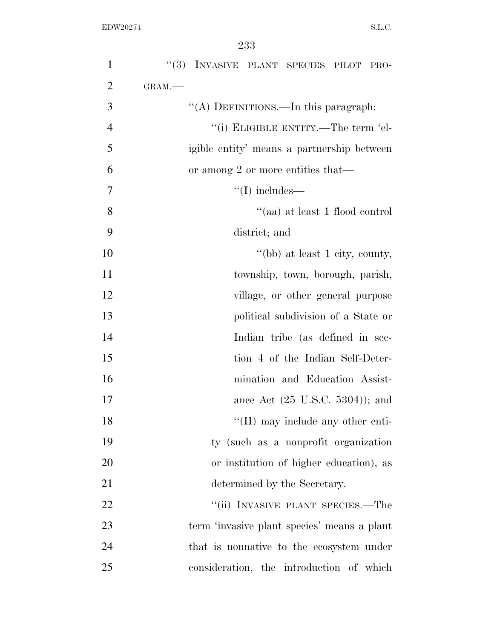| $\mathbf{1}$   | "(3) INVASIVE PLANT SPECIES PILOT PRO-      |
|----------------|---------------------------------------------|
| $\overline{2}$ | GRAM.-                                      |
| 3              | "(A) DEFINITIONS.—In this paragraph:        |
| $\overline{4}$ | "(i) ELIGIBLE ENTITY.—The term 'el-         |
| 5              | igible entity' means a partnership between  |
| 6              | or among 2 or more entities that—           |
| 7              | $\lq\lq$ (I) includes—                      |
| 8              | "(aa) at least 1 flood control              |
| 9              | district; and                               |
| 10             | "(bb) at least 1 city, county,              |
| 11             | township, town, borough, parish,            |
| 12             | village, or other general purpose           |
| 13             | political subdivision of a State or         |
| 14             | Indian tribe (as defined in sec-            |
| 15             | tion 4 of the Indian Self-Deter-            |
| 16             | mination and Education Assist-              |
| 17             | ance Act $(25 \text{ U.S.C. } 5304)$ ; and  |
| 18             | $\lq\lq$ (II) may include any other enti-   |
| 19             | ty (such as a nonprofit organization        |
| 20             | or institution of higher education), as     |
| 21             | determined by the Secretary.                |
| 22             | "(ii) INVASIVE PLANT SPECIES.—The           |
| 23             | term 'invasive plant species' means a plant |
| 24             | that is nonnative to the ecosystem under    |
| 25             | consideration, the introduction of which    |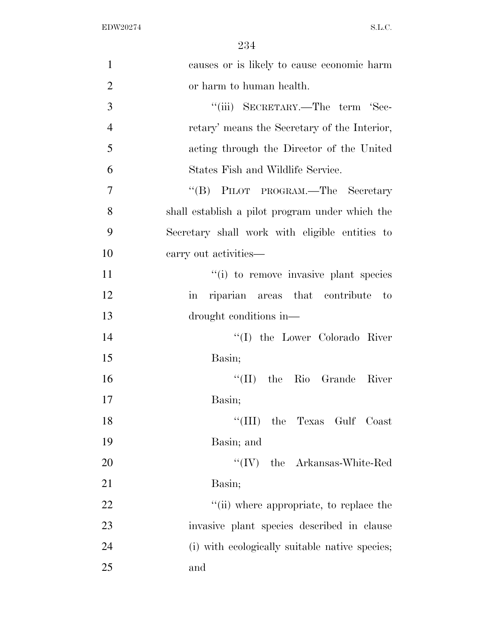| $\mathbf{1}$   | causes or is likely to cause economic harm               |
|----------------|----------------------------------------------------------|
| $\overline{2}$ | or harm to human health.                                 |
| 3              | "(iii) SECRETARY.—The term 'Sec-                         |
| $\overline{4}$ | retary' means the Secretary of the Interior,             |
| 5              | acting through the Director of the United                |
| 6              | States Fish and Wildlife Service.                        |
| 7              | "(B) PILOT PROGRAM.—The Secretary                        |
| 8              | shall establish a pilot program under which the          |
| 9              | Secretary shall work with eligible entities to           |
| 10             | carry out activities—                                    |
| 11             | "(i) to remove invasive plant species                    |
| 12             | riparian areas that contribute to<br>$\operatorname{in}$ |
| 13             | drought conditions in—                                   |
| 14             | "(I) the Lower Colorado River                            |
| 15             | Basin;                                                   |
| 16             | $\lq\lq$ (II) the Rio Grande River                       |
| 17             | Basin;                                                   |
| 18             | "(III) the Texas Gulf Coast                              |
| 19             | Basin; and                                               |
| 20             | $``(IV)$ the Arkansas-White-Red                          |
| 21             | Basin;                                                   |
| 22             | "(ii) where appropriate, to replace the                  |
| 23             | invasive plant species described in clause               |
| 24             | (i) with ecologically suitable native species;           |
| 25             | and                                                      |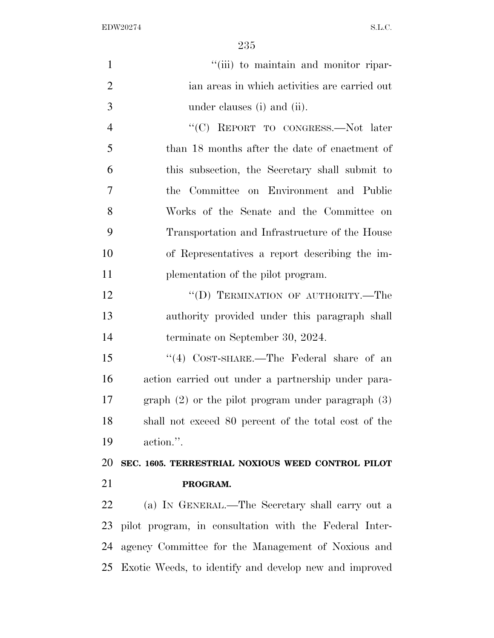$"$ (iii) to maintain and monitor ripar- ian areas in which activities are carried out under clauses (i) and (ii). 4 "<sup>"</sup>(C) REPORT TO CONGRESS.—Not later than 18 months after the date of enactment of this subsection, the Secretary shall submit to the Committee on Environment and Public Works of the Senate and the Committee on Transportation and Infrastructure of the House of Representatives a report describing the im-11 plementation of the pilot program. 12 "(D) TERMINATION OF AUTHORITY.—The authority provided under this paragraph shall terminate on September 30, 2024. ''(4) COST-SHARE.—The Federal share of an action carried out under a partnership under para- graph (2) or the pilot program under paragraph (3) shall not exceed 80 percent of the total cost of the action.''. **SEC. 1605. TERRESTRIAL NOXIOUS WEED CONTROL PILOT PROGRAM.**  (a) IN GENERAL.—The Secretary shall carry out a pilot program, in consultation with the Federal Inter- agency Committee for the Management of Noxious and Exotic Weeds, to identify and develop new and improved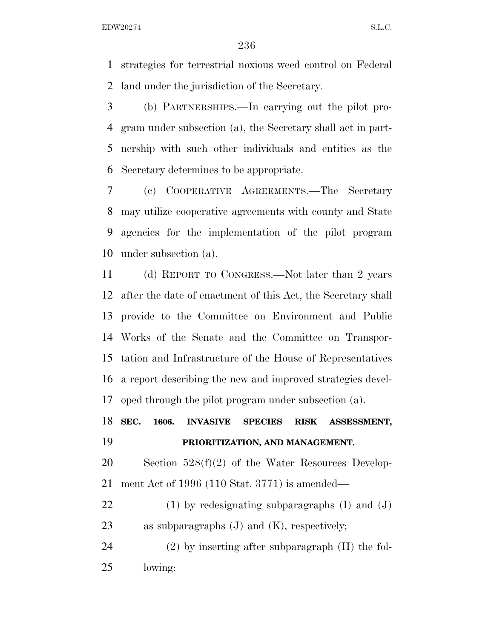strategies for terrestrial noxious weed control on Federal land under the jurisdiction of the Secretary.

 (b) PARTNERSHIPS.—In carrying out the pilot pro- gram under subsection (a), the Secretary shall act in part- nership with such other individuals and entities as the Secretary determines to be appropriate.

 (c) COOPERATIVE AGREEMENTS.—The Secretary may utilize cooperative agreements with county and State agencies for the implementation of the pilot program under subsection (a).

 (d) REPORT TO CONGRESS.—Not later than 2 years after the date of enactment of this Act, the Secretary shall provide to the Committee on Environment and Public Works of the Senate and the Committee on Transpor- tation and Infrastructure of the House of Representatives a report describing the new and improved strategies devel-oped through the pilot program under subsection (a).

 **SEC. 1606. INVASIVE SPECIES RISK ASSESSMENT, PRIORITIZATION, AND MANAGEMENT.** 

 Section 528(f)(2) of the Water Resources Develop-ment Act of 1996 (110 Stat. 3771) is amended—

 (1) by redesignating subparagraphs (I) and (J) as subparagraphs (J) and (K), respectively;

 (2) by inserting after subparagraph (H) the fol-lowing: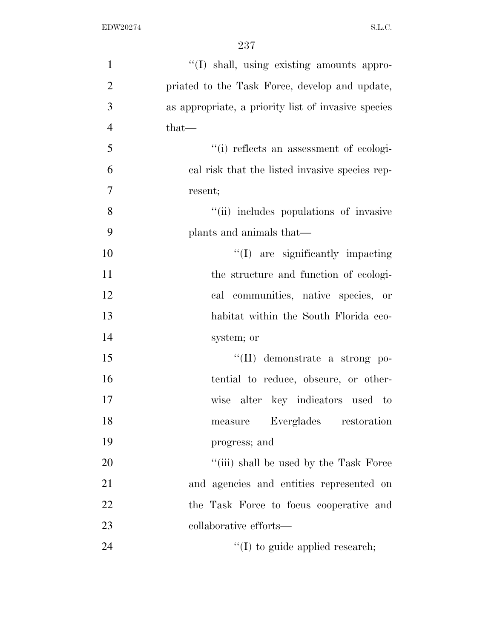| $\mathbf{1}$   | "(I) shall, using existing amounts appro-           |
|----------------|-----------------------------------------------------|
| $\overline{2}$ | priated to the Task Force, develop and update,      |
| 3              | as appropriate, a priority list of invasive species |
| $\overline{4}$ | $that-$                                             |
| 5              | "(i) reflects an assessment of ecologi-             |
| 6              | cal risk that the listed invasive species rep-      |
| $\overline{7}$ | resent;                                             |
| 8              | "(ii) includes populations of invasive              |
| 9              | plants and animals that—                            |
| 10             | "(I) are significantly impacting                    |
| 11             | the structure and function of ecologi-              |
| 12             | cal communities, native species, or                 |
| 13             | habitat within the South Florida eco-               |
| 14             | system; or                                          |
| 15             | "(II) demonstrate a strong po-                      |
| 16             | tential to reduce, obscure, or other-               |
| 17             | wise alter key indicators used to                   |
| 18             | Everglades<br>restoration<br>measure                |
| 19             | progress; and                                       |
| 20             | "(iii) shall be used by the Task Force              |
| 21             | and agencies and entities represented on            |
| 22             | the Task Force to focus cooperative and             |
| 23             | collaborative efforts—                              |
| 24             | $\lq\lq$ to guide applied research;                 |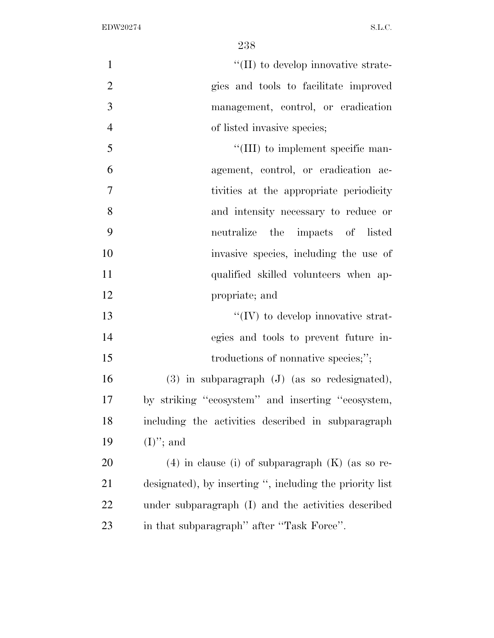$\lq(II)$  to develop innovative strate- gies and tools to facilitate improved management, control, or eradication of listed invasive species;

| 5              | $\lq\lq$ (III) to implement specific man- |
|----------------|-------------------------------------------|
| 6              | agement, control, or eradication ac-      |
| $\overline{7}$ | tivities at the appropriate periodicity   |
| 8              | and intensity necessary to reduce or      |
| 9              | neutralize the impacts of listed          |
| 10             | invasive species, including the use of    |
| 11             | qualified skilled volunteers when ap-     |
| 12             | propriate; and                            |

13  $\cdot$  ''(IV) to develop innovative strat- egies and tools to prevent future in-15 troductions of nonnative species;";

 (3) in subparagraph (J) (as so redesignated), by striking ''ecosystem'' and inserting ''ecosystem, including the activities described in subparagraph  $(I)$ "; and

 (4) in clause (i) of subparagraph (K) (as so re- designated), by inserting '', including the priority list under subparagraph (I) and the activities described 23 in that subparagraph'' after "Task Force".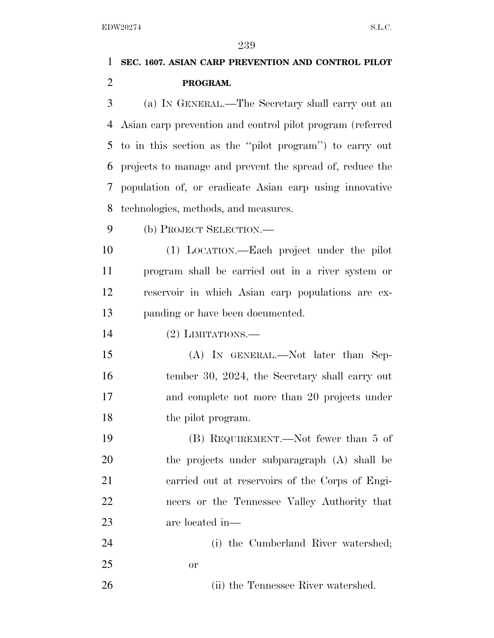# **SEC. 1607. ASIAN CARP PREVENTION AND CONTROL PILOT PROGRAM.**

 (a) IN GENERAL.—The Secretary shall carry out an Asian carp prevention and control pilot program (referred to in this section as the ''pilot program'') to carry out projects to manage and prevent the spread of, reduce the population of, or eradicate Asian carp using innovative technologies, methods, and measures.

(b) PROJECT SELECTION.—

 (1) LOCATION.—Each project under the pilot program shall be carried out in a river system or reservoir in which Asian carp populations are ex-panding or have been documented.

(2) LIMITATIONS.—

 (A) IN GENERAL.—Not later than Sep-16 tember 30, 2024, the Secretary shall carry out and complete not more than 20 projects under the pilot program.

 (B) REQUIREMENT.—Not fewer than 5 of the projects under subparagraph (A) shall be carried out at reservoirs of the Corps of Engi- neers or the Tennessee Valley Authority that are located in—

 (i) the Cumberland River watershed; or

26 (ii) the Tennessee River watershed.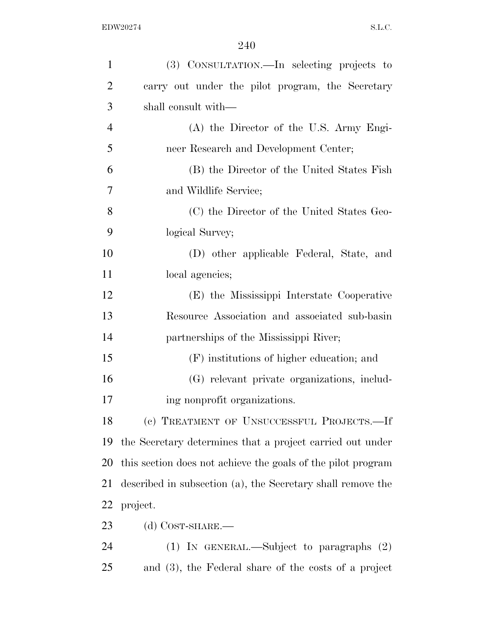| 1              | (3) CONSULTATION.—In selecting projects to                   |
|----------------|--------------------------------------------------------------|
| $\overline{2}$ | carry out under the pilot program, the Secretary             |
| 3              | shall consult with—                                          |
| $\overline{4}$ | (A) the Director of the U.S. Army Engi-                      |
| 5              | neer Research and Development Center;                        |
| 6              | (B) the Director of the United States Fish                   |
| 7              | and Wildlife Service;                                        |
| 8              | (C) the Director of the United States Geo-                   |
| 9              | logical Survey;                                              |
| 10             | (D) other applicable Federal, State, and                     |
| 11             | local agencies;                                              |
| 12             | (E) the Mississippi Interstate Cooperative                   |
| 13             | Resource Association and associated sub-basin                |
| 14             | partnerships of the Mississippi River;                       |
| 15             | (F) institutions of higher education; and                    |
| 16             | (G) relevant private organizations, includ-                  |
| 17             | ing nonprofit organizations.                                 |
| 18             | (c) TREATMENT OF UNSUCCESSFUL PROJECTS.—If                   |
| 19             | the Secretary determines that a project carried out under    |
| 20             | this section does not achieve the goals of the pilot program |
| 21             | described in subsection (a), the Secretary shall remove the  |
| <u>22</u>      | project.                                                     |
| 23             | (d) $Cosr$ -SHARE.—                                          |
| 24             | (1) IN GENERAL.—Subject to paragraphs $(2)$                  |
| 25             | and (3), the Federal share of the costs of a project         |
|                |                                                              |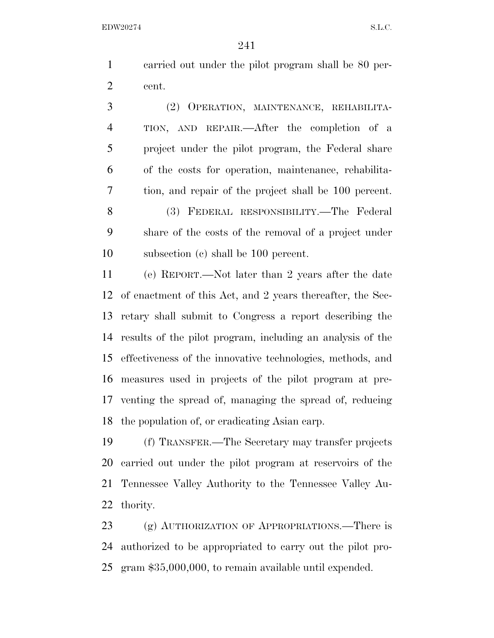carried out under the pilot program shall be 80 per-cent.

 (2) OPERATION, MAINTENANCE, REHABILITA- TION, AND REPAIR.—After the completion of a project under the pilot program, the Federal share of the costs for operation, maintenance, rehabilita- tion, and repair of the project shall be 100 percent. (3) FEDERAL RESPONSIBILITY.—The Federal share of the costs of the removal of a project under subsection (c) shall be 100 percent.

 (e) REPORT.—Not later than 2 years after the date of enactment of this Act, and 2 years thereafter, the Sec- retary shall submit to Congress a report describing the results of the pilot program, including an analysis of the effectiveness of the innovative technologies, methods, and measures used in projects of the pilot program at pre- venting the spread of, managing the spread of, reducing the population of, or eradicating Asian carp.

 (f) TRANSFER.—The Secretary may transfer projects carried out under the pilot program at reservoirs of the Tennessee Valley Authority to the Tennessee Valley Au-thority.

 (g) AUTHORIZATION OF APPROPRIATIONS.—There is authorized to be appropriated to carry out the pilot pro-gram \$35,000,000, to remain available until expended.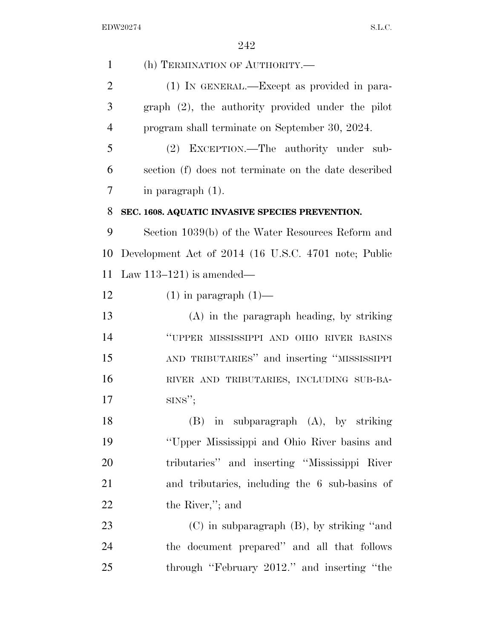| $\mathbf{1}$   | (h) TERMINATION OF AUTHORITY.-                       |
|----------------|------------------------------------------------------|
| $\overline{2}$ | (1) IN GENERAL.—Except as provided in para-          |
| 3              | $graph (2)$ , the authority provided under the pilot |
| $\overline{4}$ | program shall terminate on September 30, 2024.       |
| 5              | (2) EXCEPTION.—The authority under sub-              |
| 6              | section (f) does not terminate on the date described |
| 7              | in paragraph $(1)$ .                                 |
| 8              | SEC. 1608. AQUATIC INVASIVE SPECIES PREVENTION.      |
| 9              | Section 1039(b) of the Water Resources Reform and    |
| 10             | Development Act of 2014 (16 U.S.C. 4701 note; Public |
| 11             | Law $113-121$ is amended—                            |
| 12             | $(1)$ in paragraph $(1)$ —                           |
| 13             | $(A)$ in the paragraph heading, by striking          |
| 14             | "UPPER MISSISSIPPI AND OHIO RIVER BASINS             |
| 15             | AND TRIBUTARIES" and inserting "MISSISSIPPI          |
| 16             | RIVER AND TRIBUTARIES, INCLUDING SUB-BA-             |
| 17             | $SINS''$ ;                                           |
| 18             | $(B)$ in subparagraph $(A)$ , by striking            |
| 19             | "Upper Mississippi and Ohio River basins and         |
| 20             | tributaries" and inserting "Mississippi River        |
| 21             | and tributaries, including the 6 sub-basins of       |
| 22             | the River,"; and                                     |
| 23             | $(C)$ in subparagraph $(B)$ , by striking "and       |
| 24             | the document prepared" and all that follows          |
| 25             | through "February 2012." and inserting "the          |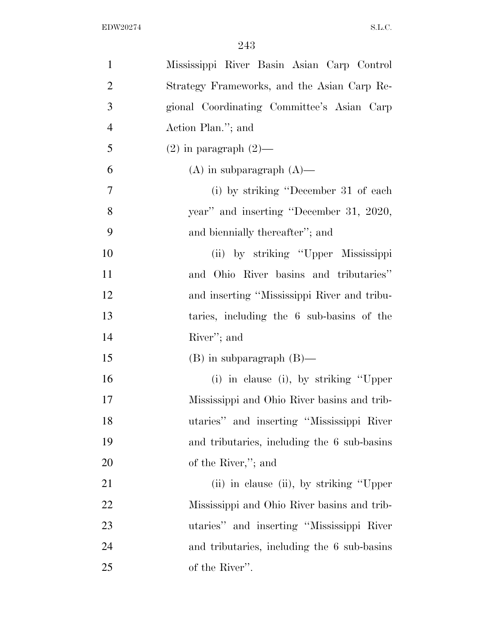| $\mathbf{1}$   | Mississippi River Basin Asian Carp Control  |
|----------------|---------------------------------------------|
| $\overline{2}$ | Strategy Frameworks, and the Asian Carp Re- |
| 3              | gional Coordinating Committee's Asian Carp  |
| $\overline{4}$ | Action Plan."; and                          |
| 5              | $(2)$ in paragraph $(2)$ —                  |
| 6              | $(A)$ in subparagraph $(A)$ —               |
| $\overline{7}$ | (i) by striking "December 31 of each        |
| 8              | year" and inserting "December 31, 2020,     |
| 9              | and biennially thereafter"; and             |
| 10             | (ii) by striking "Upper Mississippi         |
| 11             | and Ohio River basins and tributaries"      |
| 12             | and inserting "Mississippi River and tribu- |
| 13             | taries, including the 6 sub-basins of the   |
| 14             | River"; and                                 |
| 15             | $(B)$ in subparagraph $(B)$ —               |
| 16             | (i) in clause (i), by striking "Upper       |
| 17             | Mississippi and Ohio River basins and trib- |
| 18             | utaries" and inserting "Mississippi River   |
| 19             | and tributaries, including the 6 sub-basins |
| 20             | of the River,"; and                         |
| 21             | (ii) in clause (ii), by striking "Upper"    |
| 22             | Mississippi and Ohio River basins and trib- |
| 23             | utaries" and inserting "Mississippi River   |
| 24             | and tributaries, including the 6 sub-basins |
| 25             | of the River".                              |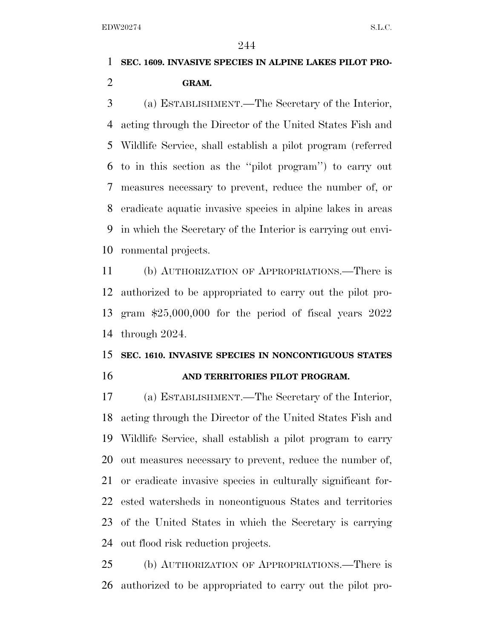### **SEC. 1609. INVASIVE SPECIES IN ALPINE LAKES PILOT PRO-GRAM.**

 (a) ESTABLISHMENT.—The Secretary of the Interior, acting through the Director of the United States Fish and Wildlife Service, shall establish a pilot program (referred to in this section as the ''pilot program'') to carry out measures necessary to prevent, reduce the number of, or eradicate aquatic invasive species in alpine lakes in areas in which the Secretary of the Interior is carrying out envi-ronmental projects.

 (b) AUTHORIZATION OF APPROPRIATIONS.—There is authorized to be appropriated to carry out the pilot pro- gram \$25,000,000 for the period of fiscal years 2022 through 2024.

### **SEC. 1610. INVASIVE SPECIES IN NONCONTIGUOUS STATES AND TERRITORIES PILOT PROGRAM.**

 (a) ESTABLISHMENT.—The Secretary of the Interior, acting through the Director of the United States Fish and Wildlife Service, shall establish a pilot program to carry out measures necessary to prevent, reduce the number of, or eradicate invasive species in culturally significant for- ested watersheds in noncontiguous States and territories of the United States in which the Secretary is carrying out flood risk reduction projects.

 (b) AUTHORIZATION OF APPROPRIATIONS.—There is authorized to be appropriated to carry out the pilot pro-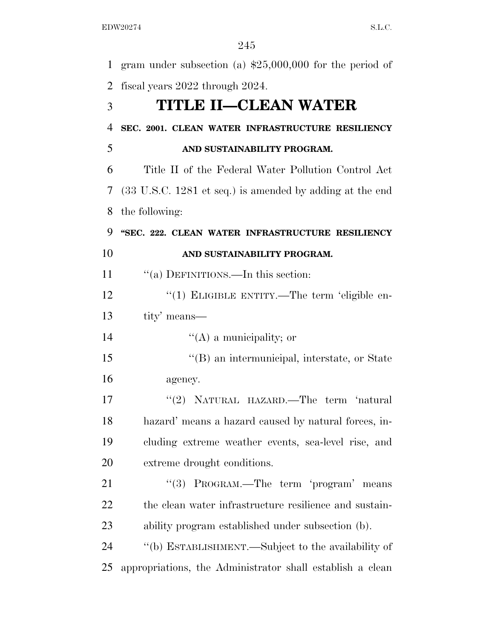| 1              | gram under subsection (a) $$25,000,000$ for the period of                   |
|----------------|-----------------------------------------------------------------------------|
| $\overline{2}$ | fiscal years 2022 through 2024.                                             |
| 3              | <b>TITLE II-CLEAN WATER</b>                                                 |
| $\overline{4}$ | SEC. 2001. CLEAN WATER INFRASTRUCTURE RESILIENCY                            |
| 5              | AND SUSTAINABILITY PROGRAM.                                                 |
| 6              | Title II of the Federal Water Pollution Control Act                         |
| 7              | $(33 \text{ U.S.C. } 1281 \text{ et seq.})$ is amended by adding at the end |
| 8              | the following:                                                              |
| 9              | "SEC. 222. CLEAN WATER INFRASTRUCTURE RESILIENCY                            |
| 10             | AND SUSTAINABILITY PROGRAM.                                                 |
| 11             | "(a) DEFINITIONS.—In this section:                                          |
| 12             | "(1) ELIGIBLE ENTITY.—The term 'eligible en-                                |
| 13             | tity' means—                                                                |
| 14             | $\lq\lq$ (A) a municipality; or                                             |
| 15             | "(B) an intermunicipal, interstate, or State                                |
| 16             | agency.                                                                     |
| 17             | "(2) NATURAL HAZARD.—The term 'natural                                      |
| 18             | hazard' means a hazard caused by natural forces, in-                        |
| 19             | cluding extreme weather events, sea-level rise, and                         |
| 20             | extreme drought conditions.                                                 |
| 21             | "(3) PROGRAM.—The term 'program' means                                      |
| 22             | the clean water infrastructure resilience and sustain-                      |
| 23             | ability program established under subsection (b).                           |
| 24             | "(b) ESTABLISHMENT.—Subject to the availability of                          |
| 25             | appropriations, the Administrator shall establish a clean                   |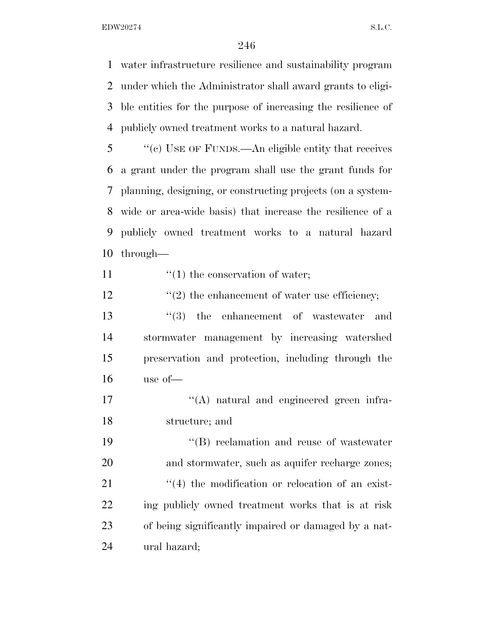water infrastructure resilience and sustainability program under which the Administrator shall award grants to eligi- ble entities for the purpose of increasing the resilience of publicly owned treatment works to a natural hazard.

 ''(c) USE OF FUNDS.—An eligible entity that receives a grant under the program shall use the grant funds for planning, designing, or constructing projects (on a system- wide or area-wide basis) that increase the resilience of a publicly owned treatment works to a natural hazard through—

11  $\frac{1}{1}$  the conservation of water;

12  $\frac{1}{2}$  the enhancement of water use efficiency;

 $\frac{13}{2}$  the enhancement of wastewater and stormwater management by increasing watershed preservation and protection, including through the use of—

17  $\langle (A)$  natural and engineered green infra-structure; and

19 ''(B) reclamation and reuse of wastewater 20 and stormwater, such as aquifer recharge zones; 21 ''(4) the modification or relocation of an exist- ing publicly owned treatment works that is at risk of being significantly impaired or damaged by a nat-ural hazard;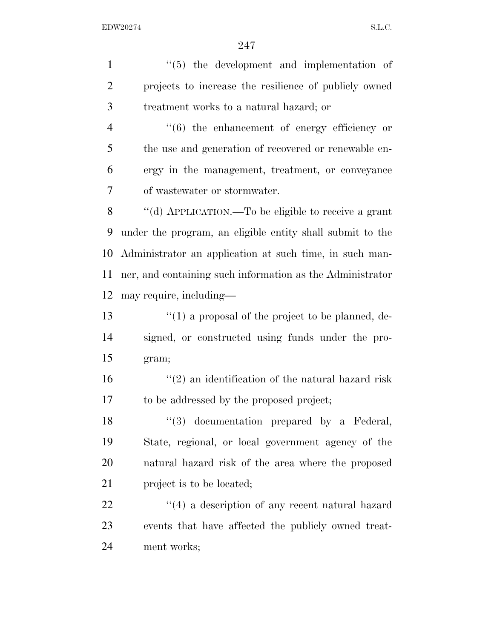1 ''(5) the development and implementation of projects to increase the resilience of publicly owned treatment works to a natural hazard; or ''(6) the enhancement of energy efficiency or the use and generation of recovered or renewable en- ergy in the management, treatment, or conveyance of wastewater or stormwater. ''(d) APPLICATION.—To be eligible to receive a grant under the program, an eligible entity shall submit to the Administrator an application at such time, in such man- ner, and containing such information as the Administrator may require, including— ''(1) a proposal of the project to be planned, de- signed, or constructed using funds under the pro- gram;  $\frac{16}{2}$  an identification of the natural hazard risk to be addressed by the proposed project; 18 ''(3) documentation prepared by a Federal, State, regional, or local government agency of the natural hazard risk of the area where the proposed 21 project is to be located; 22 ''(4) a description of any recent natural hazard events that have affected the publicly owned treat-ment works;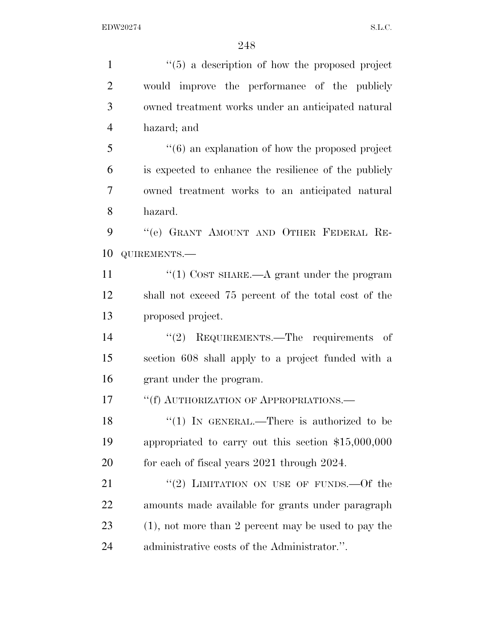| $\mathbf{1}$   | $``(5)$ a description of how the proposed project                |
|----------------|------------------------------------------------------------------|
| $\overline{2}$ | would improve the performance of the publicly                    |
| 3              | owned treatment works under an anticipated natural               |
| $\overline{4}$ | hazard; and                                                      |
| 5              | $\cdot\cdot\cdot$ (6) an explanation of how the proposed project |
| 6              | is expected to enhance the resilience of the publicly            |
| 7              | owned treatment works to an anticipated natural                  |
| 8              | hazard.                                                          |
| 9              | "(e) GRANT AMOUNT AND OTHER FEDERAL RE-                          |
| 10             | QUIREMENTS.-                                                     |
| 11             | "(1) COST SHARE.—A grant under the program                       |
| 12             | shall not exceed 75 percent of the total cost of the             |
| 13             | proposed project.                                                |
| 14             | " $(2)$ REQUIREMENTS.—The requirements of                        |
| 15             | section 608 shall apply to a project funded with a               |
| 16             | grant under the program.                                         |
| 17             | "(f) AUTHORIZATION OF APPROPRIATIONS.                            |
| 18             | " $(1)$ IN GENERAL.—There is authorized to be                    |
| 19             | appropriated to carry out this section $$15,000,000$             |
| 20             | for each of fiscal years 2021 through 2024.                      |
| 21             | "(2) LIMITATION ON USE OF FUNDS.—Of the                          |
| <u>22</u>      | amounts made available for grants under paragraph                |
| 23             | $(1)$ , not more than 2 percent may be used to pay the           |
| 24             | administrative costs of the Administrator.".                     |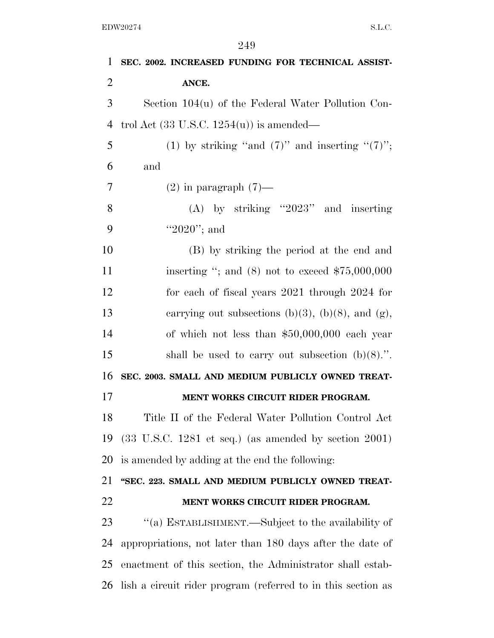| 1              | SEC. 2002. INCREASED FUNDING FOR TECHNICAL ASSIST-                       |
|----------------|--------------------------------------------------------------------------|
| $\overline{2}$ | ANCE.                                                                    |
| 3              | Section $104(u)$ of the Federal Water Pollution Con-                     |
| $\overline{4}$ | trol Act $(33 \text{ U.S.C. } 1254(u))$ is amended—                      |
| 5              | (1) by striking "and $(7)$ " and inserting " $(7)$ ";                    |
| 6              | and                                                                      |
| 7              | $(2)$ in paragraph $(7)$ —                                               |
| 8              | $(A)$ by striking "2023" and inserting                                   |
| 9              | "2020"; and                                                              |
| 10             | (B) by striking the period at the end and                                |
| 11             | inserting "; and $(8)$ not to exceed \$75,000,000                        |
| 12             | for each of fiscal years 2021 through 2024 for                           |
| 13             | carrying out subsections (b)(3), (b)(8), and (g),                        |
| 14             | of which not less than $$50,000,000$ each year                           |
| 15             | shall be used to carry out subsection $(b)(8)$ .".                       |
| 16             | SEC. 2003. SMALL AND MEDIUM PUBLICLY OWNED TREAT-                        |
| 17             | MENT WORKS CIRCUIT RIDER PROGRAM.                                        |
| 18             | Title II of the Federal Water Pollution Control Act                      |
| 19             | $(33 \text{ U.S.C. } 1281 \text{ et seq.})$ (as amended by section 2001) |
| 20             | is amended by adding at the end the following:                           |
| 21             | "SEC. 223. SMALL AND MEDIUM PUBLICLY OWNED TREAT-                        |
| 22             | MENT WORKS CIRCUIT RIDER PROGRAM.                                        |
| 23             | "(a) ESTABLISHMENT.—Subject to the availability of                       |
| 24             | appropriations, not later than 180 days after the date of                |
| 25             | enactment of this section, the Administrator shall estab-                |
| 26             | lish a circuit rider program (referred to in this section as             |
|                |                                                                          |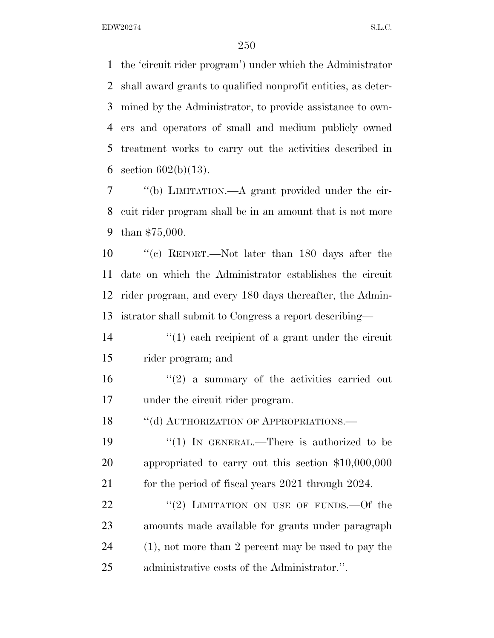the 'circuit rider program') under which the Administrator shall award grants to qualified nonprofit entities, as deter- mined by the Administrator, to provide assistance to own- ers and operators of small and medium publicly owned treatment works to carry out the activities described in 6 section  $602(b)(13)$ .

 ''(b) LIMITATION.—A grant provided under the cir- cuit rider program shall be in an amount that is not more than \$75,000.

 ''(c) REPORT.—Not later than 180 days after the date on which the Administrator establishes the circuit rider program, and every 180 days thereafter, the Admin-istrator shall submit to Congress a report describing—

14 ''(1) each recipient of a grant under the circuit rider program; and

16  $(2)$  a summary of the activities carried out under the circuit rider program.

18 "(d) AUTHORIZATION OF APPROPRIATIONS.—

19  $\frac{1}{2}$  (1) In GENERAL.—There is authorized to be appropriated to carry out this section \$10,000,000 21 for the period of fiscal years 2021 through 2024.

22 "(2) LIMITATION ON USE OF FUNDS. - Of the amounts made available for grants under paragraph (1), not more than 2 percent may be used to pay the administrative costs of the Administrator.''.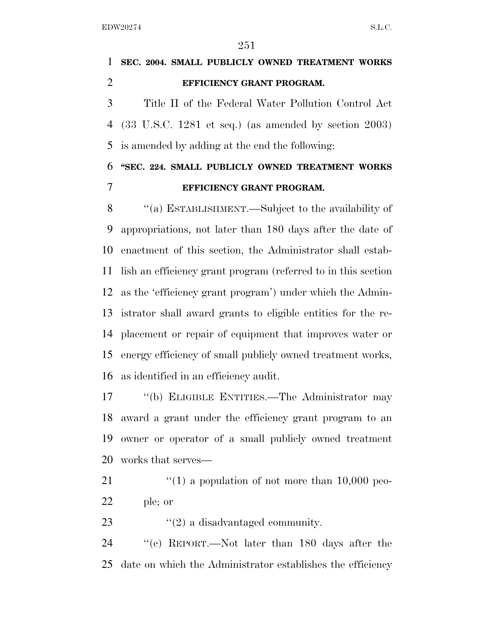**SEC. 2004. SMALL PUBLICLY OWNED TREATMENT WORKS EFFICIENCY GRANT PROGRAM.**  Title II of the Federal Water Pollution Control Act (33 U.S.C. 1281 et seq.) (as amended by section 2003) is amended by adding at the end the following: **''SEC. 224. SMALL PUBLICLY OWNED TREATMENT WORKS** 

**EFFICIENCY GRANT PROGRAM.** 

 ''(a) ESTABLISHMENT.—Subject to the availability of appropriations, not later than 180 days after the date of enactment of this section, the Administrator shall estab- lish an efficiency grant program (referred to in this section as the 'efficiency grant program') under which the Admin- istrator shall award grants to eligible entities for the re- placement or repair of equipment that improves water or energy efficiency of small publicly owned treatment works, as identified in an efficiency audit.

 ''(b) ELIGIBLE ENTITIES.—The Administrator may award a grant under the efficiency grant program to an owner or operator of a small publicly owned treatment works that serves—

21  $\frac{1}{2}$  (1) a population of not more than 10,000 peo-ple; or

23  $\frac{1}{2}$  a disadvantaged community.

 ''(c) REPORT.—Not later than 180 days after the date on which the Administrator establishes the efficiency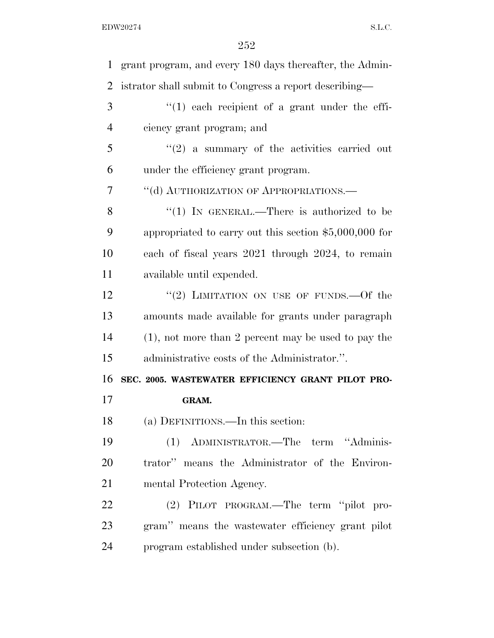| $\mathbf{1}$   | grant program, and every 180 days thereafter, the Admin- |
|----------------|----------------------------------------------------------|
| $\overline{2}$ | istrator shall submit to Congress a report describing—   |
| 3              | $(1)$ each recipient of a grant under the effi-          |
| $\overline{4}$ | ciency grant program; and                                |
| 5              | $\lq(2)$ a summary of the activities carried out         |
| 6              | under the efficiency grant program.                      |
| 7              | "(d) AUTHORIZATION OF APPROPRIATIONS.                    |
| 8              | " $(1)$ IN GENERAL.—There is authorized to be            |
| 9              | appropriated to carry out this section $$5,000,000$ for  |
| 10             | each of fiscal years 2021 through 2024, to remain        |
| 11             | available until expended.                                |
| 12             | "(2) LIMITATION ON USE OF FUNDS. $-$ Of the              |
| 13             | amounts made available for grants under paragraph        |
| 14             | $(1)$ , not more than 2 percent may be used to pay the   |
| 15             | administrative costs of the Administrator.".             |
| 16             | SEC. 2005. WASTEWATER EFFICIENCY GRANT PILOT PRO-        |
| 17             | GRAM.                                                    |
| 18             | (a) DEFINITIONS.—In this section:                        |
| 19             | (1) ADMINISTRATOR.—The term "Adminis-                    |
| 20             | trator" means the Administrator of the Environ-          |
| 21             | mental Protection Agency.                                |
| 22             | (2) PILOT PROGRAM.—The term "pilot pro-                  |
| 23             | gram" means the wastewater efficiency grant pilot        |
| 24             | program established under subsection (b).                |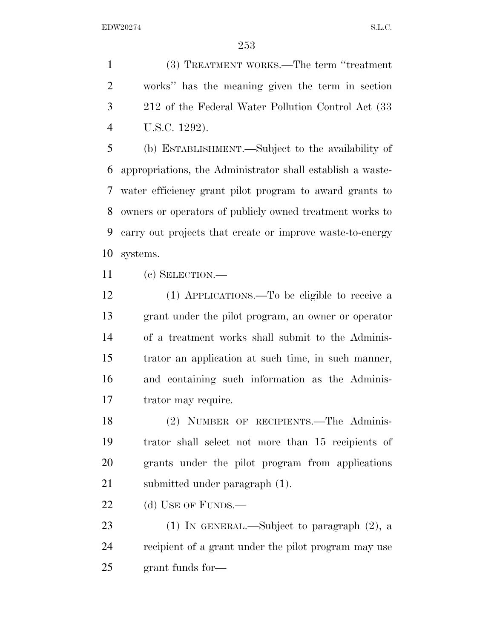(3) TREATMENT WORKS.—The term ''treatment works'' has the meaning given the term in section 212 of the Federal Water Pollution Control Act (33 U.S.C. 1292).

 (b) ESTABLISHMENT.—Subject to the availability of appropriations, the Administrator shall establish a waste- water efficiency grant pilot program to award grants to owners or operators of publicly owned treatment works to carry out projects that create or improve waste-to-energy systems.

(c) SELECTION.—

 (1) APPLICATIONS.—To be eligible to receive a grant under the pilot program, an owner or operator of a treatment works shall submit to the Adminis- trator an application at such time, in such manner, and containing such information as the Adminis-trator may require.

 (2) NUMBER OF RECIPIENTS.—The Adminis- trator shall select not more than 15 recipients of grants under the pilot program from applications submitted under paragraph (1).

22 (d) USE OF FUNDS.—

 (1) IN GENERAL.—Subject to paragraph (2), a recipient of a grant under the pilot program may use grant funds for—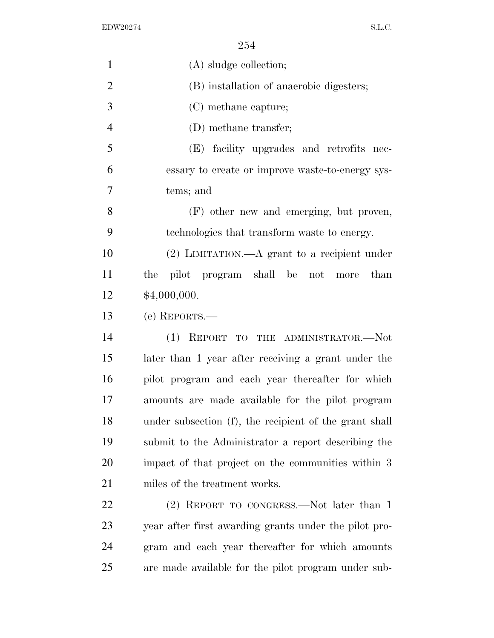| $\mathbf{1}$   | (A) sludge collection;                                 |
|----------------|--------------------------------------------------------|
| $\overline{2}$ | (B) installation of anaerobic digesters;               |
| 3              | (C) methane capture;                                   |
| $\overline{4}$ | (D) methane transfer;                                  |
| 5              | (E) facility upgrades and retrofits nec-               |
| 6              | essary to create or improve waste-to-energy sys-       |
| 7              | tems; and                                              |
| 8              | (F) other new and emerging, but proven,                |
| 9              | technologies that transform waste to energy.           |
| 10             | $(2)$ LIMITATION.—A grant to a recipient under         |
| 11             | pilot program shall be not<br>than<br>the<br>more      |
| 12             | \$4,000,000.                                           |
| 13             | (e) REPORTS.—                                          |
| 14             | (1) REPORT TO THE ADMINISTRATOR.-Not                   |
| 15             | later than 1 year after receiving a grant under the    |
| 16             | pilot program and each year thereafter for which       |
| 17             | amounts are made available for the pilot program       |
| 18             | under subsection (f), the recipient of the grant shall |
| 19             | submit to the Administrator a report describing the    |
| 20             | impact of that project on the communities within 3     |
| 21             | miles of the treatment works.                          |
| 22             | (2) REPORT TO CONGRESS.—Not later than 1               |
| 23             | year after first awarding grants under the pilot pro-  |
| 24             | gram and each year thereafter for which amounts        |
| 25             | are made available for the pilot program under sub-    |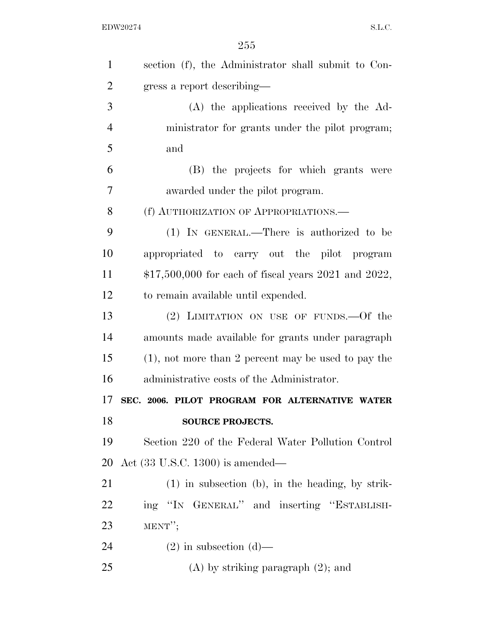| $\mathbf{1}$   | section (f), the Administrator shall submit to Con-    |
|----------------|--------------------------------------------------------|
| $\overline{2}$ | gress a report describing—                             |
| 3              | (A) the applications received by the Ad-               |
| $\overline{4}$ | ministrator for grants under the pilot program;        |
| 5              | and                                                    |
| 6              | (B) the projects for which grants were                 |
| 7              | awarded under the pilot program.                       |
| 8              | (f) AUTHORIZATION OF APPROPRIATIONS.—                  |
| 9              | (1) IN GENERAL.—There is authorized to be              |
| 10             | appropriated to carry out the pilot program            |
| 11             | $$17,500,000$ for each of fiscal years 2021 and 2022,  |
| 12             | to remain available until expended.                    |
| 13             | (2) LIMITATION ON USE OF FUNDS.—Of the                 |
| 14             | amounts made available for grants under paragraph      |
| 15             | $(1)$ , not more than 2 percent may be used to pay the |
| 16             | administrative costs of the Administrator.             |
| 17             | SEC. 2006. PILOT PROGRAM FOR ALTERNATIVE WATER         |
| 18             | <b>SOURCE PROJECTS.</b>                                |
| 19             | Section 220 of the Federal Water Pollution Control     |
| 20             | Act $(33 \text{ U.S.C. } 1300)$ is amended—            |
| 21             | $(1)$ in subsection (b), in the heading, by strik-     |
| 22             | ing "IN GENERAL" and inserting "ESTABLISH-             |
| 23             | $MENT''$ ;                                             |
| 24             | $(2)$ in subsection $(d)$ —                            |
| 25             | $(A)$ by striking paragraph $(2)$ ; and                |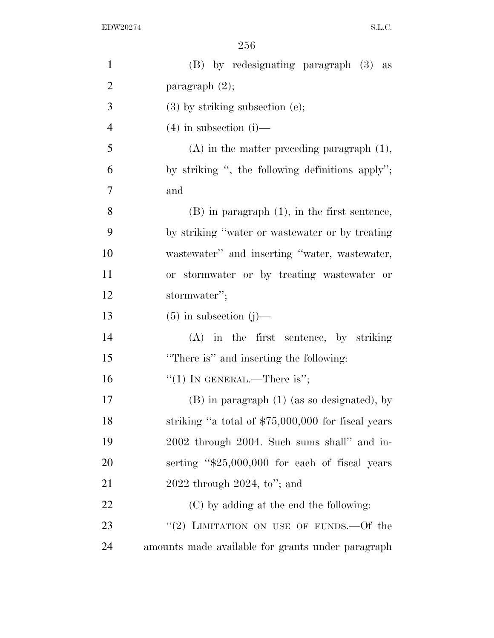| $\mathbf{1}$   | (B) by redesignating paragraph (3) as               |
|----------------|-----------------------------------------------------|
| $\overline{2}$ | paragraph $(2)$ ;                                   |
| 3              | $(3)$ by striking subsection $(e)$ ;                |
| $\overline{4}$ | $(4)$ in subsection $(i)$ —                         |
| 5              | $(A)$ in the matter preceding paragraph $(1)$ ,     |
| 6              | by striking ", the following definitions apply";    |
| 7              | and                                                 |
| 8              | $(B)$ in paragraph $(1)$ , in the first sentence,   |
| 9              | by striking "water or wastewater or by treating     |
| 10             | wastewater" and inserting "water, wastewater,       |
| 11             | or stormwater or by treating wastewater or          |
| 12             | stormwater";                                        |
| 13             | $(5)$ in subsection $(j)$ —                         |
| 14             | $(A)$ in the first sentence, by striking            |
| 15             | "There is" and inserting the following:             |
| 16             | "(1) IN GENERAL.—There is";                         |
| 17             | $(B)$ in paragraph $(1)$ (as so designated), by     |
| 18             | striking "a total of $$75,000,000$ for fiscal years |
| 19             | 2002 through 2004. Such sums shall" and in-         |
| 20             | serting "\$25,000,000 for each of fiscal years      |
| 21             | $2022$ through $2024$ , to"; and                    |
| 22             | (C) by adding at the end the following:             |
| 23             | "(2) LIMITATION ON USE OF FUNDS.—Of the             |
| 24             | amounts made available for grants under paragraph   |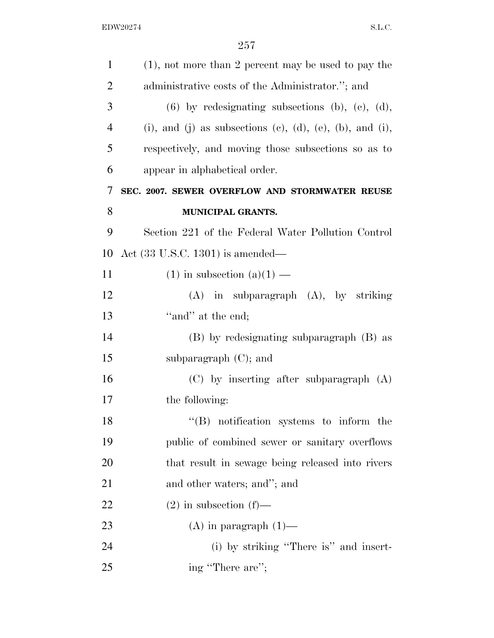| $\mathbf{1}$   | $(1)$ , not more than 2 percent may be used to pay the     |
|----------------|------------------------------------------------------------|
| $\overline{2}$ | administrative costs of the Administrator."; and           |
| 3              | $(6)$ by redesignating subsections $(b)$ , $(c)$ , $(d)$ , |
| $\overline{4}$ | (i), and (j) as subsections (c), (d), (e), (b), and (i),   |
| 5              | respectively, and moving those subsections so as to        |
| 6              | appear in alphabetical order.                              |
| 7              | SEC. 2007. SEWER OVERFLOW AND STORMWATER REUSE             |
| 8              | MUNICIPAL GRANTS.                                          |
| 9              | Section 221 of the Federal Water Pollution Control         |
| 10             | Act $(33 \text{ U.S.C. } 1301)$ is amended—                |
| 11             | $(1)$ in subsection $(a)(1)$ —                             |
| 12             | $(A)$ in subparagraph $(A)$ , by striking                  |
| 13             | "and" at the end;                                          |
| 14             | (B) by redesignating subparagraph (B) as                   |
| 15             | subparagraph $(C)$ ; and                                   |
| 16             | $(C)$ by inserting after subparagraph $(A)$                |
| 17             | the following:                                             |
| 18             | $\lq\lq$ notification systems to inform the                |
| 19             | public of combined sewer or sanitary overflows             |
| 20             | that result in sewage being released into rivers           |
| 21             | and other waters; and"; and                                |
| <u>22</u>      | $(2)$ in subsection $(f)$ —                                |
| 23             | $(A)$ in paragraph $(1)$ —                                 |
| 24             | (i) by striking "There is" and insert-                     |
| 25             | ing "There are";                                           |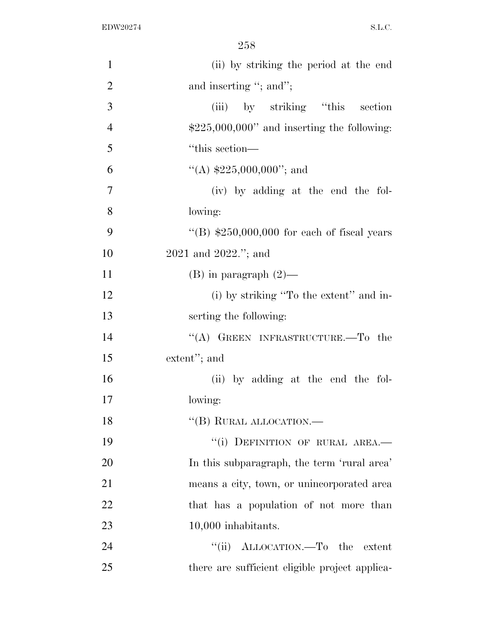| $\mathbf{1}$   | (ii) by striking the period at the end         |
|----------------|------------------------------------------------|
| $\overline{2}$ | and inserting "; and";                         |
| 3              | (iii) by striking "this<br>section             |
| $\overline{4}$ | $$225,000,000"$ and inserting the following:   |
| 5              | "this section—                                 |
| 6              | "(A) $$225,000,000$ "; and                     |
| $\overline{7}$ | (iv) by adding at the end the fol-             |
| 8              | lowing:                                        |
| 9              | "(B) $$250,000,000$ for each of fiscal years   |
| 10             | 2021 and 2022."; and                           |
| 11             | $(B)$ in paragraph $(2)$ —                     |
| 12             | (i) by striking "To the extent" and in-        |
| 13             | serting the following:                         |
| 14             | "(A) GREEN INFRASTRUCTURE.—To the              |
| 15             | extent"; and                                   |
| 16             | (ii) by adding at the end the fol-             |
| 17             | lowing:                                        |
| 18             | $``$ (B) RURAL ALLOCATION.—                    |
| 19             | "(i) DEFINITION OF RURAL AREA.-                |
| 20             | In this subparagraph, the term 'rural area'    |
| 21             | means a city, town, or unincorporated area     |
| 22             | that has a population of not more than         |
| 23             | 10,000 inhabitants.                            |
| 24             | "(ii) ALLOCATION.—To the extent                |
| 25             | there are sufficient eligible project applica- |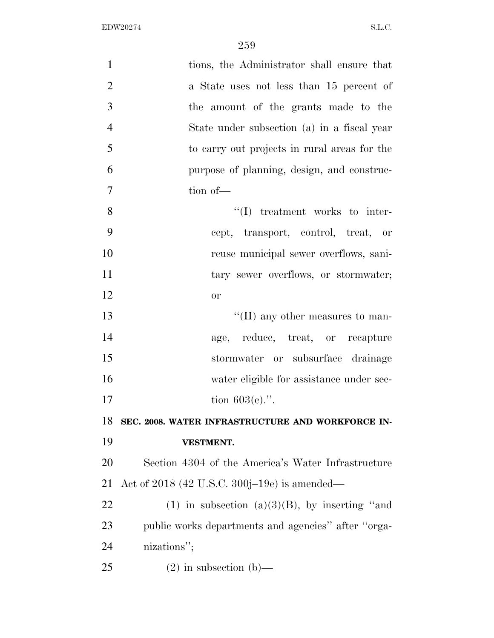| $\mathbf{1}$   | tions, the Administrator shall ensure that          |
|----------------|-----------------------------------------------------|
| $\overline{2}$ | a State uses not less than 15 percent of            |
| 3              | the amount of the grants made to the                |
| $\overline{4}$ | State under subsection (a) in a fiscal year         |
| 5              | to carry out projects in rural areas for the        |
| 6              | purpose of planning, design, and construc-          |
| 7              | tion of-                                            |
| 8              | $\lq\lq$ treatment works to inter-                  |
| 9              | cept, transport, control, treat, or                 |
| 10             | reuse municipal sewer overflows, sani-              |
| 11             | tary sewer overflows, or stormwater;                |
| 12             | <b>or</b>                                           |
| 13             | $\lq\lq$ (II) any other measures to man-            |
| 14             | age, reduce, treat, or recapture                    |
| 15             | stormwater or subsurface drainage                   |
| 16             | water eligible for assistance under sec-            |
| 17             | tion $603(e)$ .".                                   |
| 18             | SEC. 2008. WATER INFRASTRUCTURE AND WORKFORCE IN-   |
| 19             | <b>VESTMENT.</b>                                    |
| 20             | Section 4304 of the America's Water Infrastructure  |
| 21             | Act of 2018 (42 U.S.C. 300j–19e) is amended—        |
| 22             | (1) in subsection (a)(3)(B), by inserting "and      |
| 23             | public works departments and agencies" after "orga- |
| 24             | nizations";                                         |
| 25             | $(2)$ in subsection $(b)$ —                         |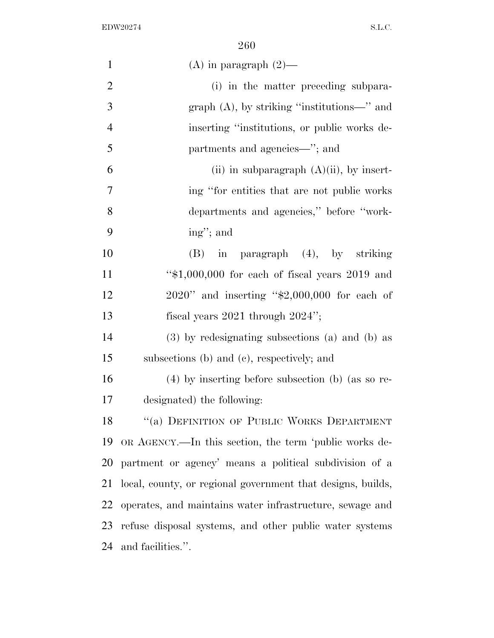| $\mathbf{1}$   | (A) in paragraph $(2)$ —                                    |
|----------------|-------------------------------------------------------------|
| $\overline{2}$ | (i) in the matter preceding subpara-                        |
| 3              | graph $(A)$ , by striking "institutions—" and               |
| $\overline{4}$ | inserting "institutions, or public works de-                |
| 5              | partments and agencies—"; and                               |
| 6              | (ii) in subparagraph $(A)(ii)$ , by insert-                 |
| 7              | ing "for entities that are not public works"                |
| 8              | departments and agencies," before "work-                    |
| 9              | ing"; and                                                   |
| 10             | $(B)$ in paragraph $(4)$ , by striking                      |
| 11             | " $$1,000,000$ for each of fiscal years 2019 and            |
| 12             | $2020$ " and inserting "\$2,000,000 for each of             |
| 13             | fiscal years $2021$ through $2024$ ";                       |
| 14             | (3) by redesignating subsections (a) and (b) as             |
| 15             | subsections (b) and (c), respectively; and                  |
| 16             | $(4)$ by inserting before subsection (b) (as so re-         |
| 17             | designated) the following:                                  |
| 18             | "(a) DEFINITION OF PUBLIC WORKS DEPARTMENT                  |
| 19             | OR AGENCY.—In this section, the term 'public works de-      |
| <b>20</b>      | partment or agency' means a political subdivision of a      |
| 21             | local, county, or regional government that designs, builds, |
| 22             | operates, and maintains water infrastructure, sewage and    |
| 23             | refuse disposal systems, and other public water systems     |
| 24             | and facilities.".                                           |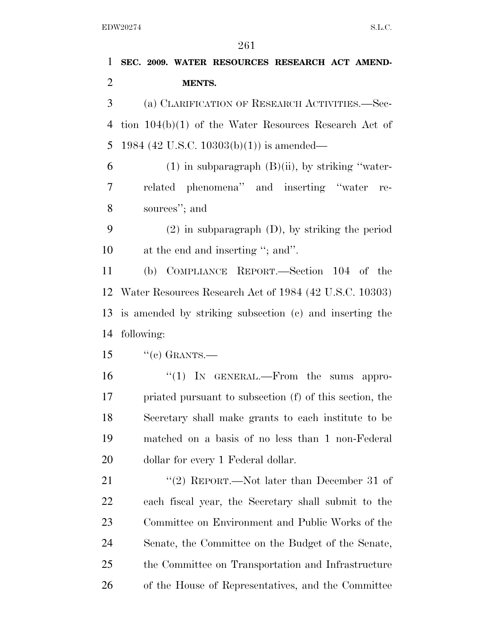**SEC. 2009. WATER RESOURCES RESEARCH ACT AMEND- MENTS.**  (a) CLARIFICATION OF RESEARCH ACTIVITIES.—Sec- tion 104(b)(1) of the Water Resources Research Act of 1984 (42 U.S.C. 10303(b)(1)) is amended— 6 (1) in subparagraph  $(B)(ii)$ , by striking "water- related phenomena'' and inserting ''water re- sources''; and (2) in subparagraph (D), by striking the period at the end and inserting ''; and''. (b) COMPLIANCE REPORT.—Section 104 of the Water Resources Research Act of 1984 (42 U.S.C. 10303) is amended by striking subsection (c) and inserting the following: "(c) GRANTS.— ''(1) IN GENERAL.—From the sums appro- priated pursuant to subsection (f) of this section, the Secretary shall make grants to each institute to be matched on a basis of no less than 1 non-Federal 20 dollar for every 1 Federal dollar. 21 ''(2) REPORT.—Not later than December 31 of each fiscal year, the Secretary shall submit to the Committee on Environment and Public Works of the Senate, the Committee on the Budget of the Senate, the Committee on Transportation and Infrastructure of the House of Representatives, and the Committee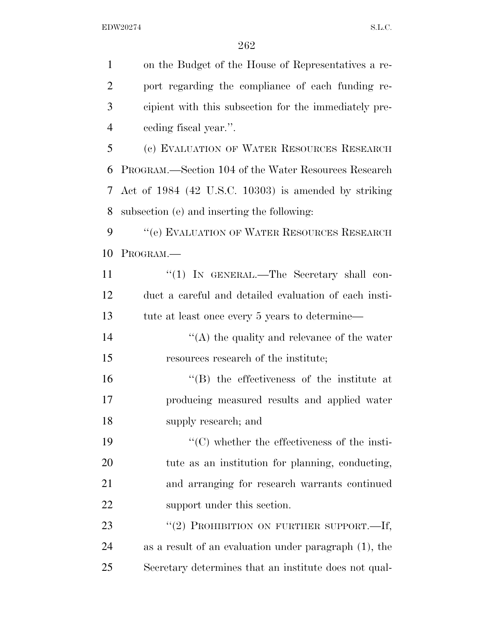| $\mathbf{1}$   | on the Budget of the House of Representatives a re-   |
|----------------|-------------------------------------------------------|
| $\overline{2}$ | port regarding the compliance of each funding re-     |
| 3              | cipient with this subsection for the immediately pre- |
| $\overline{4}$ | eeding fiscal year.".                                 |
| 5              | (c) EVALUATION OF WATER RESOURCES RESEARCH            |
| 6              | PROGRAM.—Section 104 of the Water Resources Research  |
| 7              | Act of 1984 (42 U.S.C. 10303) is amended by striking  |
| 8              | subsection (e) and inserting the following:           |
| 9              | "(e) EVALUATION OF WATER RESOURCES RESEARCH           |
| 10             | PROGRAM.                                              |
| 11             | "(1) IN GENERAL.—The Secretary shall con-             |
| 12             | duct a careful and detailed evaluation of each insti- |
| 13             | tute at least once every 5 years to determine—        |
| 14             | $\lq\lq$ the quality and relevance of the water       |
| 15             | resources research of the institute;                  |
| 16             | "(B) the effectiveness of the institute at            |
| 17             | producing measured results and applied water          |
| 18             | supply research; and                                  |
| 19             | $\lq\lq$ (C) whether the effectiveness of the insti-  |
| <b>20</b>      | tute as an institution for planning, conducting,      |
| 21             | and arranging for research warrants continued         |
| <u>22</u>      | support under this section.                           |
| 23             | "(2) PROHIBITION ON FURTHER SUPPORT.-If,              |
| 24             | as a result of an evaluation under paragraph (1), the |
| 25             | Secretary determines that an institute does not qual- |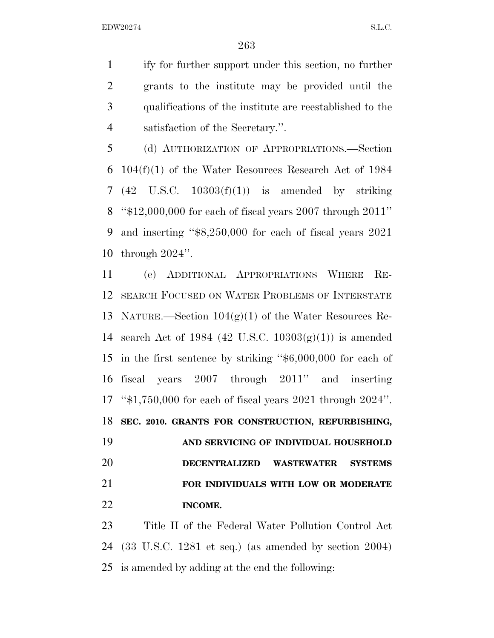ify for further support under this section, no further grants to the institute may be provided until the qualifications of the institute are reestablished to the satisfaction of the Secretary.''.

 (d) AUTHORIZATION OF APPROPRIATIONS.—Section 104(f)(1) of the Water Resources Research Act of 1984 (42 U.S.C. 10303(f)(1)) is amended by striking ''\$12,000,000 for each of fiscal years 2007 through 2011'' and inserting ''\$8,250,000 for each of fiscal years 2021 through 2024''.

 (e) ADDITIONAL APPROPRIATIONS WHERE RE- SEARCH FOCUSED ON WATER PROBLEMS OF INTERSTATE 13 NATURE.—Section  $104(g)(1)$  of the Water Resources Re-14 search Act of 1984 (42 U.S.C.  $10303(g)(1)$ ) is amended in the first sentence by striking ''\$6,000,000 for each of fiscal years 2007 through 2011'' and inserting ''\$1,750,000 for each of fiscal years 2021 through 2024''. **SEC. 2010. GRANTS FOR CONSTRUCTION, REFURBISHING,** 

 **AND SERVICING OF INDIVIDUAL HOUSEHOLD DECENTRALIZED WASTEWATER SYSTEMS FOR INDIVIDUALS WITH LOW OR MODERATE INCOME.** 

 Title II of the Federal Water Pollution Control Act (33 U.S.C. 1281 et seq.) (as amended by section 2004) is amended by adding at the end the following: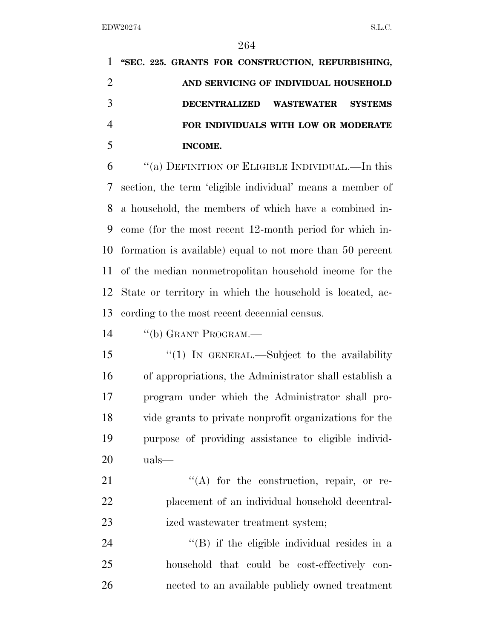|                | 1 "SEC. 225. GRANTS FOR CONSTRUCTION, REFURBISHING, |  |
|----------------|-----------------------------------------------------|--|
| $\overline{2}$ | AND SERVICING OF INDIVIDUAL HOUSEHOLD               |  |
| 3              | DECENTRALIZED WASTEWATER SYSTEMS                    |  |
| $\overline{4}$ | FOR INDIVIDUALS WITH LOW OR MODERATE                |  |
|                | INCOME.                                             |  |

 ''(a) DEFINITION OF ELIGIBLE INDIVIDUAL.—In this section, the term 'eligible individual' means a member of a household, the members of which have a combined in- come (for the most recent 12-month period for which in- formation is available) equal to not more than 50 percent of the median nonmetropolitan household income for the State or territory in which the household is located, ac-cording to the most recent decennial census.

14 "(b) GRANT PROGRAM.—

15 "(1) IN GENERAL.—Subject to the availability of appropriations, the Administrator shall establish a program under which the Administrator shall pro- vide grants to private nonprofit organizations for the purpose of providing assistance to eligible individ-uals—

21  $\langle (A)$  for the construction, repair, or re- placement of an individual household decentral-23 ized wastewater treatment system;

24 ''(B) if the eligible individual resides in a household that could be cost-effectively con-nected to an available publicly owned treatment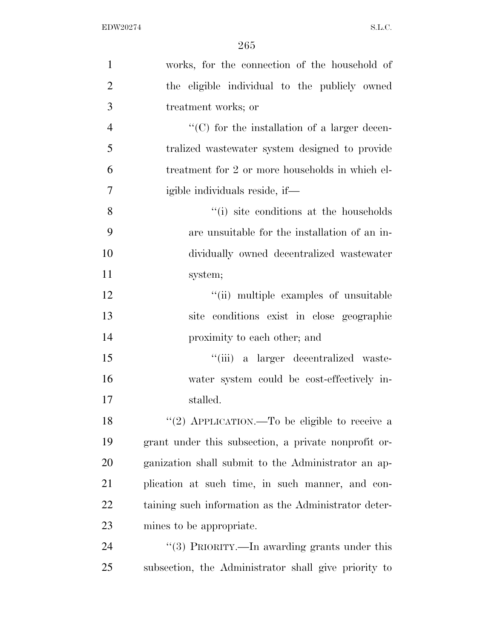| $\mathbf{1}$   | works, for the connection of the household of        |
|----------------|------------------------------------------------------|
| $\overline{2}$ | the eligible individual to the publicly owned        |
| 3              | treatment works; or                                  |
| $\overline{4}$ | $\lq\lq$ (C) for the installation of a larger decen- |
| 5              | tralized was tewater system designed to provide      |
| 6              | treatment for 2 or more households in which el-      |
| 7              | igible individuals reside, if—                       |
| 8              | "(i) site conditions at the households               |
| 9              | are unsuitable for the installation of an in-        |
| 10             | dividually owned decentralized wastewater            |
| 11             | system;                                              |
| 12             | "(ii) multiple examples of unsuitable                |
| 13             | site conditions exist in close geographic            |
| 14             | proximity to each other; and                         |
| 15             | "(iii) a larger decentralized waste-                 |
| 16             | water system could be cost-effectively in-           |
| 17             | stalled.                                             |
| 18             | "(2) APPLICATION.—To be eligible to receive a        |
| 19             | grant under this subsection, a private nonprofit or- |
| 20             | ganization shall submit to the Administrator an ap-  |
| 21             | plication at such time, in such manner, and con-     |
| 22             | taining such information as the Administrator deter- |
| 23             | mines to be appropriate.                             |
| 24             | "(3) PRIORITY.—In awarding grants under this         |
| 25             | subsection, the Administrator shall give priority to |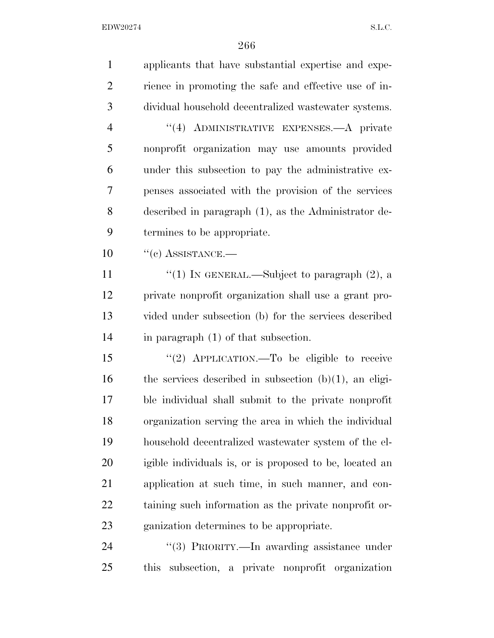| $\mathbf{1}$   | applicants that have substantial expertise and expe-        |
|----------------|-------------------------------------------------------------|
| $\overline{2}$ | rience in promoting the safe and effective use of in-       |
| 3              | dividual household decentralized wastewater systems.        |
| $\overline{4}$ | "(4) ADMINISTRATIVE EXPENSES.—A private                     |
| 5              | nonprofit organization may use amounts provided             |
| 6              | under this subsection to pay the administrative ex-         |
| 7              | penses associated with the provision of the services        |
| 8              | described in paragraph (1), as the Administrator de-        |
| 9              | termines to be appropriate.                                 |
| 10             | $``(c)$ ASSISTANCE.—                                        |
| 11             | "(1) IN GENERAL.—Subject to paragraph $(2)$ , a             |
| 12             | private nonprofit organization shall use a grant pro-       |
| 13             | vided under subsection (b) for the services described       |
| 14             | in paragraph $(1)$ of that subsection.                      |
| 15             | "(2) APPLICATION.—To be eligible to receive                 |
| 16             | the services described in subsection $(b)(1)$ , an eligi-   |
| 17             | ble individual shall submit to the private nonprofit        |
| 18             | organization serving the area in which the individual       |
| 19             | household decentralized wastewater system of the el-        |
| 20             | igible individuals is, or is proposed to be, located an     |
| 21             | application at such time, in such manner, and con-          |
| <u>22</u>      | taining such information as the private nonprofit or-       |
| 23             | ganization determines to be appropriate.                    |
| 24             | "(3) PRIORITY.—In awarding assistance under                 |
| 25             | subsection, a private nonprofit organization<br><i>this</i> |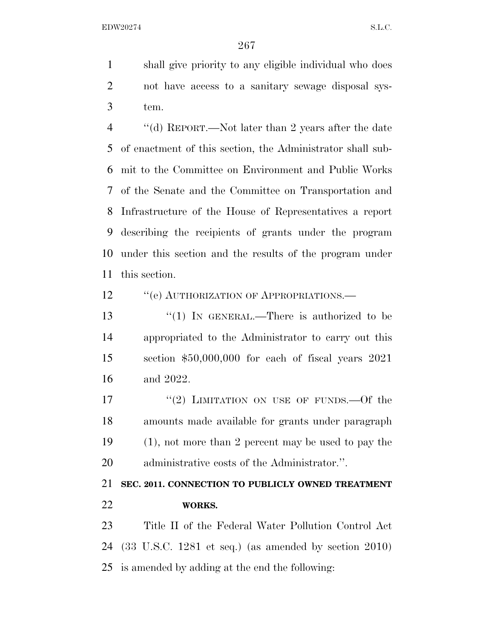shall give priority to any eligible individual who does not have access to a sanitary sewage disposal sys-tem.

 ''(d) REPORT.—Not later than 2 years after the date of enactment of this section, the Administrator shall sub- mit to the Committee on Environment and Public Works of the Senate and the Committee on Transportation and Infrastructure of the House of Representatives a report describing the recipients of grants under the program under this section and the results of the program under this section.

12 "(e) AUTHORIZATION OF APPROPRIATIONS.—

13 "(1) IN GENERAL.—There is authorized to be appropriated to the Administrator to carry out this section \$50,000,000 for each of fiscal years 2021 and 2022.

17 "(2) LIMITATION ON USE OF FUNDS. - Of the amounts made available for grants under paragraph (1), not more than 2 percent may be used to pay the administrative costs of the Administrator.''.

 **SEC. 2011. CONNECTION TO PUBLICLY OWNED TREATMENT WORKS.** 

 Title II of the Federal Water Pollution Control Act (33 U.S.C. 1281 et seq.) (as amended by section 2010) is amended by adding at the end the following: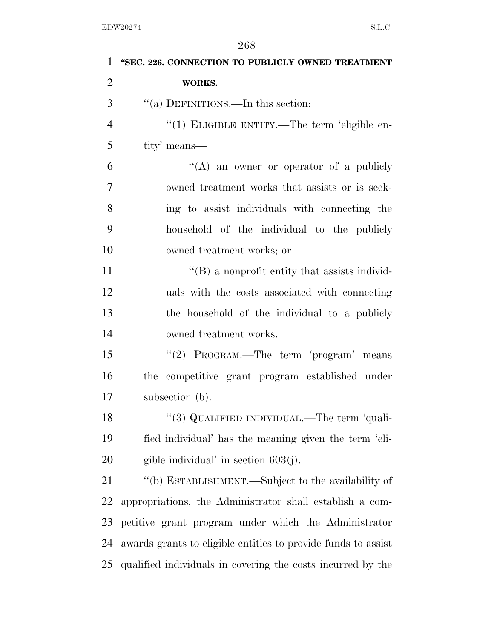| $\mathbf{1}$   | "SEC. 226. CONNECTION TO PUBLICLY OWNED TREATMENT             |
|----------------|---------------------------------------------------------------|
| $\overline{2}$ | WORKS.                                                        |
| 3              | "(a) DEFINITIONS.—In this section:                            |
| $\overline{4}$ | "(1) ELIGIBLE ENTITY.—The term 'eligible en-                  |
| 5              | tity' means—                                                  |
| 6              | "(A) an owner or operator of a publicly                       |
| 7              | owned treatment works that assists or is seek-                |
| 8              | ing to assist individuals with connecting the                 |
| 9              | household of the individual to the publicly                   |
| 10             | owned treatment works; or                                     |
| 11             | $\lq\lq (B)$ a nonprofit entity that assists individ-         |
| 12             | uals with the costs associated with connecting                |
| 13             | the household of the individual to a publicly                 |
| 14             | owned treatment works.                                        |
| 15             | "(2) PROGRAM.—The term 'program' means                        |
| 16             | the competitive grant program established under               |
| 17             | subsection (b).                                               |
| 18             | "(3) QUALIFIED INDIVIDUAL.—The term 'quali-                   |
| 19             | fied individual' has the meaning given the term 'eli-         |
| 20             | gible individual' in section $603(j)$ .                       |
| 21             | "(b) ESTABLISHMENT.—Subject to the availability of            |
| 22             | appropriations, the Administrator shall establish a com-      |
| 23             | petitive grant program under which the Administrator          |
| 24             | awards grants to eligible entities to provide funds to assist |
| 25             | qualified individuals in covering the costs incurred by the   |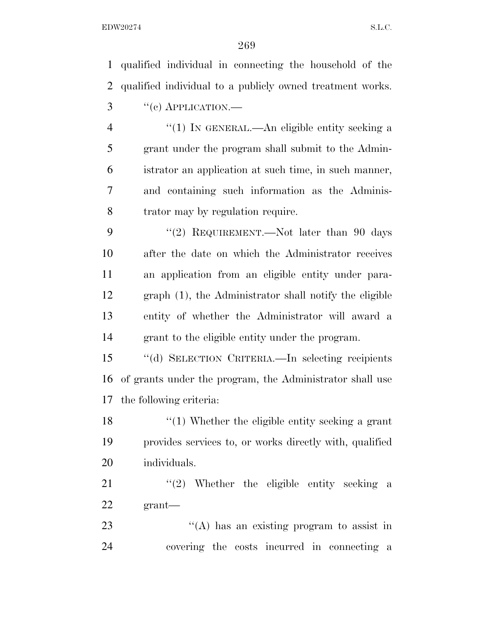qualified individual in connecting the household of the qualified individual to a publicly owned treatment works. "(c) APPLICATION.— ''(1) IN GENERAL.—An eligible entity seeking a grant under the program shall submit to the Admin- istrator an application at such time, in such manner, and containing such information as the Adminis- trator may by regulation require. 9 "(2) REQUIREMENT.—Not later than 90 days after the date on which the Administrator receives an application from an eligible entity under para- graph (1), the Administrator shall notify the eligible entity of whether the Administrator will award a grant to the eligible entity under the program. ''(d) SELECTION CRITERIA.—In selecting recipients of grants under the program, the Administrator shall use the following criteria: 18 ''(1) Whether the eligible entity seeking a grant provides services to, or works directly with, qualified individuals. 21 ''(2) Whether the eligible entity seeking a grant— 23 ''(A) has an existing program to assist in

covering the costs incurred in connecting a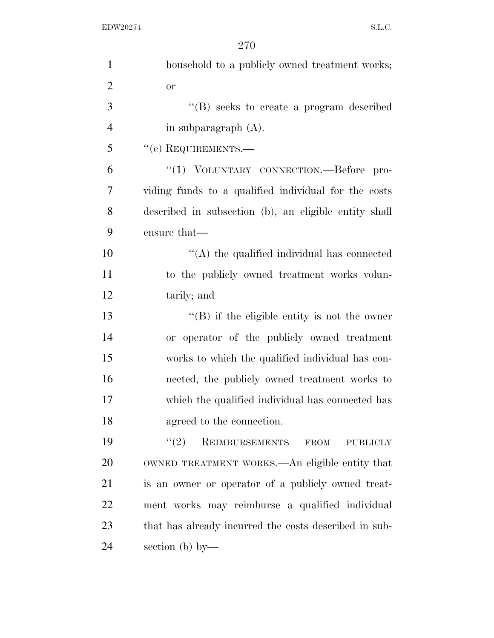| $\mathbf{1}$   | household to a publicly owned treatment works;                |
|----------------|---------------------------------------------------------------|
| $\overline{2}$ | <b>or</b>                                                     |
| 3              | $\lq\lq (B)$ seeks to create a program described              |
| $\overline{4}$ | in subparagraph (A).                                          |
| 5              | $``$ (e) REQUIREMENTS.—                                       |
| 6              | "(1) VOLUNTARY CONNECTION.—Before<br>$\overline{\text{pro-}}$ |
| 7              | viding funds to a qualified individual for the costs          |
| 8              | described in subsection (b), an eligible entity shall         |
| 9              | ensure that—                                                  |
| 10             | $\lq\lq$ the qualified individual has connected               |
| 11             | to the publicly owned treatment works volun-                  |
| 12             | tarily; and                                                   |
| 13             | $\lq\lq$ if the eligible entity is not the owner              |
| 14             | or operator of the publicly owned treatment                   |
| 15             | works to which the qualified individual has con-              |
| 16             | nected, the publicly owned treatment works to                 |
| 17             | which the qualified individual has connected has              |
| 18             | agreed to the connection.                                     |
| 19             | (2)<br>REIMBURSEMENTS<br><b>FROM</b><br><b>PUBLICLY</b>       |
| 20             | OWNED TREATMENT WORKS.—An eligible entity that                |
| 21             | is an owner or operator of a publicly owned treat-            |
| 22             | ment works may reimburse a qualified individual               |
| 23             | that has already incurred the costs described in sub-         |
| 24             | section (b) by-                                               |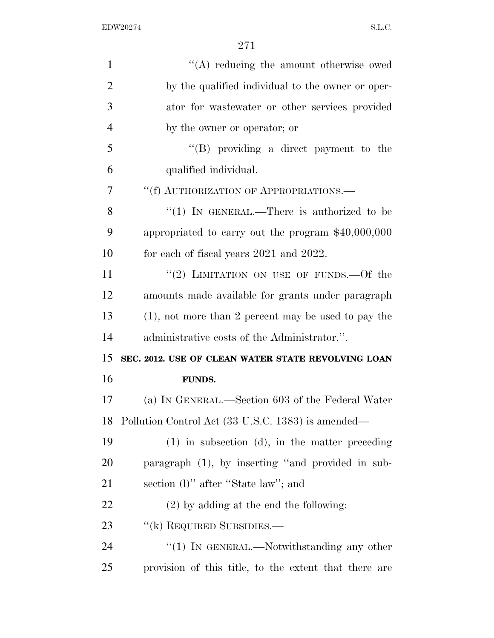| $\mathbf{1}$   | $\lq\lq$ reducing the amount otherwise owed            |
|----------------|--------------------------------------------------------|
| $\overline{2}$ | by the qualified individual to the owner or oper-      |
| 3              | ator for wastewater or other services provided         |
| $\overline{4}$ | by the owner or operator; or                           |
| 5              | "(B) providing a direct payment to the                 |
| 6              | qualified individual.                                  |
| 7              | "(f) AUTHORIZATION OF APPROPRIATIONS.—                 |
| 8              | "(1) IN GENERAL.—There is authorized to be             |
| 9              | appropriated to carry out the program $$40,000,000$    |
| 10             | for each of fiscal years 2021 and 2022.                |
| 11             | "(2) LIMITATION ON USE OF FUNDS. $-$ Of the            |
| 12             | amounts made available for grants under paragraph      |
| 13             | $(1)$ , not more than 2 percent may be used to pay the |
| 14             | administrative costs of the Administrator.".           |
| 15             | SEC. 2012. USE OF CLEAN WATER STATE REVOLVING LOAN     |
| 16             | <b>FUNDS.</b>                                          |
| 17             | (a) IN GENERAL.—Section 603 of the Federal Water       |
| 18             | Pollution Control Act (33 U.S.C. 1383) is amended—     |
| 19             | $(1)$ in subsection $(d)$ , in the matter preceding    |
| 20             | paragraph (1), by inserting "and provided in sub-      |
| 21             | section (1)" after "State law"; and                    |
| 22             | $(2)$ by adding at the end the following:              |
| 23             | "(k) REQUIRED SUBSIDIES.—                              |
| 24             | "(1) IN GENERAL.—Notwithstanding any other             |
| 25             | provision of this title, to the extent that there are  |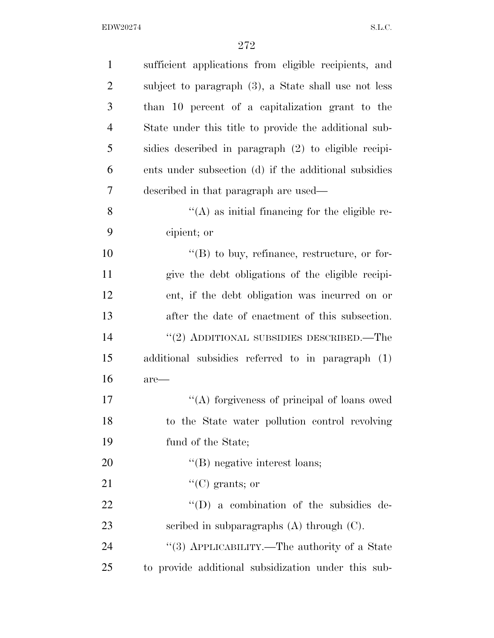| $\mathbf{1}$   | sufficient applications from eligible recipients, and  |
|----------------|--------------------------------------------------------|
| $\overline{2}$ | subject to paragraph (3), a State shall use not less   |
| 3              | than 10 percent of a capitalization grant to the       |
| $\overline{4}$ | State under this title to provide the additional sub-  |
| 5              | sidies described in paragraph (2) to eligible recipi-  |
| 6              | ents under subsection (d) if the additional subsidies  |
| 7              | described in that paragraph are used—                  |
| 8              | $\lq\lq$ (A) as initial financing for the eligible re- |
| 9              | cipient; or                                            |
| 10             | $\lq\lq (B)$ to buy, refinance, restructure, or for-   |
| 11             | give the debt obligations of the eligible recipi-      |
| 12             | ent, if the debt obligation was incurred on or         |
| 13             | after the date of enactment of this subsection.        |
| 14             | $"(2)$ ADDITIONAL SUBSIDIES DESCRIBED.—The             |
| 15             | additional subsidies referred to in paragraph (1)      |
| 16             | $are-$                                                 |
| 17             | "(A) forgiveness of principal of loans owed            |
| 18             | to the State water pollution control revolving         |
| 19             | fund of the State;                                     |
| <b>20</b>      | $\lq\lq$ (B) negative interest loans;                  |
| 21             | $\lq\lq$ (C) grants; or                                |
| 22             | $\lq\lq$ (D) a combination of the subsidies de-        |
| 23             | scribed in subparagraphs $(A)$ through $(C)$ .         |
| 24             | "(3) APPLICABILITY.—The authority of a State           |
| 25             | to provide additional subsidization under this sub-    |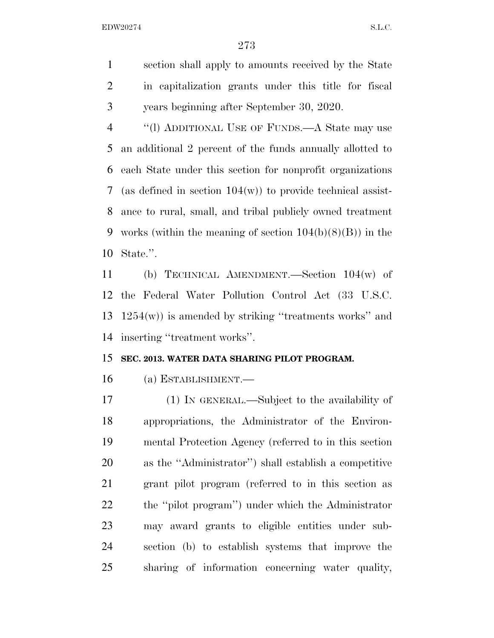section shall apply to amounts received by the State in capitalization grants under this title for fiscal years beginning after September 30, 2020.

 ''(l) ADDITIONAL USE OF FUNDS.—A State may use an additional 2 percent of the funds annually allotted to each State under this section for nonprofit organizations (as defined in section 104(w)) to provide technical assist- ance to rural, small, and tribal publicly owned treatment 9 works (within the meaning of section  $104(b)(8)(B)$ ) in the State.''.

 (b) TECHNICAL AMENDMENT.—Section 104(w) of the Federal Water Pollution Control Act (33 U.S.C. 1254(w)) is amended by striking ''treatments works'' and inserting ''treatment works''.

## **SEC. 2013. WATER DATA SHARING PILOT PROGRAM.**

(a) ESTABLISHMENT.—

 (1) IN GENERAL.—Subject to the availability of appropriations, the Administrator of the Environ- mental Protection Agency (referred to in this section as the ''Administrator'') shall establish a competitive grant pilot program (referred to in this section as the ''pilot program'') under which the Administrator may award grants to eligible entities under sub- section (b) to establish systems that improve the sharing of information concerning water quality,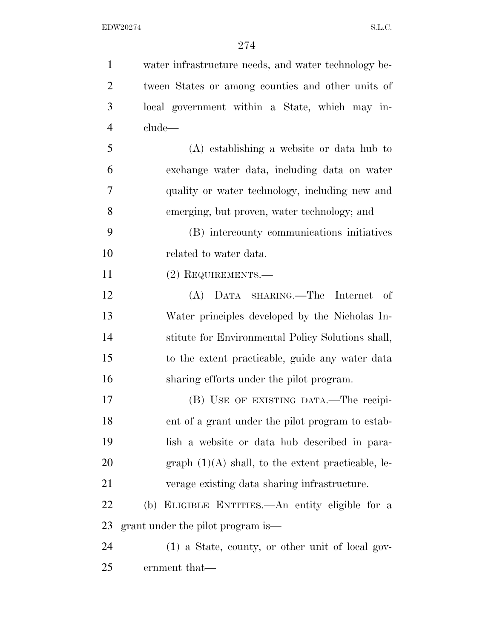| $\mathbf{1}$   | water infrastructure needs, and water technology be- |
|----------------|------------------------------------------------------|
| $\overline{2}$ | tween States or among counties and other units of    |
| 3              | local government within a State, which may in-       |
| $\overline{4}$ | clude—                                               |
| 5              | $(A)$ establishing a website or data hub to          |
| 6              | exchange water data, including data on water         |
| 7              | quality or water technology, including new and       |
| 8              | emerging, but proven, water technology; and          |
| 9              | (B) intercounty communications initiatives           |
| 10             | related to water data.                               |
| 11             | (2) REQUIREMENTS.—                                   |
| 12             | (A) DATA SHARING.—The Internet<br>- of               |
| 13             | Water principles developed by the Nicholas In-       |
| 14             | stitute for Environmental Policy Solutions shall,    |
| 15             | to the extent practicable, guide any water data      |
| 16             | sharing efforts under the pilot program.             |
| 17             | (B) USE OF EXISTING DATA.—The recipi-                |
| 18             | ent of a grant under the pilot program to estab-     |
| 19             | lish a website or data hub described in para-        |
| 20             | graph $(1)(A)$ shall, to the extent practicable, le- |
| 21             | verage existing data sharing infrastructure.         |
| 22             | (b) ELIGIBLE ENTITIES.—An entity eligible for a      |
| 23             | grant under the pilot program is—                    |
| 24             | $(1)$ a State, county, or other unit of local gov-   |
| 25             | ernment that—                                        |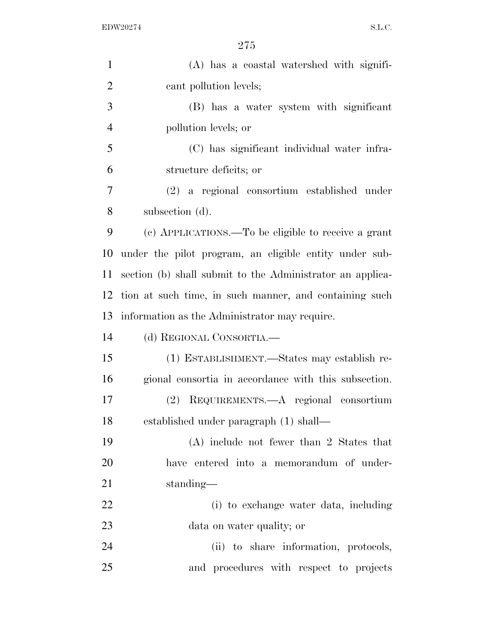| $\mathbf{1}$   | (A) has a coastal watershed with signifi-                 |
|----------------|-----------------------------------------------------------|
| $\overline{2}$ | cant pollution levels;                                    |
| 3              | (B) has a water system with significant                   |
| $\overline{4}$ | pollution levels; or                                      |
| 5              | (C) has significant individual water infra-               |
| 6              | structure deficits; or                                    |
| 7              | (2) a regional consortium established under               |
| 8              | subsection (d).                                           |
| 9              | (c) APPLICATIONS.—To be eligible to receive a grant       |
| 10             | under the pilot program, an eligible entity under sub-    |
| 11             | section (b) shall submit to the Administrator an applica- |
| 12             | tion at such time, in such manner, and containing such    |
| 13             | information as the Administrator may require.             |
| 14             | (d) REGIONAL CONSORTIA.—                                  |
| 15             | (1) ESTABLISHMENT.—States may establish re-               |
| 16             | gional consortia in accordance with this subsection.      |
| 17             | (2) REQUIREMENTS.—A regional consortium                   |
| 18             | established under paragraph (1) shall—                    |
| 19             | $(A)$ include not fewer than 2 States that                |
| 20             | have entered into a memorandum of under-                  |
| 21             | standing—                                                 |
| 22             | (i) to exchange water data, including                     |
| 23             | data on water quality; or                                 |
| 24             | (ii) to share information, protocols,                     |
| 25             | and procedures with respect to projects                   |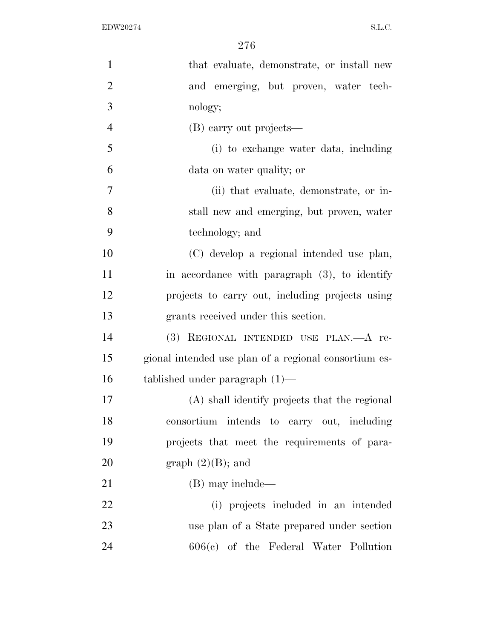| $\mathbf{1}$   | that evaluate, demonstrate, or install new            |
|----------------|-------------------------------------------------------|
| $\overline{2}$ | and emerging, but proven, water tech-                 |
| 3              | nology;                                               |
| $\overline{4}$ | (B) carry out projects—                               |
| 5              | (i) to exchange water data, including                 |
| 6              | data on water quality; or                             |
| $\overline{7}$ | (ii) that evaluate, demonstrate, or in-               |
| 8              | stall new and emerging, but proven, water             |
| 9              | technology; and                                       |
| 10             | (C) develop a regional intended use plan,             |
| 11             | in accordance with paragraph $(3)$ , to identify      |
| 12             | projects to carry out, including projects using       |
| 13             | grants received under this section.                   |
| 14             | (3) REGIONAL INTENDED USE PLAN. - A re-               |
| 15             | gional intended use plan of a regional consortium es- |
| 16             | tablished under paragraph $(1)$ —                     |
| 17             | (A) shall identify projects that the regional         |
| 18             | consortium intends to carry out, including            |
| 19             | projects that meet the requirements of para-          |
| <b>20</b>      | graph $(2)(B)$ ; and                                  |
| 21             | (B) may include—                                      |
| 22             | (i) projects included in an intended                  |
| 23             | use plan of a State prepared under section            |
| 24             | $606(e)$ of the Federal Water Pollution               |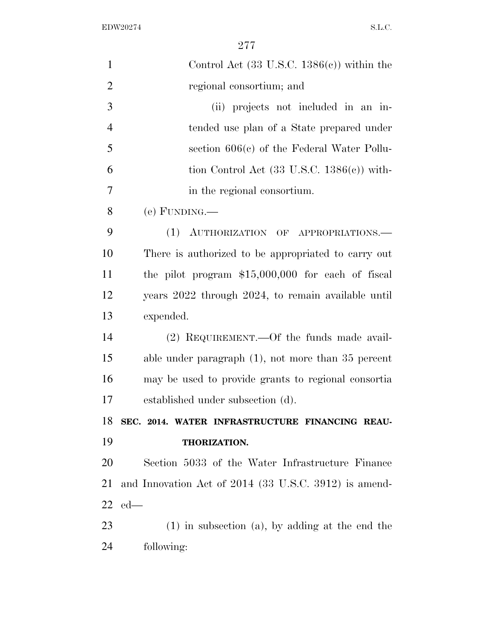| $\mathbf{1}$   | Control Act $(33 \text{ U.S.C. } 1386(c))$ within the |
|----------------|-------------------------------------------------------|
| $\overline{2}$ | regional consortium; and                              |
| 3              | (ii) projects not included in an in-                  |
| $\overline{4}$ | tended use plan of a State prepared under             |
| 5              | section $606(c)$ of the Federal Water Pollu-          |
| 6              | tion Control Act $(33 \text{ U.S.C. } 1386(e))$ with- |
| 7              | in the regional consortium.                           |
| 8              | (e) FUNDING.                                          |
| 9              | (1) AUTHORIZATION OF APPROPRIATIONS.—                 |
| 10             | There is authorized to be appropriated to carry out   |
| 11             | the pilot program $$15,000,000$ for each of fiscal    |
| 12             | years 2022 through 2024, to remain available until    |
| 13             | expended.                                             |
| 14             | $(2)$ REQUIREMENT.—Of the funds made avail-           |
| 15             | able under paragraph $(1)$ , not more than 35 percent |
| 16             | may be used to provide grants to regional consortia   |
| 17             | established under subsection (d).                     |
| 18             | SEC. 2014. WATER INFRASTRUCTURE FINANCING REAU-       |
| 19             | THORIZATION.                                          |
| 20             | Section 5033 of the Water Infrastructure Finance      |
| 21             | and Innovation Act of 2014 (33 U.S.C. 3912) is amend- |
| 22             | $ed$ —                                                |
| 23             | $(1)$ in subsection $(a)$ , by adding at the end the  |
| 24             | following:                                            |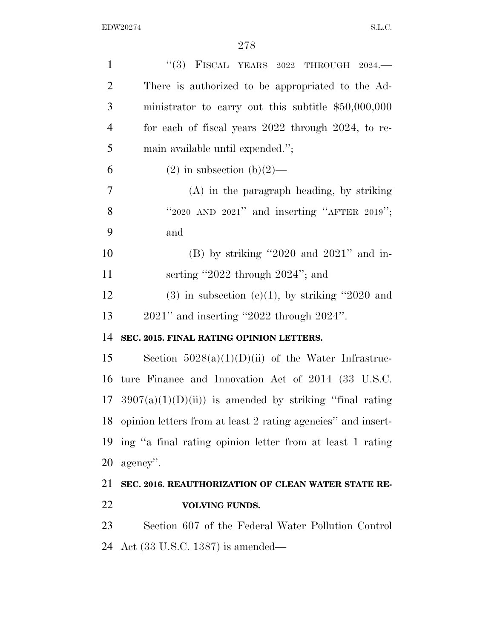| $\mathbf{1}$   | "(3) FISCAL YEARS 2022 THROUGH $2024$ .                         |
|----------------|-----------------------------------------------------------------|
| $\overline{2}$ | There is authorized to be appropriated to the Ad-               |
| 3              | ministrator to carry out this subtitle $$50,000,000$            |
| $\overline{4}$ | for each of fiscal years 2022 through 2024, to re-              |
| 5              | main available until expended.";                                |
| 6              | $(2)$ in subsection $(b)(2)$ —                                  |
| $\tau$         | $(A)$ in the paragraph heading, by striking                     |
| 8              | "2020 AND 2021" and inserting "AFTER 2019";                     |
| 9              | and                                                             |
| 10             | $(B)$ by striking "2020 and 2021" and in-                       |
| 11             | serting "2022 through $2024$ "; and                             |
| 12             | $(3)$ in subsection $(e)(1)$ , by striking "2020 and            |
| 13             | $2021$ " and inserting "2022 through $2024$ ".                  |
| 14             | SEC. 2015. FINAL RATING OPINION LETTERS.                        |
| 15             | Section $5028(a)(1)(D)(ii)$ of the Water Infrastruc-            |
| 16             | ture Finance and Innovation Act of 2014 (33 U.S.C.              |
| 17             | $3907(a)(1)(D)(ii)$ is amended by striking "final rating"       |
|                | 18 opinion letters from at least 2 rating agencies" and insert- |
| 19             | ing "a final rating opinion letter from at least 1 rating       |
| 20             | agency".                                                        |
| 21             | SEC. 2016. REAUTHORIZATION OF CLEAN WATER STATE RE-             |
| 22             | VOLVING FUNDS.                                                  |
| 23             | Section 607 of the Federal Water Pollution Control              |
| 24             | Act $(33 \text{ U.S.C. } 1387)$ is amended—                     |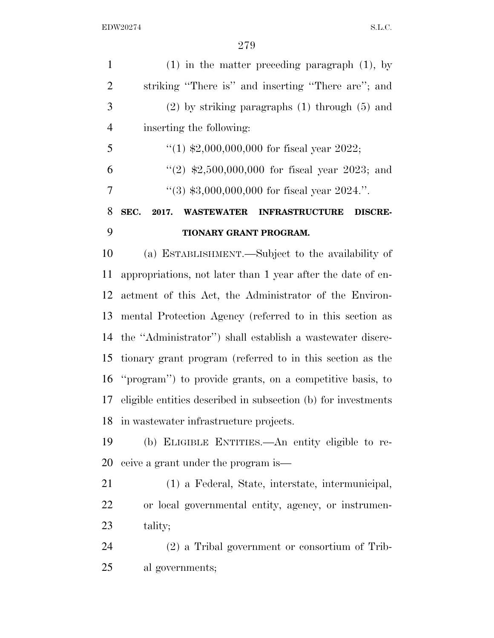| $\mathbf{1}$   | $(1)$ in the matter preceding paragraph $(1)$ , by                            |
|----------------|-------------------------------------------------------------------------------|
| $\overline{2}$ | striking "There is" and inserting "There are"; and                            |
| 3              | $(2)$ by striking paragraphs $(1)$ through $(5)$ and                          |
| $\overline{4}$ | inserting the following:                                                      |
| 5              | "(1) $\text{$}2,000,000,000$ for fiscal year 2022;                            |
| 6              | "(2) $$2,500,000,000$ for fiscal year 2023; and                               |
| $\overline{7}$ | $(3)$ \$3,000,000,000 for fiscal year 2024.".                                 |
| 8              | SEC.<br>2017.<br><b>WASTEWATER</b><br><b>INFRASTRUCTURE</b><br><b>DISCRE-</b> |
| 9              | TIONARY GRANT PROGRAM.                                                        |
| 10             | (a) ESTABLISHMENT.—Subject to the availability of                             |
| 11             | appropriations, not later than 1 year after the date of en-                   |
| 12             | actment of this Act, the Administrator of the Environ-                        |
| 13             | mental Protection Agency (referred to in this section as                      |
| 14             | the "Administrator") shall establish a wastewater discre-                     |
| 15             | tionary grant program (referred to in this section as the                     |
|                | 16 "program") to provide grants, on a competitive basis, to                   |
| 17             | eligible entities described in subsection (b) for investments                 |
| 18             | in was tewater infrastructure projects.                                       |
| 19             | (b) ELIGIBLE ENTITIES.—An entity eligible to re-                              |
| 20             | ceive a grant under the program is—                                           |
| 21             | (1) a Federal, State, interstate, intermunicipal,                             |
| 22             | or local governmental entity, agency, or instrumen-                           |
| 23             | tality;                                                                       |
| 24             | (2) a Tribal government or consortium of Trib-                                |
| 25             | al governments;                                                               |
|                |                                                                               |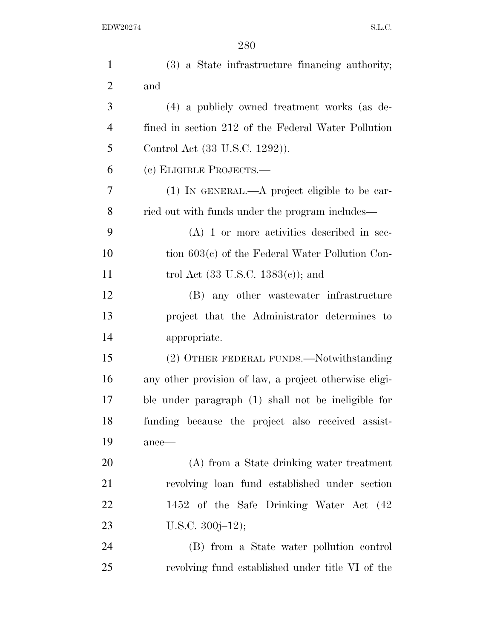| $\mathbf{1}$   | (3) a State infrastructure financing authority;        |
|----------------|--------------------------------------------------------|
| $\overline{2}$ | and                                                    |
| 3              | (4) a publicly owned treatment works (as de-           |
| $\overline{4}$ | fined in section 212 of the Federal Water Pollution    |
| 5              | Control Act (33 U.S.C. 1292)).                         |
| 6              | (c) ELIGIBLE PROJECTS.—                                |
| 7              | (1) IN GENERAL.—A project eligible to be car-          |
| 8              | ried out with funds under the program includes—        |
| 9              | $(A)$ 1 or more activities described in sec-           |
| 10             | tion $603(c)$ of the Federal Water Pollution Con-      |
| 11             | trol Act $(33 \text{ U.S.C. } 1383(c))$ ; and          |
| 12             | (B) any other wastewater infrastructure                |
| 13             | project that the Administrator determines to           |
| 14             | appropriate.                                           |
| 15             | (2) OTHER FEDERAL FUNDS.—Notwithstanding               |
| 16             | any other provision of law, a project otherwise eligi- |
| 17             | ble under paragraph (1) shall not be ineligible for    |
| 18             | funding because the project also received assist-      |
| 19             | $ance$ —                                               |
| 20             | (A) from a State drinking water treatment              |
| 21             | revolving loan fund established under section          |
| 22             | 1452 of the Safe Drinking Water Act (42)               |
| 23             | U.S.C. $300j-12$ ;                                     |
| 24             | (B) from a State water pollution control               |
| 25             | revolving fund established under title VI of the       |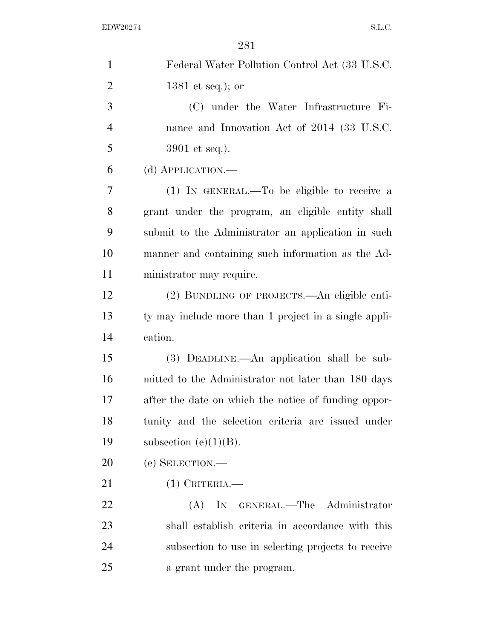| $\mathbf{1}$   | Federal Water Pollution Control Act (33 U.S.C.        |
|----------------|-------------------------------------------------------|
| $\overline{2}$ | 1381 et seq.); or                                     |
| 3              | (C) under the Water Infrastructure Fi-                |
| $\overline{4}$ | nance and Innovation Act of 2014 (33 U.S.C.           |
| 5              | 3901 et seq.).                                        |
| 6              | (d) APPLICATION.                                      |
| 7              | $(1)$ IN GENERAL.—To be eligible to receive a         |
| 8              | grant under the program, an eligible entity shall     |
| 9              | submit to the Administrator an application in such    |
| 10             | manner and containing such information as the Ad-     |
| 11             | ministrator may require.                              |
| 12             | (2) BUNDLING OF PROJECTS.—An eligible enti-           |
| 13             | ty may include more than 1 project in a single appli- |
| 14             | cation.                                               |
| 15             | (3) DEADLINE.—An application shall be sub-            |
| 16             | mitted to the Administrator not later than 180 days   |
| 17             | after the date on which the notice of funding oppor-  |
| 18             | tunity and the selection criteria are issued under    |
| 19             | subsection (e) $(1)(B)$ .                             |
| 20             | (e) SELECTION.                                        |
| 21             | $(1)$ CRITERIA.                                       |
| 22             | IN GENERAL.—The Administrator<br>(A)                  |
| 23             | shall establish criteria in accordance with this      |
| 24             | subsection to use in selecting projects to receive    |
| 25             | a grant under the program.                            |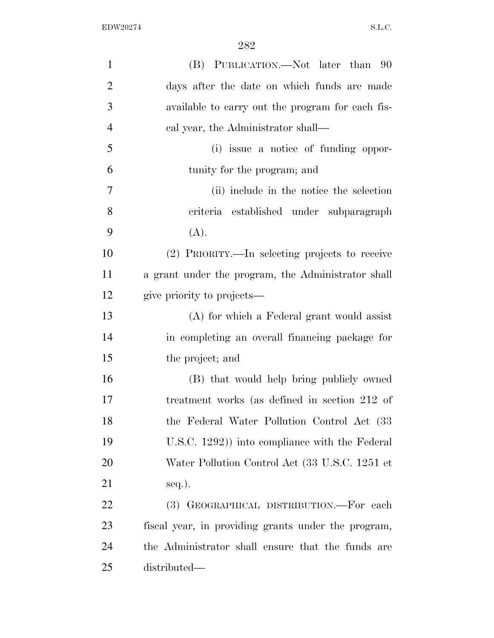| $\mathbf{1}$   | (B) PUBLICATION.—Not later than 90                  |
|----------------|-----------------------------------------------------|
| $\overline{2}$ | days after the date on which funds are made         |
| 3              | available to carry out the program for each fis-    |
| $\overline{4}$ | cal year, the Administrator shall—                  |
| 5              | (i) issue a notice of funding oppor-                |
| 6              | tunity for the program; and                         |
| 7              | (ii) include in the notice the selection            |
| 8              | criteria established under subparagraph             |
| 9              | (A).                                                |
| 10             | (2) PRIORITY.—In selecting projects to receive      |
| 11             | a grant under the program, the Administrator shall  |
| 12             | give priority to projects—                          |
| 13             | (A) for which a Federal grant would assist          |
| 14             | in completing an overall financing package for      |
| 15             | the project; and                                    |
| 16             | (B) that would help bring publicly owned            |
| 17             | treatment works (as defined in section 212 of       |
| 18             | the Federal Water Pollution Control Act (33)        |
| 19             | U.S.C. 1292)) into compliance with the Federal      |
| 20             | Water Pollution Control Act (33 U.S.C. 1251 et      |
| 21             | seq.).                                              |
| 22             | (3) GEOGRAPHICAL DISTRIBUTION.—For each             |
| 23             | fiscal year, in providing grants under the program, |
| 24             | the Administrator shall ensure that the funds are   |
| 25             | distributed—                                        |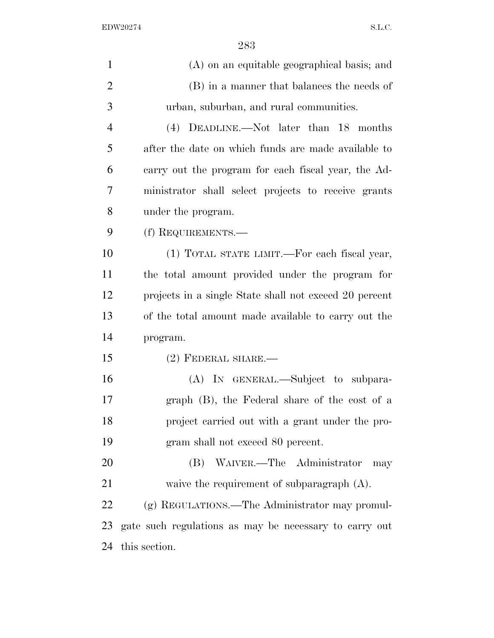| $\mathbf{1}$   | (A) on an equitable geographical basis; and            |
|----------------|--------------------------------------------------------|
| $\overline{2}$ | (B) in a manner that balances the needs of             |
| 3              | urban, suburban, and rural communities.                |
| $\overline{4}$ | (4) DEADLINE.—Not later than 18 months                 |
| 5              | after the date on which funds are made available to    |
| 6              | carry out the program for each fiscal year, the Ad-    |
| 7              | ministrator shall select projects to receive grants    |
| 8              | under the program.                                     |
| 9              | (f) REQUIREMENTS.—                                     |
| 10             | (1) TOTAL STATE LIMIT.—For each fiscal year,           |
| 11             | the total amount provided under the program for        |
| 12             | projects in a single State shall not exceed 20 percent |
| 13             | of the total amount made available to carry out the    |
| 14             | program.                                               |
| 15             | $(2)$ FEDERAL SHARE.—                                  |
| 16             | (A) IN GENERAL.—Subject to subpara-                    |
| 17             | graph (B), the Federal share of the cost of a          |
| 18             | project carried out with a grant under the pro-        |
| 19             | gram shall not exceed 80 percent.                      |
| 20             | (B) WAIVER.—The Administrator<br>may                   |
| 21             | waive the requirement of subparagraph $(A)$ .          |
| 22             | (g) REGULATIONS.—The Administrator may promul-         |
| 23             | gate such regulations as may be necessary to carry out |
| 24             | this section.                                          |
|                |                                                        |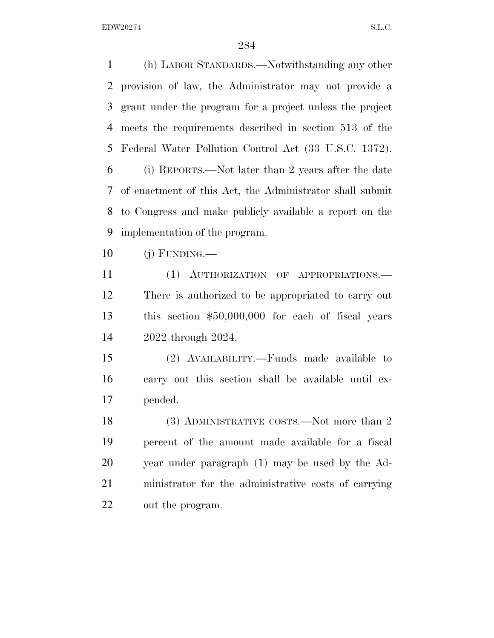(h) LABOR STANDARDS.—Notwithstanding any other provision of law, the Administrator may not provide a grant under the program for a project unless the project meets the requirements described in section 513 of the Federal Water Pollution Control Act (33 U.S.C. 1372). (i) REPORTS.—Not later than 2 years after the date of enactment of this Act, the Administrator shall submit to Congress and make publicly available a report on the implementation of the program.

(j) FUNDING.—

 (1) AUTHORIZATION OF APPROPRIATIONS.— There is authorized to be appropriated to carry out this section \$50,000,000 for each of fiscal years 2022 through 2024.

 (2) AVAILABILITY.—Funds made available to carry out this section shall be available until ex-pended.

18 (3) ADMINISTRATIVE COSTS.—Not more than 2 percent of the amount made available for a fiscal year under paragraph (1) may be used by the Ad- ministrator for the administrative costs of carrying out the program.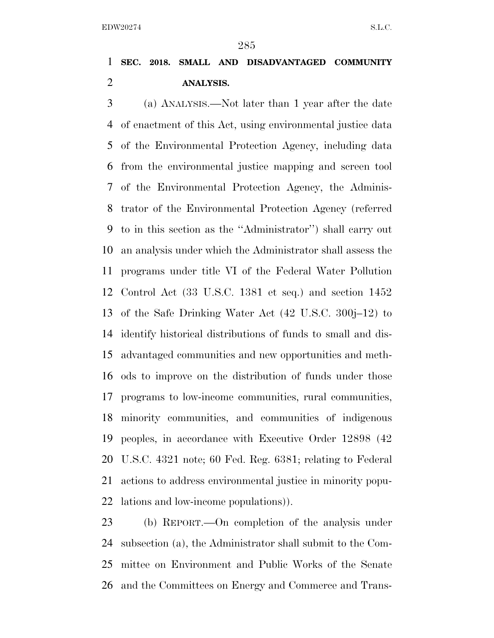## **SEC. 2018. SMALL AND DISADVANTAGED COMMUNITY ANALYSIS.**

 (a) ANALYSIS.—Not later than 1 year after the date of enactment of this Act, using environmental justice data of the Environmental Protection Agency, including data from the environmental justice mapping and screen tool of the Environmental Protection Agency, the Adminis- trator of the Environmental Protection Agency (referred to in this section as the ''Administrator'') shall carry out an analysis under which the Administrator shall assess the programs under title VI of the Federal Water Pollution Control Act (33 U.S.C. 1381 et seq.) and section 1452 of the Safe Drinking Water Act (42 U.S.C. 300j–12) to identify historical distributions of funds to small and dis- advantaged communities and new opportunities and meth- ods to improve on the distribution of funds under those programs to low-income communities, rural communities, minority communities, and communities of indigenous peoples, in accordance with Executive Order 12898 (42 U.S.C. 4321 note; 60 Fed. Reg. 6381; relating to Federal actions to address environmental justice in minority popu-lations and low-income populations)).

 (b) REPORT.—On completion of the analysis under subsection (a), the Administrator shall submit to the Com- mittee on Environment and Public Works of the Senate and the Committees on Energy and Commerce and Trans-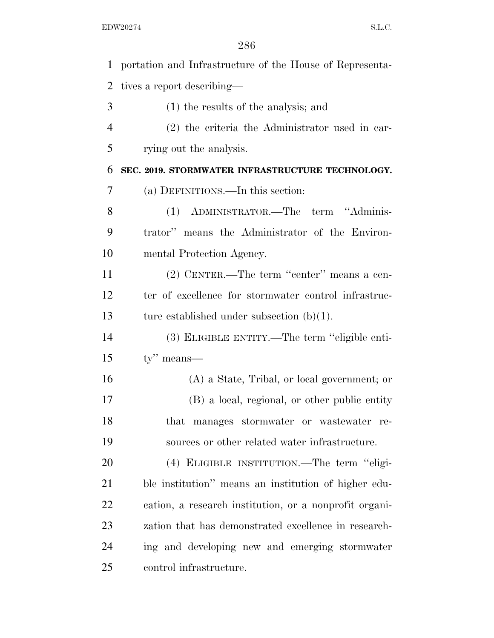| $\mathbf{1}$   | portation and Infrastructure of the House of Representa- |
|----------------|----------------------------------------------------------|
| $\overline{2}$ | tives a report describing—                               |
| 3              | $(1)$ the results of the analysis; and                   |
| $\overline{4}$ | (2) the criteria the Administrator used in car-          |
| 5              | rying out the analysis.                                  |
| 6              | SEC. 2019. STORMWATER INFRASTRUCTURE TECHNOLOGY.         |
| 7              | (a) DEFINITIONS.—In this section:                        |
| 8              | (1) ADMINISTRATOR.—The term "Adminis-                    |
| 9              | trator" means the Administrator of the Environ-          |
| 10             | mental Protection Agency.                                |
| 11             | (2) CENTER.—The term "center" means a cen-               |
| 12             | ter of excellence for stormwater control infrastruc-     |
| 13             | ture established under subsection $(b)(1)$ .             |
| 14             | (3) ELIGIBLE ENTITY.—The term "eligible enti-            |
| 15             | $ty''$ means—                                            |
| 16             | $(A)$ a State, Tribal, or local government; or           |
| 17             | (B) a local, regional, or other public entity            |
| 18             | that manages stormwater or wastewater re-                |
| 19             | sources or other related water infrastructure.           |
| 20             | (4) ELIGIBLE INSTITUTION.—The term "eligi-               |
| 21             | ble institution" means an institution of higher edu-     |
| 22             | cation, a research institution, or a nonprofit organi-   |
| 23             | zation that has demonstrated excellence in research-     |
| 24             | ing and developing new and emerging stormwater           |
| 25             | control infrastructure.                                  |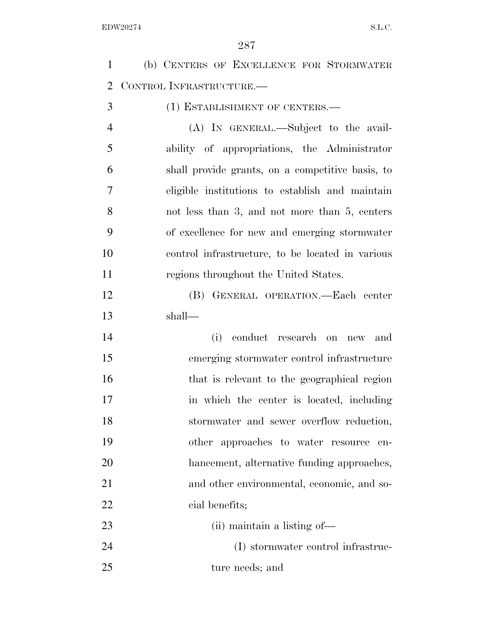| $\mathbf{1}$   | (b) CENTERS OF EXCELLENCE FOR STORMWATER         |
|----------------|--------------------------------------------------|
| 2              | CONTROL INFRASTRUCTURE.                          |
| 3              | (1) ESTABLISHMENT OF CENTERS.-                   |
| $\overline{4}$ | (A) IN GENERAL.—Subject to the avail-            |
| 5              | ability of appropriations, the Administrator     |
| 6              | shall provide grants, on a competitive basis, to |
| 7              | eligible institutions to establish and maintain  |
| 8              | not less than 3, and not more than 5, centers    |
| 9              | of excellence for new and emerging stormwater    |
| 10             | control infrastructure, to be located in various |
| 11             | regions throughout the United States.            |
| 12             | (B) GENERAL OPERATION.—Each center               |
| 13             | shall—                                           |
| 14             | conduct research on new<br>(i)<br>and            |
| 15             | emerging stormwater control infrastructure       |
| 16             | that is relevant to the geographical region      |
| 17             | in which the center is located, including        |
| 18             | stormwater and sewer overflow reduction,         |
| 19             | other approaches to water resource<br>en-        |
| 20             | hancement, alternative funding approaches,       |
| 21             | and other environmental, economic, and so-       |
| 22             | cial benefits;                                   |
| 23             | (ii) maintain a listing of—                      |
| 24             | (I) stormwater control infrastruc-               |
| 25             |                                                  |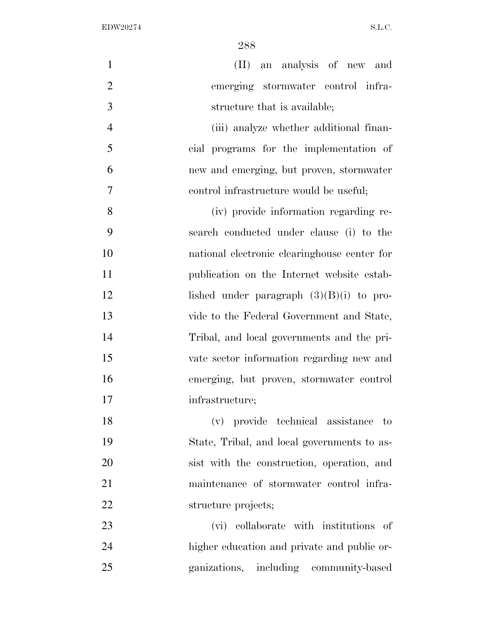| $\mathbf{1}$   | (II) an analysis of new and                  |
|----------------|----------------------------------------------|
| $\overline{2}$ | emerging stormwater control infra-           |
| 3              | structure that is available;                 |
| $\overline{4}$ | (iii) analyze whether additional finan-      |
| 5              | cial programs for the implementation of      |
| 6              | new and emerging, but proven, stormwater     |
| 7              | control infrastructure would be useful;      |
| 8              | (iv) provide information regarding re-       |
| 9              | search conducted under clause (i) to the     |
| 10             | national electronic clearinghouse center for |
| 11             | publication on the Internet website estab-   |
| 12             | lished under paragraph $(3)(B)(i)$ to pro-   |
| 13             | vide to the Federal Government and State,    |
| 14             | Tribal, and local governments and the pri-   |
| 15             | vate sector information regarding new and    |
| 16             | emerging, but proven, stormwater control     |
| 17             | infrastructure;                              |
| 18             | (v) provide technical assistance to          |
| 19             | State, Tribal, and local governments to as-  |
| 20             | sist with the construction, operation, and   |
| 21             | maintenance of stormwater control infra-     |
| 22             | structure projects;                          |
| 23             | (vi) collaborate with institutions of        |
| 24             | higher education and private and public or-  |
| 25             | ganizations, including community-based       |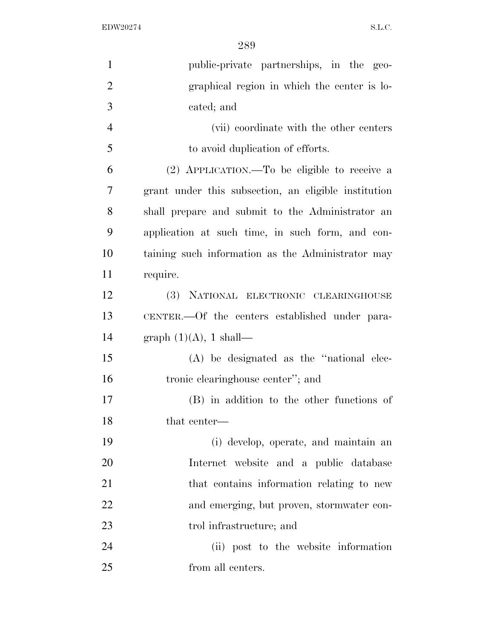| $\mathbf{1}$   | public-private partnerships, in the geo-             |
|----------------|------------------------------------------------------|
| $\overline{2}$ | graphical region in which the center is lo-          |
| 3              | cated; and                                           |
| $\overline{4}$ | (vii) coordinate with the other centers              |
| 5              | to avoid duplication of efforts.                     |
| 6              | (2) APPLICATION.—To be eligible to receive a         |
| 7              | grant under this subsection, an eligible institution |
| 8              | shall prepare and submit to the Administrator an     |
| 9              | application at such time, in such form, and con-     |
| 10             | taining such information as the Administrator may    |
| 11             | require.                                             |
| 12             | (3) NATIONAL ELECTRONIC CLEARINGHOUSE                |
| 13             | CENTER.—Of the centers established under para-       |
| 14             | graph $(1)(A)$ , 1 shall—                            |
| 15             | $(A)$ be designated as the "national elec-           |
| 16             | tronic clearinghouse center"; and                    |
| 17             | (B) in addition to the other functions of            |
| 18             | that center—                                         |
| 19             | (i) develop, operate, and maintain an                |
| 20             | Internet website and a public database               |
| 21             | that contains information relating to new            |
| 22             | and emerging, but proven, stormwater con-            |
| 23             | trol infrastructure; and                             |
| 24             | (ii) post to the website information                 |
| 25             | from all centers.                                    |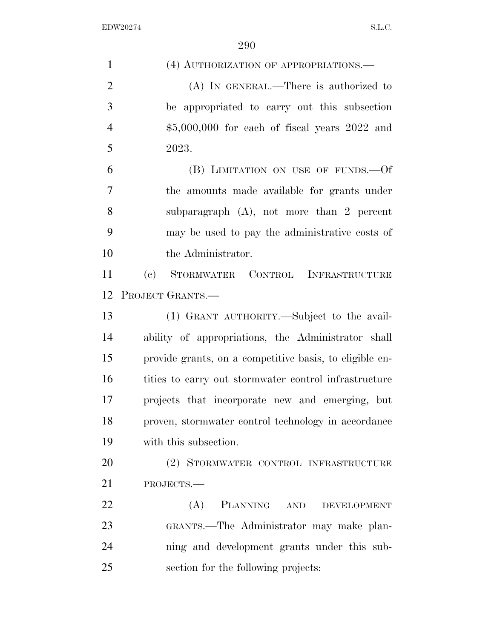| $\mathbf{1}$   | (4) AUTHORIZATION OF APPROPRIATIONS.—                   |
|----------------|---------------------------------------------------------|
| $\overline{2}$ | (A) IN GENERAL.—There is authorized to                  |
| 3              | be appropriated to carry out this subsection            |
| $\overline{4}$ | $$5,000,000$ for each of fiscal years $2022$ and        |
| 5              | 2023.                                                   |
| 6              | (B) LIMITATION ON USE OF FUNDS. - Of                    |
| 7              | the amounts made available for grants under             |
| 8              | subparagraph $(A)$ , not more than 2 percent            |
| 9              | may be used to pay the administrative costs of          |
| 10             | the Administrator.                                      |
| 11             | (c) STORMWATER CONTROL INFRASTRUCTURE                   |
| 12             | PROJECT GRANTS.                                         |
| 13             | (1) GRANT AUTHORITY.—Subject to the avail-              |
| 14             | ability of appropriations, the Administrator shall      |
| 15             | provide grants, on a competitive basis, to eligible en- |
| 16             | tities to carry out stormwater control infrastructure   |
| 17             | projects that incorporate new and emerging, but         |
| 18             | proven, stormwater control technology in accordance     |
| 19             | with this subsection.                                   |
| 20             | (2) STORMWATER CONTROL INFRASTRUCTURE                   |
| 21             | PROJECTS.-                                              |
| 22             | (A)<br>PLANNING AND<br>DEVELOPMENT                      |
| 23             | GRANTS.—The Administrator may make plan-                |
| 24             | ning and development grants under this sub-             |
| 25             | section for the following projects:                     |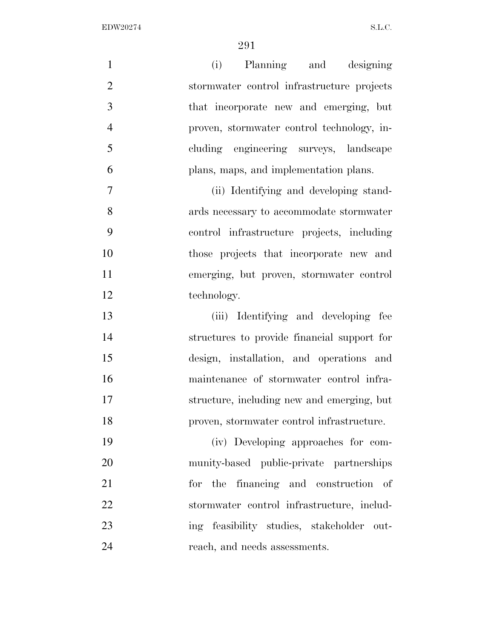| $\mathbf{1}$   | (i) Planning and designing                  |
|----------------|---------------------------------------------|
| $\overline{2}$ | stormwater control infrastructure projects  |
| 3              | that incorporate new and emerging, but      |
| $\overline{4}$ | proven, stormwater control technology, in-  |
| 5              | cluding engineering surveys, landscape      |
| 6              | plans, maps, and implementation plans.      |
| 7              | (ii) Identifying and developing stand-      |
| 8              | ards necessary to accommodate stormwater    |
| 9              | control infrastructure projects, including  |
| 10             | those projects that incorporate new and     |
| 11             | emerging, but proven, stormwater control    |
| 12             | technology.                                 |
| 13             | (iii) Identifying and developing fee        |
| 14             | structures to provide financial support for |
| 15             | design, installation, and operations and    |
| 16             | maintenance of stormwater control infra-    |
| 17             | structure, including new and emerging, but  |
| 18             | proven, stormwater control infrastructure.  |
| 19             | (iv) Developing approaches for com-         |
| 20             | munity-based public-private partnerships    |
| 21             | the financing and construction of<br>for    |
| 22             | stormwater control infrastructure, includ-  |
| 23             | ing feasibility studies, stakeholder out-   |
| 24             | reach, and needs assessments.               |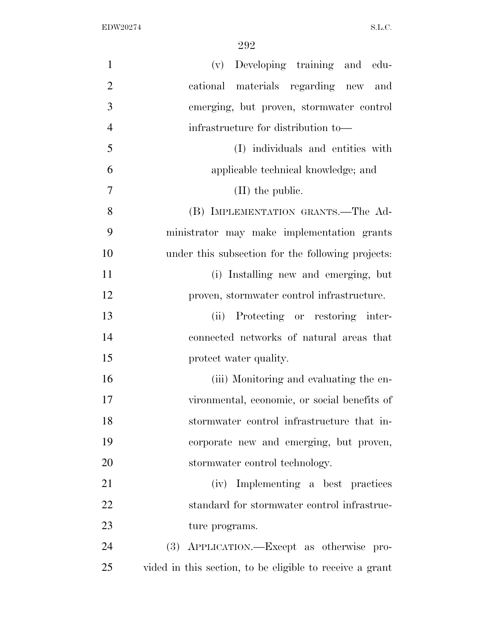| $\mathbf{1}$   | (v) Developing training and edu-                         |
|----------------|----------------------------------------------------------|
| $\overline{2}$ | cational materials regarding new and                     |
| 3              | emerging, but proven, stormwater control                 |
| $\overline{4}$ | infrastructure for distribution to—                      |
| 5              | (I) individuals and entities with                        |
| 6              | applicable technical knowledge; and                      |
| 7              | $(II)$ the public.                                       |
| 8              | (B) IMPLEMENTATION GRANTS.—The Ad-                       |
| 9              | ministrator may make implementation grants               |
| 10             | under this subsection for the following projects:        |
| 11             | (i) Installing new and emerging, but                     |
| 12             | proven, stormwater control infrastructure.               |
| 13             | (ii) Protecting or restoring inter-                      |
| 14             | connected networks of natural areas that                 |
| 15             | protect water quality.                                   |
| 16             | (iii) Monitoring and evaluating the en-                  |
| 17             | vironmental, economic, or social benefits of             |
| 18             | stormwater control infrastructure that in-               |
| 19             | corporate new and emerging, but proven,                  |
| 20             | stormwater control technology.                           |
| 21             | (iv) Implementing a best practices                       |
| 22             | standard for stormwater control infrastruc-              |
| 23             | ture programs.                                           |
| 24             | (3) APPLICATION.—Except as otherwise pro-                |
| 25             | vided in this section, to be eligible to receive a grant |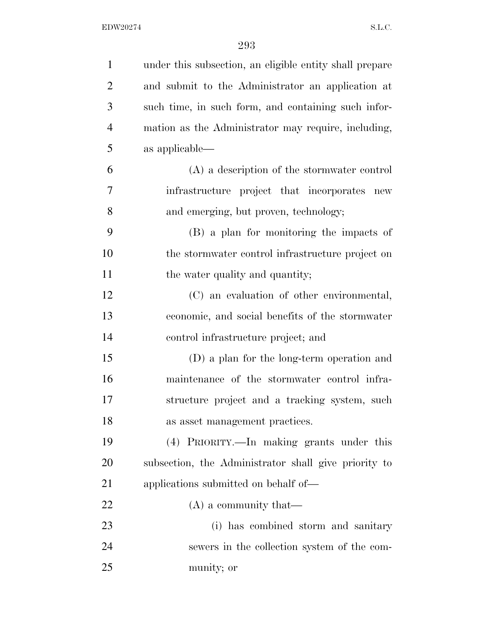| $\mathbf{1}$   | under this subsection, an eligible entity shall prepare |
|----------------|---------------------------------------------------------|
| $\overline{2}$ | and submit to the Administrator an application at       |
| 3              | such time, in such form, and containing such infor-     |
| $\overline{4}$ | mation as the Administrator may require, including,     |
| 5              | as applicable—                                          |
| 6              | (A) a description of the stormwater control             |
| 7              | infrastructure project that incorporates new            |
| 8              | and emerging, but proven, technology;                   |
| 9              | (B) a plan for monitoring the impacts of                |
| 10             | the stormwater control infrastructure project on        |
| 11             | the water quality and quantity;                         |
| 12             | (C) an evaluation of other environmental,               |
| 13             | economic, and social benefits of the stormwater         |
| 14             | control infrastructure project; and                     |
| 15             | (D) a plan for the long-term operation and              |
| 16             | maintenance of the stormwater control infra-            |
| 17             | structure project and a tracking system, such           |
| 18             | as asset management practices.                          |
| 19             | (4) PRIORITY.—In making grants under this               |
| 20             | subsection, the Administrator shall give priority to    |
| 21             | applications submitted on behalf of—                    |
| 22             | $(A)$ a community that—                                 |
| 23             | (i) has combined storm and sanitary                     |
| 24             | sewers in the collection system of the com-             |
| 25             | munity; or                                              |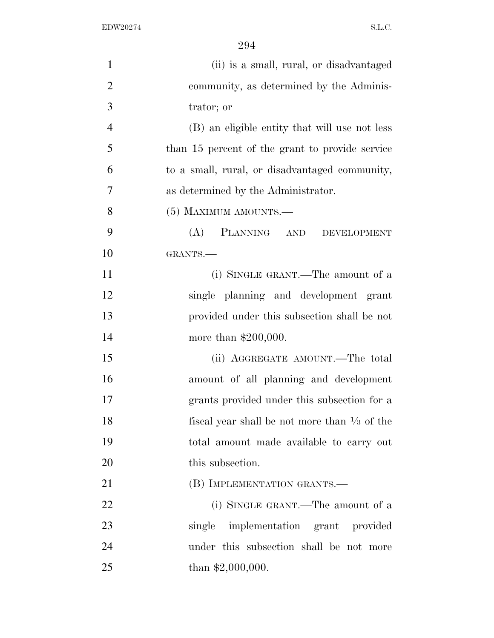| $\mathbf{1}$   | (ii) is a small, rural, or disadvantaged                |
|----------------|---------------------------------------------------------|
| $\overline{2}$ | community, as determined by the Adminis-                |
| 3              | trator; or                                              |
| $\overline{4}$ | (B) an eligible entity that will use not less           |
| 5              | than 15 percent of the grant to provide service         |
| 6              | to a small, rural, or disadvantaged community,          |
| 7              | as determined by the Administrator.                     |
| 8              | $(5)$ MAXIMUM AMOUNTS.—                                 |
| 9              | (A)<br>PLANNING AND<br><b>DEVELOPMENT</b>               |
| 10             | GRANTS.-                                                |
| 11             | (i) SINGLE GRANT.—The amount of a                       |
| 12             | single planning and development grant                   |
| 13             | provided under this subsection shall be not             |
| 14             | more than $$200,000$ .                                  |
| 15             | (ii) AGGREGATE AMOUNT.—The total                        |
| 16             | amount of all planning and development                  |
| 17             | grants provided under this subsection for a             |
| 18             | fiscal year shall be not more than $\frac{1}{3}$ of the |
| 19             | total amount made available to carry out                |
| 20             | this subsection.                                        |
| 21             | (B) IMPLEMENTATION GRANTS.—                             |
| 22             | (i) SINGLE GRANT.—The amount of a                       |
| 23             | single<br>implementation grant provided                 |
| 24             | under this subsection shall be not more                 |
| 25             | than $$2,000,000$ .                                     |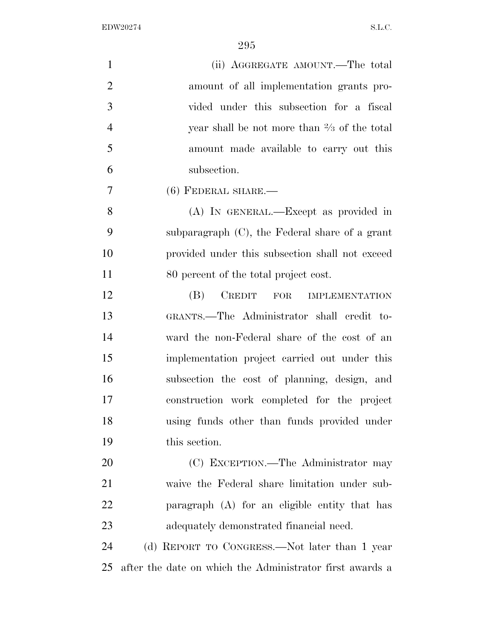| $\mathbf{1}$   | (ii) AGGREGATE AMOUNT.—The total                         |
|----------------|----------------------------------------------------------|
| $\overline{2}$ | amount of all implementation grants pro-                 |
| 3              | vided under this subsection for a fiscal                 |
| $\overline{4}$ | year shall be not more than $\frac{2}{3}$ of the total   |
| 5              | amount made available to carry out this                  |
| 6              | subsection.                                              |
| 7              | $(6)$ FEDERAL SHARE.—                                    |
| 8              | (A) IN GENERAL.—Except as provided in                    |
| 9              | subparagraph $(C)$ , the Federal share of a grant        |
| 10             | provided under this subsection shall not exceed          |
| 11             | 80 percent of the total project cost.                    |
| 12             | (B)<br>CREDIT FOR<br><b>IMPLEMENTATION</b>               |
| 13             | GRANTS.—The Administrator shall credit to-               |
| 14             | ward the non-Federal share of the cost of an             |
| 15             | implementation project carried out under this            |
| 16             | subsection the cost of planning, design, and             |
| 17             | construction work completed for the project              |
| 18             | using funds other than funds provided under              |
| 19             | this section.                                            |
| 20             | (C) EXCEPTION.—The Administrator may                     |
| 21             | waive the Federal share limitation under sub-            |
| 22             | paragraph (A) for an eligible entity that has            |
| 23             | adequately demonstrated financial need.                  |
| 24             | (d) REPORT TO CONGRESS.—Not later than 1 year            |
| 25             | after the date on which the Administrator first awards a |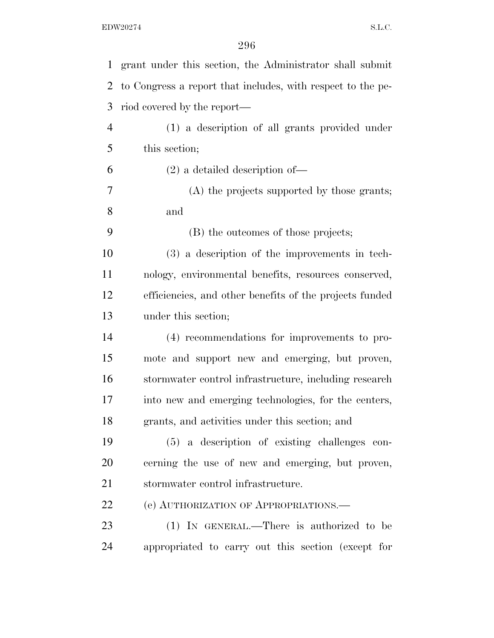| 1              | grant under this section, the Administrator shall submit    |
|----------------|-------------------------------------------------------------|
| 2              | to Congress a report that includes, with respect to the pe- |
| 3              | riod covered by the report—                                 |
| $\overline{4}$ | (1) a description of all grants provided under              |
| 5              | this section;                                               |
| 6              | $(2)$ a detailed description of —                           |
| 7              | (A) the projects supported by those grants;                 |
| 8              | and                                                         |
| 9              | (B) the outcomes of those projects;                         |
| 10             | (3) a description of the improvements in tech-              |
| 11             | nology, environmental benefits, resources conserved,        |
| 12             | efficiencies, and other benefits of the projects funded     |
| 13             | under this section;                                         |
| 14             | (4) recommendations for improvements to pro-                |
| 15             | mote and support new and emerging, but proven,              |
| 16             | stormwater control infrastructure, including research       |
| 17             | into new and emerging technologies, for the centers,        |
| 18             | grants, and activities under this section; and              |
| 19             | (5) a description of existing challenges con-               |
| 20             | cerning the use of new and emerging, but proven,            |
| 21             | stormwater control infrastructure.                          |
| 22             | (e) AUTHORIZATION OF APPROPRIATIONS.                        |
| 23             | (1) IN GENERAL.—There is authorized to be                   |
| 24             | appropriated to carry out this section (except for          |
|                |                                                             |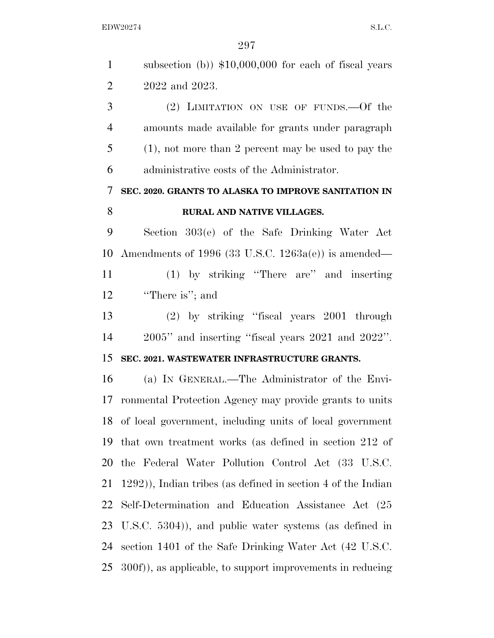| $\mathbf{1}$   | subsection (b)) $$10,000,000$ for each of fiscal years          |
|----------------|-----------------------------------------------------------------|
| $\overline{2}$ | 2022 and 2023.                                                  |
| 3              | (2) LIMITATION ON USE OF FUNDS. Of the                          |
| $\overline{4}$ | amounts made available for grants under paragraph               |
| 5              | $(1)$ , not more than 2 percent may be used to pay the          |
| 6              | administrative costs of the Administrator.                      |
| 7              | SEC. 2020. GRANTS TO ALASKA TO IMPROVE SANITATION IN            |
| 8              | RURAL AND NATIVE VILLAGES.                                      |
| 9              | Section 303(e) of the Safe Drinking Water Act                   |
| 10             | Amendments of 1996 (33 U.S.C. $1263a(e)$ ) is amended—          |
| 11             | (1) by striking "There are" and inserting                       |
| 12             | "There is"; and                                                 |
| 13             | (2) by striking "fiscal years 2001 through                      |
| 14             | $2005$ " and inserting "fiscal years $2021$ and $2022$ ".       |
| 15             | SEC. 2021. WASTEWATER INFRASTRUCTURE GRANTS.                    |
| 16             | (a) IN GENERAL.—The Administrator of the Envi-                  |
| 17             | ronmental Protection Agency may provide grants to units         |
| 18             | of local government, including units of local government        |
| 19             | that own treatment works (as defined in section 212 of          |
| 20             | the Federal Water Pollution Control Act (33 U.S.C.              |
| 21             | $(1292)$ , Indian tribes (as defined in section 4 of the Indian |
| 22             | Self-Determination and Education Assistance Act (25             |
| 23             | U.S.C. 5304)), and public water systems (as defined in          |
| 24             | section 1401 of the Safe Drinking Water Act (42 U.S.C.          |
| 25             | 300f), as applicable, to support improvements in reducing       |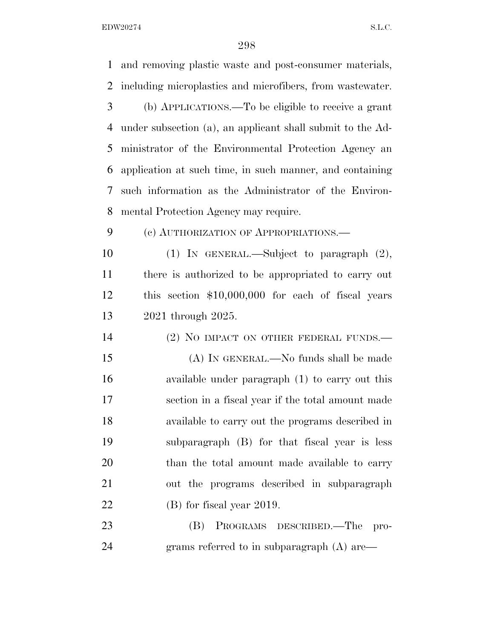and removing plastic waste and post-consumer materials, including microplastics and microfibers, from wastewater. (b) APPLICATIONS.—To be eligible to receive a grant under subsection (a), an applicant shall submit to the Ad- ministrator of the Environmental Protection Agency an application at such time, in such manner, and containing such information as the Administrator of the Environ- mental Protection Agency may require. (c) AUTHORIZATION OF APPROPRIATIONS.— (1) IN GENERAL.—Subject to paragraph (2), there is authorized to be appropriated to carry out this section \$10,000,000 for each of fiscal years 2021 through 2025. 14 (2) NO IMPACT ON OTHER FEDERAL FUNDS.— (A) IN GENERAL.—No funds shall be made available under paragraph (1) to carry out this section in a fiscal year if the total amount made available to carry out the programs described in subparagraph (B) for that fiscal year is less 20 than the total amount made available to carry out the programs described in subparagraph (B) for fiscal year 2019. (B) PROGRAMS DESCRIBED.—The pro-24 grams referred to in subparagraph (A) are—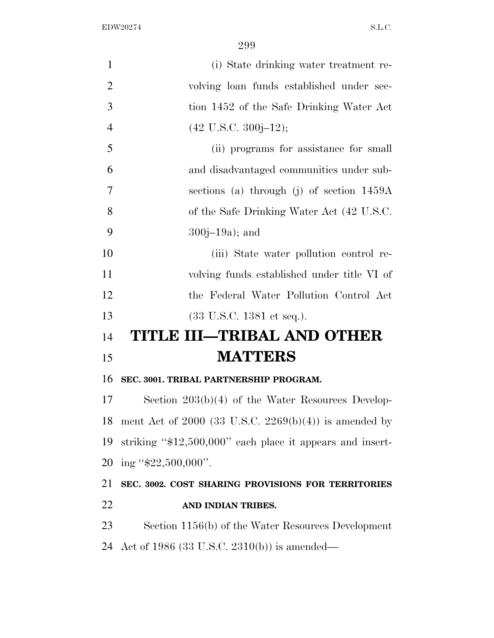| (i) State drinking water treatment re-                       |
|--------------------------------------------------------------|
| volving loan funds established under sec-                    |
| tion 1452 of the Safe Drinking Water Act                     |
| $(42 \text{ U.S.C. } 300j-12);$                              |
| (ii) programs for assistance for small                       |
| and disadvantaged communities under sub-                     |
| sections (a) through (j) of section $1459A$                  |
| of the Safe Drinking Water Act (42 U.S.C.                    |
| $300j - 19a$ ; and                                           |
| (iii) State water pollution control re-                      |
| volving funds established under title VI of                  |
| the Federal Water Pollution Control Act                      |
| $(33 \text{ U.S.C. } 1381 \text{ et seq.}).$                 |
| TITLE III–TRIBAL AND OTHER                                   |
| <b>MATTERS</b>                                               |
| SEC. 3001. TRIBAL PARTNERSHIP PROGRAM.                       |
| Section $203(b)(4)$ of the Water Resources Develop-          |
| ment Act of 2000 (33 U.S.C. 2269(b)(4)) is amended by        |
| striking " $$12,500,000$ " each place it appears and insert- |
| ing " $$22,500,000$ ".                                       |
| SEC. 3002. COST SHARING PROVISIONS FOR TERRITORIES           |
| AND INDIAN TRIBES.                                           |
| Section 1156(b) of the Water Resources Development           |
|                                                              |

Act of 1986 (33 U.S.C. 2310(b)) is amended—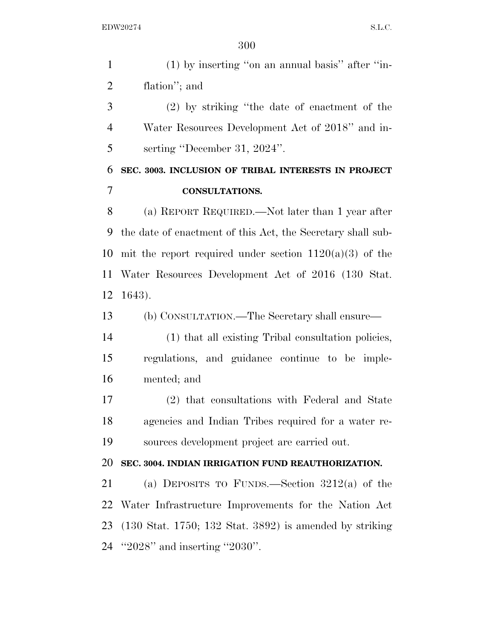(1) by inserting ''on an annual basis'' after ''in- flation''; and (2) by striking ''the date of enactment of the Water Resources Development Act of 2018'' and in- serting ''December 31, 2024''. **SEC. 3003. INCLUSION OF TRIBAL INTERESTS IN PROJECT CONSULTATIONS.**  (a) REPORT REQUIRED.—Not later than 1 year after the date of enactment of this Act, the Secretary shall sub-10 mit the report required under section  $1120(a)(3)$  of the Water Resources Development Act of 2016 (130 Stat. 1643). (b) CONSULTATION.—The Secretary shall ensure— (1) that all existing Tribal consultation policies, regulations, and guidance continue to be imple- mented; and (2) that consultations with Federal and State agencies and Indian Tribes required for a water re- sources development project are carried out. **SEC. 3004. INDIAN IRRIGATION FUND REAUTHORIZATION.**  (a) DEPOSITS TO FUNDS.—Section 3212(a) of the Water Infrastructure Improvements for the Nation Act (130 Stat. 1750; 132 Stat. 3892) is amended by striking ''2028'' and inserting ''2030''.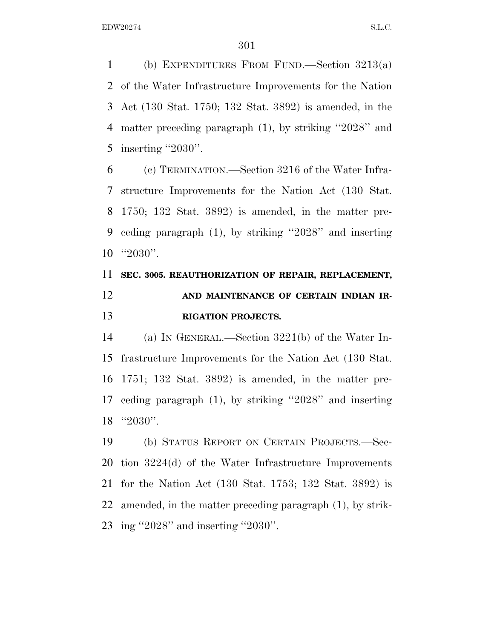(b) EXPENDITURES FROM FUND.—Section 3213(a) of the Water Infrastructure Improvements for the Nation Act (130 Stat. 1750; 132 Stat. 3892) is amended, in the matter preceding paragraph (1), by striking ''2028'' and inserting ''2030''.

 (c) TERMINATION.—Section 3216 of the Water Infra- structure Improvements for the Nation Act (130 Stat. 1750; 132 Stat. 3892) is amended, in the matter pre- ceding paragraph (1), by striking ''2028'' and inserting ''2030''.

# **SEC. 3005. REAUTHORIZATION OF REPAIR, REPLACEMENT, AND MAINTENANCE OF CERTAIN INDIAN IR-RIGATION PROJECTS.**

 (a) IN GENERAL.—Section 3221(b) of the Water In- frastructure Improvements for the Nation Act (130 Stat. 1751; 132 Stat. 3892) is amended, in the matter pre- ceding paragraph (1), by striking ''2028'' and inserting ''2030''.

 (b) STATUS REPORT ON CERTAIN PROJECTS.—Sec- tion 3224(d) of the Water Infrastructure Improvements for the Nation Act (130 Stat. 1753; 132 Stat. 3892) is amended, in the matter preceding paragraph (1), by strik-ing ''2028'' and inserting ''2030''.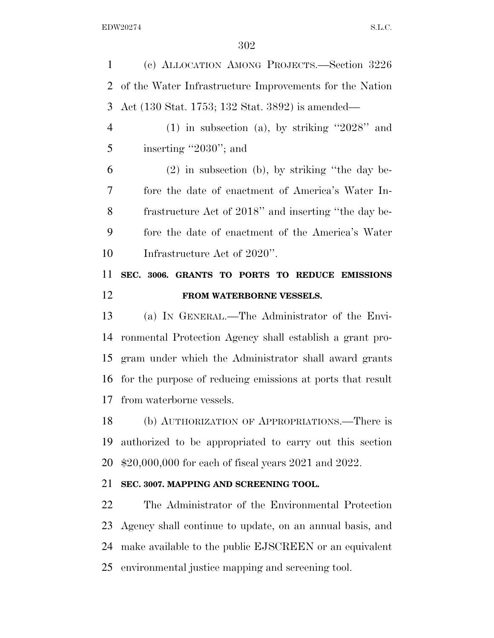(c) ALLOCATION AMONG PROJECTS.—Section 3226 of the Water Infrastructure Improvements for the Nation Act (130 Stat. 1753; 132 Stat. 3892) is amended—

 (1) in subsection (a), by striking ''2028'' and 5 inserting "2030"; and

 (2) in subsection (b), by striking ''the day be- fore the date of enactment of America's Water In- frastructure Act of 2018'' and inserting ''the day be- fore the date of enactment of the America's Water Infrastructure Act of 2020''.

## **SEC. 3006. GRANTS TO PORTS TO REDUCE EMISSIONS FROM WATERBORNE VESSELS.**

 (a) IN GENERAL.—The Administrator of the Envi- ronmental Protection Agency shall establish a grant pro- gram under which the Administrator shall award grants for the purpose of reducing emissions at ports that result from waterborne vessels.

 (b) AUTHORIZATION OF APPROPRIATIONS.—There is authorized to be appropriated to carry out this section \$20,000,000 for each of fiscal years 2021 and 2022.

#### **SEC. 3007. MAPPING AND SCREENING TOOL.**

 The Administrator of the Environmental Protection Agency shall continue to update, on an annual basis, and make available to the public EJSCREEN or an equivalent environmental justice mapping and screening tool.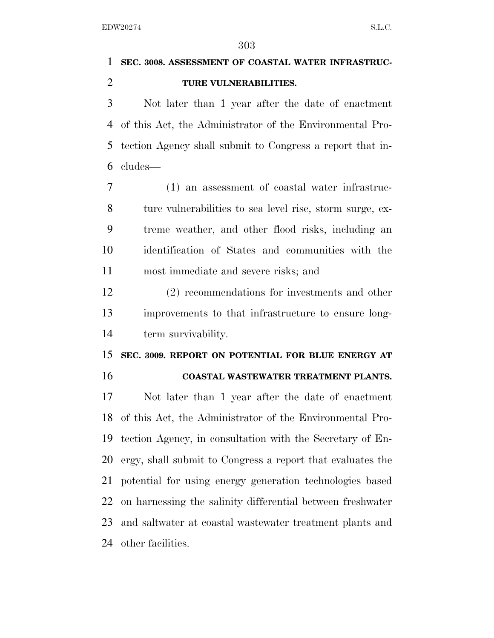## **SEC. 3008. ASSESSMENT OF COASTAL WATER INFRASTRUC-TURE VULNERABILITIES.**

 Not later than 1 year after the date of enactment of this Act, the Administrator of the Environmental Pro- tection Agency shall submit to Congress a report that in-cludes—

 (1) an assessment of coastal water infrastruc- ture vulnerabilities to sea level rise, storm surge, ex- treme weather, and other flood risks, including an identification of States and communities with the most immediate and severe risks; and

 (2) recommendations for investments and other improvements to that infrastructure to ensure long-term survivability.

# **SEC. 3009. REPORT ON POTENTIAL FOR BLUE ENERGY AT**

#### **COASTAL WASTEWATER TREATMENT PLANTS.**

 Not later than 1 year after the date of enactment of this Act, the Administrator of the Environmental Pro- tection Agency, in consultation with the Secretary of En- ergy, shall submit to Congress a report that evaluates the potential for using energy generation technologies based on harnessing the salinity differential between freshwater and saltwater at coastal wastewater treatment plants and other facilities.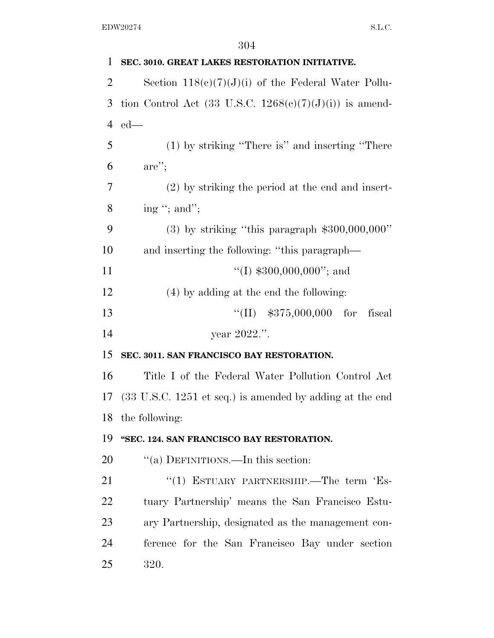| 1              | SEC. 3010. GREAT LAKES RESTORATION INITIATIVE.                              |
|----------------|-----------------------------------------------------------------------------|
| $\overline{2}$ | Section $118(c)(7)(J)(i)$ of the Federal Water Pollu-                       |
| 3              | tion Control Act $(33 \text{ U.S.C. } 1268(c)(7)(J)(i))$ is amend-          |
| 4              | $ed$ —                                                                      |
| 5              | (1) by striking "There is" and inserting "There                             |
| 6              | $are$ ";                                                                    |
| 7              | $(2)$ by striking the period at the end and insert-                         |
| 8              | ing "; and";                                                                |
| 9              | $(3)$ by striking "this paragraph \$300,000,000"                            |
| 10             | and inserting the following: "this paragraph—                               |
| 11             | "(I) $$300,000,000"$ ; and                                                  |
| 12             | (4) by adding at the end the following:                                     |
| 13             | $``(II)$ \$375,000,000 for<br>fiscal                                        |
| 14             | year 2022.".                                                                |
| 15             | SEC. 3011. SAN FRANCISCO BAY RESTORATION.                                   |
| 16             | Title I of the Federal Water Pollution Control Act                          |
| 17             | $(33 \text{ U.S.C. } 1251 \text{ et seq.})$ is amended by adding at the end |
| 18             | the following:                                                              |
| 19             | "SEC. 124. SAN FRANCISCO BAY RESTORATION.                                   |
| 20             | "(a) DEFINITIONS.—In this section:                                          |
| 21             | "(1) ESTUARY PARTNERSHIP.—The term 'Es-                                     |
| 22             | tuary Partnership' means the San Francisco Estu-                            |
| 23             | ary Partnership, designated as the management con-                          |
| 24             | ference for the San Francisco Bay under section                             |
| 25             | 320.                                                                        |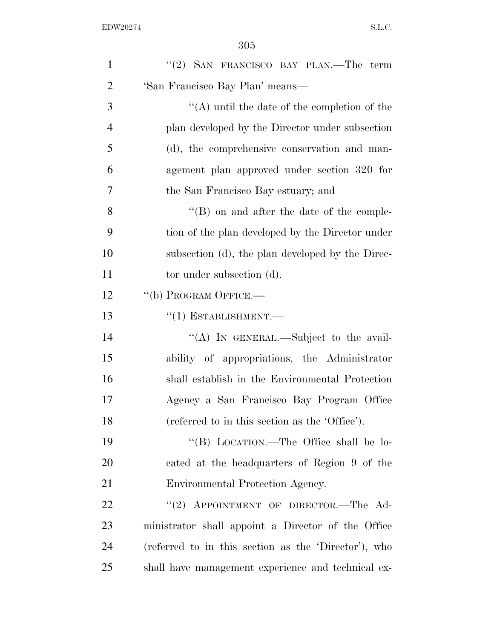| $\mathbf{1}$   | "(2) SAN FRANCISCO BAY PLAN.—The term                |
|----------------|------------------------------------------------------|
| $\overline{2}$ | 'San Francisco Bay Plan' means—                      |
| 3              | "(A) until the date of the completion of the         |
| $\overline{4}$ | plan developed by the Director under subsection      |
| 5              | (d), the comprehensive conservation and man-         |
| 6              | agement plan approved under section 320 for          |
| 7              | the San Francisco Bay estuary; and                   |
| 8              | $\lq\lq (B)$ on and after the date of the comple-    |
| 9              | tion of the plan developed by the Director under     |
| 10             | subsection (d), the plan developed by the Direc-     |
| 11             | tor under subsection (d).                            |
| 12             | "(b) PROGRAM OFFICE.—                                |
| 13             | $``(1)$ ESTABLISHMENT.—                              |
| 14             | "(A) IN GENERAL.—Subject to the avail-               |
| 15             | ability of appropriations, the Administrator         |
| 16             | shall establish in the Environmental Protection      |
| 17             | Agency a San Francisco Bay Program Office            |
| 18             | (referred to in this section as the 'Office').       |
| 19             | "(B) LOCATION.—The Office shall be lo-               |
| 20             | cated at the headquarters of Region 9 of the         |
| 21             | Environmental Protection Agency.                     |
| 22             | "(2) APPOINTMENT OF DIRECTOR.—The Ad-                |
| 23             | ministrator shall appoint a Director of the Office   |
| 24             | (referred to in this section as the 'Director'), who |
| 25             | shall have management experience and technical ex-   |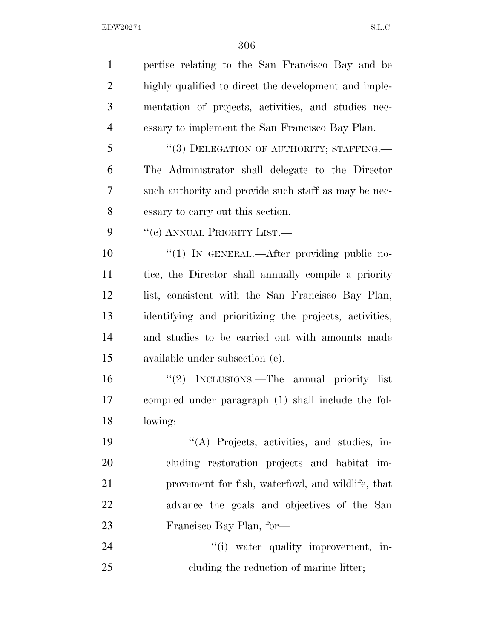| $\mathbf{1}$   | pertise relating to the San Francisco Bay and be       |
|----------------|--------------------------------------------------------|
| $\overline{2}$ | highly qualified to direct the development and imple-  |
| 3              | mentation of projects, activities, and studies nec-    |
| $\overline{4}$ | essary to implement the San Francisco Bay Plan.        |
| 5              | "(3) DELEGATION OF AUTHORITY; STAFFING.—               |
| 6              | The Administrator shall delegate to the Director       |
| 7              | such authority and provide such staff as may be nec-   |
| 8              | essary to carry out this section.                      |
| 9              | "(c) ANNUAL PRIORITY LIST.—                            |
| 10             | "(1) IN GENERAL.—After providing public no-            |
| 11             | tice, the Director shall annually compile a priority   |
| 12             | list, consistent with the San Francisco Bay Plan,      |
| 13             | identifying and prioritizing the projects, activities, |
| 14             | and studies to be carried out with amounts made        |
| 15             | available under subsection (e).                        |
| 16             | "(2) INCLUSIONS.—The annual priority list              |
| 17             | compiled under paragraph (1) shall include the fol-    |
| 18             | lowing:                                                |
| 19             | "(A) Projects, activities, and studies, in-            |
| 20             | cluding restoration projects and habitat im-           |
| 21             | provement for fish, waterfowl, and wildlife, that      |
| 22             | advance the goals and objectives of the San            |
| 23             | Francisco Bay Plan, for-                               |
| 24             | "(i) water quality improvement, in-                    |
| 25             | cluding the reduction of marine litter;                |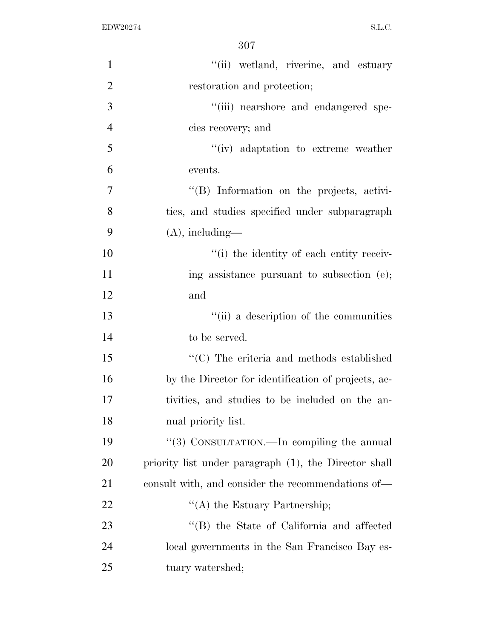| $\mathbf{1}$   | "(ii) wetland, riverine, and estuary                  |
|----------------|-------------------------------------------------------|
| $\overline{2}$ | restoration and protection;                           |
| 3              | "(iii) nearshore and endangered spe-                  |
| $\overline{4}$ | cies recovery; and                                    |
| 5              | "(iv) adaptation to extreme weather                   |
| 6              | events.                                               |
| $\overline{7}$ | "(B) Information on the projects, activi-             |
| 8              | ties, and studies specified under subparagraph        |
| 9              | $(A)$ , including—                                    |
| 10             | "(i) the identity of each entity receiv-              |
| 11             | ing assistance pursuant to subsection (e);            |
| 12             | and                                                   |
| 13             | "(ii) a description of the communities                |
| 14             | to be served.                                         |
| 15             | "(C) The criteria and methods established             |
| 16             | by the Director for identification of projects, ac-   |
| 17             | tivities, and studies to be included on the an-       |
| 18             | nual priority list.                                   |
| 19             | "(3) CONSULTATION.—In compiling the annual            |
| 20             | priority list under paragraph (1), the Director shall |
| 21             | consult with, and consider the recommendations of—    |
| 22             | $\lq\lq$ the Estuary Partnership;                     |
| 23             | "(B) the State of California and affected             |
| 24             | local governments in the San Francisco Bay es-        |
| 25             | tuary watershed;                                      |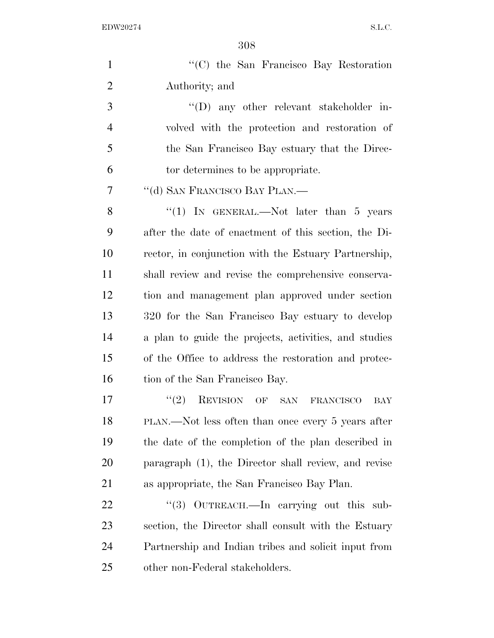| $\mathbf{1}$   | "(C) the San Francisco Bay Restoration                |
|----------------|-------------------------------------------------------|
| $\overline{2}$ | Authority; and                                        |
| 3              | $\lq\lq$ any other relevant stakeholder in-           |
| $\overline{4}$ | volved with the protection and restoration of         |
| 5              | the San Francisco Bay estuary that the Direc-         |
| 6              | tor determines to be appropriate.                     |
| 7              | "(d) SAN FRANCISCO BAY PLAN.—                         |
| 8              | "(1) IN GENERAL.—Not later than 5 years               |
| 9              | after the date of enactment of this section, the Di-  |
| 10             | rector, in conjunction with the Estuary Partnership,  |
| 11             | shall review and revise the comprehensive conserva-   |
| 12             | tion and management plan approved under section       |
| 13             | 320 for the San Francisco Bay estuary to develop      |
| 14             | a plan to guide the projects, activities, and studies |
| 15             | of the Office to address the restoration and protec-  |
| 16             | tion of the San Francisco Bay.                        |
| 17             | (2)<br>REVISION OF<br>SAN FRANCISCO<br>BAY            |
| 18             | PLAN.—Not less often than once every 5 years after    |
| 19             | the date of the completion of the plan described in   |
| 20             | paragraph (1), the Director shall review, and revise  |
| 21             | as appropriate, the San Francisco Bay Plan.           |
| 22             | OUTREACH.—In carrying out this sub-<br>(3)            |
| 23             | section, the Director shall consult with the Estuary  |
| 24             | Partnership and Indian tribes and solicit input from  |
| 25             | other non-Federal stakeholders.                       |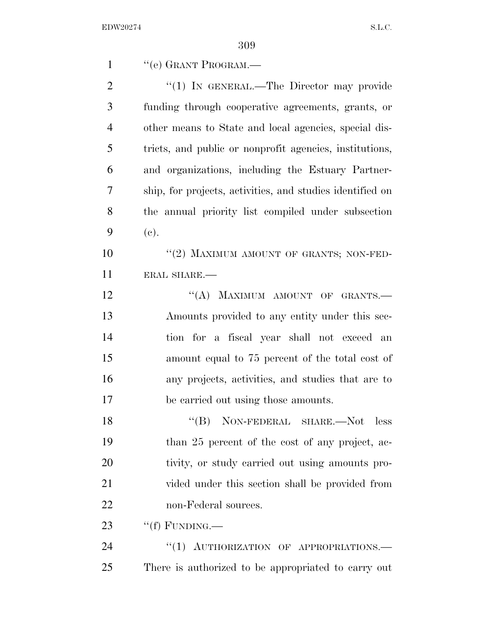| $\mathbf{1}$   | "(e) GRANT PROGRAM.-                                      |
|----------------|-----------------------------------------------------------|
| $\overline{2}$ | " $(1)$ IN GENERAL.—The Director may provide              |
| 3              | funding through cooperative agreements, grants, or        |
| $\overline{4}$ | other means to State and local agencies, special dis-     |
| 5              | tricts, and public or nonprofit agencies, institutions,   |
| 6              | and organizations, including the Estuary Partner-         |
| 7              | ship, for projects, activities, and studies identified on |
| 8              | the annual priority list compiled under subsection        |
| 9              | (e).                                                      |
| 10             | "(2) MAXIMUM AMOUNT OF GRANTS; NON-FED-                   |
| 11             | ERAL SHARE.                                               |
| 12             | "(A) MAXIMUM AMOUNT OF GRANTS.-                           |
| 13             | Amounts provided to any entity under this sec-            |
| 14             | tion for a fiscal year shall not exceed an                |
| 15             | amount equal to 75 percent of the total cost of           |
| 16             | any projects, activities, and studies that are to         |
| 17             | be carried out using those amounts.                       |
| 18             | $``(B)$ NON-FEDERAL SHARE.—Not less                       |
| 19             | than 25 percent of the cost of any project, ac-           |
| 20             | tivity, or study carried out using amounts pro-           |
| 21             | vided under this section shall be provided from           |
| 22             | non-Federal sources.                                      |
| 23             | "(f) FUNDING.—                                            |
| 24             | "(1) AUTHORIZATION OF APPROPRIATIONS.                     |
| 25             | There is authorized to be appropriated to carry out       |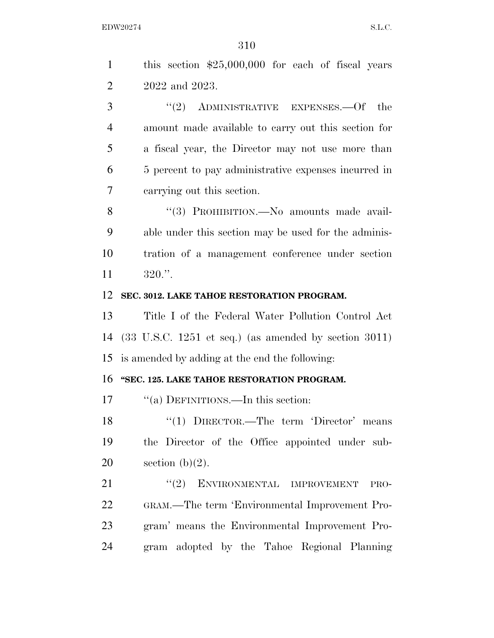| $\mathbf{1}$   | this section $$25,000,000$ for each of fiscal years                      |
|----------------|--------------------------------------------------------------------------|
| $\overline{2}$ | 2022 and 2023.                                                           |
| 3              | "(2) ADMINISTRATIVE EXPENSES.—Of the                                     |
| $\overline{4}$ | amount made available to carry out this section for                      |
| 5              | a fiscal year, the Director may not use more than                        |
| 6              | 5 percent to pay administrative expenses incurred in                     |
| 7              | carrying out this section.                                               |
| 8              | "(3) PROHIBITION.—No amounts made avail-                                 |
| 9              | able under this section may be used for the adminis-                     |
| 10             | tration of a management conference under section                         |
| 11             | $320."$ .                                                                |
| 12             | SEC. 3012. LAKE TAHOE RESTORATION PROGRAM.                               |
| 13             | Title I of the Federal Water Pollution Control Act                       |
| 14             | $(33 \text{ U.S.C. } 1251 \text{ et seq.})$ (as amended by section 3011) |
| 15             | is amended by adding at the end the following:                           |
| 16             | "SEC. 125. LAKE TAHOE RESTORATION PROGRAM.                               |
| 17             | "(a) DEFINITIONS.—In this section:                                       |
| 18             | "(1) $DIRECTOR$ —The term 'Director' means                               |
| 19             | the Director of the Office appointed under sub-                          |
| 20             | section $(b)(2)$ .                                                       |
| 21             | "(2) ENVIRONMENTAL IMPROVEMENT<br>PRO-                                   |
| 22             | GRAM.—The term 'Environmental Improvement Pro-                           |
| 23             | gram' means the Environmental Improvement Pro-                           |
| 24             | gram adopted by the Tahoe Regional Planning                              |
|                |                                                                          |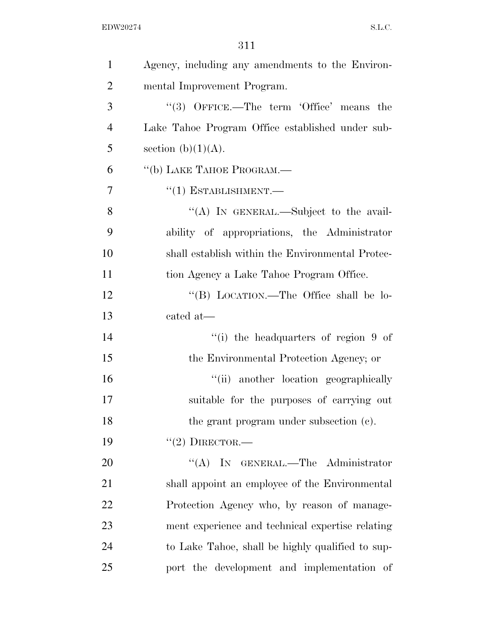| $\mathbf{1}$   | Agency, including any amendments to the Environ- |
|----------------|--------------------------------------------------|
| $\overline{2}$ | mental Improvement Program.                      |
| 3              | "(3) OFFICE.—The term 'Office' means the         |
| $\overline{4}$ | Lake Tahoe Program Office established under sub- |
| 5              | section $(b)(1)(A)$ .                            |
| 6              | "(b) LAKE TAHOE PROGRAM.—                        |
| 7              | $``(1)$ ESTABLISHMENT.—                          |
| 8              | "(A) IN GENERAL.—Subject to the avail-           |
| 9              | ability of appropriations, the Administrator     |
| 10             | shall establish within the Environmental Protec- |
| 11             | tion Agency a Lake Tahoe Program Office.         |
| 12             | "(B) LOCATION.—The Office shall be lo-           |
| 13             | cated at-                                        |
| 14             | "(i) the headquarters of region 9 of             |
| 15             | the Environmental Protection Agency; or          |
| 16             | "(ii) another location geographically            |
| 17             | suitable for the purposes of carrying out        |
| 18             | the grant program under subsection (c).          |
| 19             | "(2) DIRECTOR.—                                  |
| 20             | "(A) IN GENERAL.—The Administrator               |
| 21             | shall appoint an employee of the Environmental   |
| 22             | Protection Agency who, by reason of manage-      |
| 23             | ment experience and technical expertise relating |
| 24             | to Lake Tahoe, shall be highly qualified to sup- |
| 25             | port the development and implementation of       |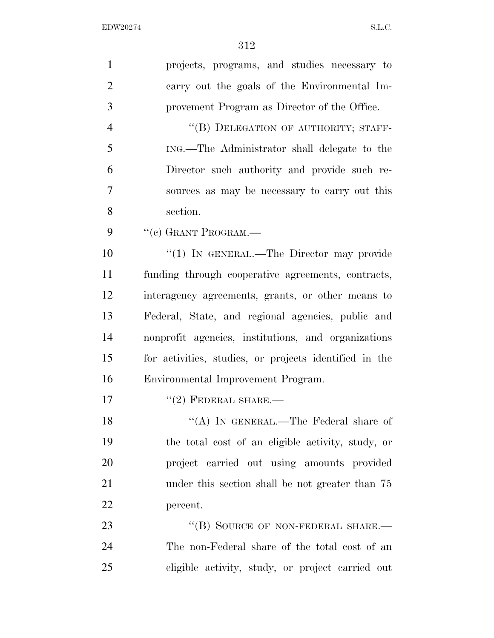| $\mathbf{1}$   | projects, programs, and studies necessary to           |
|----------------|--------------------------------------------------------|
| $\overline{2}$ | carry out the goals of the Environmental Im-           |
| 3              | provement Program as Director of the Office.           |
| $\overline{4}$ | "(B) DELEGATION OF AUTHORITY; STAFF-                   |
| 5              | ING.—The Administrator shall delegate to the           |
| 6              | Director such authority and provide such re-           |
| 7              | sources as may be necessary to carry out this          |
| 8              | section.                                               |
| 9              | "(c) GRANT PROGRAM.—                                   |
| 10             | "(1) IN GENERAL.—The Director may provide              |
| 11             | funding through cooperative agreements, contracts,     |
| 12             | interagency agreements, grants, or other means to      |
| 13             | Federal, State, and regional agencies, public and      |
| 14             | nonprofit agencies, institutions, and organizations    |
| 15             | for activities, studies, or projects identified in the |
| 16             | Environmental Improvement Program.                     |
| 17             | $"(2)$ FEDERAL SHARE.—                                 |
| 18             | "(A) IN GENERAL.—The Federal share of                  |
| 19             | the total cost of an eligible activity, study, or      |
| 20             | project carried out using amounts provided             |
| 21             | under this section shall be not greater than 75        |
| 22             | percent.                                               |
| 23             | "(B) SOURCE OF NON-FEDERAL SHARE.-                     |
| 24             | The non-Federal share of the total cost of an          |
| 25             | eligible activity, study, or project carried out       |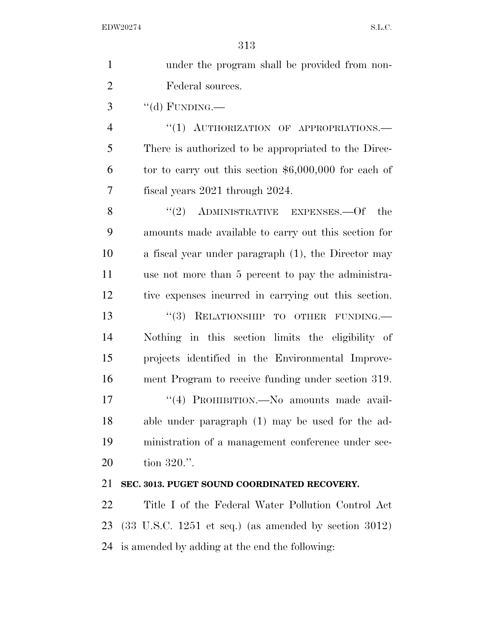| $\mathbf{1}$   | under the program shall be provided from non-                               |
|----------------|-----------------------------------------------------------------------------|
| $\overline{2}$ | Federal sources.                                                            |
| 3              | "(d) FUNDING.—                                                              |
| $\overline{4}$ | "(1) AUTHORIZATION OF APPROPRIATIONS.-                                      |
| 5              | There is authorized to be appropriated to the Direc-                        |
| 6              | tor to carry out this section $$6,000,000$ for each of                      |
| 7              | fiscal years 2021 through 2024.                                             |
| 8              | $(2)$ ADMINISTRATIVE EXPENSES. - Of the                                     |
| 9              | amounts made available to carry out this section for                        |
| 10             | a fiscal year under paragraph (1), the Director may                         |
| 11             | use not more than 5 percent to pay the administra-                          |
| 12             | tive expenses incurred in carrying out this section.                        |
| 13             | "(3) RELATIONSHIP TO OTHER FUNDING.                                         |
| 14             | Nothing in this section limits the eligibility of                           |
| 15             | projects identified in the Environmental Improve-                           |
| 16             | ment Program to receive funding under section 319.                          |
| 17             | "(4) PROHIBITION.—No amounts made avail-                                    |
| 18             | able under paragraph (1) may be used for the ad-                            |
| 19             | ministration of a management conference under sec-                          |
| 20             | tion $320$ .".                                                              |
| 21             | SEC. 3013. PUGET SOUND COORDINATED RECOVERY.                                |
| 22             | Title I of the Federal Water Pollution Control Act                          |
| 23             | $(33 \text{ U.S.C. } 1251 \text{ et seq.})$ (as amended by section $3012$ ) |

is amended by adding at the end the following: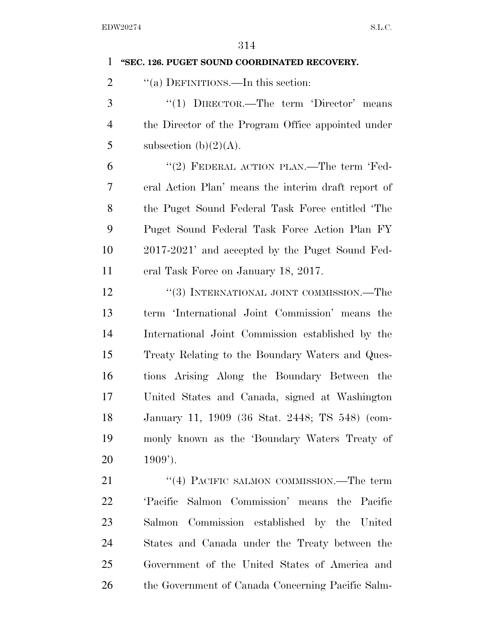| 1              | "SEC. 126. PUGET SOUND COORDINATED RECOVERY.        |
|----------------|-----------------------------------------------------|
| $\overline{2}$ | "(a) DEFINITIONS.—In this section:                  |
| 3              | "(1) $DIRECTOR.$ —The term 'Director' means         |
| $\overline{4}$ | the Director of the Program Office appointed under  |
| 5              | subsection (b) $(2)(A)$ .                           |
| 6              | "(2) FEDERAL ACTION PLAN.—The term 'Fed-            |
| 7              | eral Action Plan' means the interimedraft report of |
| 8              | the Puget Sound Federal Task Force entitled 'The    |
| 9              | Puget Sound Federal Task Force Action Plan FY       |
| 10             | 2017-2021' and accepted by the Puget Sound Fed-     |
| 11             | eral Task Force on January 18, 2017.                |
| 12             | "(3) INTERNATIONAL JOINT COMMISSION.—The            |
| 13             | term 'International Joint Commission' means the     |
| 14             | International Joint Commission established by the   |
| 15             | Treaty Relating to the Boundary Waters and Ques-    |
| 16             | tions Arising Along the Boundary Between the        |
| 17             | United States and Canada, signed at Washington      |
| 18             | January 11, 1909 (36 Stat. 2448; TS 548) (com-      |
| 19             | monly known as the 'Boundary Waters Treaty of       |
| 20             | $1909'$ ).                                          |
| 21             | "(4) PACIFIC SALMON COMMISSION.—The term            |
| 22             | 'Pacific Salmon Commission' means the Pacific       |
| 23             | Salmon Commission established by the United         |
| 24             | States and Canada under the Treaty between the      |
| 25             | Government of the United States of America and      |
| 26             | the Government of Canada Concerning Pacific Salm-   |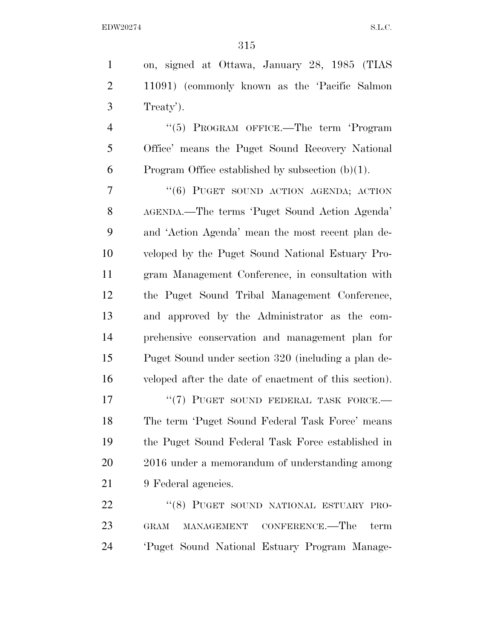| $\mathbf{1}$   | on, signed at Ottawa, January 28, 1985 (TIAS                |
|----------------|-------------------------------------------------------------|
| $\overline{2}$ | 11091) (commonly known as the 'Pacific Salmon               |
| 3              | Treaty').                                                   |
| $\overline{4}$ | "(5) PROGRAM OFFICE.—The term 'Program                      |
| 5              | Office' means the Puget Sound Recovery National             |
| 6              | Program Office established by subsection $(b)(1)$ .         |
| 7              | "(6) PUGET SOUND ACTION AGENDA; ACTION                      |
| 8              | AGENDA.—The terms 'Puget Sound Action Agenda'               |
| 9              | and 'Action Agenda' mean the most recent plan de-           |
| 10             | veloped by the Puget Sound National Estuary Pro-            |
| 11             | gram Management Conference, in consultation with            |
| 12             | the Puget Sound Tribal Management Conference,               |
| 13             | and approved by the Administrator as the com-               |
| 14             | prehensive conservation and management plan for             |
| 15             | Puget Sound under section 320 (including a plan de-         |
| 16             | veloped after the date of enactment of this section).       |
| 17             | "(7) PUGET SOUND FEDERAL TASK FORCE.-                       |
| 18             | The term 'Puget Sound Federal Task Force' means             |
| 19             | the Puget Sound Federal Task Force established in           |
| 20             | 2016 under a memorandum of understanding among              |
| 21             | 9 Federal agencies.                                         |
| 22             | "(8) PUGET SOUND NATIONAL ESTUARY PRO-                      |
| 23             | CONFERENCE.—The<br>term<br><b>GRAM</b><br><b>MANAGEMENT</b> |

'Puget Sound National Estuary Program Manage-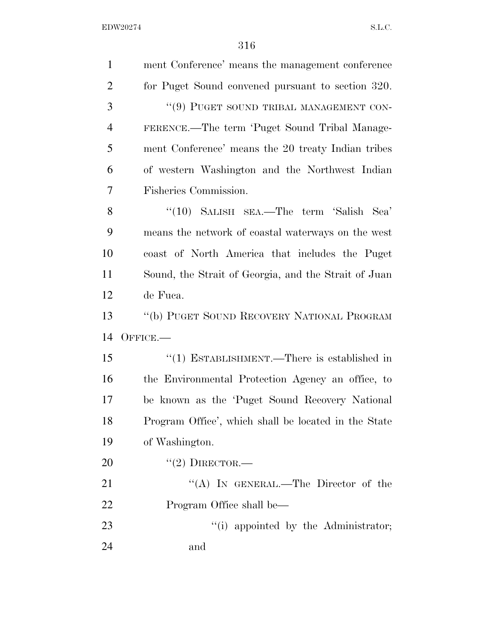| $\mathbf{1}$   | ment Conference' means the management conference     |
|----------------|------------------------------------------------------|
| $\overline{2}$ | for Puget Sound convened pursuant to section 320.    |
| 3              | "(9) PUGET SOUND TRIBAL MANAGEMENT CON-              |
| $\overline{4}$ | FERENCE.—The term 'Puget Sound Tribal Manage-        |
| 5              | ment Conference' means the 20 treaty Indian tribes   |
| 6              | of western Washington and the Northwest Indian       |
| 7              | Fisheries Commission.                                |
| 8              | "(10) SALISH SEA.—The term 'Salish Sea'              |
| 9              | means the network of coastal waterways on the west   |
| 10             | coast of North America that includes the Puget       |
| 11             | Sound, the Strait of Georgia, and the Strait of Juan |
| 12             | de Fuca.                                             |
|                |                                                      |
| 13             | "(b) PUGET SOUND RECOVERY NATIONAL PROGRAM           |
| 14             | $O$ FFICE.—                                          |
| 15             | "(1) ESTABLISHMENT.—There is established in          |
| 16             | the Environmental Protection Agency an office, to    |
| 17             | be known as the 'Puget Sound Recovery National       |
| 18             | Program Office', which shall be located in the State |
| 19             | of Washington.                                       |
| 20             | $"(2)$ DIRECTOR.—                                    |
| 21             | "(A) IN GENERAL.—The Director of the                 |
| 22             | Program Office shall be—                             |
| 23             | "(i) appointed by the Administrator;                 |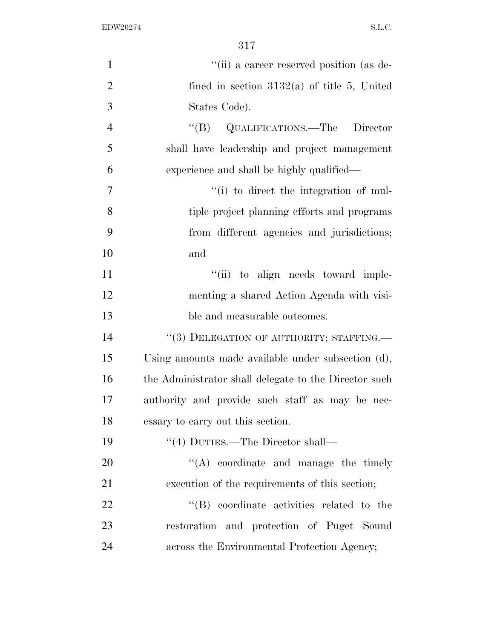| $\mathbf{1}$   | "(ii) a career reserved position (as de-              |
|----------------|-------------------------------------------------------|
| $\overline{2}$ | fined in section $3132(a)$ of title 5, United         |
| 3              | States Code).                                         |
| $\overline{4}$ | "(B) QUALIFICATIONS.—The Director                     |
| 5              | shall have leadership and project management          |
| 6              | experience and shall be highly qualified—             |
| $\overline{7}$ | "(i) to direct the integration of mul-                |
| 8              | tiple project planning efforts and programs           |
| 9              | from different agencies and jurisdictions;            |
| 10             | and                                                   |
| 11             | "(ii) to align needs toward imple-                    |
| 12             | menting a shared Action Agenda with visi-             |
| 13             | ble and measurable outcomes.                          |
| 14             | "(3) DELEGATION OF AUTHORITY; STAFFING.               |
| 15             | Using amounts made available under subsection (d),    |
| 16             | the Administrator shall delegate to the Director such |
| 17             | authority and provide such staff as may be nec-       |
| 18             | essary to carry out this section.                     |
| 19             | $\lq(4)$ DUTIES.—The Director shall—                  |
| 20             | $\lq\lq$ coordinate and manage the timely             |
| 21             | execution of the requirements of this section;        |
| 22             | "(B) coordinate activities related to the             |
| 23             | restoration and protection of Puget Sound             |
| 24             | across the Environmental Protection Agency;           |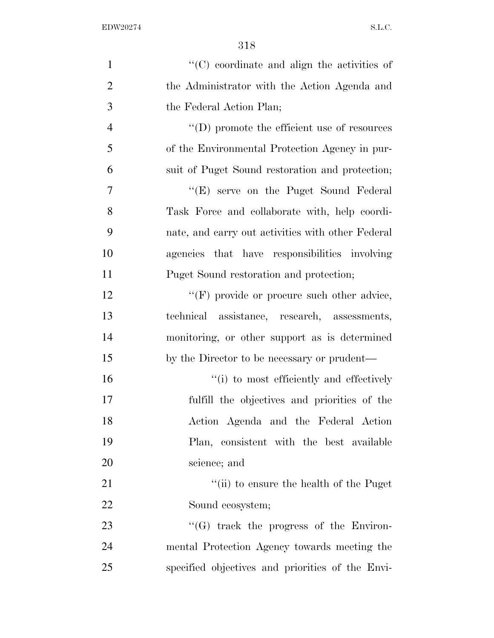| $\mathbf{1}$   | "(C) coordinate and align the activities of               |
|----------------|-----------------------------------------------------------|
| $\overline{2}$ | the Administrator with the Action Agenda and              |
| 3              | the Federal Action Plan;                                  |
| $\overline{4}$ | $\lq\lq$ (D) promote the efficient use of resources       |
| 5              | of the Environmental Protection Agency in pur-            |
| 6              | suit of Puget Sound restoration and protection;           |
| $\overline{7}$ | "(E) serve on the Puget Sound Federal                     |
| 8              | Task Force and collaborate with, help coordi-             |
| 9              | nate, and carry out activities with other Federal         |
| 10             | agencies that have responsibilities involving             |
| 11             | Puget Sound restoration and protection;                   |
| 12             | "(F) provide or procure such other advice,                |
| 13             | technical assistance, research, assessments,              |
| 14             | monitoring, or other support as is determined             |
| 15             | by the Director to be necessary or prudent—               |
| 16             | "(i) to most efficiently and effectively                  |
| 17             | fulfill the objectives and priorities of the              |
| 18             | Action Agenda and the Federal Action                      |
| 19             | Plan, consistent with the best available                  |
| 20             | science; and                                              |
| 21             | $\lq$ <sup>"</sup> (ii) to ensure the health of the Puget |
| 22             | Sound ecosystem;                                          |
| 23             | $\lq\lq(G)$ track the progress of the Environ-            |
| 24             | mental Protection Agency towards meeting the              |
| 25             | specified objectives and priorities of the Envi-          |
|                |                                                           |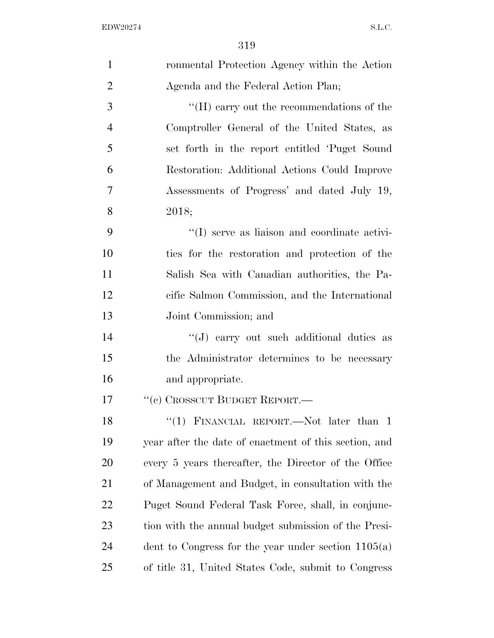| $\mathbf{1}$   | ronmental Protection Agency within the Action         |
|----------------|-------------------------------------------------------|
| $\overline{2}$ | Agenda and the Federal Action Plan;                   |
| 3              | $H(H)$ carry out the recommendations of the           |
| $\overline{4}$ | Comptroller General of the United States, as          |
| 5              | set forth in the report entitled 'Puget Sound         |
| 6              | Restoration: Additional Actions Could Improve         |
| $\tau$         | Assessments of Progress' and dated July 19,           |
| 8              | 2018;                                                 |
| 9              | "(I) serve as liaison and coordinate activi-          |
| 10             | ties for the restoration and protection of the        |
| 11             | Salish Sea with Canadian authorities, the Pa-         |
| 12             | cific Salmon Commission, and the International        |
| 13             | Joint Commission; and                                 |
| 14             | $\lq\lq(J)$ carry out such additional duties as       |
| 15             | the Administrator determines to be necessary          |
| 16             | and appropriate.                                      |
| 17             | "(c) CROSSCUT BUDGET REPORT.—                         |
| 18             | "(1) FINANCIAL REPORT.—Not later than 1               |
| 19             | year after the date of enactment of this section, and |
| 20             | every 5 years thereafter, the Director of the Office  |
| 21             | of Management and Budget, in consultation with the    |
| 22             | Puget Sound Federal Task Force, shall, in conjunc-    |
| 23             | tion with the annual budget submission of the Presi-  |
| 24             | dent to Congress for the year under section $1105(a)$ |
| 25             | of title 31, United States Code, submit to Congress   |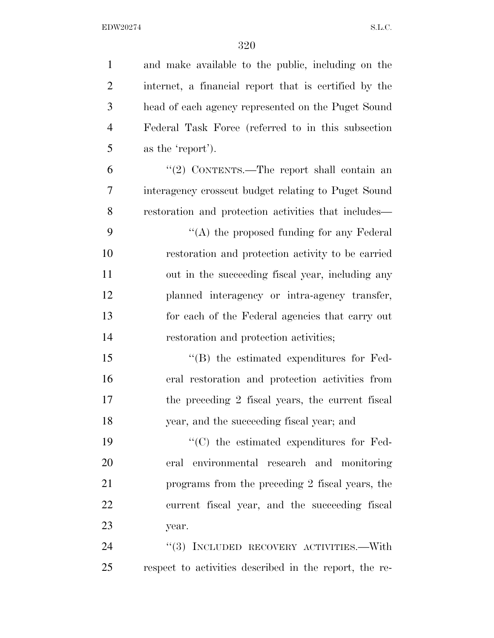| $\mathbf{1}$   | and make available to the public, including on the     |
|----------------|--------------------------------------------------------|
| $\overline{2}$ | internet, a financial report that is certified by the  |
| 3              | head of each agency represented on the Puget Sound     |
| $\overline{4}$ | Federal Task Force (referred to in this subsection     |
| 5              | as the 'report').                                      |
| 6              | "(2) CONTENTS.—The report shall contain an             |
| 7              | interagency crosscut budget relating to Puget Sound    |
| 8              | restoration and protection activities that includes—   |
| 9              | "(A) the proposed funding for any Federal              |
| 10             | restoration and protection activity to be carried      |
| 11             | out in the succeeding fiscal year, including any       |
| 12             | planned interagency or intra-agency transfer,          |
| 13             | for each of the Federal agencies that carry out        |
| 14             | restoration and protection activities;                 |
| 15             | $\lq\lq$ the estimated expenditures for Fed-           |
| 16             | eral restoration and protection activities from        |
| 17             | the preceding 2 fiscal years, the current fiscal       |
| 18             | year, and the succeeding fiscal year; and              |
| 19             | $\cdot$ (C) the estimated expenditures for Fed-        |
| 20             | eral environmental research and monitoring             |
| 21             | programs from the preceding 2 fiscal years, the        |
| 22             | current fiscal year, and the succeeding fiscal         |
| 23             | year.                                                  |
| 24             | "(3) INCLUDED RECOVERY ACTIVITIES.—With                |
| 25             | respect to activities described in the report, the re- |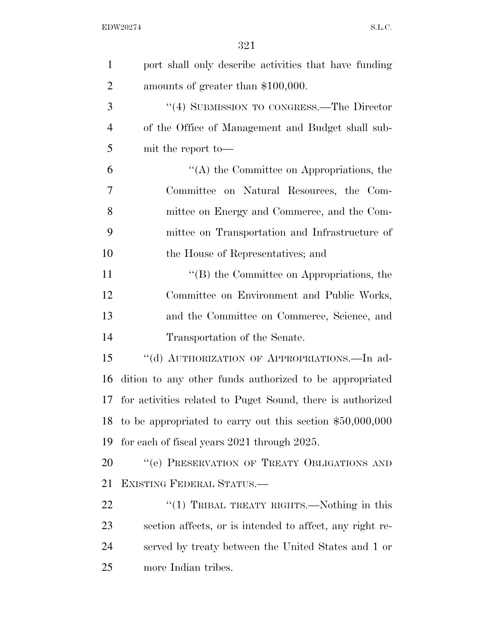| $\mathbf{1}$   | port shall only describe activities that have funding      |
|----------------|------------------------------------------------------------|
| $\overline{2}$ | amounts of greater than \$100,000.                         |
| 3              | "(4) SUBMISSION TO CONGRESS.—The Director                  |
| $\overline{4}$ | of the Office of Management and Budget shall sub-          |
| 5              | mit the report to-                                         |
| 6              | "(A) the Committee on Appropriations, the                  |
| 7              | Committee on Natural Resources, the Com-                   |
| 8              | mittee on Energy and Commerce, and the Com-                |
| 9              | mittee on Transportation and Infrastructure of             |
| 10             | the House of Representatives; and                          |
| 11             | "(B) the Committee on Appropriations, the                  |
| 12             | Committee on Environment and Public Works,                 |
| 13             | and the Committee on Commerce, Science, and                |
| 14             | Transportation of the Senate.                              |
| 15             | "(d) AUTHORIZATION OF APPROPRIATIONS.—In ad-               |
| 16             | dition to any other funds authorized to be appropriated    |
| 17             | for activities related to Puget Sound, there is authorized |
| 18             | to be appropriated to carry out this section $$50,000,000$ |
| 19             | for each of fiscal years 2021 through 2025.                |
| 20             | "(e) PRESERVATION OF TREATY OBLIGATIONS AND                |
| 21             | EXISTING FEDERAL STATUS.-                                  |
| 22             | "(1) TRIBAL TREATY RIGHTS.—Nothing in this                 |
| 23             | section affects, or is intended to affect, any right re-   |
| 24             | served by treaty between the United States and 1 or        |
| 25             | more Indian tribes.                                        |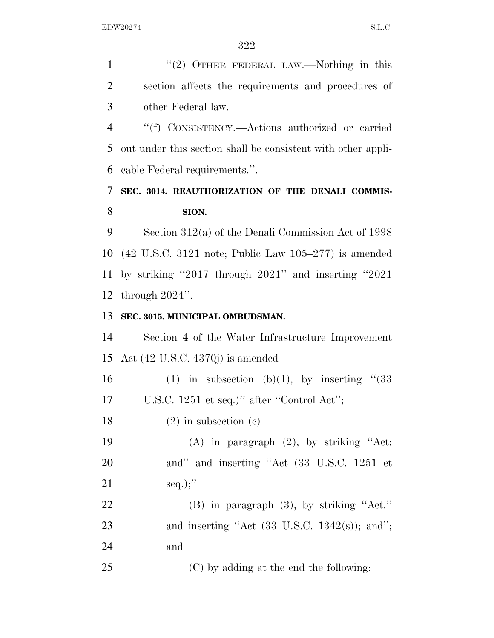1 "(2) OTHER FEDERAL LAW.—Nothing in this section affects the requirements and procedures of other Federal law. ''(f) CONSISTENCY.—Actions authorized or carried out under this section shall be consistent with other appli- cable Federal requirements.''. **SEC. 3014. REAUTHORIZATION OF THE DENALI COMMIS- SION.**  Section 312(a) of the Denali Commission Act of 1998 (42 U.S.C. 3121 note; Public Law 105–277) is amended by striking ''2017 through 2021'' and inserting ''2021 through 2024''. **SEC. 3015. MUNICIPAL OMBUDSMAN.**  Section 4 of the Water Infrastructure Improvement Act (42 U.S.C. 4370j) is amended— 16 (1) in subsection (b)(1), by inserting  $(33)$  U.S.C. 1251 et seq.)'' after ''Control Act''; 18 (2) in subsection (c)— (A) in paragraph (2), by striking ''Act; and'' and inserting ''Act (33 U.S.C. 1251 et 21 seq.);" (B) in paragraph (3), by striking ''Act.'' 23 and inserting "Act  $(33 \text{ U.S.C. } 1342(\text{s}))$ ; and"; and (C) by adding at the end the following: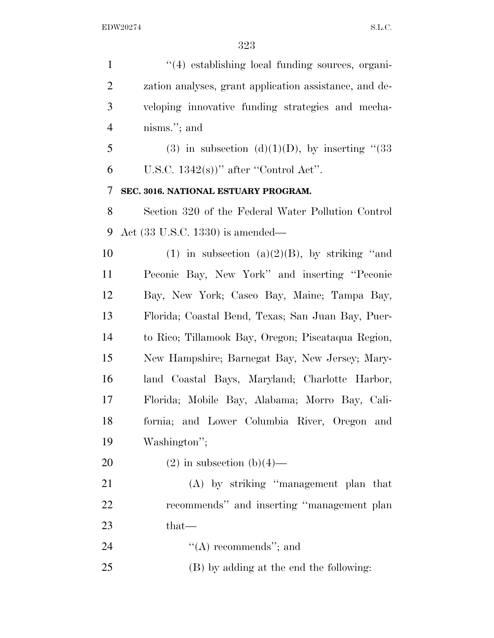| $\mathbf{1}$   | $\lq(4)$ establishing local funding sources, organi-   |
|----------------|--------------------------------------------------------|
| $\overline{2}$ | zation analyses, grant application assistance, and de- |
| 3              | veloping innovative funding strategies and mecha-      |
| $\overline{4}$ | nisms."; and                                           |
| 5              | (3) in subsection (d)(1)(D), by inserting " $(33)$     |
| 6              | U.S.C. $1342(s)$ " after "Control Act".                |
| 7              | SEC. 3016. NATIONAL ESTUARY PROGRAM.                   |
| 8              | Section 320 of the Federal Water Pollution Control     |
| 9              | Act (33 U.S.C. 1330) is amended—                       |
| 10             | (1) in subsection (a) $(2)(B)$ , by striking "and      |
| 11             | Peconic Bay, New York" and inserting "Peconic          |
| 12             | Bay, New York; Casco Bay, Maine; Tampa Bay,            |
| 13             | Florida; Coastal Bend, Texas; San Juan Bay, Puer-      |
| 14             | to Rico; Tillamook Bay, Oregon; Piscataqua Region,     |
| 15             | New Hampshire; Barnegat Bay, New Jersey; Mary-         |
| 16             | land Coastal Bays, Maryland; Charlotte Harbor,         |
| 17             | Florida; Mobile Bay, Alabama; Morro Bay, Cali-         |
| 18             | fornia; and Lower Columbia River, Oregon and           |
| 19             | Washington";                                           |
| 20             | $(2)$ in subsection $(b)(4)$ —                         |
| 21             | (A) by striking "management plan that                  |
| 22             | recommends" and inserting "management plan             |
| 23             | that-                                                  |
| 24             | "(A) recommends"; and                                  |
| 25             | (B) by adding at the end the following:                |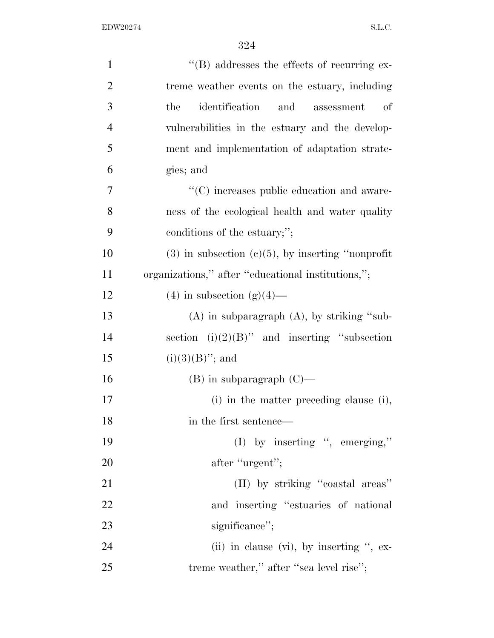| $\mathbf{1}$   | $\lq\lq (B)$ addresses the effects of recurring ex-         |
|----------------|-------------------------------------------------------------|
| $\overline{2}$ | treme weather events on the estuary, including              |
| 3              | identification<br>the<br>and<br><sub>of</sub><br>assessment |
| $\overline{4}$ | vulnerabilities in the estuary and the develop-             |
| 5              | ment and implementation of adaptation strate-               |
| 6              | gies; and                                                   |
| 7              | "(C) increases public education and aware-                  |
| 8              | ness of the ecological health and water quality             |
| 9              | conditions of the estuary;";                                |
| 10             | $(3)$ in subsection $(c)(5)$ , by inserting "nonprofit      |
| 11             | organizations," after "educational institutions,";          |
| 12             | $(4)$ in subsection $(g)(4)$ —                              |
| 13             | $(A)$ in subparagraph $(A)$ , by striking "sub-             |
| 14             | section $(i)(2)(B)$ " and inserting "subsection             |
| 15             | $(i)(3)(B)$ "; and                                          |
| 16             | $(B)$ in subparagraph $(C)$ —                               |
| 17             | (i) in the matter preceding clause (i),                     |
| 18             | in the first sentence—                                      |
| 19             | (I) by inserting ", emerging,"                              |
| 20             | after "urgent";                                             |
| 21             | (II) by striking "coastal areas"                            |
| 22             | and inserting "estuaries of national"                       |
| 23             | significance";                                              |
| 24             | (ii) in clause (vi), by inserting ", ex-                    |
| 25             | treme weather," after "sea level rise";                     |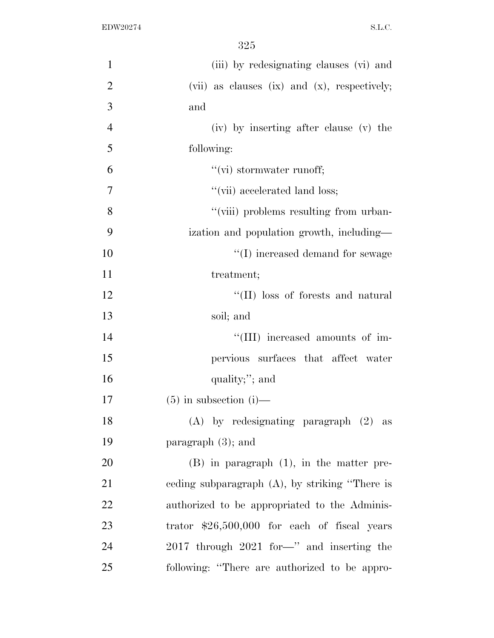| $\mathbf{1}$   | (iii) by redesignating clauses (vi) and           |
|----------------|---------------------------------------------------|
| $\overline{2}$ | (vii) as clauses $(ix)$ and $(x)$ , respectively; |
| 3              | and                                               |
| $\overline{4}$ | (iv) by inserting after clause (v) the            |
| 5              | following:                                        |
| 6              | "(vi) stormwater runoff;                          |
| $\overline{7}$ | "(vii) accelerated land loss;                     |
| 8              | "(viii) problems resulting from urban-            |
| 9              | ization and population growth, including—         |
| 10             | "(I) increased demand for sewage                  |
| 11             | treatment;                                        |
| 12             | "(II) loss of forests and natural                 |
| 13             | soil; and                                         |
| 14             | "(III) increased amounts of im-                   |
| 15             | pervious surfaces that affect water               |
| 16             | quality;"; and                                    |
| 17             | $(5)$ in subsection $(i)$ —                       |
| 18             | $(A)$ by redesignating paragraph $(2)$ as         |
| 19             | paragraph $(3)$ ; and                             |
| 20             | $(B)$ in paragraph $(1)$ , in the matter pre-     |
| 21             | ceding subparagraph $(A)$ , by striking "There is |
| 22             | authorized to be appropriated to the Adminis-     |
| 23             | trator $$26,500,000$ for each of fiscal years     |
| 24             | 2017 through 2021 for-" and inserting the         |
| 25             | following: "There are authorized to be appro-     |